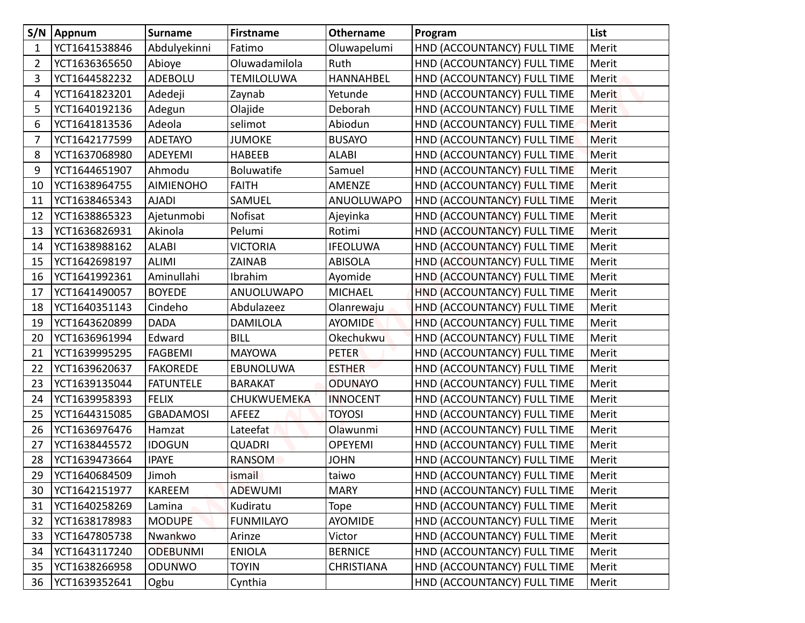| S/N         | Appnum        | <b>Surname</b>   | <b>Firstname</b>  | <b>Othername</b>  | Program                     | List         |
|-------------|---------------|------------------|-------------------|-------------------|-----------------------------|--------------|
| $\mathbf 1$ | YCT1641538846 | Abdulyekinni     | Fatimo            | Oluwapelumi       | HND (ACCOUNTANCY) FULL TIME | Merit        |
| 2           | YCT1636365650 | Abioye           | Oluwadamilola     | Ruth              | HND (ACCOUNTANCY) FULL TIME | Merit        |
| 3           | YCT1644582232 | ADEBOLU          | <b>TEMILOLUWA</b> | <b>HANNAHBEL</b>  | HND (ACCOUNTANCY) FULL TIME | Merit        |
| 4           | YCT1641823201 | Adedeji          | Zaynab            | Yetunde           | HND (ACCOUNTANCY) FULL TIME | <b>Merit</b> |
| 5           | YCT1640192136 | Adegun           | Olajide           | Deborah           | HND (ACCOUNTANCY) FULL TIME | <b>Merit</b> |
| 6           | YCT1641813536 | Adeola           | selimot           | Abiodun           | HND (ACCOUNTANCY) FULL TIME | <b>Merit</b> |
| 7           | YCT1642177599 | <b>ADETAYO</b>   | <b>JUMOKE</b>     | <b>BUSAYO</b>     | HND (ACCOUNTANCY) FULL TIME | Merit        |
| 8           | YCT1637068980 | ADEYEMI          | <b>HABEEB</b>     | <b>ALABI</b>      | HND (ACCOUNTANCY) FULL TIME | Merit        |
| 9           | YCT1644651907 | Ahmodu           | <b>Boluwatife</b> | Samuel            | HND (ACCOUNTANCY) FULL TIME | Merit        |
| 10          | YCT1638964755 | <b>AIMIENOHO</b> | <b>FAITH</b>      | AMENZE            | HND (ACCOUNTANCY) FULL TIME | Merit        |
| 11          | YCT1638465343 | <b>AJADI</b>     | SAMUEL            | ANUOLUWAPO        | HND (ACCOUNTANCY) FULL TIME | Merit        |
| 12          | YCT1638865323 | Ajetunmobi       | Nofisat           | Ajeyinka          | HND (ACCOUNTANCY) FULL TIME | Merit        |
| 13          | YCT1636826931 | Akinola          | Pelumi            | Rotimi            | HND (ACCOUNTANCY) FULL TIME | Merit        |
| 14          | YCT1638988162 | <b>ALABI</b>     | VICTORIA          | <b>IFEOLUWA</b>   | HND (ACCOUNTANCY) FULL TIME | Merit        |
| 15          | YCT1642698197 | <b>ALIMI</b>     | <b>ZAINAB</b>     | <b>ABISOLA</b>    | HND (ACCOUNTANCY) FULL TIME | Merit        |
| 16          | YCT1641992361 | Aminullahi       | Ibrahim           | Ayomide           | HND (ACCOUNTANCY) FULL TIME | Merit        |
| 17          | YCT1641490057 | <b>BOYEDE</b>    | ANUOLUWAPO        | <b>MICHAEL</b>    | HND (ACCOUNTANCY) FULL TIME | Merit        |
| 18          | YCT1640351143 | Cindeho          | Abdulazeez        | Olanrewaju        | HND (ACCOUNTANCY) FULL TIME | Merit        |
| 19          | YCT1643620899 | <b>DADA</b>      | <b>DAMILOLA</b>   | <b>AYOMIDE</b>    | HND (ACCOUNTANCY) FULL TIME | Merit        |
| 20          | YCT1636961994 | Edward           | <b>BILL</b>       | Okechukwu         | HND (ACCOUNTANCY) FULL TIME | Merit        |
| 21          | YCT1639995295 | <b>FAGBEMI</b>   | <b>MAYOWA</b>     | <b>PETER</b>      | HND (ACCOUNTANCY) FULL TIME | Merit        |
| 22          | YCT1639620637 | <b>FAKOREDE</b>  | EBUNOLUWA         | <b>ESTHER</b>     | HND (ACCOUNTANCY) FULL TIME | Merit        |
| 23          | YCT1639135044 | <b>FATUNTELE</b> | <b>BARAKAT</b>    | <b>ODUNAYO</b>    | HND (ACCOUNTANCY) FULL TIME | Merit        |
| 24          | YCT1639958393 | <b>FELIX</b>     | CHUKWUEMEKA       | <b>INNOCENT</b>   | HND (ACCOUNTANCY) FULL TIME | Merit        |
| 25          | YCT1644315085 | <b>GBADAMOSI</b> | AFEEZ             | <b>TOYOSI</b>     | HND (ACCOUNTANCY) FULL TIME | Merit        |
| 26          | YCT1636976476 | Hamzat           | Lateefat          | Olawunmi          | HND (ACCOUNTANCY) FULL TIME | Merit        |
| 27          | YCT1638445572 | <b>IDOGUN</b>    | <b>QUADRI</b>     | <b>OPEYEMI</b>    | HND (ACCOUNTANCY) FULL TIME | Merit        |
| 28          | YCT1639473664 | <b>IPAYE</b>     | RANSOM            | <b>JOHN</b>       | HND (ACCOUNTANCY) FULL TIME | Merit        |
| 29          | YCT1640684509 | Jimoh            | ismail            | taiwo             | HND (ACCOUNTANCY) FULL TIME | Merit        |
| 30          | YCT1642151977 | KAREEM           | <b>ADEWUMI</b>    | <b>MARY</b>       | HND (ACCOUNTANCY) FULL TIME | Merit        |
| 31          | YCT1640258269 | Lamina           | Kudiratu          | Tope              | HND (ACCOUNTANCY) FULL TIME | Merit        |
| 32          | YCT1638178983 | <b>MODUPE</b>    | <b>FUNMILAYO</b>  | <b>AYOMIDE</b>    | HND (ACCOUNTANCY) FULL TIME | Merit        |
| 33          | YCT1647805738 | Nwankwo          | Arinze            | Victor            | HND (ACCOUNTANCY) FULL TIME | Merit        |
| 34          | YCT1643117240 | <b>ODEBUNMI</b>  | <b>ENIOLA</b>     | <b>BERNICE</b>    | HND (ACCOUNTANCY) FULL TIME | Merit        |
| 35          | YCT1638266958 | <b>ODUNWO</b>    | <b>TOYIN</b>      | <b>CHRISTIANA</b> | HND (ACCOUNTANCY) FULL TIME | Merit        |
| 36          | YCT1639352641 | Ogbu             | Cynthia           |                   | HND (ACCOUNTANCY) FULL TIME | Merit        |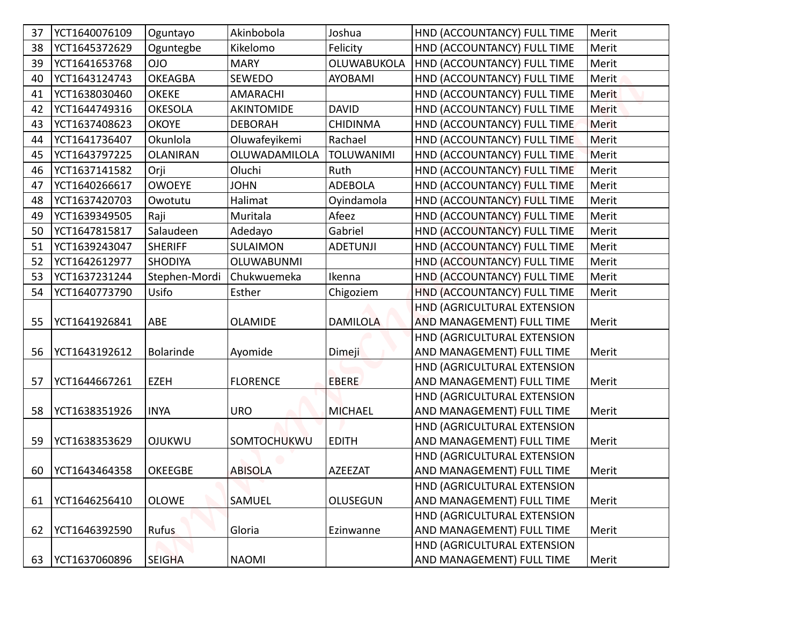| 37 | YCT1640076109 | Oguntayo         | Akinbobola        | Joshua            | HND (ACCOUNTANCY) FULL TIME      | Merit        |
|----|---------------|------------------|-------------------|-------------------|----------------------------------|--------------|
| 38 | YCT1645372629 | Oguntegbe        | Kikelomo          | Felicity          | HND (ACCOUNTANCY) FULL TIME      | Merit        |
| 39 | YCT1641653768 | <b>OIO</b>       | <b>MARY</b>       | OLUWABUKOLA       | HND (ACCOUNTANCY) FULL TIME      | Merit        |
| 40 | YCT1643124743 | <b>OKEAGBA</b>   | <b>SEWEDO</b>     | <b>AYOBAMI</b>    | HND (ACCOUNTANCY) FULL TIME      | Merit        |
| 41 | YCT1638030460 | <b>OKEKE</b>     | <b>AMARACHI</b>   |                   | HND (ACCOUNTANCY) FULL TIME      | <b>Merit</b> |
| 42 | YCT1644749316 | <b>OKESOLA</b>   | <b>AKINTOMIDE</b> | <b>DAVID</b>      | HND (ACCOUNTANCY) FULL TIME      | <b>Merit</b> |
| 43 | YCT1637408623 | <b>OKOYE</b>     | <b>DEBORAH</b>    | <b>CHIDINMA</b>   | HND (ACCOUNTANCY) FULL TIME      | <b>Merit</b> |
| 44 | YCT1641736407 | Okunlola         | Oluwafeyikemi     | Rachael           | HND (ACCOUNTANCY) FULL TIME      | Merit        |
| 45 | YCT1643797225 | <b>OLANIRAN</b>  | OLUWADAMILOLA     | <b>TOLUWANIMI</b> | HND (ACCOUNTANCY) FULL TIME      | Merit        |
| 46 | YCT1637141582 | Orji             | Oluchi            | Ruth              | HND (ACCOUNTANCY) FULL TIME      | Merit        |
| 47 | YCT1640266617 | <b>OWOEYE</b>    | <b>JOHN</b>       | <b>ADEBOLA</b>    | HND (ACCOUNTANCY) FULL TIME      | Merit        |
| 48 | YCT1637420703 | Owotutu          | Halimat           | Oyindamola        | HND (ACCOUNTANCY) FULL TIME      | Merit        |
| 49 | YCT1639349505 | Raji             | Muritala          | Afeez             | HND (ACCOUNTANCY) FULL TIME      | Merit        |
| 50 | YCT1647815817 | Salaudeen        | Adedayo           | Gabriel           | HND (ACCOUNTANCY) FULL TIME      | Merit        |
| 51 | YCT1639243047 | <b>SHERIFF</b>   | <b>SULAIMON</b>   | <b>ADETUNJI</b>   | HND (ACCOUNTANCY) FULL TIME      | Merit        |
| 52 | YCT1642612977 | <b>SHODIYA</b>   | <b>OLUWABUNMI</b> |                   | HND (ACCOUNTANCY) FULL TIME      | Merit        |
| 53 | YCT1637231244 | Stephen-Mordi    | Chukwuemeka       | Ikenna            | HND (ACCOUNTANCY) FULL TIME      | Merit        |
| 54 | YCT1640773790 | Usifo            | Esther            | Chigoziem         | HND (ACCOUNTANCY) FULL TIME      | Merit        |
|    |               |                  |                   |                   | HND (AGRICULTURAL EXTENSION      |              |
| 55 | YCT1641926841 | ABE              | <b>OLAMIDE</b>    | <b>DAMILOLA</b>   | AND MANAGEMENT) FULL TIME        | Merit        |
|    |               |                  |                   |                   | HND (AGRICULTURAL EXTENSION      |              |
| 56 | YCT1643192612 | <b>Bolarinde</b> | Ayomide           | Dimeji            | AND MANAGEMENT) FULL TIME        | Merit        |
|    |               |                  |                   |                   | HND (AGRICULTURAL EXTENSION      |              |
| 57 | YCT1644667261 | <b>EZEH</b>      | <b>FLORENCE</b>   | <b>EBERE</b>      | AND MANAGEMENT) FULL TIME        | Merit        |
|    |               |                  |                   |                   | HND (AGRICULTURAL EXTENSION      |              |
| 58 | YCT1638351926 | <b>INYA</b>      | <b>URO</b>        | <b>MICHAEL</b>    | AND MANAGEMENT) FULL TIME        | Merit        |
|    |               |                  |                   |                   | HND (AGRICULTURAL EXTENSION      |              |
| 59 | YCT1638353629 | <b>OJUKWU</b>    | SOMTOCHUKWU       | <b>EDITH</b>      | AND MANAGEMENT) FULL TIME        | Merit        |
|    |               |                  |                   |                   | HND (AGRICULTURAL EXTENSION      |              |
| 60 | YCT1643464358 | <b>OKEEGBE</b>   | <b>ABISOLA</b>    | <b>AZEEZAT</b>    | AND MANAGEMENT) FULL TIME        | Merit        |
|    |               |                  |                   |                   | HND (AGRICULTURAL EXTENSION      |              |
| 61 | YCT1646256410 | <b>OLOWE</b>     | SAMUEL            | <b>OLUSEGUN</b>   | <b>AND MANAGEMENT) FULL TIME</b> | Merit        |
|    |               |                  |                   |                   | HND (AGRICULTURAL EXTENSION      |              |
| 62 | YCT1646392590 | <b>Rufus</b>     | Gloria            | Ezinwanne         | AND MANAGEMENT) FULL TIME        | Merit        |
|    |               |                  |                   |                   | HND (AGRICULTURAL EXTENSION      |              |
| 63 | YCT1637060896 | <b>SEIGHA</b>    | <b>NAOMI</b>      |                   | AND MANAGEMENT) FULL TIME        | Merit        |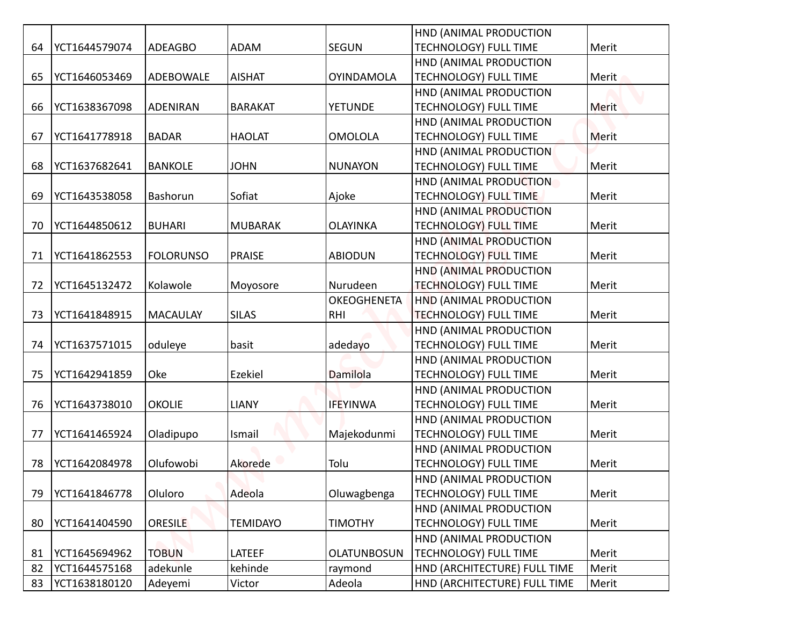|    |               |                  |                 |                    | HND (ANIMAL PRODUCTION       |              |
|----|---------------|------------------|-----------------|--------------------|------------------------------|--------------|
| 64 | YCT1644579074 | <b>ADEAGBO</b>   | ADAM            | <b>SEGUN</b>       | <b>TECHNOLOGY) FULL TIME</b> | Merit        |
|    |               |                  |                 |                    | HND (ANIMAL PRODUCTION       |              |
| 65 | YCT1646053469 | ADEBOWALE        | <b>AISHAT</b>   | <b>OYINDAMOLA</b>  | TECHNOLOGY) FULL TIME        | Merit        |
|    |               |                  |                 |                    | HND (ANIMAL PRODUCTION       |              |
| 66 | YCT1638367098 | <b>ADENIRAN</b>  | <b>BARAKAT</b>  | <b>YETUNDE</b>     | <b>TECHNOLOGY) FULL TIME</b> | Merit        |
|    |               |                  |                 |                    | HND (ANIMAL PRODUCTION       |              |
| 67 | YCT1641778918 | <b>BADAR</b>     | <b>HAOLAT</b>   | <b>OMOLOLA</b>     | <b>TECHNOLOGY) FULL TIME</b> | <b>Merit</b> |
|    |               |                  |                 |                    | HND (ANIMAL PRODUCTION       |              |
| 68 | YCT1637682641 | <b>BANKOLE</b>   | <b>JOHN</b>     | <b>NUNAYON</b>     | <b>TECHNOLOGY) FULL TIME</b> | Merit        |
|    |               |                  |                 |                    | HND (ANIMAL PRODUCTION       |              |
| 69 | YCT1643538058 | Bashorun         | Sofiat          | Ajoke              | <b>TECHNOLOGY) FULL TIME</b> | Merit        |
|    |               |                  |                 |                    | HND (ANIMAL PRODUCTION       |              |
| 70 | YCT1644850612 | <b>BUHARI</b>    | <b>MUBARAK</b>  | <b>OLAYINKA</b>    | <b>TECHNOLOGY) FULL TIME</b> | Merit        |
|    |               |                  |                 |                    | HND (ANIMAL PRODUCTION       |              |
| 71 | YCT1641862553 | <b>FOLORUNSO</b> | <b>PRAISE</b>   | <b>ABIODUN</b>     | <b>TECHNOLOGY) FULL TIME</b> | Merit        |
|    |               |                  |                 |                    | HND (ANIMAL PRODUCTION       |              |
| 72 | YCT1645132472 | Kolawole         | Moyosore        | Nurudeen           | <b>TECHNOLOGY) FULL TIME</b> | Merit        |
|    |               |                  |                 | <b>OKEOGHENETA</b> | HND (ANIMAL PRODUCTION       |              |
| 73 | YCT1641848915 | <b>MACAULAY</b>  | <b>SILAS</b>    | <b>RHI</b>         | <b>TECHNOLOGY) FULL TIME</b> | Merit        |
|    |               |                  |                 |                    | HND (ANIMAL PRODUCTION       |              |
| 74 | YCT1637571015 | oduleye          | basit           | adedayo            | <b>TECHNOLOGY) FULL TIME</b> | Merit        |
|    |               |                  |                 |                    | HND (ANIMAL PRODUCTION       |              |
| 75 | YCT1642941859 | Oke              | Ezekiel         | Damilola           | <b>TECHNOLOGY) FULL TIME</b> | Merit        |
|    |               |                  |                 |                    | HND (ANIMAL PRODUCTION       |              |
| 76 | YCT1643738010 | <b>OKOLIE</b>    | <b>LIANY</b>    | <b>IFEYINWA</b>    | <b>TECHNOLOGY) FULL TIME</b> | Merit        |
|    |               |                  |                 |                    | HND (ANIMAL PRODUCTION       |              |
| 77 | YCT1641465924 | Oladipupo        | Ismail          | Majekodunmi        | <b>TECHNOLOGY) FULL TIME</b> | Merit        |
|    |               |                  |                 |                    | HND (ANIMAL PRODUCTION       |              |
| 78 | YCT1642084978 | Olufowobi        | Akorede         | Tolu               | <b>TECHNOLOGY) FULL TIME</b> | Merit        |
|    |               |                  |                 |                    | HND (ANIMAL PRODUCTION       |              |
| 79 | YCT1641846778 | Oluloro          | Adeola          | Oluwagbenga        | TECHNOLOGY) FULL TIME        | Merit        |
|    |               |                  |                 |                    | HND (ANIMAL PRODUCTION       |              |
| 80 | YCT1641404590 | <b>ORESILE</b>   | <b>TEMIDAYO</b> | <b>TIMOTHY</b>     | <b>TECHNOLOGY) FULL TIME</b> | Merit        |
|    |               |                  |                 |                    | HND (ANIMAL PRODUCTION       |              |
| 81 | YCT1645694962 | <b>TOBUN</b>     | LATEEF          | <b>OLATUNBOSUN</b> | <b>TECHNOLOGY) FULL TIME</b> | Merit        |
| 82 | YCT1644575168 | adekunle         | kehinde         | raymond            | HND (ARCHITECTURE) FULL TIME | Merit        |
| 83 | YCT1638180120 | Adeyemi          | Victor          | Adeola             | HND (ARCHITECTURE) FULL TIME | Merit        |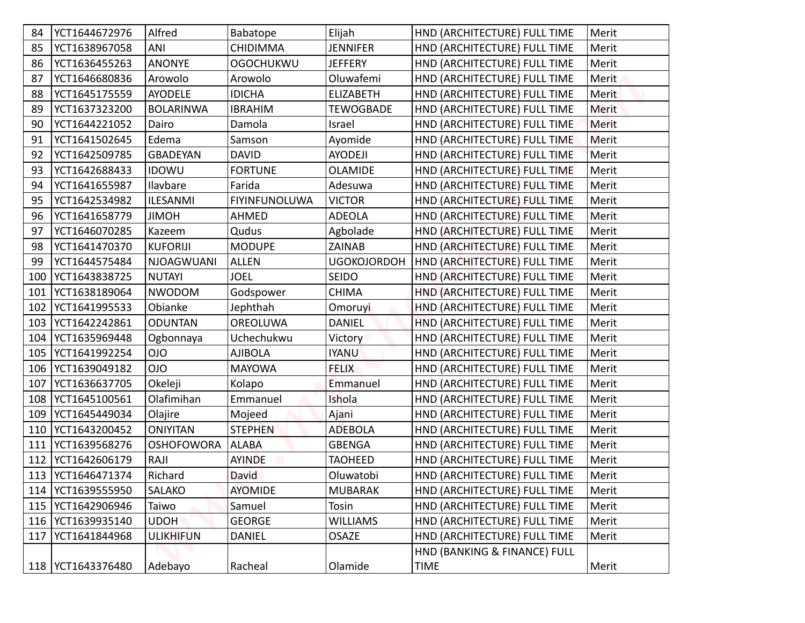| 84  | YCT1644672976       | Alfred            | Babatope         | Elijah             | HND (ARCHITECTURE) FULL TIME | Merit        |
|-----|---------------------|-------------------|------------------|--------------------|------------------------------|--------------|
| 85  | YCT1638967058       | ANI               | <b>CHIDIMMA</b>  | <b>JENNIFER</b>    | HND (ARCHITECTURE) FULL TIME | Merit        |
| 86  | YCT1636455263       | <b>ANONYE</b>     | <b>OGOCHUKWU</b> | <b>JEFFERY</b>     | HND (ARCHITECTURE) FULL TIME | Merit        |
| 87  | YCT1646680836       | Arowolo           | Arowolo          | Oluwafemi          | HND (ARCHITECTURE) FULL TIME | Merit        |
| 88  | YCT1645175559       | <b>AYODELE</b>    | <b>IDICHA</b>    | <b>ELIZABETH</b>   | HND (ARCHITECTURE) FULL TIME | Merit        |
| 89  | YCT1637323200       | <b>BOLARINWA</b>  | <b>IBRAHIM</b>   | <b>TEWOGBADE</b>   | HND (ARCHITECTURE) FULL TIME | <b>Merit</b> |
| 90  | YCT1644221052       | Dairo             | Damola           | Israel             | HND (ARCHITECTURE) FULL TIME | <b>Merit</b> |
| 91  | YCT1641502645       | Edema             | Samson           | Ayomide            | HND (ARCHITECTURE) FULL TIME | Merit        |
| 92  | YCT1642509785       | <b>GBADEYAN</b>   | <b>DAVID</b>     | <b>AYODEJI</b>     | HND (ARCHITECTURE) FULL TIME | Merit        |
| 93  | YCT1642688433       | <b>IDOWU</b>      | <b>FORTUNE</b>   | <b>OLAMIDE</b>     | HND (ARCHITECTURE) FULL TIME | Merit        |
| 94  | YCT1641655987       | Ilavbare          | Farida           | Adesuwa            | HND (ARCHITECTURE) FULL TIME | Merit        |
| 95  | YCT1642534982       | <b>ILESANMI</b>   | FIYINFUNOLUWA    | <b>VICTOR</b>      | HND (ARCHITECTURE) FULL TIME | Merit        |
| 96  | YCT1641658779       | <b>HOMIL</b>      | AHMED            | <b>ADEOLA</b>      | HND (ARCHITECTURE) FULL TIME | Merit        |
| 97  | YCT1646070285       | Kazeem            | Qudus            | Agbolade           | HND (ARCHITECTURE) FULL TIME | Merit        |
| 98  | YCT1641470370       | <b>KUFORIJI</b>   | <b>MODUPE</b>    | ZAINAB             | HND (ARCHITECTURE) FULL TIME | Merit        |
| 99  | YCT1644575484       | <b>NJOAGWUANI</b> | <b>ALLEN</b>     | <b>UGOKOJORDOH</b> | HND (ARCHITECTURE) FULL TIME | Merit        |
| 100 | YCT1643838725       | <b>NUTAYI</b>     | <b>JOEL</b>      | <b>SEIDO</b>       | HND (ARCHITECTURE) FULL TIME | Merit        |
| 101 | YCT1638189064       | <b>NWODOM</b>     | Godspower        | <b>CHIMA</b>       | HND (ARCHITECTURE) FULL TIME | Merit        |
| 102 | YCT1641995533       | Obianke           | Jephthah         | Omoruyi            | HND (ARCHITECTURE) FULL TIME | Merit        |
|     | 103   YCT1642242861 | <b>ODUNTAN</b>    | <b>OREOLUWA</b>  | <b>DANIEL</b>      | HND (ARCHITECTURE) FULL TIME | Merit        |
|     | 104   YCT1635969448 | Ogbonnaya         | Uchechukwu       | Victory            | HND (ARCHITECTURE) FULL TIME | Merit        |
|     | 105   YCT1641992254 | <b>OIO</b>        | <b>AJIBOLA</b>   | <b>IYANU</b>       | HND (ARCHITECTURE) FULL TIME | Merit        |
|     | 106   YCT1639049182 | <b>OIO</b>        | MAYOWA           | <b>FELIX</b>       | HND (ARCHITECTURE) FULL TIME | Merit        |
|     | 107   YCT1636637705 | Okeleji           | Kolapo           | Emmanuel           | HND (ARCHITECTURE) FULL TIME | Merit        |
|     | 108   YCT1645100561 | Olafimihan        | Emmanuel         | Ishola             | HND (ARCHITECTURE) FULL TIME | Merit        |
|     | 109   YCT1645449034 | Olajire           | Mojeed           | Ajani              | HND (ARCHITECTURE) FULL TIME | Merit        |
|     | 110   YCT1643200452 | <b>ONIYITAN</b>   | <b>STEPHEN</b>   | <b>ADEBOLA</b>     | HND (ARCHITECTURE) FULL TIME | Merit        |
| 111 | YCT1639568276       | <b>OSHOFOWORA</b> | <b>ALABA</b>     | <b>GBENGA</b>      | HND (ARCHITECTURE) FULL TIME | Merit        |
| 112 | YCT1642606179       | RAJI              | <b>AYINDE</b>    | <b>TAOHEED</b>     | HND (ARCHITECTURE) FULL TIME | Merit        |
|     | 113   YCT1646471374 | Richard           | <b>David</b>     | Oluwatobi          | HND (ARCHITECTURE) FULL TIME | Merit        |
|     | 114   YCT1639555950 | <b>SALAKO</b>     | <b>AYOMIDE</b>   | <b>MUBARAK</b>     | HND (ARCHITECTURE) FULL TIME | Merit        |
|     | 115   YCT1642906946 | Taiwo             | Samuel           | Tosin              | HND (ARCHITECTURE) FULL TIME | Merit        |
|     | 116   YCT1639935140 | <b>UDOH</b>       | <b>GEORGE</b>    | <b>WILLIAMS</b>    | HND (ARCHITECTURE) FULL TIME | Merit        |
| 117 | YCT1641844968       | <b>ULIKHIFUN</b>  | <b>DANIEL</b>    | <b>OSAZE</b>       | HND (ARCHITECTURE) FULL TIME | Merit        |
|     | 118   YCT1643376480 |                   |                  |                    | HND (BANKING & FINANCE) FULL |              |
|     |                     | Adebayo           | Racheal          | Olamide            | TIME                         | Merit        |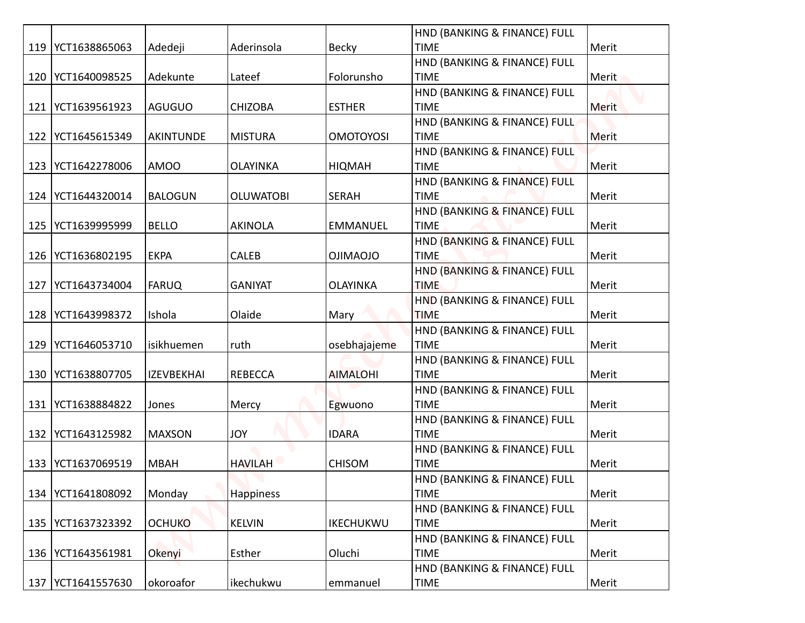|     |                     |                   |                  |                  | HND (BANKING & FINANCE) FULL                |       |
|-----|---------------------|-------------------|------------------|------------------|---------------------------------------------|-------|
|     | 119   YCT1638865063 | Adedeji           | Aderinsola       | <b>Becky</b>     | <b>TIME</b>                                 | Merit |
|     |                     |                   |                  |                  | HND (BANKING & FINANCE) FULL                |       |
|     | 120   YCT1640098525 | Adekunte          | Lateef           | Folorunsho       | <b>TIME</b>                                 | Merit |
|     |                     |                   |                  |                  | HND (BANKING & FINANCE) FULL                |       |
| 121 | YCT1639561923       | AGUGUO            | <b>CHIZOBA</b>   | <b>ESTHER</b>    | <b>TIME</b>                                 | Merit |
|     |                     |                   |                  |                  | HND (BANKING & FINANCE) FULL                |       |
| 122 | YCT1645615349       | AKINTUNDE         | <b>MISTURA</b>   | <b>OMOTOYOSI</b> | <b>TIME</b>                                 | Merit |
|     |                     |                   |                  |                  | HND (BANKING & FINANCE) FULL                |       |
| 123 | YCT1642278006       | <b>AMOO</b>       | <b>OLAYINKA</b>  | <b>HIQMAH</b>    | <b>TIME</b>                                 | Merit |
|     |                     |                   |                  |                  | HND (BANKING & FINANCE) FULL                |       |
| 124 | YCT1644320014       | <b>BALOGUN</b>    | <b>OLUWATOBI</b> | <b>SERAH</b>     | <b>TIME</b>                                 | Merit |
|     |                     |                   |                  |                  | HND (BANKING & FINANCE) FULL                |       |
| 125 | YCT1639995999       | <b>BELLO</b>      | <b>AKINOLA</b>   | <b>EMMANUEL</b>  | <b>TIME</b>                                 | Merit |
|     | 126   YCT1636802195 | <b>EKPA</b>       | <b>CALEB</b>     | <b>OIIMAOJO</b>  | HND (BANKING & FINANCE) FULL<br><b>TIME</b> | Merit |
|     |                     |                   |                  |                  | HND (BANKING & FINANCE) FULL                |       |
| 127 | YCT1643734004       | <b>FARUQ</b>      | <b>GANIYAT</b>   | <b>OLAYINKA</b>  | <b>TIME</b>                                 | Merit |
|     |                     |                   |                  |                  | HND (BANKING & FINANCE) FULL                |       |
|     | 128   YCT1643998372 | Ishola            | Olaide           | Mary             | <b>TIME</b>                                 | Merit |
|     |                     |                   |                  |                  | HND (BANKING & FINANCE) FULL                |       |
| 129 | YCT1646053710       | isikhuemen        | ruth             | osebhajajeme     | <b>TIME</b>                                 | Merit |
|     |                     |                   |                  |                  | HND (BANKING & FINANCE) FULL                |       |
|     | 130 YCT1638807705   | <b>IZEVBEKHAI</b> | <b>REBECCA</b>   | <b>AIMALOHI</b>  | <b>TIME</b>                                 | Merit |
|     |                     |                   |                  |                  | HND (BANKING & FINANCE) FULL                |       |
| 131 | YCT1638884822       | Jones             | Mercy            | Egwuono          | <b>TIME</b>                                 | Merit |
|     |                     |                   |                  |                  | HND (BANKING & FINANCE) FULL                |       |
| 132 | YCT1643125982       | <b>MAXSON</b>     | <b>JOY</b>       | <b>IDARA</b>     | <b>TIME</b>                                 | Merit |
|     |                     |                   |                  |                  | HND (BANKING & FINANCE) FULL                |       |
| 133 | YCT1637069519       | <b>MBAH</b>       | <b>HAVILAH</b>   | <b>CHISOM</b>    | <b>TIME</b>                                 | Merit |
|     |                     |                   |                  |                  | HND (BANKING & FINANCE) FULL                |       |
|     | 134   YCT1641808092 | Monday            | <b>Happiness</b> |                  | <b>TIME</b><br>HND (BANKING & FINANCE) FULL | Merit |
|     | 135   YCT1637323392 | <b>OCHUKO</b>     | <b>KELVIN</b>    | <b>IKECHUKWU</b> | <b>TIME</b>                                 | Merit |
|     |                     |                   |                  |                  | HND (BANKING & FINANCE) FULL                |       |
|     | 136 YCT1643561981   | Okenyi            | Esther           | Oluchi           | <b>TIME</b>                                 | Merit |
|     |                     |                   |                  |                  | HND (BANKING & FINANCE) FULL                |       |
|     | 137   YCT1641557630 | okoroafor         | ikechukwu        | emmanuel         | <b>TIME</b>                                 | Merit |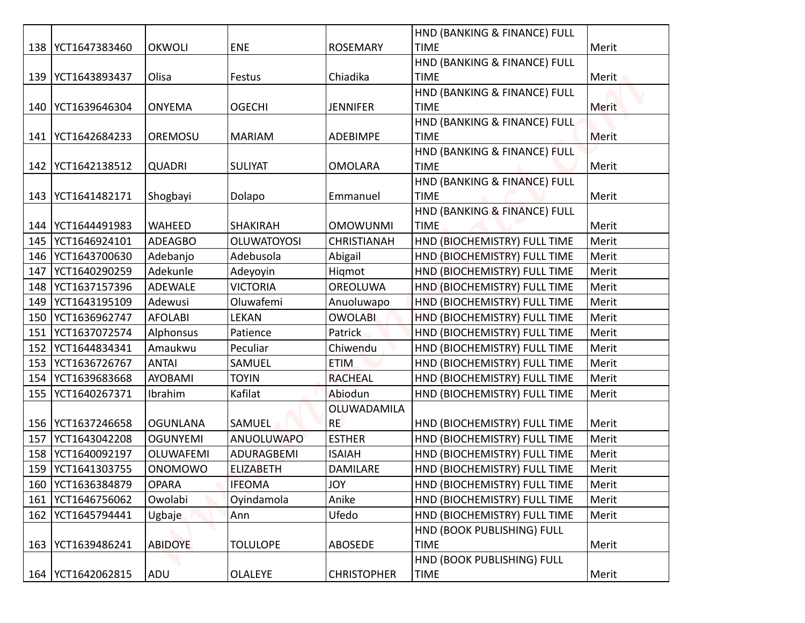|     |                     |                 |                    |                    | HND (BANKING & FINANCE) FULL |              |
|-----|---------------------|-----------------|--------------------|--------------------|------------------------------|--------------|
|     | 138   YCT1647383460 | <b>OKWOLI</b>   | <b>ENE</b>         | <b>ROSEMARY</b>    | <b>TIME</b>                  | Merit        |
|     |                     |                 |                    |                    | HND (BANKING & FINANCE) FULL |              |
|     | 139   YCT1643893437 | Olisa           | Festus             | Chiadika           | <b>TIME</b>                  | Merit        |
|     |                     |                 |                    |                    | HND (BANKING & FINANCE) FULL |              |
|     | 140   YCT1639646304 | <b>ONYEMA</b>   | <b>OGECHI</b>      | <b>JENNIFER</b>    | <b>TIME</b>                  | <b>Merit</b> |
|     |                     |                 |                    |                    | HND (BANKING & FINANCE) FULL |              |
| 141 | YCT1642684233       | OREMOSU         | <b>MARIAM</b>      | <b>ADEBIMPE</b>    | <b>TIME</b>                  | Merit        |
|     |                     |                 |                    |                    | HND (BANKING & FINANCE) FULL |              |
|     | 142   YCT1642138512 | <b>QUADRI</b>   | <b>SULIYAT</b>     | <b>OMOLARA</b>     | <b>TIME</b>                  | Merit        |
|     |                     |                 |                    |                    | HND (BANKING & FINANCE) FULL |              |
|     | 143   YCT1641482171 | Shogbayi        | Dolapo             | Emmanuel           | <b>TIME</b>                  | Merit        |
|     |                     |                 |                    |                    | HND (BANKING & FINANCE) FULL |              |
|     | 144   YCT1644491983 | WAHEED          | <b>SHAKIRAH</b>    | <b>OMOWUNMI</b>    | <b>TIME</b>                  | Merit        |
| 145 | YCT1646924101       | <b>ADEAGBO</b>  | <b>OLUWATOYOSI</b> | <b>CHRISTIANAH</b> | HND (BIOCHEMISTRY) FULL TIME | Merit        |
| 146 | YCT1643700630       | Adebanjo        | Adebusola          | Abigail            | HND (BIOCHEMISTRY) FULL TIME | Merit        |
| 147 | YCT1640290259       | Adekunle        | Adeyoyin           | Higmot             | HND (BIOCHEMISTRY) FULL TIME | Merit        |
| 148 | YCT1637157396       | <b>ADEWALE</b>  | <b>VICTORIA</b>    | OREOLUWA           | HND (BIOCHEMISTRY) FULL TIME | Merit        |
| 149 | YCT1643195109       | Adewusi         | Oluwafemi          | Anuoluwapo         | HND (BIOCHEMISTRY) FULL TIME | Merit        |
|     | 150   YCT1636962747 | <b>AFOLABI</b>  | LEKAN              | <b>OWOLABI</b>     | HND (BIOCHEMISTRY) FULL TIME | Merit        |
|     | 151   YCT1637072574 | Alphonsus       | Patience           | <b>Patrick</b>     | HND (BIOCHEMISTRY) FULL TIME | Merit        |
|     | 152 YCT1644834341   | Amaukwu         | Peculiar           | Chiwendu           | HND (BIOCHEMISTRY) FULL TIME | Merit        |
|     | 153   YCT1636726767 | <b>ANTAI</b>    | SAMUEL             | <b>ETIM</b>        | HND (BIOCHEMISTRY) FULL TIME | Merit        |
|     | 154   YCT1639683668 | <b>AYOBAMI</b>  | <b>TOYIN</b>       | <b>RACHEAL</b>     | HND (BIOCHEMISTRY) FULL TIME | Merit        |
|     | 155   YCT1640267371 | Ibrahim         | Kafilat            | Abiodun            | HND (BIOCHEMISTRY) FULL TIME | Merit        |
|     |                     |                 |                    | OLUWADAMILA        |                              |              |
|     | 156   YCT1637246658 | <b>OGUNLANA</b> | SAMUEL             | <b>RE</b>          | HND (BIOCHEMISTRY) FULL TIME | Merit        |
|     | 157   YCT1643042208 | <b>OGUNYEMI</b> | <b>ANUOLUWAPO</b>  | <b>ESTHER</b>      | HND (BIOCHEMISTRY) FULL TIME | Merit        |
|     | 158 YCT1640092197   | OLUWAFEMI       | <b>ADURAGBEMI</b>  | <b>ISAIAH</b>      | HND (BIOCHEMISTRY) FULL TIME | Merit        |
|     | 159   YCT1641303755 | <b>ONOMOWO</b>  | <b>ELIZABETH</b>   | <b>DAMILARE</b>    | HND (BIOCHEMISTRY) FULL TIME | Merit        |
|     | 160   YCT1636384879 | <b>OPARA</b>    | <b>IFEOMA</b>      | <b>YOL</b>         | HND (BIOCHEMISTRY) FULL TIME | Merit        |
|     | 161   YCT1646756062 | Owolabi         | Oyindamola         | Anike              | HND (BIOCHEMISTRY) FULL TIME | Merit        |
|     | 162   YCT1645794441 | Ugbaje          | Ann                | Ufedo              | HND (BIOCHEMISTRY) FULL TIME | Merit        |
|     |                     |                 |                    |                    | HND (BOOK PUBLISHING) FULL   |              |
|     | 163   YCT1639486241 | <b>ABIDOYE</b>  | <b>TOLULOPE</b>    | ABOSEDE            | <b>TIME</b>                  | Merit        |
|     |                     |                 |                    |                    | HND (BOOK PUBLISHING) FULL   |              |
|     | 164   YCT1642062815 | ADU             | <b>OLALEYE</b>     | <b>CHRISTOPHER</b> | <b>TIME</b>                  | Merit        |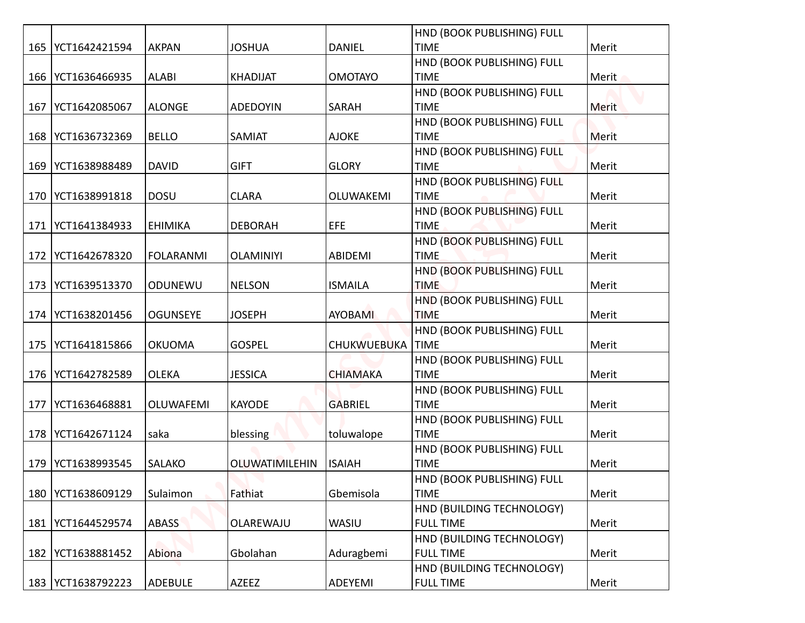|     |                     |                  |                       |                    | HND (BOOK PUBLISHING) FULL                |       |
|-----|---------------------|------------------|-----------------------|--------------------|-------------------------------------------|-------|
|     | 165   YCT1642421594 | <b>AKPAN</b>     | <b>JOSHUA</b>         | <b>DANIEL</b>      | <b>TIME</b>                               | Merit |
|     |                     |                  |                       |                    | HND (BOOK PUBLISHING) FULL                |       |
|     | 166   YCT1636466935 | <b>ALABI</b>     | <b>KHADIJAT</b>       | <b>OMOTAYO</b>     | <b>TIME</b>                               | Merit |
|     |                     |                  |                       |                    | HND (BOOK PUBLISHING) FULL                |       |
| 167 | YCT1642085067       | <b>ALONGE</b>    | <b>ADEDOYIN</b>       | SARAH              | <b>TIME</b>                               | Merit |
|     | 168 YCT1636732369   | <b>BELLO</b>     | SAMIAT                | <b>AJOKE</b>       | HND (BOOK PUBLISHING) FULL<br><b>TIME</b> | Merit |
|     |                     |                  |                       |                    | HND (BOOK PUBLISHING) FULL                |       |
|     | 169 YCT1638988489   | <b>DAVID</b>     | <b>GIFT</b>           | <b>GLORY</b>       | <b>TIME</b>                               | Merit |
|     |                     |                  |                       |                    | HND (BOOK PUBLISHING) FULL                |       |
| 170 | YCT1638991818       | <b>DOSU</b>      | <b>CLARA</b>          | OLUWAKEMI          | <b>TIME</b>                               | Merit |
|     |                     |                  |                       |                    | HND (BOOK PUBLISHING) FULL                |       |
| 171 | YCT1641384933       | <b>EHIMIKA</b>   | <b>DEBORAH</b>        | <b>EFE</b>         | <b>TIME</b>                               | Merit |
|     |                     |                  |                       |                    | HND (BOOK PUBLISHING) FULL                |       |
| 172 | YCT1642678320       | <b>FOLARANMI</b> | <b>OLAMINIYI</b>      | ABIDEMI            | <b>TIME</b>                               | Merit |
|     |                     |                  |                       |                    | HND (BOOK PUBLISHING) FULL                |       |
|     | 173   YCT1639513370 | ODUNEWU          | <b>NELSON</b>         | <b>ISMAILA</b>     | <b>TIME</b>                               | Merit |
|     |                     |                  |                       |                    | HND (BOOK PUBLISHING) FULL                |       |
|     | 174   YCT1638201456 | <b>OGUNSEYE</b>  | <b>JOSEPH</b>         | <b>AYOBAMI</b>     | <b>TIME</b>                               | Merit |
|     |                     |                  |                       |                    | <b>HND (BOOK PUBLISHING) FULL</b>         |       |
| 175 | YCT1641815866       | <b>OKUOMA</b>    | <b>GOSPEL</b>         | <b>CHUKWUEBUKA</b> | <b>TIME</b>                               | Merit |
|     |                     |                  |                       |                    | HND (BOOK PUBLISHING) FULL                |       |
|     | 176   YCT1642782589 | <b>OLEKA</b>     | <b>JESSICA</b>        | <b>CHIAMAKA</b>    | <b>TIME</b>                               | Merit |
|     |                     |                  |                       |                    | HND (BOOK PUBLISHING) FULL                |       |
| 177 | YCT1636468881       | OLUWAFEMI        | <b>KAYODE</b>         | <b>GABRIEL</b>     | <b>TIME</b><br>HND (BOOK PUBLISHING) FULL | Merit |
|     | 178   YCT1642671124 | saka             | blessing              | toluwalope         | <b>TIME</b>                               | Merit |
|     |                     |                  |                       |                    | HND (BOOK PUBLISHING) FULL                |       |
| 179 | YCT1638993545       | <b>SALAKO</b>    | <b>OLUWATIMILEHIN</b> | <b>ISAIAH</b>      | <b>TIME</b>                               | Merit |
|     |                     |                  |                       |                    | HND (BOOK PUBLISHING) FULL                |       |
| 180 | YCT1638609129       | Sulaimon         | Fathiat               | Gbemisola          | <b>TIME</b>                               | Merit |
|     |                     |                  |                       |                    | HND (BUILDING TECHNOLOGY)                 |       |
| 181 | YCT1644529574       | <b>ABASS</b>     | OLAREWAJU             | WASIU              | <b>FULL TIME</b>                          | Merit |
|     |                     |                  |                       |                    | HND (BUILDING TECHNOLOGY)                 |       |
|     | 182   YCT1638881452 | Abiona           | Gbolahan              | Aduragbemi         | <b>FULL TIME</b>                          | Merit |
|     |                     |                  |                       |                    | HND (BUILDING TECHNOLOGY)                 |       |
|     | 183   YCT1638792223 | <b>ADEBULE</b>   | AZEEZ                 | ADEYEMI            | <b>FULL TIME</b>                          | Merit |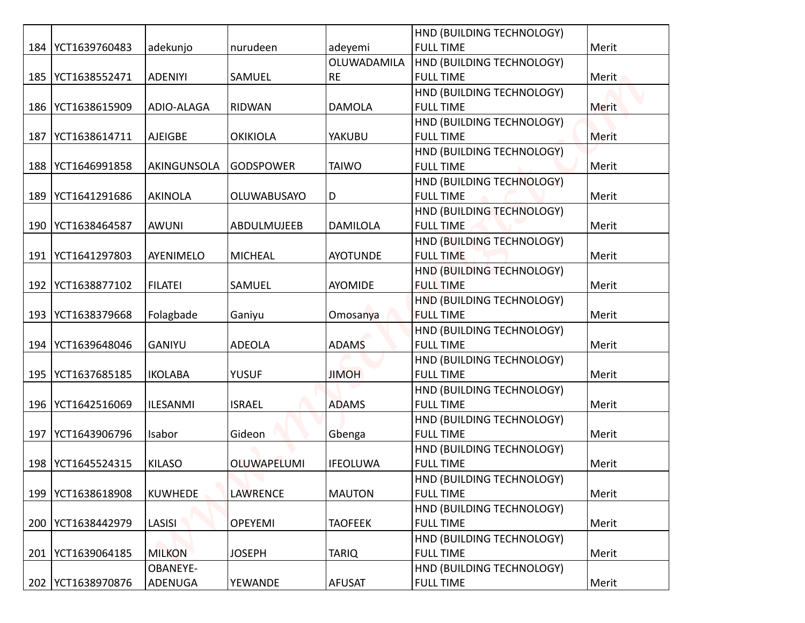|     |                     |                 |                    |                 | HND (BUILDING TECHNOLOGY)                     |       |
|-----|---------------------|-----------------|--------------------|-----------------|-----------------------------------------------|-------|
|     | 184   YCT1639760483 | adekunjo        | nurudeen           | adeyemi         | <b>FULL TIME</b>                              | Merit |
|     |                     |                 |                    | OLUWADAMILA     | HND (BUILDING TECHNOLOGY)                     |       |
| 185 | YCT1638552471       | <b>ADENIYI</b>  | SAMUEL             | <b>RE</b>       | <b>FULL TIME</b>                              | Merit |
|     |                     |                 |                    |                 | HND (BUILDING TECHNOLOGY)                     |       |
|     | 186   YCT1638615909 | ADIO-ALAGA      | <b>RIDWAN</b>      | <b>DAMOLA</b>   | <b>FULL TIME</b>                              | Merit |
|     |                     |                 |                    |                 | HND (BUILDING TECHNOLOGY)                     |       |
| 187 | YCT1638614711       | <b>AJEIGBE</b>  | <b>OKIKIOLA</b>    | <b>YAKUBU</b>   | <b>FULL TIME</b>                              | Merit |
|     |                     |                 |                    |                 | HND (BUILDING TECHNOLOGY)                     |       |
|     | 188   YCT1646991858 | AKINGUNSOLA     | GODSPOWER          | <b>TAIWO</b>    | <b>FULL TIME</b>                              | Merit |
|     |                     |                 |                    |                 | HND (BUILDING TECHNOLOGY)                     |       |
| 189 | YCT1641291686       | <b>AKINOLA</b>  | <b>OLUWABUSAYO</b> | D               | <b>FULL TIME</b>                              | Merit |
|     |                     |                 |                    |                 | HND (BUILDING TECHNOLOGY)                     |       |
| 190 | YCT1638464587       | <b>AWUNI</b>    | ABDULMUJEEB        | <b>DAMILOLA</b> | <b>FULL TIME</b>                              | Merit |
|     |                     |                 |                    |                 | HND (BUILDING TECHNOLOGY)                     |       |
| 191 | YCT1641297803       | AYENIMELO       | <b>MICHEAL</b>     | <b>AYOTUNDE</b> | <b>FULL TIME</b>                              | Merit |
|     |                     |                 |                    |                 | HND (BUILDING TECHNOLOGY)                     |       |
| 192 | YCT1638877102       | <b>FILATEI</b>  | SAMUEL             | <b>AYOMIDE</b>  | <b>FULL TIME</b>                              | Merit |
|     |                     |                 |                    |                 | HND (BUILDING TECHNOLOGY)                     |       |
|     | 193   YCT1638379668 | Folagbade       | Ganiyu             | Omosanya        | <b>FULL TIME</b>                              | Merit |
|     |                     |                 |                    |                 | HND (BUILDING TECHNOLOGY)                     |       |
|     | 194   YCT1639648046 | <b>GANIYU</b>   | <b>ADEOLA</b>      | <b>ADAMS</b>    | <b>FULL TIME</b>                              | Merit |
|     |                     |                 |                    |                 | HND (BUILDING TECHNOLOGY)                     |       |
|     | 195   YCT1637685185 | <b>IKOLABA</b>  | <b>YUSUF</b>       | <b>JIMOH</b>    | <b>FULL TIME</b>                              | Merit |
|     |                     |                 |                    |                 | HND (BUILDING TECHNOLOGY)                     |       |
|     | 196   YCT1642516069 | ILESANMI        | <b>ISRAEL</b>      | <b>ADAMS</b>    | <b>FULL TIME</b>                              | Merit |
|     |                     |                 |                    |                 | HND (BUILDING TECHNOLOGY)                     |       |
| 197 | YCT1643906796       | Isabor          | Gideon             | Gbenga          | <b>FULL TIME</b>                              | Merit |
|     |                     |                 |                    |                 | HND (BUILDING TECHNOLOGY)                     |       |
|     | 198   YCT1645524315 | <b>KILASO</b>   | OLUWAPELUMI        | <b>IFEOLUWA</b> | <b>FULL TIME</b>                              | Merit |
|     |                     |                 |                    |                 | HND (BUILDING TECHNOLOGY)                     |       |
| 199 | YCT1638618908       | <b>KUWHEDE</b>  | <b>LAWRENCE</b>    | <b>MAUTON</b>   | <b>FULL TIME</b>                              | Merit |
|     |                     |                 |                    |                 | HND (BUILDING TECHNOLOGY)<br><b>FULL TIME</b> |       |
| 200 | YCT1638442979       | LASISI          | <b>OPEYEMI</b>     | <b>TAOFEEK</b>  |                                               | Merit |
|     | 201   YCT1639064185 | <b>MILKON</b>   | <b>JOSEPH</b>      | <b>TARIQ</b>    | HND (BUILDING TECHNOLOGY)<br><b>FULL TIME</b> | Merit |
|     |                     | <b>OBANEYE-</b> |                    |                 | HND (BUILDING TECHNOLOGY)                     |       |
|     | 202   YCT1638970876 | ADENUGA         | YEWANDE            | <b>AFUSAT</b>   | <b>FULL TIME</b>                              | Merit |
|     |                     |                 |                    |                 |                                               |       |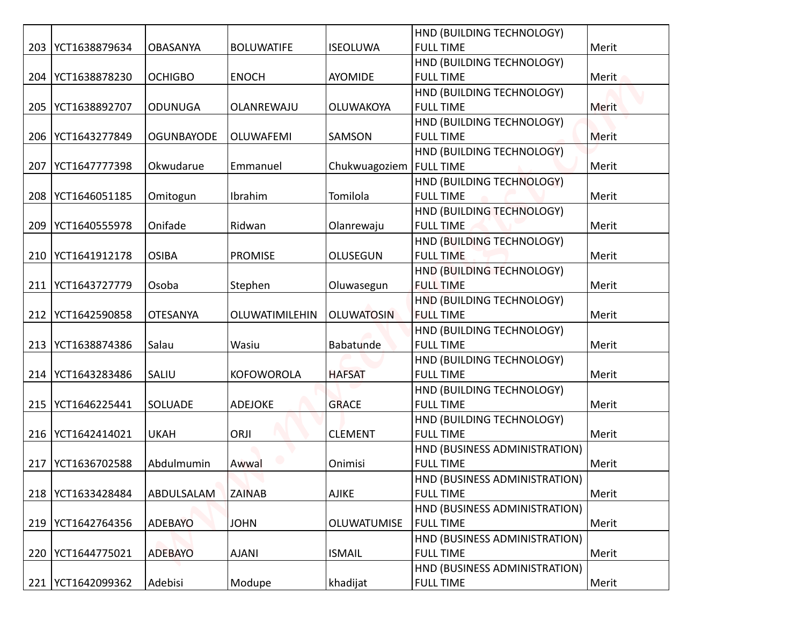|     |                     |                   |                       |                           | HND (BUILDING TECHNOLOGY)        |              |
|-----|---------------------|-------------------|-----------------------|---------------------------|----------------------------------|--------------|
| 203 | YCT1638879634       | <b>OBASANYA</b>   | <b>BOLUWATIFE</b>     | <b>ISEOLUWA</b>           | <b>FULL TIME</b>                 | Merit        |
|     |                     |                   |                       |                           | HND (BUILDING TECHNOLOGY)        |              |
| 204 | YCT1638878230       | <b>OCHIGBO</b>    | <b>ENOCH</b>          | <b>AYOMIDE</b>            | <b>FULL TIME</b>                 | Merit        |
|     |                     |                   |                       |                           | HND (BUILDING TECHNOLOGY)        |              |
| 205 | YCT1638892707       | <b>ODUNUGA</b>    | OLANREWAJU            | <b>OLUWAKOYA</b>          | <b>FULL TIME</b>                 | <b>Merit</b> |
|     |                     |                   |                       |                           | HND (BUILDING TECHNOLOGY)        |              |
| 206 | YCT1643277849       | <b>OGUNBAYODE</b> | <b>OLUWAFEMI</b>      | SAMSON                    | <b>FULL TIME</b>                 | Merit        |
|     |                     |                   |                       |                           | HND (BUILDING TECHNOLOGY)        |              |
| 207 | YCT1647777398       | Okwudarue         | Emmanuel              | Chukwuagoziem   FULL TIME |                                  | Merit        |
|     |                     |                   |                       |                           | HND (BUILDING TECHNOLOGY)        |              |
| 208 | YCT1646051185       | Omitogun          | Ibrahim               | Tomilola                  | <b>FULL TIME</b>                 | Merit        |
|     |                     |                   |                       |                           | HND (BUILDING TECHNOLOGY)        |              |
| 209 | YCT1640555978       | Onifade           | Ridwan                | Olanrewaju                | <b>FULL TIME</b>                 | Merit        |
|     |                     |                   |                       |                           | HND (BUILDING TECHNOLOGY)        |              |
| 210 | YCT1641912178       | <b>OSIBA</b>      | <b>PROMISE</b>        | <b>OLUSEGUN</b>           | <b>FULL TIME</b>                 | Merit        |
|     |                     |                   |                       |                           | HND (BUILDING TECHNOLOGY)        |              |
| 211 | YCT1643727779       | Osoba             | Stephen               | Oluwasegun                | <b>FULL TIME</b>                 | Merit        |
|     |                     |                   |                       |                           | HND (BUILDING TECHNOLOGY)        |              |
|     | 212   YCT1642590858 | <b>OTESANYA</b>   | <b>OLUWATIMILEHIN</b> | <b>OLUWATOSIN</b>         | <b>FULL TIME</b>                 | Merit        |
|     |                     |                   |                       |                           | <b>HND (BUILDING TECHNOLOGY)</b> |              |
|     | 213   YCT1638874386 | Salau             | Wasiu                 | Babatunde                 | <b>FULL TIME</b>                 | Merit        |
|     |                     |                   |                       |                           | HND (BUILDING TECHNOLOGY)        |              |
|     | 214   YCT1643283486 | SALIU             | <b>KOFOWOROLA</b>     | <b>HAFSAT</b>             | <b>FULL TIME</b>                 | Merit        |
|     |                     |                   |                       |                           | HND (BUILDING TECHNOLOGY)        |              |
|     | 215   YCT1646225441 | <b>SOLUADE</b>    | <b>ADEJOKE</b>        | <b>GRACE</b>              | <b>FULL TIME</b>                 | Merit        |
|     |                     |                   |                       |                           | HND (BUILDING TECHNOLOGY)        |              |
|     | 216   YCT1642414021 | <b>UKAH</b>       | ORJI                  | <b>CLEMENT</b>            | <b>FULL TIME</b>                 | Merit        |
|     |                     |                   |                       |                           | HND (BUSINESS ADMINISTRATION)    |              |
| 217 | YCT1636702588       | Abdulmumin        | Awwal                 | Onimisi                   | <b>FULL TIME</b>                 | Merit        |
|     |                     |                   |                       |                           | HND (BUSINESS ADMINISTRATION)    |              |
|     | 218   YCT1633428484 | ABDULSALAM        | <b>ZAINAB</b>         | <b>AJIKE</b>              | <b>FULL TIME</b>                 | Merit        |
|     |                     |                   |                       |                           | HND (BUSINESS ADMINISTRATION)    |              |
|     | 219   YCT1642764356 | <b>ADEBAYO</b>    | <b>JOHN</b>           | OLUWATUMISE               | <b>FULL TIME</b>                 | Merit        |
|     |                     |                   |                       |                           | HND (BUSINESS ADMINISTRATION)    |              |
|     | 220   YCT1644775021 | <b>ADEBAYO</b>    | <b>AJANI</b>          | <b>ISMAIL</b>             | <b>FULL TIME</b>                 | Merit        |
|     |                     |                   |                       |                           | HND (BUSINESS ADMINISTRATION)    |              |
|     | 221   YCT1642099362 | Adebisi           | Modupe                | khadijat                  | <b>FULL TIME</b>                 | Merit        |
|     |                     |                   |                       |                           |                                  |              |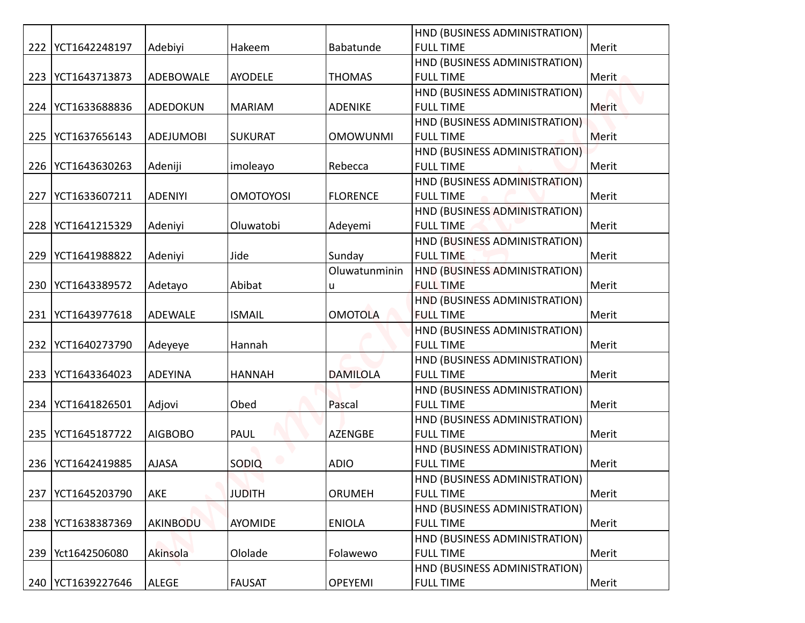|     |                     |                  |                  |                 | HND (BUSINESS ADMINISTRATION) |              |
|-----|---------------------|------------------|------------------|-----------------|-------------------------------|--------------|
|     | 222   YCT1642248197 | Adebiyi          | Hakeem           | Babatunde       | <b>FULL TIME</b>              | Merit        |
|     |                     |                  |                  |                 | HND (BUSINESS ADMINISTRATION) |              |
| 223 | YCT1643713873       | ADEBOWALE        | <b>AYODELE</b>   | <b>THOMAS</b>   | <b>FULL TIME</b>              | Merit        |
|     |                     |                  |                  |                 | HND (BUSINESS ADMINISTRATION) |              |
|     | 224   YCT1633688836 | ADEDOKUN         | <b>MARIAM</b>    | <b>ADENIKE</b>  | <b>FULL TIME</b>              | <b>Merit</b> |
|     |                     |                  |                  |                 | HND (BUSINESS ADMINISTRATION) |              |
| 225 | YCT1637656143       | <b>ADEJUMOBI</b> | <b>SUKURAT</b>   | <b>OMOWUNMI</b> | <b>FULL TIME</b>              | Merit        |
|     |                     |                  |                  |                 | HND (BUSINESS ADMINISTRATION) |              |
|     | 226   YCT1643630263 | Adeniji          | imoleayo         | Rebecca         | <b>FULL TIME</b>              | Merit        |
|     |                     |                  |                  |                 | HND (BUSINESS ADMINISTRATION) |              |
| 227 | YCT1633607211       | <b>ADENIYI</b>   | <b>OMOTOYOSI</b> | <b>FLORENCE</b> | <b>FULL TIME</b>              | Merit        |
|     |                     |                  |                  |                 | HND (BUSINESS ADMINISTRATION) |              |
| 228 | YCT1641215329       | Adeniyi          | Oluwatobi        | Adeyemi         | <b>FULL TIME</b>              | Merit        |
|     |                     |                  |                  |                 | HND (BUSINESS ADMINISTRATION) |              |
| 229 | YCT1641988822       | Adeniyi          | Jide             | Sunday          | <b>FULL TIME</b>              | Merit        |
|     |                     |                  |                  | Oluwatunminin   | HND (BUSINESS ADMINISTRATION) |              |
|     | 230   YCT1643389572 | Adetayo          | Abibat           | u               | <b>FULL TIME</b>              | Merit        |
|     |                     |                  |                  |                 | HND (BUSINESS ADMINISTRATION) |              |
|     | 231   YCT1643977618 | <b>ADEWALE</b>   | <b>ISMAIL</b>    | <b>OMOTOLA</b>  | <b>FULL TIME</b>              | Merit        |
|     |                     |                  |                  |                 | HND (BUSINESS ADMINISTRATION) |              |
|     | 232 YCT1640273790   | Adeyeye          | Hannah           |                 | <b>FULL TIME</b>              | Merit        |
|     |                     |                  |                  |                 | HND (BUSINESS ADMINISTRATION) |              |
|     | 233   YCT1643364023 | ADEYINA          | <b>HANNAH</b>    | <b>DAMILOLA</b> | <b>FULL TIME</b>              | Merit        |
|     |                     |                  |                  |                 | HND (BUSINESS ADMINISTRATION) |              |
|     | 234   YCT1641826501 | Adjovi           | Obed             | Pascal          | <b>FULL TIME</b>              | Merit        |
|     |                     |                  |                  |                 | HND (BUSINESS ADMINISTRATION) |              |
|     | 235   YCT1645187722 | <b>AIGBOBO</b>   | PAUL             | <b>AZENGBE</b>  | <b>FULL TIME</b>              | Merit        |
|     |                     |                  |                  |                 | HND (BUSINESS ADMINISTRATION) |              |
|     | 236   YCT1642419885 | <b>AJASA</b>     | SODIQ            | <b>ADIO</b>     | <b>FULL TIME</b>              | Merit        |
|     |                     |                  |                  |                 | HND (BUSINESS ADMINISTRATION) |              |
| 237 | YCT1645203790       | AKE              | <b>JUDITH</b>    | <b>ORUMEH</b>   | <b>FULL TIME</b>              | Merit        |
|     |                     |                  |                  |                 | HND (BUSINESS ADMINISTRATION) |              |
|     | 238   YCT1638387369 | AKINBODU         | <b>AYOMIDE</b>   | <b>ENIOLA</b>   | <b>FULL TIME</b>              | Merit        |
|     |                     |                  |                  |                 | HND (BUSINESS ADMINISTRATION) |              |
|     | 239   Yct1642506080 | Akinsola         | Ololade          | Folawewo        | <b>FULL TIME</b>              | Merit        |
|     |                     |                  |                  |                 | HND (BUSINESS ADMINISTRATION) |              |
|     | 240   YCT1639227646 | ALEGE            | <b>FAUSAT</b>    | <b>OPEYEMI</b>  | <b>FULL TIME</b>              | Merit        |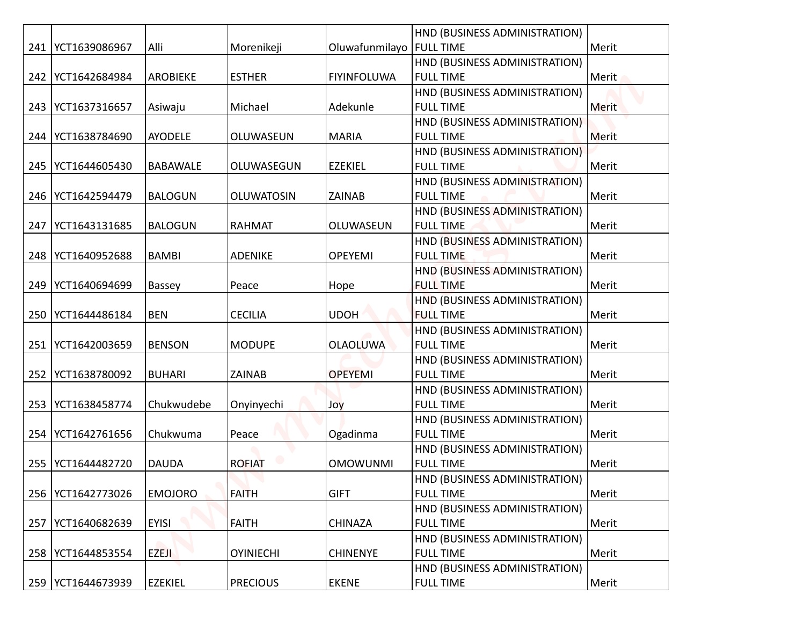|     |                     |                 |                   |                    | HND (BUSINESS ADMINISTRATION) |       |
|-----|---------------------|-----------------|-------------------|--------------------|-------------------------------|-------|
|     | 241   YCT1639086967 | Alli            | Morenikeji        | Oluwafunmilayo     | <b>FULL TIME</b>              | Merit |
|     |                     |                 |                   |                    | HND (BUSINESS ADMINISTRATION) |       |
|     | 242   YCT1642684984 | <b>AROBIEKE</b> | <b>ESTHER</b>     | <b>FIYINFOLUWA</b> | <b>FULL TIME</b>              | Merit |
|     |                     |                 |                   |                    | HND (BUSINESS ADMINISTRATION) |       |
|     | 243   YCT1637316657 | Asiwaju         | Michael           | Adekunle           | <b>FULL TIME</b>              | Merit |
|     |                     |                 |                   |                    | HND (BUSINESS ADMINISTRATION) |       |
|     | 244   YCT1638784690 | <b>AYODELE</b>  | OLUWASEUN         | <b>MARIA</b>       | <b>FULL TIME</b>              | Merit |
|     |                     |                 |                   |                    | HND (BUSINESS ADMINISTRATION) |       |
|     | 245   YCT1644605430 | <b>BABAWALE</b> | OLUWASEGUN        | <b>EZEKIEL</b>     | <b>FULL TIME</b>              | Merit |
|     |                     |                 |                   |                    | HND (BUSINESS ADMINISTRATION) |       |
|     | 246   YCT1642594479 | <b>BALOGUN</b>  | <b>OLUWATOSIN</b> | ZAINAB             | <b>FULL TIME</b>              | Merit |
|     |                     |                 |                   |                    | HND (BUSINESS ADMINISTRATION) |       |
| 247 | YCT1643131685       | <b>BALOGUN</b>  | <b>RAHMAT</b>     | OLUWASEUN          | <b>FULL TIME</b>              | Merit |
|     |                     |                 |                   |                    | HND (BUSINESS ADMINISTRATION) |       |
|     | 248   YCT1640952688 | <b>BAMBI</b>    | <b>ADENIKE</b>    | <b>OPEYEMI</b>     | <b>FULL TIME</b>              | Merit |
|     |                     |                 |                   |                    | HND (BUSINESS ADMINISTRATION) |       |
|     | 249   YCT1640694699 | Bassey          | Peace             | Hope               | <b>FULL TIME</b>              | Merit |
|     |                     |                 |                   |                    | HND (BUSINESS ADMINISTRATION) |       |
|     | 250   YCT1644486184 | <b>BEN</b>      | <b>CECILIA</b>    | <b>UDOH</b>        | <b>FULL TIME</b>              | Merit |
|     |                     |                 |                   |                    | HND (BUSINESS ADMINISTRATION) |       |
|     | 251   YCT1642003659 | <b>BENSON</b>   | <b>MODUPE</b>     | <b>OLAOLUWA</b>    | <b>FULL TIME</b>              | Merit |
|     |                     |                 |                   |                    | HND (BUSINESS ADMINISTRATION) |       |
|     | 252   YCT1638780092 | <b>BUHARI</b>   | ZAINAB            | <b>OPEYEMI</b>     | <b>FULL TIME</b>              | Merit |
|     |                     |                 |                   |                    | HND (BUSINESS ADMINISTRATION) |       |
|     | 253   YCT1638458774 | Chukwudebe      | Onyinyechi        | Joy                | <b>FULL TIME</b>              | Merit |
|     |                     |                 |                   |                    | HND (BUSINESS ADMINISTRATION) |       |
|     | 254   YCT1642761656 | Chukwuma        | Peace             | Ogadinma           | <b>FULL TIME</b>              | Merit |
|     |                     |                 |                   |                    | HND (BUSINESS ADMINISTRATION) |       |
| 255 | YCT1644482720       | <b>DAUDA</b>    | <b>ROFIAT</b>     | <b>OMOWUNMI</b>    | <b>FULL TIME</b>              | Merit |
|     |                     |                 |                   |                    | HND (BUSINESS ADMINISTRATION) |       |
|     | 256 YCT1642773026   | <b>EMOJORO</b>  | <b>FAITH</b>      | <b>GIFT</b>        | <b>FULL TIME</b>              | Merit |
|     |                     |                 |                   |                    | HND (BUSINESS ADMINISTRATION) |       |
| 257 | YCT1640682639       | <b>EYISI</b>    | <b>FAITH</b>      | <b>CHINAZA</b>     | <b>FULL TIME</b>              | Merit |
|     |                     |                 |                   |                    | HND (BUSINESS ADMINISTRATION) |       |
|     | 258   YCT1644853554 | <b>EZEJI</b>    | <b>OYINIECHI</b>  | <b>CHINENYE</b>    | <b>FULL TIME</b>              | Merit |
|     |                     |                 |                   |                    | HND (BUSINESS ADMINISTRATION) |       |
|     | 259   YCT1644673939 | <b>EZEKIEL</b>  | <b>PRECIOUS</b>   | <b>EKENE</b>       | <b>FULL TIME</b>              | Merit |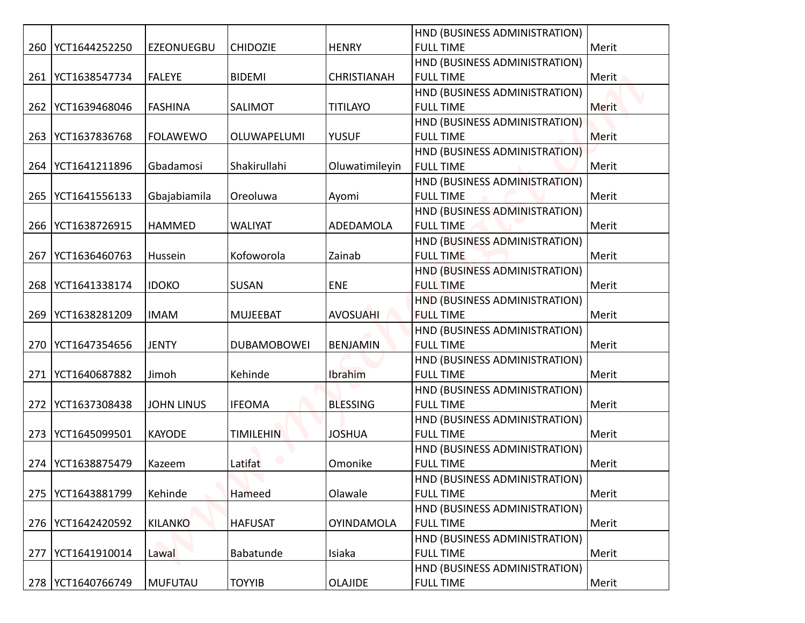|                                 |                                                                                                                                                                                                                                                                                                   |                    |                    | HND (BUSINESS ADMINISTRATION) |              |
|---------------------------------|---------------------------------------------------------------------------------------------------------------------------------------------------------------------------------------------------------------------------------------------------------------------------------------------------|--------------------|--------------------|-------------------------------|--------------|
|                                 | <b>EZEONUEGBU</b>                                                                                                                                                                                                                                                                                 | <b>CHIDOZIE</b>    | <b>HENRY</b>       | <b>FULL TIME</b>              | Merit        |
|                                 |                                                                                                                                                                                                                                                                                                   |                    |                    | HND (BUSINESS ADMINISTRATION) |              |
| YCT1638547734                   | <b>FALEYE</b>                                                                                                                                                                                                                                                                                     | <b>BIDEMI</b>      | <b>CHRISTIANAH</b> | <b>FULL TIME</b>              | Merit        |
|                                 |                                                                                                                                                                                                                                                                                                   |                    |                    | HND (BUSINESS ADMINISTRATION) |              |
|                                 | <b>FASHINA</b>                                                                                                                                                                                                                                                                                    | SALIMOT            | <b>TITILAYO</b>    | <b>FULL TIME</b>              | <b>Merit</b> |
|                                 |                                                                                                                                                                                                                                                                                                   |                    |                    | HND (BUSINESS ADMINISTRATION) |              |
|                                 | <b>FOLAWEWO</b>                                                                                                                                                                                                                                                                                   | OLUWAPELUMI        | <b>YUSUF</b>       | <b>FULL TIME</b>              | Merit        |
|                                 |                                                                                                                                                                                                                                                                                                   |                    |                    | HND (BUSINESS ADMINISTRATION) |              |
|                                 | Gbadamosi                                                                                                                                                                                                                                                                                         | Shakirullahi       | Oluwatimileyin     | <b>FULL TIME</b>              | Merit        |
|                                 |                                                                                                                                                                                                                                                                                                   |                    |                    | HND (BUSINESS ADMINISTRATION) |              |
| YCT1641556133                   | Gbajabiamila                                                                                                                                                                                                                                                                                      | Oreoluwa           | Ayomi              | <b>FULL TIME</b>              | Merit        |
|                                 |                                                                                                                                                                                                                                                                                                   |                    |                    | HND (BUSINESS ADMINISTRATION) |              |
|                                 | <b>HAMMED</b>                                                                                                                                                                                                                                                                                     | <b>WALIYAT</b>     | ADEDAMOLA          | <b>FULL TIME</b>              | Merit        |
|                                 |                                                                                                                                                                                                                                                                                                   |                    |                    | HND (BUSINESS ADMINISTRATION) |              |
| YCT1636460763                   | Hussein                                                                                                                                                                                                                                                                                           | Kofoworola         | Zainab             | <b>FULL TIME</b>              | Merit        |
|                                 |                                                                                                                                                                                                                                                                                                   |                    |                    | HND (BUSINESS ADMINISTRATION) |              |
|                                 | <b>IDOKO</b>                                                                                                                                                                                                                                                                                      | SUSAN              | <b>ENE</b>         | <b>FULL TIME</b>              | Merit        |
|                                 |                                                                                                                                                                                                                                                                                                   |                    |                    | HND (BUSINESS ADMINISTRATION) |              |
|                                 | <b>IMAM</b>                                                                                                                                                                                                                                                                                       | <b>MUJEEBAT</b>    | <b>AVOSUAHI</b>    | <b>FULL TIME</b>              | Merit        |
|                                 |                                                                                                                                                                                                                                                                                                   |                    |                    | HND (BUSINESS ADMINISTRATION) |              |
|                                 | <b>JENTY</b>                                                                                                                                                                                                                                                                                      | <b>DUBAMOBOWEI</b> | <b>BENJAMIN</b>    | <b>FULL TIME</b>              | Merit        |
|                                 |                                                                                                                                                                                                                                                                                                   |                    |                    | HND (BUSINESS ADMINISTRATION) |              |
|                                 | Jimoh                                                                                                                                                                                                                                                                                             | Kehinde            | Ibrahim            | <b>FULL TIME</b>              | Merit        |
|                                 |                                                                                                                                                                                                                                                                                                   |                    |                    | HND (BUSINESS ADMINISTRATION) |              |
|                                 | <b>JOHN LINUS</b>                                                                                                                                                                                                                                                                                 | <b>IFEOMA</b>      | <b>BLESSING</b>    | <b>FULL TIME</b>              | Merit        |
|                                 |                                                                                                                                                                                                                                                                                                   |                    |                    | HND (BUSINESS ADMINISTRATION) |              |
| YCT1645099501                   | <b>KAYODE</b>                                                                                                                                                                                                                                                                                     | <b>TIMILEHIN</b>   | <b>JOSHUA</b>      | <b>FULL TIME</b>              | Merit        |
|                                 |                                                                                                                                                                                                                                                                                                   |                    |                    | HND (BUSINESS ADMINISTRATION) |              |
| YCT1638875479                   | Kazeem                                                                                                                                                                                                                                                                                            | Latifat            | Omonike            | <b>FULL TIME</b>              | Merit        |
|                                 |                                                                                                                                                                                                                                                                                                   |                    |                    | HND (BUSINESS ADMINISTRATION) |              |
|                                 | Kehinde                                                                                                                                                                                                                                                                                           | Hameed             | Olawale            | <b>FULL TIME</b>              | Merit        |
|                                 |                                                                                                                                                                                                                                                                                                   |                    |                    | HND (BUSINESS ADMINISTRATION) |              |
|                                 | KILANKO                                                                                                                                                                                                                                                                                           | <b>HAFUSAT</b>     | <b>OYINDAMOLA</b>  | <b>FULL TIME</b>              | Merit        |
|                                 |                                                                                                                                                                                                                                                                                                   |                    |                    | HND (BUSINESS ADMINISTRATION) |              |
|                                 | Lawal                                                                                                                                                                                                                                                                                             | Babatunde          | Isiaka             | <b>FULL TIME</b>              | Merit        |
|                                 |                                                                                                                                                                                                                                                                                                   |                    |                    | HND (BUSINESS ADMINISTRATION) |              |
|                                 |                                                                                                                                                                                                                                                                                                   |                    |                    |                               |              |
| 261<br>263<br>265<br>273<br>274 | 260   YCT1644252250<br>262   YCT1639468046<br>YCT1637836768<br>264 YCT1641211896<br> YCT1638726915<br>266<br>268   YCT1641338174<br>269   YCT1638281209<br>270 YCT1647354656<br>271   YCT1640687882<br>YCT1637308438<br>272<br>275<br>YCT1643881799<br>276   YCT1642420592<br>277   YCT1641910014 |                    |                    |                               |              |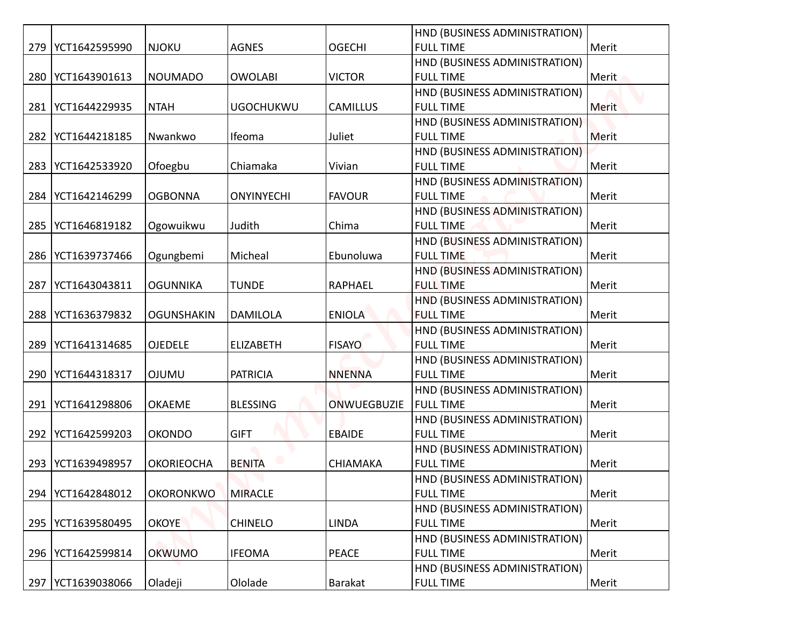|     |                     |                   |                   |                 | HND (BUSINESS ADMINISTRATION)                     |              |
|-----|---------------------|-------------------|-------------------|-----------------|---------------------------------------------------|--------------|
|     | 279   YCT1642595990 | <b>NJOKU</b>      | <b>AGNES</b>      | <b>OGECHI</b>   | <b>FULL TIME</b>                                  | Merit        |
|     |                     |                   |                   |                 | HND (BUSINESS ADMINISTRATION)                     |              |
|     | 280   YCT1643901613 | NOUMADO           | <b>OWOLABI</b>    | <b>VICTOR</b>   | <b>FULL TIME</b>                                  | Merit        |
|     |                     |                   |                   |                 | HND (BUSINESS ADMINISTRATION)                     |              |
|     | 281   YCT1644229935 | <b>NTAH</b>       | <b>UGOCHUKWU</b>  | <b>CAMILLUS</b> | <b>FULL TIME</b>                                  | <b>Merit</b> |
|     |                     |                   |                   |                 | HND (BUSINESS ADMINISTRATION)                     |              |
|     | 282   YCT1644218185 | Nwankwo           | Ifeoma            | Juliet          | <b>FULL TIME</b>                                  | Merit        |
|     |                     |                   |                   |                 | HND (BUSINESS ADMINISTRATION)                     |              |
| 283 | YCT1642533920       | Ofoegbu           | Chiamaka          | Vivian          | <b>FULL TIME</b>                                  | Merit        |
|     |                     |                   |                   |                 | HND (BUSINESS ADMINISTRATION)                     |              |
| 284 | YCT1642146299       | <b>OGBONNA</b>    | <b>ONYINYECHI</b> | <b>FAVOUR</b>   | <b>FULL TIME</b>                                  | Merit        |
|     |                     |                   |                   |                 | HND (BUSINESS ADMINISTRATION)                     |              |
| 285 | YCT1646819182       | Ogowuikwu         | Judith            | Chima           | <b>FULL TIME</b>                                  | Merit        |
|     |                     |                   |                   |                 | HND (BUSINESS ADMINISTRATION)                     |              |
|     | 286   YCT1639737466 | Ogungbemi         | Micheal           | Ebunoluwa       | <b>FULL TIME</b>                                  | Merit        |
|     |                     |                   |                   |                 | HND (BUSINESS ADMINISTRATION)                     |              |
| 287 | YCT1643043811       | <b>OGUNNIKA</b>   | <b>TUNDE</b>      | <b>RAPHAEL</b>  | <b>FULL TIME</b>                                  | Merit        |
|     |                     |                   |                   |                 | HND (BUSINESS ADMINISTRATION)                     |              |
|     | 288   YCT1636379832 | <b>OGUNSHAKIN</b> | <b>DAMILOLA</b>   | <b>ENIOLA</b>   | <b>FULL TIME</b>                                  | Merit        |
|     |                     |                   |                   |                 | HND (BUSINESS ADMINISTRATION)                     |              |
|     | 289   YCT1641314685 | <b>OJEDELE</b>    | <b>ELIZABETH</b>  | <b>FISAYO</b>   | <b>FULL TIME</b>                                  | Merit        |
|     |                     |                   |                   |                 | HND (BUSINESS ADMINISTRATION)                     |              |
|     | 290 YCT1644318317   | <b>OJUMU</b>      | <b>PATRICIA</b>   | <b>NNENNA</b>   | <b>FULL TIME</b>                                  | Merit        |
|     | YCT1641298806       | <b>OKAEME</b>     | <b>BLESSING</b>   | ONWUEGBUZIE     | HND (BUSINESS ADMINISTRATION)<br><b>FULL TIME</b> | Merit        |
| 291 |                     |                   |                   |                 | HND (BUSINESS ADMINISTRATION)                     |              |
| 292 | YCT1642599203       | <b>OKONDO</b>     | <b>GIFT</b>       | <b>EBAIDE</b>   | <b>FULL TIME</b>                                  | Merit        |
|     |                     |                   |                   |                 | HND (BUSINESS ADMINISTRATION)                     |              |
| 293 | YCT1639498957       | <b>OKORIEOCHA</b> | <b>BENITA</b>     | <b>CHIAMAKA</b> | <b>FULL TIME</b>                                  | Merit        |
|     |                     |                   |                   |                 | HND (BUSINESS ADMINISTRATION)                     |              |
|     | 294   YCT1642848012 | <b>OKORONKWO</b>  | <b>MIRACLE</b>    |                 | <b>FULL TIME</b>                                  | Merit        |
|     |                     |                   |                   |                 | HND (BUSINESS ADMINISTRATION)                     |              |
|     | 295   YCT1639580495 | <b>OKOYE</b>      | <b>CHINELO</b>    | <b>LINDA</b>    | <b>FULL TIME</b>                                  | Merit        |
|     |                     |                   |                   |                 | HND (BUSINESS ADMINISTRATION)                     |              |
|     | 296   YCT1642599814 | <b>OKWUMO</b>     | <b>IFEOMA</b>     | <b>PEACE</b>    | <b>FULL TIME</b>                                  | Merit        |
|     |                     |                   |                   |                 | HND (BUSINESS ADMINISTRATION)                     |              |
|     | 297   YCT1639038066 | Oladeji           | Ololade           | Barakat         | <b>FULL TIME</b>                                  | Merit        |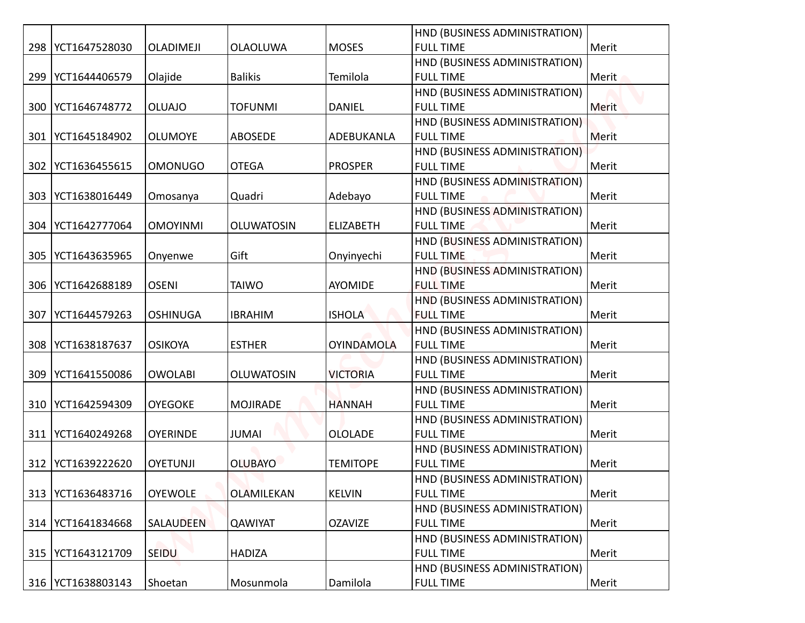|     |                     |                  |                   |                   | HND (BUSINESS ADMINISTRATION) |       |
|-----|---------------------|------------------|-------------------|-------------------|-------------------------------|-------|
|     | 298   YCT1647528030 | <b>OLADIMEJI</b> | <b>OLAOLUWA</b>   | <b>MOSES</b>      | <b>FULL TIME</b>              | Merit |
|     |                     |                  |                   |                   | HND (BUSINESS ADMINISTRATION) |       |
| 299 | YCT1644406579       | Olajide          | <b>Balikis</b>    | Temilola          | <b>FULL TIME</b>              | Merit |
|     |                     |                  |                   |                   | HND (BUSINESS ADMINISTRATION) |       |
| 300 | YCT1646748772       | <b>OLUAJO</b>    | <b>TOFUNMI</b>    | <b>DANIEL</b>     | <b>FULL TIME</b>              | Merit |
|     |                     |                  |                   |                   | HND (BUSINESS ADMINISTRATION) |       |
| 301 | YCT1645184902       | <b>OLUMOYE</b>   | ABOSEDE           | ADEBUKANLA        | <b>FULL TIME</b>              | Merit |
|     |                     |                  |                   |                   | HND (BUSINESS ADMINISTRATION) |       |
| 302 | YCT1636455615       | <b>OMONUGO</b>   | <b>OTEGA</b>      | <b>PROSPER</b>    | <b>FULL TIME</b>              | Merit |
|     |                     |                  |                   |                   | HND (BUSINESS ADMINISTRATION) |       |
| 303 | YCT1638016449       | Omosanya         | Quadri            | Adebayo           | <b>FULL TIME</b>              | Merit |
|     |                     |                  |                   |                   | HND (BUSINESS ADMINISTRATION) |       |
| 304 | YCT1642777064       | <b>OMOYINMI</b>  | <b>OLUWATOSIN</b> | <b>ELIZABETH</b>  | <b>FULL TIME</b>              | Merit |
|     |                     |                  |                   |                   | HND (BUSINESS ADMINISTRATION) |       |
| 305 | YCT1643635965       | Onyenwe          | Gift              | Onyinyechi        | <b>FULL TIME</b>              | Merit |
|     |                     |                  |                   |                   | HND (BUSINESS ADMINISTRATION) |       |
| 306 | YCT1642688189       | <b>OSENI</b>     | <b>TAIWO</b>      | <b>AYOMIDE</b>    | <b>FULL TIME</b>              | Merit |
|     |                     |                  |                   |                   | HND (BUSINESS ADMINISTRATION) |       |
| 307 | YCT1644579263       | <b>OSHINUGA</b>  | <b>IBRAHIM</b>    | <b>ISHOLA</b>     | <b>FULL TIME</b>              | Merit |
|     |                     |                  |                   |                   | HND (BUSINESS ADMINISTRATION) |       |
|     | 308   YCT1638187637 | <b>OSIKOYA</b>   | <b>ESTHER</b>     | <b>OYINDAMOLA</b> | <b>FULL TIME</b>              | Merit |
|     |                     |                  |                   |                   | HND (BUSINESS ADMINISTRATION) |       |
| 309 | YCT1641550086       | <b>OWOLABI</b>   | <b>OLUWATOSIN</b> | <b>VICTORIA</b>   | <b>FULL TIME</b>              | Merit |
|     |                     |                  |                   |                   | HND (BUSINESS ADMINISTRATION) |       |
|     | 310   YCT1642594309 | <b>OYEGOKE</b>   | <b>MOJIRADE</b>   | <b>HANNAH</b>     | <b>FULL TIME</b>              | Merit |
|     |                     |                  |                   |                   | HND (BUSINESS ADMINISTRATION) |       |
|     | 311   YCT1640249268 | <b>OYERINDE</b>  | <b>JUMAI</b>      | <b>OLOLADE</b>    | <b>FULL TIME</b>              | Merit |
|     |                     |                  |                   |                   | HND (BUSINESS ADMINISTRATION) |       |
| 312 | YCT1639222620       | <b>OYETUNJI</b>  | <b>OLUBAYO</b>    | <b>TEMITOPE</b>   | <b>FULL TIME</b>              | Merit |
|     |                     |                  |                   |                   | HND (BUSINESS ADMINISTRATION) |       |
| 313 | YCT1636483716       | <b>OYEWOLE</b>   | OLAMILEKAN        | <b>KELVIN</b>     | <b>FULL TIME</b>              | Merit |
|     |                     |                  |                   |                   | HND (BUSINESS ADMINISTRATION) |       |
| 314 | YCT1641834668       | SALAUDEEN        | <b>QAWIYAT</b>    | <b>OZAVIZE</b>    | <b>FULL TIME</b>              | Merit |
|     |                     |                  |                   |                   | HND (BUSINESS ADMINISTRATION) |       |
|     | 315   YCT1643121709 | <b>SEIDU</b>     | <b>HADIZA</b>     |                   | <b>FULL TIME</b>              | Merit |
|     |                     |                  |                   |                   | HND (BUSINESS ADMINISTRATION) |       |
|     | 316   YCT1638803143 | Shoetan          | Mosunmola         | Damilola          | <b>FULL TIME</b>              | Merit |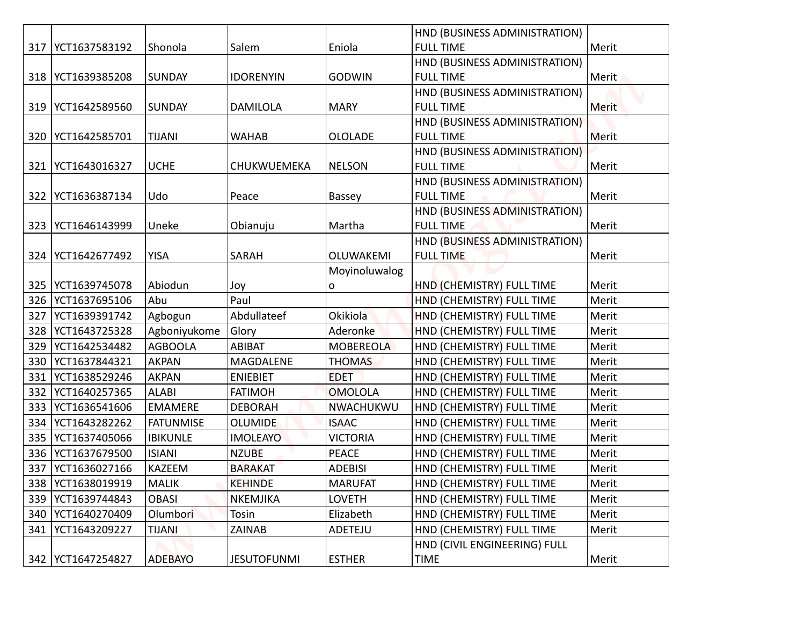|     |                                            |                  |                    |                  | HND (BUSINESS ADMINISTRATION)                          |                |
|-----|--------------------------------------------|------------------|--------------------|------------------|--------------------------------------------------------|----------------|
|     | 317   YCT1637583192                        | Shonola          | Salem              | Eniola           | <b>FULL TIME</b>                                       | Merit          |
|     |                                            |                  |                    |                  | HND (BUSINESS ADMINISTRATION)                          |                |
|     | 318   YCT1639385208                        | <b>SUNDAY</b>    | <b>IDORENYIN</b>   | <b>GODWIN</b>    | <b>FULL TIME</b>                                       | Merit          |
|     |                                            |                  |                    |                  | HND (BUSINESS ADMINISTRATION)                          |                |
|     | 319   YCT1642589560                        | SUNDAY           | <b>DAMILOLA</b>    | <b>MARY</b>      | <b>FULL TIME</b>                                       | <b>Merit</b>   |
|     |                                            |                  |                    |                  | HND (BUSINESS ADMINISTRATION)                          |                |
|     | 320   YCT1642585701                        | <b>TIJANI</b>    | <b>WAHAB</b>       | <b>OLOLADE</b>   | <b>FULL TIME</b>                                       | Merit          |
|     |                                            |                  |                    |                  | HND (BUSINESS ADMINISTRATION)                          |                |
| 321 | YCT1643016327                              | <b>UCHE</b>      | CHUKWUEMEKA        | <b>NELSON</b>    | <b>FULL TIME</b>                                       | Merit          |
|     |                                            |                  |                    |                  | HND (BUSINESS ADMINISTRATION)                          |                |
| 322 | YCT1636387134                              | Udo              | Peace              | Bassey           | <b>FULL TIME</b>                                       | Merit          |
|     |                                            |                  |                    |                  | HND (BUSINESS ADMINISTRATION)                          |                |
| 323 | YCT1646143999                              | Uneke            | Obianuju           | Martha           | <b>FULL TIME</b>                                       | Merit          |
|     |                                            |                  |                    |                  | HND (BUSINESS ADMINISTRATION)                          |                |
|     | 324   YCT1642677492                        | <b>YISA</b>      | SARAH              | OLUWAKEMI        | <b>FULL TIME</b>                                       | Merit          |
|     |                                            | Abiodun          |                    | Moyinoluwalog    |                                                        |                |
|     | 325   YCT1639745078<br>326   YCT1637695106 | Abu              | Joy<br>Paul        | o                | HND (CHEMISTRY) FULL TIME<br>HND (CHEMISTRY) FULL TIME | Merit<br>Merit |
| 327 | YCT1639391742                              | Agbogun          | Abdullateef        | Okikiola         | HND (CHEMISTRY) FULL TIME                              | Merit          |
|     | 328   YCT1643725328                        | Agboniyukome     | Glory              | Aderonke         | HND (CHEMISTRY) FULL TIME                              | Merit          |
| 329 | YCT1642534482                              | <b>AGBOOLA</b>   | ABIBAT             | <b>MOBEREOLA</b> | HND (CHEMISTRY) FULL TIME                              | Merit          |
| 330 | YCT1637844321                              | <b>AKPAN</b>     | MAGDALENE          | <b>THOMAS</b>    | HND (CHEMISTRY) FULL TIME                              | Merit          |
| 331 | YCT1638529246                              | <b>AKPAN</b>     | <b>ENIEBIET</b>    | <b>EDET</b>      | HND (CHEMISTRY) FULL TIME                              | Merit          |
| 332 | YCT1640257365                              | <b>ALABI</b>     | <b>FATIMOH</b>     | <b>OMOLOLA</b>   | HND (CHEMISTRY) FULL TIME                              | Merit          |
| 333 | YCT1636541606                              | <b>EMAMERE</b>   | <b>DEBORAH</b>     | NWACHUKWU        | HND (CHEMISTRY) FULL TIME                              | Merit          |
| 334 | YCT1643282262                              | <b>FATUNMISE</b> | <b>OLUMIDE</b>     | <b>ISAAC</b>     | HND (CHEMISTRY) FULL TIME                              | Merit          |
| 335 | YCT1637405066                              | <b>IBIKUNLE</b>  | <b>IMOLEAYO</b>    | <b>VICTORIA</b>  | HND (CHEMISTRY) FULL TIME                              | Merit          |
|     | 336   YCT1637679500                        | <b>ISIANI</b>    | <b>NZUBE</b>       | PEACE            | HND (CHEMISTRY) FULL TIME                              | Merit          |
| 337 | YCT1636027166                              | KAZEEM           | <b>BARAKAT</b>     | <b>ADEBISI</b>   | HND (CHEMISTRY) FULL TIME                              | Merit          |
| 338 | YCT1638019919                              | <b>MALIK</b>     | <b>KEHINDE</b>     | <b>MARUFAT</b>   | HND (CHEMISTRY) FULL TIME                              | Merit          |
| 339 | YCT1639744843                              | <b>OBASI</b>     | <b>NKEMJIKA</b>    | LOVETH           | HND (CHEMISTRY) FULL TIME                              | Merit          |
| 340 | YCT1640270409                              | Olumbori         | Tosin              | Elizabeth        | HND (CHEMISTRY) FULL TIME                              | Merit          |
| 341 | YCT1643209227                              | <b>TIJANI</b>    | ZAINAB             | ADETEJU          | HND (CHEMISTRY) FULL TIME                              | Merit          |
|     |                                            |                  |                    |                  | HND (CIVIL ENGINEERING) FULL                           |                |
|     | 342 YCT1647254827                          | <b>ADEBAYO</b>   | <b>JESUTOFUNMI</b> | <b>ESTHER</b>    | <b>TIME</b>                                            | Merit          |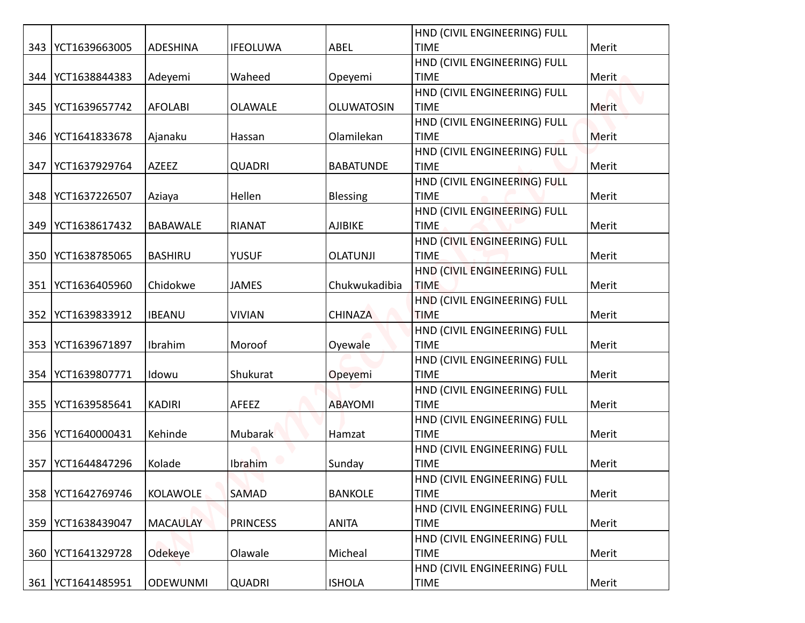|     |                     |                 |                 |                   | HND (CIVIL ENGINEERING) FULL                |       |
|-----|---------------------|-----------------|-----------------|-------------------|---------------------------------------------|-------|
|     | 343   YCT1639663005 | <b>ADESHINA</b> | <b>IFEOLUWA</b> | ABEL              | <b>TIME</b>                                 | Merit |
|     |                     |                 |                 |                   | HND (CIVIL ENGINEERING) FULL                |       |
| 344 | YCT1638844383       | Adeyemi         | Waheed          | Opeyemi           | <b>TIME</b>                                 | Merit |
|     |                     |                 |                 |                   | HND (CIVIL ENGINEERING) FULL                |       |
|     | 345   YCT1639657742 | <b>AFOLABI</b>  | <b>OLAWALE</b>  | <b>OLUWATOSIN</b> | <b>TIME</b>                                 | Merit |
|     |                     |                 |                 |                   | HND (CIVIL ENGINEERING) FULL                |       |
|     | 346   YCT1641833678 | Ajanaku         | Hassan          | Olamilekan        | <b>TIME</b>                                 | Merit |
|     |                     |                 |                 |                   | HND (CIVIL ENGINEERING) FULL                |       |
| 347 | YCT1637929764       | AZEEZ           | <b>QUADRI</b>   | <b>BABATUNDE</b>  | <b>TIME</b>                                 | Merit |
|     | 348   YCT1637226507 |                 | Hellen          |                   | HND (CIVIL ENGINEERING) FULL<br><b>TIME</b> | Merit |
|     |                     | Aziaya          |                 | <b>Blessing</b>   | HND (CIVIL ENGINEERING) FULL                |       |
| 349 | YCT1638617432       | <b>BABAWALE</b> | <b>RIANAT</b>   | AJIBIKE           | <b>TIME</b>                                 | Merit |
|     |                     |                 |                 |                   | HND (CIVIL ENGINEERING) FULL                |       |
| 350 | YCT1638785065       | <b>BASHIRU</b>  | <b>YUSUF</b>    | <b>OLATUNJI</b>   | <b>TIME</b>                                 | Merit |
|     |                     |                 |                 |                   | HND (CIVIL ENGINEERING) FULL                |       |
| 351 | YCT1636405960       | Chidokwe        | <b>JAMES</b>    | Chukwukadibia     | <b>TIME</b>                                 | Merit |
|     |                     |                 |                 |                   | HND (CIVIL ENGINEERING) FULL                |       |
|     | 352   YCT1639833912 | <b>IBEANU</b>   | <b>VIVIAN</b>   | <b>CHINAZA</b>    | <b>TIME</b>                                 | Merit |
|     |                     |                 |                 |                   | HND (CIVIL ENGINEERING) FULL                |       |
|     | 353 YCT1639671897   | Ibrahim         | Moroof          | Oyewale           | <b>TIME</b>                                 | Merit |
|     |                     |                 |                 |                   | HND (CIVIL ENGINEERING) FULL                |       |
| 354 | YCT1639807771       | Idowu           | Shukurat        | Opeyemi           | <b>TIME</b>                                 | Merit |
|     |                     |                 |                 |                   | HND (CIVIL ENGINEERING) FULL                |       |
| 355 | YCT1639585641       | <b>KADIRI</b>   | AFEEZ           | <b>ABAYOMI</b>    | <b>TIME</b>                                 | Merit |
|     |                     |                 |                 |                   | HND (CIVIL ENGINEERING) FULL                |       |
|     | 356   YCT1640000431 | Kehinde         | Mubarak         | Hamzat            | <b>TIME</b>                                 | Merit |
|     |                     |                 |                 |                   | HND (CIVIL ENGINEERING) FULL                |       |
| 357 | YCT1644847296       | Kolade          | Ibrahim         | Sunday            | <b>TIME</b>                                 | Merit |
|     |                     |                 |                 |                   | HND (CIVIL ENGINEERING) FULL                |       |
| 358 | YCT1642769746       | KOLAWOLE        | <b>SAMAD</b>    | <b>BANKOLE</b>    | <b>TIME</b>                                 | Merit |
|     |                     |                 |                 |                   | HND (CIVIL ENGINEERING) FULL                |       |
| 359 | YCT1638439047       | <b>MACAULAY</b> | <b>PRINCESS</b> | <b>ANITA</b>      | <b>TIME</b>                                 | Merit |
|     |                     |                 |                 |                   | HND (CIVIL ENGINEERING) FULL                |       |
| 360 | YCT1641329728       | Odekeye         | Olawale         | Micheal           | <b>TIME</b>                                 | Merit |
|     |                     |                 |                 |                   | HND (CIVIL ENGINEERING) FULL                |       |
|     | 361   YCT1641485951 | <b>ODEWUNMI</b> | <b>QUADRI</b>   | <b>ISHOLA</b>     | <b>TIME</b>                                 | Merit |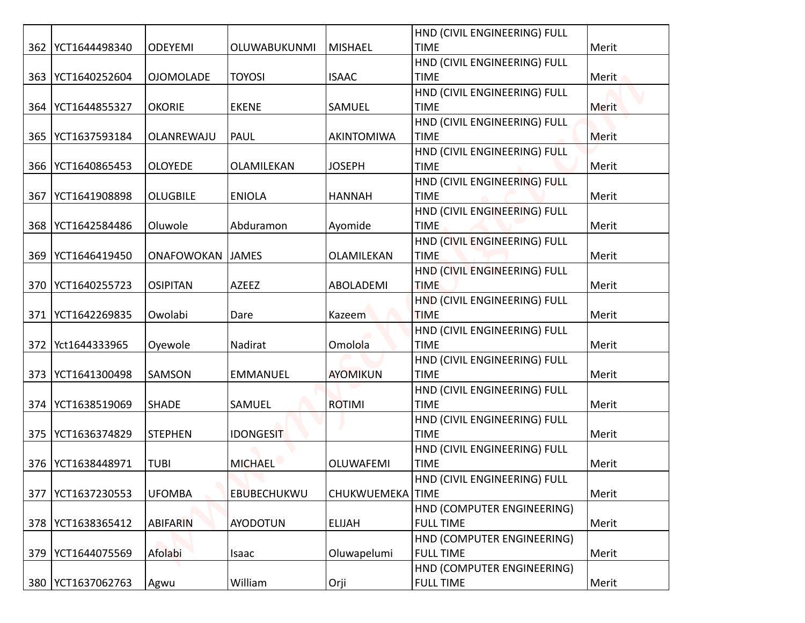|     |                     |                  |                  |                  | HND (CIVIL ENGINEERING) FULL                |       |
|-----|---------------------|------------------|------------------|------------------|---------------------------------------------|-------|
|     | 362   YCT1644498340 | <b>ODEYEMI</b>   | OLUWABUKUNMI     | <b>MISHAEL</b>   | <b>TIME</b>                                 | Merit |
|     |                     |                  |                  |                  | HND (CIVIL ENGINEERING) FULL                |       |
| 363 | YCT1640252604       | <b>OJOMOLADE</b> | <b>TOYOSI</b>    | <b>ISAAC</b>     | <b>TIME</b>                                 | Merit |
|     |                     |                  |                  |                  | HND (CIVIL ENGINEERING) FULL                |       |
|     | 364   YCT1644855327 | <b>OKORIE</b>    | <b>EKENE</b>     | SAMUEL           | <b>TIME</b>                                 | Merit |
|     |                     |                  |                  |                  | HND (CIVIL ENGINEERING) FULL                |       |
| 365 | YCT1637593184       | OLANREWAJU       | PAUL             | AKINTOMIWA       | <b>TIME</b>                                 | Merit |
|     |                     |                  |                  |                  | HND (CIVIL ENGINEERING) FULL                |       |
|     | 366   YCT1640865453 | <b>OLOYEDE</b>   | OLAMILEKAN       | <b>JOSEPH</b>    | <b>TIME</b>                                 | Merit |
|     |                     |                  |                  |                  | HND (CIVIL ENGINEERING) FULL                |       |
| 367 | YCT1641908898       | <b>OLUGBILE</b>  | <b>ENIOLA</b>    | <b>HANNAH</b>    | <b>TIME</b>                                 | Merit |
|     |                     |                  |                  |                  | HND (CIVIL ENGINEERING) FULL                |       |
|     | 368   YCT1642584486 | Oluwole          | Abduramon        | Ayomide          | <b>TIME</b>                                 | Merit |
|     |                     |                  |                  |                  | HND (CIVIL ENGINEERING) FULL                |       |
| 369 | YCT1646419450       | ONAFOWOKAN       | <b>JAMES</b>     | OLAMILEKAN       | <b>TIME</b>                                 | Merit |
|     | 370   YCT1640255723 | <b>OSIPITAN</b>  | AZEEZ            | ABOLADEMI        | HND (CIVIL ENGINEERING) FULL<br><b>TIME</b> | Merit |
|     |                     |                  |                  |                  | HND (CIVIL ENGINEERING) FULL                |       |
| 371 | YCT1642269835       | Owolabi          | Dare             | Kazeem           | <b>TIME</b>                                 | Merit |
|     |                     |                  |                  |                  | HND (CIVIL ENGINEERING) FULL                |       |
| 372 | Yct1644333965       | Oyewole          | Nadirat          | Omolola          | <b>TIME</b>                                 | Merit |
|     |                     |                  |                  |                  | HND (CIVIL ENGINEERING) FULL                |       |
| 373 | YCT1641300498       | SAMSON           | <b>EMMANUEL</b>  | <b>AYOMIKUN</b>  | <b>TIME</b>                                 | Merit |
|     |                     |                  |                  |                  | HND (CIVIL ENGINEERING) FULL                |       |
|     | 374   YCT1638519069 | SHADE            | SAMUEL           | <b>ROTIMI</b>    | <b>TIME</b>                                 | Merit |
|     |                     |                  |                  |                  | HND (CIVIL ENGINEERING) FULL                |       |
| 375 | YCT1636374829       | <b>STEPHEN</b>   | <b>IDONGESIT</b> |                  | <b>TIME</b>                                 | Merit |
|     |                     |                  |                  |                  | HND (CIVIL ENGINEERING) FULL                |       |
| 376 | YCT1638448971       | <b>TUBI</b>      | <b>MICHAEL</b>   | OLUWAFEMI        | <b>TIME</b>                                 | Merit |
|     |                     |                  |                  |                  | HND (CIVIL ENGINEERING) FULL                |       |
| 377 | YCT1637230553       | <b>UFOMBA</b>    | EBUBECHUKWU      | CHUKWUEMEKA TIME |                                             | Merit |
|     |                     |                  |                  |                  | HND (COMPUTER ENGINEERING)                  |       |
|     | 378   YCT1638365412 | <b>ABIFARIN</b>  | <b>AYODOTUN</b>  | <b>ELIJAH</b>    | <b>FULL TIME</b>                            | Merit |
|     |                     |                  |                  |                  | HND (COMPUTER ENGINEERING)                  |       |
|     | 379   YCT1644075569 | Afolabi          | Isaac            | Oluwapelumi      | <b>FULL TIME</b>                            | Merit |
|     |                     |                  |                  |                  | HND (COMPUTER ENGINEERING)                  |       |
|     | 380   YCT1637062763 | Agwu             | William          | Orji             | <b>FULL TIME</b>                            | Merit |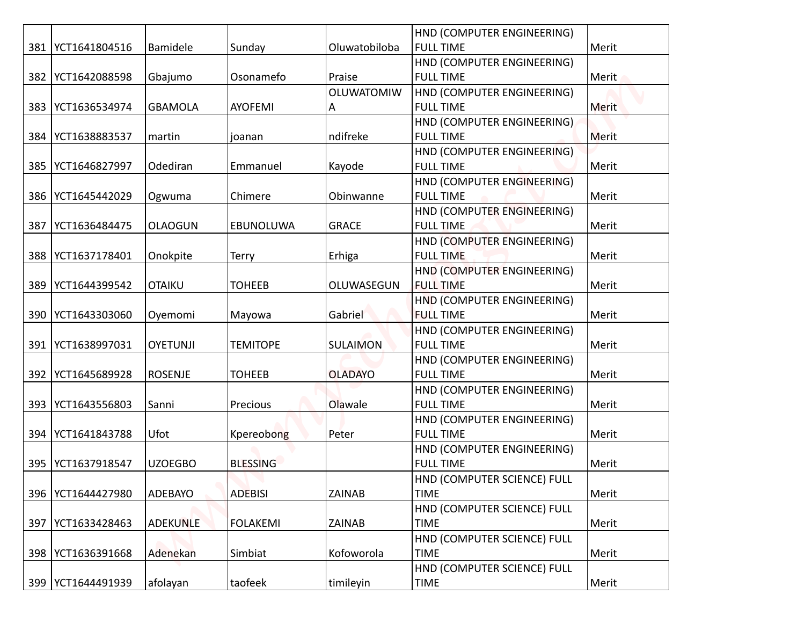| 381 | YCT1641804516       | <b>Bamidele</b> | Sunday          | Oluwatobiloba     | HND (COMPUTER ENGINEERING)<br><b>FULL TIME</b> | Merit |
|-----|---------------------|-----------------|-----------------|-------------------|------------------------------------------------|-------|
|     |                     |                 |                 |                   | HND (COMPUTER ENGINEERING)                     |       |
| 382 | YCT1642088598       | Gbajumo         | Osonamefo       | Praise            | <b>FULL TIME</b>                               | Merit |
|     |                     |                 |                 | <b>OLUWATOMIW</b> |                                                |       |
| 383 | YCT1636534974       | <b>GBAMOLA</b>  | <b>AYOFEMI</b>  | A                 | HND (COMPUTER ENGINEERING)<br><b>FULL TIME</b> | Merit |
|     |                     |                 |                 |                   | HND (COMPUTER ENGINEERING)                     |       |
| 384 | YCT1638883537       | martin          | joanan          | ndifreke          | <b>FULL TIME</b>                               | Merit |
|     |                     |                 |                 |                   | HND (COMPUTER ENGINEERING)                     |       |
| 385 | YCT1646827997       | Odediran        | Emmanuel        | Kayode            | <b>FULL TIME</b>                               | Merit |
|     |                     |                 |                 |                   | HND (COMPUTER ENGINEERING)                     |       |
| 386 | YCT1645442029       | Ogwuma          | Chimere         | Obinwanne         | <b>FULL TIME</b>                               | Merit |
|     |                     |                 |                 |                   | HND (COMPUTER ENGINEERING)                     |       |
| 387 | YCT1636484475       | <b>OLAOGUN</b>  | EBUNOLUWA       | <b>GRACE</b>      | <b>FULL TIME</b>                               | Merit |
|     |                     |                 |                 |                   | HND (COMPUTER ENGINEERING)                     |       |
| 388 | YCT1637178401       | Onokpite        | <b>Terry</b>    | Erhiga            | <b>FULL TIME</b>                               | Merit |
|     |                     |                 |                 |                   | HND (COMPUTER ENGINEERING)                     |       |
| 389 | YCT1644399542       | <b>OTAIKU</b>   | <b>TOHEEB</b>   | OLUWASEGUN        | <b>FULL TIME</b>                               | Merit |
|     |                     |                 |                 |                   | HND (COMPUTER ENGINEERING)                     |       |
| 390 | YCT1643303060       | Oyemomi         | Mayowa          | Gabriel           | <b>FULL TIME</b>                               | Merit |
|     |                     |                 |                 |                   | HND (COMPUTER ENGINEERING)                     |       |
|     | 391   YCT1638997031 | <b>OYETUNJI</b> | <b>TEMITOPE</b> | <b>SULAIMON</b>   | <b>FULL TIME</b>                               | Merit |
|     |                     |                 |                 |                   | HND (COMPUTER ENGINEERING)                     |       |
| 392 | YCT1645689928       | <b>ROSENJE</b>  | <b>TOHEEB</b>   | <b>OLADAYO</b>    | <b>FULL TIME</b>                               | Merit |
|     |                     |                 |                 |                   | HND (COMPUTER ENGINEERING)                     |       |
| 393 | YCT1643556803       | Sanni           | Precious        | Olawale           | <b>FULL TIME</b>                               | Merit |
|     |                     |                 |                 |                   | HND (COMPUTER ENGINEERING)                     |       |
| 394 | YCT1641843788       | Ufot            | Kpereobong      | Peter             | <b>FULL TIME</b>                               | Merit |
|     |                     |                 |                 |                   | HND (COMPUTER ENGINEERING)                     |       |
| 395 | YCT1637918547       | <b>UZOEGBO</b>  | <b>BLESSING</b> |                   | <b>FULL TIME</b>                               | Merit |
|     |                     |                 |                 |                   | HND (COMPUTER SCIENCE) FULL                    |       |
| 396 | YCT1644427980       | ADEBAYO         | <b>ADEBISI</b>  | ZAINAB            | <b>TIME</b>                                    | Merit |
|     |                     |                 |                 |                   | HND (COMPUTER SCIENCE) FULL                    |       |
| 397 | YCT1633428463       | <b>ADEKUNLE</b> | <b>FOLAKEMI</b> | <b>ZAINAB</b>     | <b>TIME</b>                                    | Merit |
|     |                     |                 |                 |                   | HND (COMPUTER SCIENCE) FULL                    |       |
|     | 398   YCT1636391668 | Adenekan        | Simbiat         | Kofoworola        | <b>TIME</b>                                    | Merit |
|     |                     |                 |                 |                   | HND (COMPUTER SCIENCE) FULL                    |       |
|     | 399   YCT1644491939 | afolayan        | taofeek         | timileyin         | <b>TIME</b>                                    | Merit |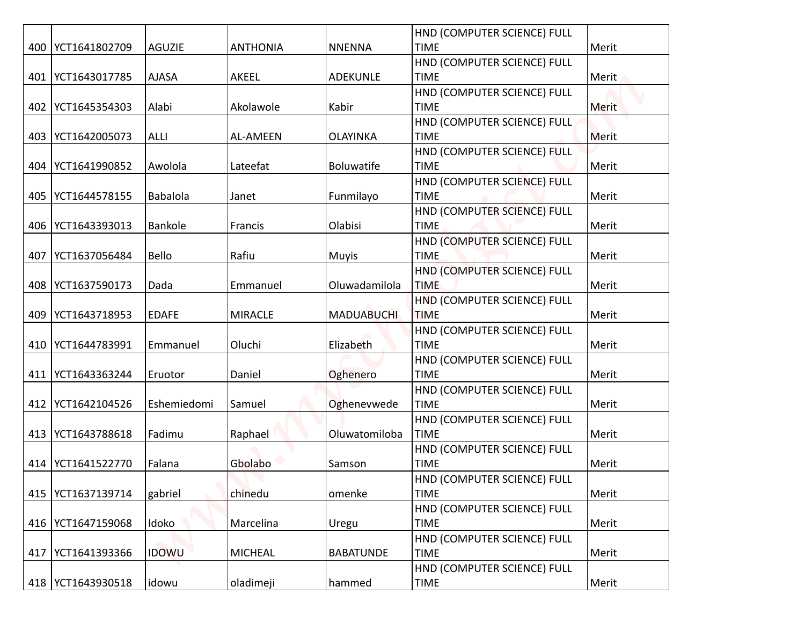|     |                     |                 |                 |                   | HND (COMPUTER SCIENCE) FULL                |              |
|-----|---------------------|-----------------|-----------------|-------------------|--------------------------------------------|--------------|
|     | 400   YCT1641802709 | <b>AGUZIE</b>   | <b>ANTHONIA</b> | <b>NNENNA</b>     | <b>TIME</b><br>HND (COMPUTER SCIENCE) FULL | Merit        |
|     | 401   YCT1643017785 | <b>AJASA</b>    | AKEEL           | <b>ADEKUNLE</b>   | <b>TIME</b>                                | Merit        |
|     |                     |                 |                 |                   | HND (COMPUTER SCIENCE) FULL                |              |
|     | 402   YCT1645354303 | Alabi           | Akolawole       | Kabir             | <b>TIME</b>                                | <b>Merit</b> |
|     |                     |                 |                 |                   | HND (COMPUTER SCIENCE) FULL                |              |
| 403 | YCT1642005073       | <b>ALLI</b>     | <b>AL-AMEEN</b> | <b>OLAYINKA</b>   | <b>TIME</b>                                | Merit        |
|     |                     |                 |                 |                   | HND (COMPUTER SCIENCE) FULL                |              |
|     | 404   YCT1641990852 | Awolola         | Lateefat        | Boluwatife        | <b>TIME</b>                                | Merit        |
|     |                     |                 |                 |                   | HND (COMPUTER SCIENCE) FULL                |              |
|     | 405   YCT1644578155 | <b>Babalola</b> | Janet           | Funmilayo         | <b>TIME</b>                                | Merit        |
|     |                     |                 |                 |                   | HND (COMPUTER SCIENCE) FULL                |              |
|     | 406   YCT1643393013 | Bankole         | Francis         | Olabisi           | <b>TIME</b>                                | Merit        |
|     | YCT1637056484       | Bello           | Rafiu           |                   | HND (COMPUTER SCIENCE) FULL<br><b>TIME</b> |              |
| 407 |                     |                 |                 | <b>Muyis</b>      | HND (COMPUTER SCIENCE) FULL                | Merit        |
|     | 408   YCT1637590173 | Dada            | Emmanuel        | Oluwadamilola     | <b>TIME</b>                                | Merit        |
|     |                     |                 |                 |                   | HND (COMPUTER SCIENCE) FULL                |              |
|     | 409   YCT1643718953 | <b>EDAFE</b>    | <b>MIRACLE</b>  | <b>MADUABUCHI</b> | <b>TIME</b>                                | Merit        |
|     |                     |                 |                 |                   | HND (COMPUTER SCIENCE) FULL                |              |
|     | 410   YCT1644783991 | Emmanuel        | Oluchi          | Elizabeth         | <b>TIME</b>                                | Merit        |
|     |                     |                 |                 |                   | HND (COMPUTER SCIENCE) FULL                |              |
|     | 411   YCT1643363244 | Eruotor         | Daniel          | Oghenero          | <b>TIME</b>                                | Merit        |
|     |                     |                 |                 |                   | HND (COMPUTER SCIENCE) FULL                |              |
|     | 412   YCT1642104526 | Eshemiedomi     | Samuel          | Oghenevwede       | <b>TIME</b>                                | Merit        |
|     |                     |                 |                 |                   | HND (COMPUTER SCIENCE) FULL                |              |
|     | 413   YCT1643788618 | Fadimu          | Raphael         | Oluwatomiloba     | <b>TIME</b>                                | Merit        |
|     |                     |                 | Gbolabo         |                   | HND (COMPUTER SCIENCE) FULL<br><b>TIME</b> |              |
|     | 414   YCT1641522770 | Falana          |                 | Samson            | HND (COMPUTER SCIENCE) FULL                | Merit        |
|     | 415   YCT1637139714 | gabriel         | chinedu         | omenke            | <b>TIME</b>                                | Merit        |
|     |                     |                 |                 |                   | HND (COMPUTER SCIENCE) FULL                |              |
|     | 416   YCT1647159068 | Idoko           | Marcelina       | Uregu             | <b>TIME</b>                                | Merit        |
|     |                     |                 |                 |                   | HND (COMPUTER SCIENCE) FULL                |              |
|     | 417   YCT1641393366 | <b>IDOWU</b>    | <b>MICHEAL</b>  | <b>BABATUNDE</b>  | <b>TIME</b>                                | Merit        |
|     |                     |                 |                 |                   | HND (COMPUTER SCIENCE) FULL                |              |
|     | 418   YCT1643930518 | idowu           | oladimeji       | hammed            | <b>TIME</b>                                | Merit        |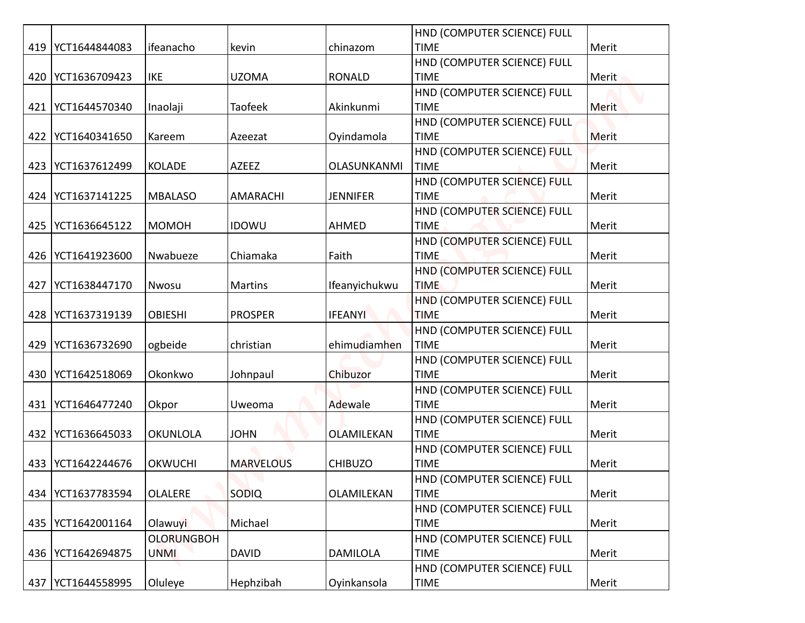|     |                     |                   |                  |                 | HND (COMPUTER SCIENCE) FULL                |              |
|-----|---------------------|-------------------|------------------|-----------------|--------------------------------------------|--------------|
|     | 419   YCT1644844083 | ifeanacho         | kevin            | chinazom        | <b>TIME</b>                                | Merit        |
|     |                     |                   |                  |                 | HND (COMPUTER SCIENCE) FULL                |              |
|     | 420 YCT1636709423   | IKE               | <b>UZOMA</b>     | <b>RONALD</b>   | <b>TIME</b>                                | Merit        |
|     |                     |                   |                  |                 | HND (COMPUTER SCIENCE) FULL                |              |
|     | 421   YCT1644570340 | Inaolaji          | Taofeek          | Akinkunmi       | <b>TIME</b>                                | <b>Merit</b> |
|     |                     |                   |                  |                 | HND (COMPUTER SCIENCE) FULL                |              |
| 422 | YCT1640341650       | Kareem            | Azeezat          | Oyindamola      | <b>TIME</b>                                | Merit        |
|     |                     |                   |                  |                 | HND (COMPUTER SCIENCE) FULL                |              |
|     | 423   YCT1637612499 | <b>KOLADE</b>     | AZEEZ            | OLASUNKANMI     | <b>TIME</b><br>HND (COMPUTER SCIENCE) FULL | Merit        |
|     | 424   YCT1637141225 | <b>MBALASO</b>    | AMARACHI         | <b>JENNIFER</b> | <b>TIME</b>                                | Merit        |
|     |                     |                   |                  |                 | HND (COMPUTER SCIENCE) FULL                |              |
|     | 425   YCT1636645122 | <b>MOMOH</b>      | <b>IDOWU</b>     | AHMED           | <b>TIME</b>                                | Merit        |
|     |                     |                   |                  |                 | HND (COMPUTER SCIENCE) FULL                |              |
|     | 426   YCT1641923600 | Nwabueze          | Chiamaka         | Faith           | <b>TIME</b>                                | Merit        |
|     |                     |                   |                  |                 | HND (COMPUTER SCIENCE) FULL                |              |
| 427 | YCT1638447170       | Nwosu             | Martins          | Ifeanyichukwu   | <b>TIME</b>                                | Merit        |
|     |                     |                   |                  |                 | HND (COMPUTER SCIENCE) FULL                |              |
|     | 428   YCT1637319139 | <b>OBIESHI</b>    | <b>PROSPER</b>   | <b>IFEANYI</b>  | <b>TIME</b>                                | Merit        |
|     |                     |                   |                  | ehimudiamhen    | HND (COMPUTER SCIENCE) FULL<br><b>TIME</b> | Merit        |
| 429 | YCT1636732690       | ogbeide           | christian        |                 | HND (COMPUTER SCIENCE) FULL                |              |
|     | 430 YCT1642518069   | Okonkwo           | Johnpaul         | Chibuzor        | <b>TIME</b>                                | Merit        |
|     |                     |                   |                  |                 | HND (COMPUTER SCIENCE) FULL                |              |
|     | 431 YCT1646477240   | Okpor             | Uweoma           | Adewale         | <b>TIME</b>                                | Merit        |
|     |                     |                   |                  |                 | HND (COMPUTER SCIENCE) FULL                |              |
|     | 432   YCT1636645033 | <b>OKUNLOLA</b>   | <b>JOHN</b>      | OLAMILEKAN      | <b>TIME</b>                                | Merit        |
|     |                     |                   |                  |                 | HND (COMPUTER SCIENCE) FULL                |              |
|     | 433   YCT1642244676 | <b>OKWUCHI</b>    | <b>MARVELOUS</b> | <b>CHIBUZO</b>  | <b>TIME</b>                                | Merit        |
|     |                     |                   |                  |                 | HND (COMPUTER SCIENCE) FULL                |              |
|     | 434   YCT1637783594 | <b>OLALERE</b>    | SODIQ            | OLAMILEKAN      | <b>TIME</b><br>HND (COMPUTER SCIENCE) FULL | Merit        |
|     | 435   YCT1642001164 | Olawuyi           | Michael          |                 | <b>TIME</b>                                | Merit        |
|     |                     | <b>OLORUNGBOH</b> |                  |                 | HND (COMPUTER SCIENCE) FULL                |              |
|     | 436   YCT1642694875 | UNMI              | <b>DAVID</b>     | <b>DAMILOLA</b> | <b>TIME</b>                                | Merit        |
|     |                     |                   |                  |                 | HND (COMPUTER SCIENCE) FULL                |              |
|     | 437   YCT1644558995 | Oluleye           | Hephzibah        | Oyinkansola     | <b>TIME</b>                                | Merit        |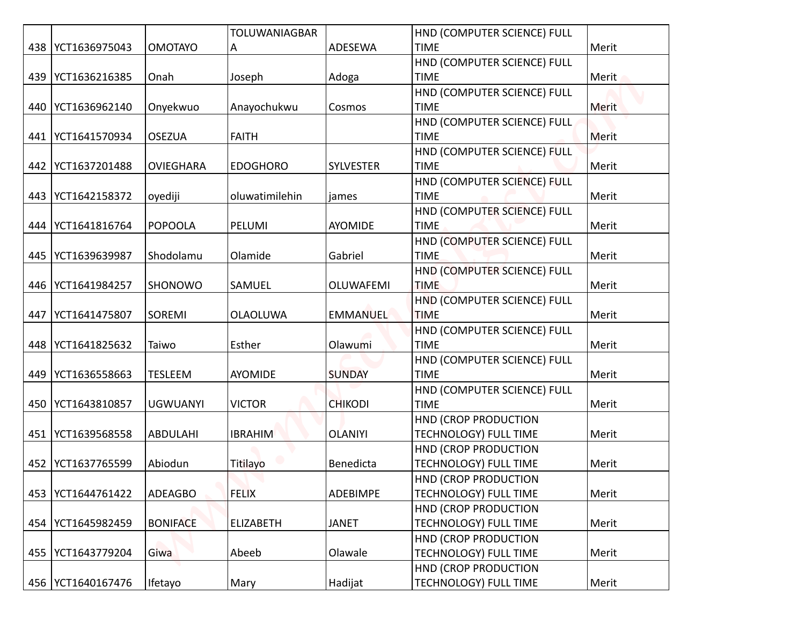|     |                     |                  | <b>TOLUWANIAGBAR</b> |                  | HND (COMPUTER SCIENCE) FULL                |       |
|-----|---------------------|------------------|----------------------|------------------|--------------------------------------------|-------|
|     | 438   YCT1636975043 | <b>OMOTAYO</b>   | A                    | ADESEWA          | <b>TIME</b>                                | Merit |
|     |                     |                  |                      |                  | HND (COMPUTER SCIENCE) FULL                |       |
|     | 439 YCT1636216385   | Onah             | Joseph               | Adoga            | <b>TIME</b>                                | Merit |
|     |                     |                  |                      |                  | HND (COMPUTER SCIENCE) FULL                |       |
|     | 440   YCT1636962140 | Onyekwuo         | Anayochukwu          | Cosmos           | <b>TIME</b>                                | Merit |
|     |                     |                  |                      |                  | HND (COMPUTER SCIENCE) FULL                |       |
| 441 | YCT1641570934       | <b>OSEZUA</b>    | <b>FAITH</b>         |                  | <b>TIME</b>                                | Merit |
|     |                     |                  |                      |                  | HND (COMPUTER SCIENCE) FULL                |       |
|     | 442   YCT1637201488 | <b>OVIEGHARA</b> | <b>EDOGHORO</b>      | <b>SYLVESTER</b> | <b>TIME</b>                                | Merit |
|     |                     |                  |                      |                  | HND (COMPUTER SCIENCE) FULL                |       |
|     | 443   YCT1642158372 | oyediji          | oluwatimilehin       | james            | <b>TIME</b>                                | Merit |
|     |                     |                  |                      |                  | HND (COMPUTER SCIENCE) FULL                |       |
| 444 | YCT1641816764       | <b>POPOOLA</b>   | PELUMI               | AYOMIDE          | <b>TIME</b>                                | Merit |
|     |                     |                  |                      |                  | HND (COMPUTER SCIENCE) FULL                |       |
| 445 | YCT1639639987       | Shodolamu        | Olamide              | Gabriel          | <b>TIME</b>                                | Merit |
|     |                     |                  |                      |                  | HND (COMPUTER SCIENCE) FULL                |       |
|     | 446   YCT1641984257 | SHONOWO          | SAMUEL               | OLUWAFEMI        | <b>TIME</b>                                | Merit |
| 447 | YCT1641475807       | SOREMI           | <b>OLAOLUWA</b>      | <b>EMMANUEL</b>  | HND (COMPUTER SCIENCE) FULL<br><b>TIME</b> | Merit |
|     |                     |                  |                      |                  | HND (COMPUTER SCIENCE) FULL                |       |
|     | 448   YCT1641825632 | Taiwo            | Esther               | Olawumi          | <b>TIME</b>                                | Merit |
|     |                     |                  |                      |                  | HND (COMPUTER SCIENCE) FULL                |       |
| 449 | YCT1636558663       | <b>TESLEEM</b>   | AYOMIDE              | <b>SUNDAY</b>    | <b>TIME</b>                                | Merit |
|     |                     |                  |                      |                  | HND (COMPUTER SCIENCE) FULL                |       |
|     | 450   YCT1643810857 | <b>UGWUANYI</b>  | <b>VICTOR</b>        | <b>CHIKODI</b>   | <b>TIME</b>                                | Merit |
|     |                     |                  |                      |                  | HND (CROP PRODUCTION                       |       |
| 451 | YCT1639568558       | <b>ABDULAHI</b>  | <b>IBRAHIM</b>       | <b>OLANIYI</b>   | <b>TECHNOLOGY) FULL TIME</b>               | Merit |
|     |                     |                  |                      |                  | HND (CROP PRODUCTION                       |       |
| 452 | YCT1637765599       | Abiodun          | Titilayo             | Benedicta        | <b>TECHNOLOGY) FULL TIME</b>               | Merit |
|     |                     |                  |                      |                  | HND (CROP PRODUCTION                       |       |
| 453 | YCT1644761422       | <b>ADEAGBO</b>   | <b>FELIX</b>         | ADEBIMPE         | TECHNOLOGY) FULL TIME                      | Merit |
|     |                     |                  |                      |                  | HND (CROP PRODUCTION                       |       |
| 454 | YCT1645982459       | <b>BONIFACE</b>  | <b>ELIZABETH</b>     | <b>JANET</b>     | TECHNOLOGY) FULL TIME                      | Merit |
|     |                     |                  |                      |                  | HND (CROP PRODUCTION                       |       |
|     | 455   YCT1643779204 | Giwa             | Abeeb                | Olawale          | TECHNOLOGY) FULL TIME                      | Merit |
|     |                     |                  |                      |                  | HND (CROP PRODUCTION                       |       |
|     | 456   YCT1640167476 | Ifetayo          | Mary                 | Hadijat          | TECHNOLOGY) FULL TIME                      | Merit |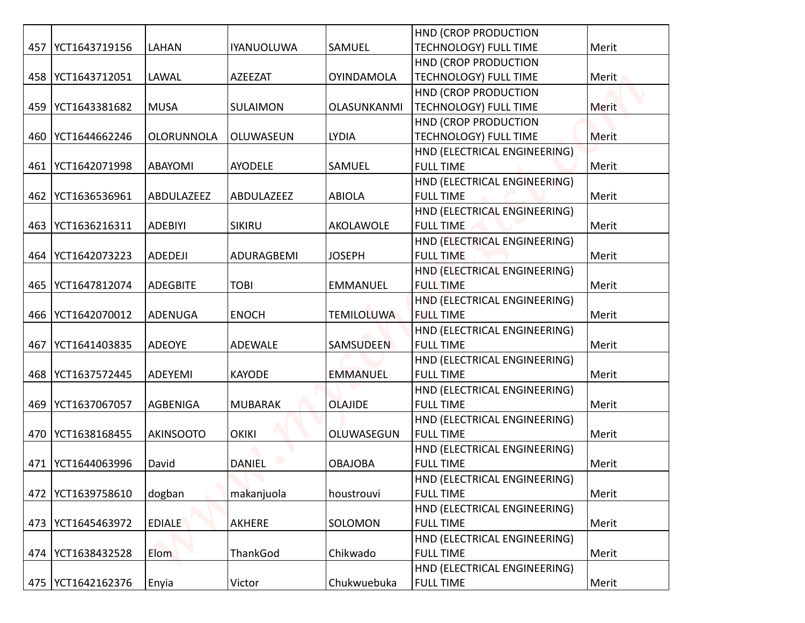|     |                     |                   |                   |                   | <b>HND (CROP PRODUCTION</b>  |       |
|-----|---------------------|-------------------|-------------------|-------------------|------------------------------|-------|
|     | 457   YCT1643719156 | LAHAN             | <b>IYANUOLUWA</b> | SAMUEL            | <b>TECHNOLOGY) FULL TIME</b> | Merit |
|     |                     |                   |                   |                   | <b>HND (CROP PRODUCTION</b>  |       |
|     | 458   YCT1643712051 | LAWAL             | <b>AZEEZAT</b>    | <b>OYINDAMOLA</b> | <b>TECHNOLOGY) FULL TIME</b> | Merit |
|     |                     |                   |                   |                   | <b>HND (CROP PRODUCTION</b>  |       |
|     | 459   YCT1643381682 | <b>MUSA</b>       | <b>SULAIMON</b>   | OLASUNKANMI       | <b>TECHNOLOGY) FULL TIME</b> | Merit |
|     |                     |                   |                   |                   | HND (CROP PRODUCTION         |       |
| 460 | YCT1644662246       | <b>OLORUNNOLA</b> | OLUWASEUN         | <b>LYDIA</b>      | TECHNOLOGY) FULL TIME        | Merit |
|     |                     |                   |                   |                   | HND (ELECTRICAL ENGINEERING) |       |
| 461 | YCT1642071998       | <b>ABAYOMI</b>    | <b>AYODELE</b>    | SAMUEL            | <b>FULL TIME</b>             | Merit |
|     |                     |                   |                   |                   | HND (ELECTRICAL ENGINEERING) |       |
| 462 | YCT1636536961       | ABDULAZEEZ        | ABDULAZEEZ        | <b>ABIOLA</b>     | <b>FULL TIME</b>             | Merit |
|     |                     |                   |                   |                   | HND (ELECTRICAL ENGINEERING) |       |
| 463 | YCT1636216311       | <b>ADEBIYI</b>    | SIKIRU            | AKOLAWOLE         | <b>FULL TIME</b>             | Merit |
|     |                     |                   |                   |                   | HND (ELECTRICAL ENGINEERING) |       |
| 464 | YCT1642073223       | ADEDEJI           | ADURAGBEMI        | <b>JOSEPH</b>     | <b>FULL TIME</b>             | Merit |
|     |                     |                   |                   |                   | HND (ELECTRICAL ENGINEERING) |       |
|     | 465   YCT1647812074 | <b>ADEGBITE</b>   | <b>TOBI</b>       | <b>EMMANUEL</b>   | <b>FULL TIME</b>             | Merit |
|     |                     |                   |                   |                   | HND (ELECTRICAL ENGINEERING) |       |
|     | 466   YCT1642070012 | <b>ADENUGA</b>    | <b>ENOCH</b>      | <b>TEMILOLUWA</b> | <b>FULL TIME</b>             | Merit |
|     |                     |                   |                   |                   | HND (ELECTRICAL ENGINEERING) |       |
| 467 | YCT1641403835       | <b>ADEOYE</b>     | <b>ADEWALE</b>    | SAMSUDEEN         | <b>FULL TIME</b>             | Merit |
|     |                     |                   |                   |                   | HND (ELECTRICAL ENGINEERING) |       |
|     | 468   YCT1637572445 | ADEYEMI           | <b>KAYODE</b>     | <b>EMMANUEL</b>   | <b>FULL TIME</b>             | Merit |
|     |                     |                   |                   |                   | HND (ELECTRICAL ENGINEERING) |       |
|     | 469   YCT1637067057 | AGBENIGA          | <b>MUBARAK</b>    | <b>OLAJIDE</b>    | <b>FULL TIME</b>             | Merit |
|     |                     |                   |                   |                   | HND (ELECTRICAL ENGINEERING) |       |
|     | 470   YCT1638168455 | <b>AKINSOOTO</b>  | <b>OKIKI</b>      | OLUWASEGUN        | <b>FULL TIME</b>             | Merit |
|     |                     |                   |                   |                   | HND (ELECTRICAL ENGINEERING) |       |
| 471 | YCT1644063996       | David             | <b>DANIEL</b>     | <b>OBAJOBA</b>    | <b>FULL TIME</b>             | Merit |
|     |                     |                   |                   |                   | HND (ELECTRICAL ENGINEERING) |       |
| 472 | YCT1639758610       | dogban            | makanjuola        | houstrouvi        | <b>FULL TIME</b>             | Merit |
|     |                     |                   |                   |                   | HND (ELECTRICAL ENGINEERING) |       |
|     | 473   YCT1645463972 | <b>EDIALE</b>     | AKHERE            | SOLOMON           | <b>FULL TIME</b>             | Merit |
|     |                     |                   |                   |                   | HND (ELECTRICAL ENGINEERING) |       |
|     | 474   YCT1638432528 | Elom              | ThankGod          | Chikwado          | <b>FULL TIME</b>             | Merit |
|     |                     |                   |                   |                   | HND (ELECTRICAL ENGINEERING) |       |
|     | 475   YCT1642162376 | Enyia             | Victor            | Chukwuebuka       | <b>FULL TIME</b>             | Merit |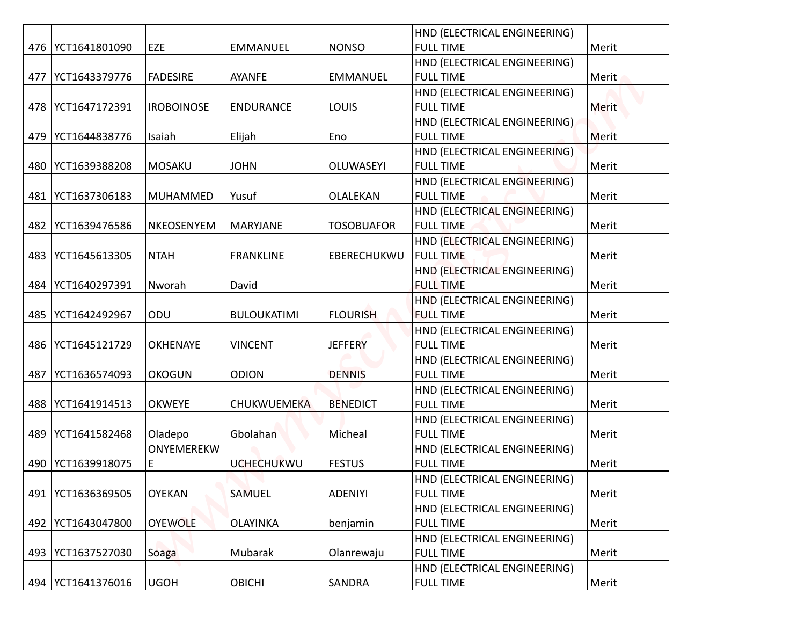|     |                     |                   |                    |                   | HND (ELECTRICAL ENGINEERING) |       |
|-----|---------------------|-------------------|--------------------|-------------------|------------------------------|-------|
|     | 476   YCT1641801090 | EZE               | <b>EMMANUEL</b>    | <b>NONSO</b>      | <b>FULL TIME</b>             | Merit |
|     |                     |                   |                    |                   | HND (ELECTRICAL ENGINEERING) |       |
|     | 477   YCT1643379776 | <b>FADESIRE</b>   | AYANFE             | <b>EMMANUEL</b>   | <b>FULL TIME</b>             | Merit |
|     |                     |                   |                    |                   | HND (ELECTRICAL ENGINEERING) |       |
|     | 478   YCT1647172391 | <b>IROBOINOSE</b> | <b>ENDURANCE</b>   | <b>LOUIS</b>      | <b>FULL TIME</b>             | Merit |
|     |                     |                   |                    |                   | HND (ELECTRICAL ENGINEERING) |       |
|     | 479   YCT1644838776 | Isaiah            | Elijah             | Eno               | <b>FULL TIME</b>             | Merit |
|     |                     |                   |                    |                   | HND (ELECTRICAL ENGINEERING) |       |
|     | 480   YCT1639388208 | <b>MOSAKU</b>     | <b>JOHN</b>        | <b>OLUWASEYI</b>  | <b>FULL TIME</b>             | Merit |
|     |                     |                   |                    |                   | HND (ELECTRICAL ENGINEERING) |       |
|     | 481   YCT1637306183 | <b>MUHAMMED</b>   | Yusuf              | OLALEKAN          | <b>FULL TIME</b>             | Merit |
|     |                     |                   |                    |                   | HND (ELECTRICAL ENGINEERING) |       |
|     | 482   YCT1639476586 | NKEOSENYEM        | MARYJANE           | <b>TOSOBUAFOR</b> | <b>FULL TIME</b>             | Merit |
|     |                     |                   |                    |                   | HND (ELECTRICAL ENGINEERING) |       |
|     | 483   YCT1645613305 | <b>NTAH</b>       | <b>FRANKLINE</b>   | EBERECHUKWU       | <b>FULL TIME</b>             | Merit |
|     |                     |                   |                    |                   | HND (ELECTRICAL ENGINEERING) |       |
|     | 484   YCT1640297391 | Nworah            | David              |                   | <b>FULL TIME</b>             | Merit |
|     |                     |                   |                    |                   | HND (ELECTRICAL ENGINEERING) |       |
|     | 485   YCT1642492967 | ODU               | <b>BULOUKATIMI</b> | <b>FLOURISH</b>   | <b>FULL TIME</b>             | Merit |
|     |                     |                   |                    |                   | HND (ELECTRICAL ENGINEERING) |       |
|     | 486   YCT1645121729 | OKHENAYE          | <b>VINCENT</b>     | <b>JEFFERY</b>    | <b>FULL TIME</b>             | Merit |
|     |                     |                   |                    |                   | HND (ELECTRICAL ENGINEERING) |       |
| 487 | YCT1636574093       | <b>OKOGUN</b>     | <b>ODION</b>       | <b>DENNIS</b>     | <b>FULL TIME</b>             | Merit |
|     |                     |                   |                    |                   | HND (ELECTRICAL ENGINEERING) |       |
|     | 488   YCT1641914513 | <b>OKWEYE</b>     | CHUKWUEMEKA        | <b>BENEDICT</b>   | <b>FULL TIME</b>             | Merit |
|     |                     |                   |                    |                   | HND (ELECTRICAL ENGINEERING) |       |
|     | 489 YCT1641582468   | Oladepo           | Gbolahan           | Micheal           | <b>FULL TIME</b>             | Merit |
|     |                     | ONYEMEREKW        |                    |                   | HND (ELECTRICAL ENGINEERING) |       |
|     | 490   YCT1639918075 | E                 | <b>UCHECHUKWU</b>  | <b>FESTUS</b>     | <b>FULL TIME</b>             | Merit |
|     |                     |                   |                    |                   | HND (ELECTRICAL ENGINEERING) |       |
| 491 | YCT1636369505       | <b>OYEKAN</b>     | SAMUEL             | <b>ADENIYI</b>    | <b>FULL TIME</b>             | Merit |
|     |                     |                   |                    |                   | HND (ELECTRICAL ENGINEERING) |       |
|     | 492   YCT1643047800 | <b>OYEWOLE</b>    | <b>OLAYINKA</b>    | benjamin          | <b>FULL TIME</b>             | Merit |
|     |                     |                   |                    |                   | HND (ELECTRICAL ENGINEERING) |       |
|     | 493   YCT1637527030 | Soaga             | Mubarak            | Olanrewaju        | <b>FULL TIME</b>             | Merit |
|     |                     |                   |                    |                   | HND (ELECTRICAL ENGINEERING) |       |
|     | 494   YCT1641376016 | <b>UGOH</b>       | <b>OBICHI</b>      | SANDRA            | <b>FULL TIME</b>             | Merit |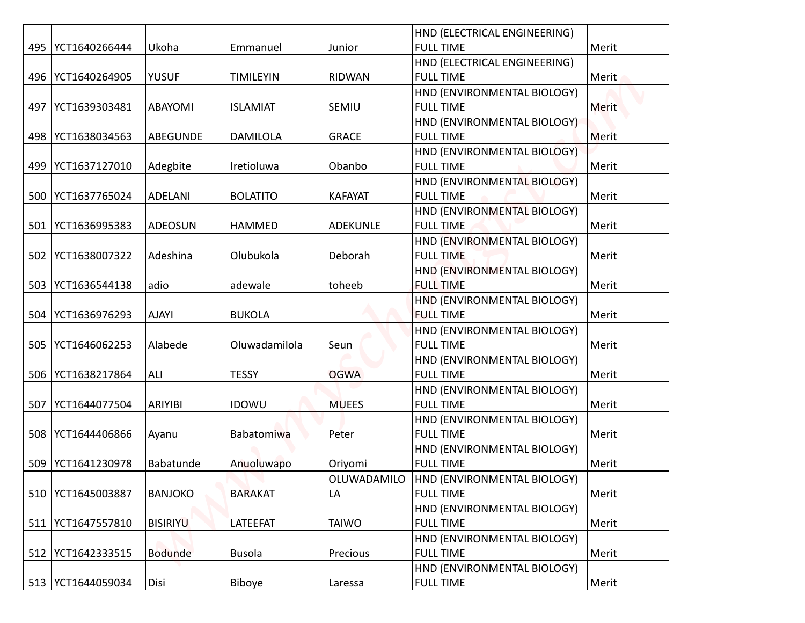|     |                     |                 |                  |                 | HND (ELECTRICAL ENGINEERING)                    |              |
|-----|---------------------|-----------------|------------------|-----------------|-------------------------------------------------|--------------|
|     | 495   YCT1640266444 | Ukoha           | Emmanuel         | Junior          | <b>FULL TIME</b>                                | Merit        |
|     |                     |                 |                  |                 | HND (ELECTRICAL ENGINEERING)                    |              |
|     | 496   YCT1640264905 | <b>YUSUF</b>    | <b>TIMILEYIN</b> | <b>RIDWAN</b>   | <b>FULL TIME</b>                                | Merit        |
|     |                     |                 |                  |                 | HND (ENVIRONMENTAL BIOLOGY)                     |              |
| 497 | YCT1639303481       | <b>ABAYOMI</b>  | <b>ISLAMIAT</b>  | SEMIU           | <b>FULL TIME</b>                                | <b>Merit</b> |
|     |                     |                 |                  |                 | HND (ENVIRONMENTAL BIOLOGY)                     |              |
|     | 498   YCT1638034563 | <b>ABEGUNDE</b> | <b>DAMILOLA</b>  | <b>GRACE</b>    | <b>FULL TIME</b>                                | Merit        |
|     |                     |                 |                  |                 | HND (ENVIRONMENTAL BIOLOGY)                     |              |
|     | 499   YCT1637127010 | Adegbite        | Iretioluwa       | Obanbo          | <b>FULL TIME</b>                                | Merit        |
|     |                     |                 |                  |                 | HND (ENVIRONMENTAL BIOLOGY)                     |              |
| 500 | YCT1637765024       | <b>ADELANI</b>  | <b>BOLATITO</b>  | <b>KAFAYAT</b>  | <b>FULL TIME</b>                                | Merit        |
|     |                     |                 |                  |                 | HND (ENVIRONMENTAL BIOLOGY)                     |              |
| 501 | YCT1636995383       | ADEOSUN         | <b>HAMMED</b>    | <b>ADEKUNLE</b> | <b>FULL TIME</b>                                | Merit        |
|     |                     |                 |                  |                 | HND (ENVIRONMENTAL BIOLOGY)                     |              |
| 502 | YCT1638007322       | Adeshina        | Olubukola        | Deborah         | <b>FULL TIME</b>                                | Merit        |
|     |                     |                 |                  |                 | HND (ENVIRONMENTAL BIOLOGY)                     |              |
| 503 | YCT1636544138       | adio            | adewale          | toheeb          | <b>FULL TIME</b>                                | Merit        |
|     |                     |                 |                  |                 | HND (ENVIRONMENTAL BIOLOGY)                     |              |
|     | 504   YCT1636976293 | <b>AJAYI</b>    | <b>BUKOLA</b>    |                 | <b>FULL TIME</b>                                | Merit        |
|     |                     |                 |                  |                 | HND (ENVIRONMENTAL BIOLOGY)                     |              |
| 505 | YCT1646062253       | Alabede         | Oluwadamilola    | Seun            | <b>FULL TIME</b>                                | Merit        |
|     |                     |                 |                  | <b>OGWA</b>     | HND (ENVIRONMENTAL BIOLOGY)                     |              |
|     | 506   YCT1638217864 | ALI             | <b>TESSY</b>     |                 | <b>FULL TIME</b><br>HND (ENVIRONMENTAL BIOLOGY) | Merit        |
| 507 | YCT1644077504       | ARIYIBI         | <b>IDOWU</b>     | <b>MUEES</b>    | <b>FULL TIME</b>                                | Merit        |
|     |                     |                 |                  |                 | HND (ENVIRONMENTAL BIOLOGY)                     |              |
|     | 508   YCT1644406866 | Ayanu           | Babatomiwa       | Peter           | <b>FULL TIME</b>                                | Merit        |
|     |                     |                 |                  |                 | HND (ENVIRONMENTAL BIOLOGY)                     |              |
| 509 | YCT1641230978       | Babatunde       | Anuoluwapo       | Oriyomi         | <b>FULL TIME</b>                                | Merit        |
|     |                     |                 |                  | OLUWADAMILO     | HND (ENVIRONMENTAL BIOLOGY)                     |              |
|     | 510 YCT1645003887   | <b>BANJOKO</b>  | <b>BARAKAT</b>   | LA              | <b>FULL TIME</b>                                | Merit        |
|     |                     |                 |                  |                 | HND (ENVIRONMENTAL BIOLOGY)                     |              |
| 511 | YCT1647557810       | <b>BISIRIYU</b> | <b>LATEEFAT</b>  | <b>TAIWO</b>    | <b>FULL TIME</b>                                | Merit        |
|     |                     |                 |                  |                 | HND (ENVIRONMENTAL BIOLOGY)                     |              |
|     | 512   YCT1642333515 | <b>Bodunde</b>  | <b>Busola</b>    | Precious        | <b>FULL TIME</b>                                | Merit        |
|     |                     |                 |                  |                 | HND (ENVIRONMENTAL BIOLOGY)                     |              |
|     | 513   YCT1644059034 | Disi            | Biboye           | Laressa         | <b>FULL TIME</b>                                | Merit        |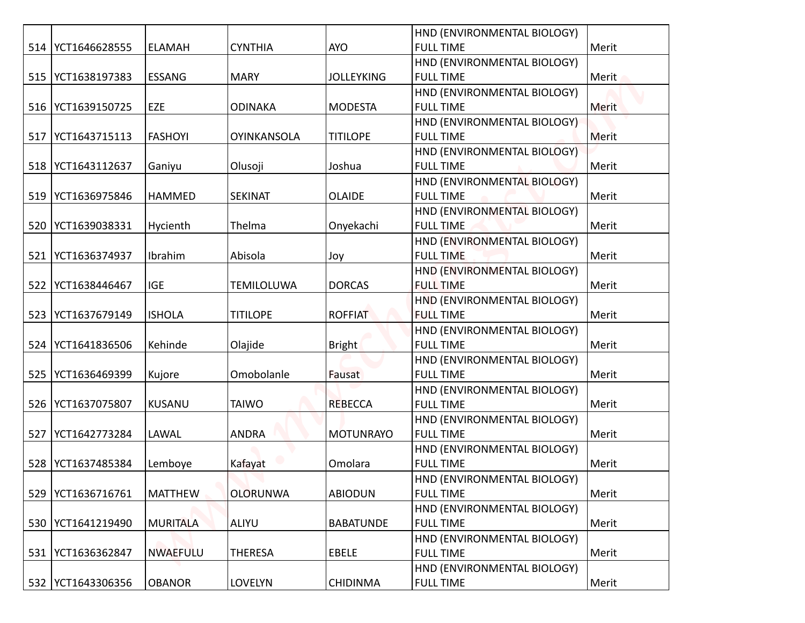|     |                     |                 |                    |                   | HND (ENVIRONMENTAL BIOLOGY) |              |
|-----|---------------------|-----------------|--------------------|-------------------|-----------------------------|--------------|
|     | 514   YCT1646628555 | <b>ELAMAH</b>   | <b>CYNTHIA</b>     | <b>AYO</b>        | <b>FULL TIME</b>            | Merit        |
|     |                     |                 |                    |                   | HND (ENVIRONMENTAL BIOLOGY) |              |
|     | 515   YCT1638197383 | <b>ESSANG</b>   | <b>MARY</b>        | <b>JOLLEYKING</b> | <b>FULL TIME</b>            | Merit        |
|     |                     |                 |                    |                   | HND (ENVIRONMENTAL BIOLOGY) |              |
|     | 516 YCT1639150725   | EZE             | <b>ODINAKA</b>     | <b>MODESTA</b>    | <b>FULL TIME</b>            | <b>Merit</b> |
|     |                     |                 |                    |                   | HND (ENVIRONMENTAL BIOLOGY) |              |
| 517 | YCT1643715113       | <b>FASHOYI</b>  | <b>OYINKANSOLA</b> | <b>TITILOPE</b>   | <b>FULL TIME</b>            | Merit        |
|     |                     |                 |                    |                   | HND (ENVIRONMENTAL BIOLOGY) |              |
|     | 518   YCT1643112637 | Ganiyu          | Olusoji            | Joshua            | <b>FULL TIME</b>            | Merit        |
|     |                     |                 |                    |                   | HND (ENVIRONMENTAL BIOLOGY) |              |
|     | 519   YCT1636975846 | <b>HAMMED</b>   | <b>SEKINAT</b>     | <b>OLAIDE</b>     | <b>FULL TIME</b>            | Merit        |
|     |                     |                 |                    |                   | HND (ENVIRONMENTAL BIOLOGY) |              |
| 520 | YCT1639038331       | Hycienth        | Thelma             | Onyekachi         | <b>FULL TIME</b>            | Merit        |
|     |                     |                 |                    |                   | HND (ENVIRONMENTAL BIOLOGY) |              |
| 521 | YCT1636374937       | Ibrahim         | Abisola            | Joy               | <b>FULL TIME</b>            | Merit        |
|     |                     |                 |                    |                   | HND (ENVIRONMENTAL BIOLOGY) |              |
| 522 | YCT1638446467       | <b>IGE</b>      | <b>TEMILOLUWA</b>  | <b>DORCAS</b>     | <b>FULL TIME</b>            | Merit        |
|     |                     |                 |                    |                   | HND (ENVIRONMENTAL BIOLOGY) |              |
|     | 523   YCT1637679149 | <b>ISHOLA</b>   | <b>TITILOPE</b>    | <b>ROFFIAT</b>    | <b>FULL TIME</b>            | Merit        |
|     |                     |                 |                    |                   | HND (ENVIRONMENTAL BIOLOGY) |              |
|     | 524   YCT1641836506 | Kehinde         | Olajide            | <b>Bright</b>     | <b>FULL TIME</b>            | Merit        |
|     |                     |                 |                    |                   | HND (ENVIRONMENTAL BIOLOGY) |              |
| 525 | YCT1636469399       | Kujore          | Omobolanle         | Fausat            | <b>FULL TIME</b>            | Merit        |
|     |                     |                 |                    |                   | HND (ENVIRONMENTAL BIOLOGY) |              |
|     | 526   YCT1637075807 | KUSANU          | <b>TAIWO</b>       | <b>REBECCA</b>    | <b>FULL TIME</b>            | Merit        |
|     |                     |                 |                    |                   | HND (ENVIRONMENTAL BIOLOGY) |              |
| 527 | YCT1642773284       | LAWAL           | <b>ANDRA</b>       | <b>MOTUNRAYO</b>  | <b>FULL TIME</b>            | Merit        |
|     |                     |                 |                    |                   | HND (ENVIRONMENTAL BIOLOGY) |              |
| 528 | YCT1637485384       | Lemboye         | Kafayat            | Omolara           | <b>FULL TIME</b>            | Merit        |
|     |                     |                 |                    |                   | HND (ENVIRONMENTAL BIOLOGY) |              |
| 529 | YCT1636716761       | <b>MATTHEW</b>  | <b>OLORUNWA</b>    | <b>ABIODUN</b>    | <b>FULL TIME</b>            | Merit        |
|     |                     |                 |                    |                   | HND (ENVIRONMENTAL BIOLOGY) |              |
|     | 530   YCT1641219490 | MURITALA        | <b>ALIYU</b>       | <b>BABATUNDE</b>  | <b>FULL TIME</b>            | Merit        |
|     |                     |                 |                    |                   | HND (ENVIRONMENTAL BIOLOGY) |              |
|     | 531   YCT1636362847 | <b>NWAEFULU</b> | <b>THERESA</b>     | <b>EBELE</b>      | <b>FULL TIME</b>            | Merit        |
|     |                     |                 |                    |                   | HND (ENVIRONMENTAL BIOLOGY) |              |
|     | 532 YCT1643306356   | <b>OBANOR</b>   | <b>LOVELYN</b>     | <b>CHIDINMA</b>   | <b>FULL TIME</b>            | Merit        |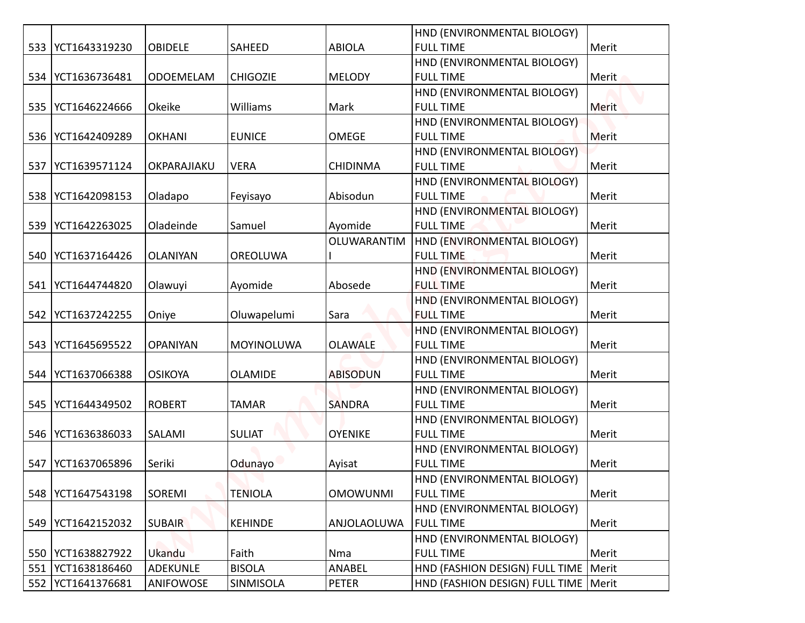|     |                     |                 |                 |                 | HND (ENVIRONMENTAL BIOLOGY)            |              |
|-----|---------------------|-----------------|-----------------|-----------------|----------------------------------------|--------------|
|     | 533   YCT1643319230 | <b>OBIDELE</b>  | SAHEED          | <b>ABIOLA</b>   | <b>FULL TIME</b>                       | Merit        |
|     |                     |                 |                 |                 | HND (ENVIRONMENTAL BIOLOGY)            |              |
|     | 534   YCT1636736481 | ODOEMELAM       | <b>CHIGOZIE</b> | <b>MELODY</b>   | <b>FULL TIME</b>                       | Merit        |
|     |                     |                 |                 |                 | HND (ENVIRONMENTAL BIOLOGY)            |              |
|     | 535   YCT1646224666 | Okeike          | Williams        | Mark            | <b>FULL TIME</b>                       | <b>Merit</b> |
|     |                     |                 |                 |                 | HND (ENVIRONMENTAL BIOLOGY)            |              |
|     | 536   YCT1642409289 | <b>OKHANI</b>   | <b>EUNICE</b>   | <b>OMEGE</b>    | <b>FULL TIME</b>                       | Merit        |
|     |                     |                 |                 |                 | HND (ENVIRONMENTAL BIOLOGY)            |              |
|     | 537 YCT1639571124   | OKPARAJIAKU     | <b>VERA</b>     | <b>CHIDINMA</b> | <b>FULL TIME</b>                       | Merit        |
|     |                     |                 |                 |                 | HND (ENVIRONMENTAL BIOLOGY)            |              |
|     | 538   YCT1642098153 | Oladapo         | Feyisayo        | Abisodun        | <b>FULL TIME</b>                       | Merit        |
|     |                     |                 |                 |                 | HND (ENVIRONMENTAL BIOLOGY)            |              |
|     | 539   YCT1642263025 | Oladeinde       | Samuel          | Ayomide         | <b>FULL TIME</b>                       | Merit        |
|     |                     |                 |                 | OLUWARANTIM     | HND (ENVIRONMENTAL BIOLOGY)            |              |
|     | 540 YCT1637164426   | <b>OLANIYAN</b> | OREOLUWA        |                 | <b>FULL TIME</b>                       | Merit        |
|     |                     |                 |                 |                 | HND (ENVIRONMENTAL BIOLOGY)            |              |
|     | 541   YCT1644744820 | Olawuyi         | Ayomide         | Abosede         | <b>FULL TIME</b>                       | Merit        |
|     |                     |                 |                 |                 | HND (ENVIRONMENTAL BIOLOGY)            |              |
|     | 542   YCT1637242255 | Oniye           | Oluwapelumi     | Sara            | <b>FULL TIME</b>                       | Merit        |
|     |                     |                 |                 |                 | HND (ENVIRONMENTAL BIOLOGY)            |              |
|     | 543   YCT1645695522 | <b>OPANIYAN</b> | MOYINOLUWA      | <b>OLAWALE</b>  | <b>FULL TIME</b>                       | Merit        |
|     |                     |                 |                 |                 | HND (ENVIRONMENTAL BIOLOGY)            |              |
|     | 544   YCT1637066388 | <b>OSIKOYA</b>  | <b>OLAMIDE</b>  | <b>ABISODUN</b> | <b>FULL TIME</b>                       | Merit        |
|     |                     |                 |                 |                 | HND (ENVIRONMENTAL BIOLOGY)            |              |
|     | 545   YCT1644349502 | <b>ROBERT</b>   | <b>TAMAR</b>    | <b>SANDRA</b>   | <b>FULL TIME</b>                       | Merit        |
|     |                     |                 |                 |                 | HND (ENVIRONMENTAL BIOLOGY)            |              |
|     | 546   YCT1636386033 | SALAMI          | <b>SULIAT</b>   | <b>OYENIKE</b>  | <b>FULL TIME</b>                       | Merit        |
|     |                     |                 |                 |                 | HND (ENVIRONMENTAL BIOLOGY)            |              |
| 547 | YCT1637065896       | Seriki          | Odunayo         | Ayisat          | <b>FULL TIME</b>                       | Merit        |
|     |                     |                 |                 |                 | HND (ENVIRONMENTAL BIOLOGY)            |              |
|     | 548   YCT1647543198 | SOREMI          | <b>TENIOLA</b>  | <b>OMOWUNMI</b> | <b>FULL TIME</b>                       | Merit        |
|     |                     |                 |                 |                 | HND (ENVIRONMENTAL BIOLOGY)            |              |
|     | 549   YCT1642152032 | <b>SUBAIR</b>   | <b>KEHINDE</b>  | ANJOLAOLUWA     | <b>FULL TIME</b>                       | Merit        |
|     |                     |                 |                 |                 | HND (ENVIRONMENTAL BIOLOGY)            |              |
|     | 550   YCT1638827922 | Ukandu          | Faith           | Nma             | <b>FULL TIME</b>                       | Merit        |
|     | 551   YCT1638186460 | <b>ADEKUNLE</b> | <b>BISOLA</b>   | ANABEL          | HND (FASHION DESIGN) FULL TIME         | Merit        |
|     | 552   YCT1641376681 | ANIFOWOSE       | SINMISOLA       | PETER           | HND (FASHION DESIGN) FULL TIME   Merit |              |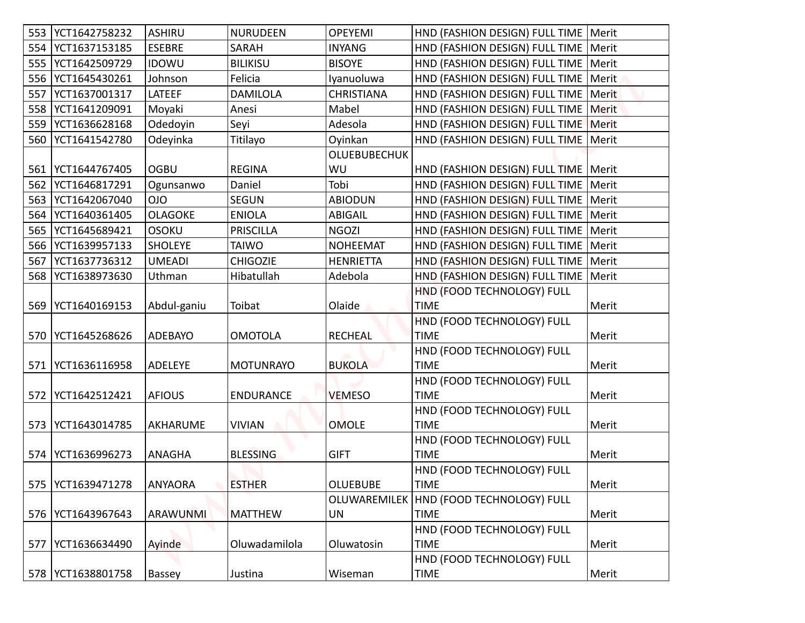|     | 553   YCT1642758232 | <b>ASHIRU</b>   | <b>NURUDEEN</b>  | <b>OPEYEMI</b>      | HND (FASHION DESIGN) FULL TIME   Merit    |              |
|-----|---------------------|-----------------|------------------|---------------------|-------------------------------------------|--------------|
| 554 | YCT1637153185       | <b>ESEBRE</b>   | SARAH            | <b>INYANG</b>       | HND (FASHION DESIGN) FULL TIME            | Merit        |
| 555 | YCT1642509729       | <b>IDOWU</b>    | <b>BILIKISU</b>  | <b>BISOYE</b>       | HND (FASHION DESIGN) FULL TIME            | Merit        |
| 556 | YCT1645430261       | Johnson         | Felicia          | Iyanuoluwa          | HND (FASHION DESIGN) FULL TIME   Merit    |              |
| 557 | YCT1637001317       | LATEEF          | <b>DAMILOLA</b>  | <b>CHRISTIANA</b>   | HND (FASHION DESIGN) FULL TIME            | Merit        |
| 558 | YCT1641209091       | Moyaki          | Anesi            | Mabel               | HND (FASHION DESIGN) FULL TIME            | <b>Merit</b> |
| 559 | YCT1636628168       | Odedoyin        | Seyi             | Adesola             | HND (FASHION DESIGN) FULL TIME            | <b>Merit</b> |
| 560 | YCT1641542780       | Odeyinka        | Titilayo         | Oyinkan             | HND (FASHION DESIGN) FULL TIME            | Merit        |
|     |                     |                 |                  | <b>OLUEBUBECHUK</b> |                                           |              |
| 561 | YCT1644767405       | <b>OGBU</b>     | <b>REGINA</b>    | WU                  | HND (FASHION DESIGN) FULL TIME   Merit    |              |
| 562 | YCT1646817291       | Ogunsanwo       | Daniel           | Tobi                | HND (FASHION DESIGN) FULL TIME   Merit    |              |
| 563 | YCT1642067040       | <b>OIO</b>      | <b>SEGUN</b>     | <b>ABIODUN</b>      | HND (FASHION DESIGN) FULL TIME            | Merit        |
| 564 | YCT1640361405       | <b>OLAGOKE</b>  | <b>ENIOLA</b>    | <b>ABIGAIL</b>      | HND (FASHION DESIGN) FULL TIME   Merit    |              |
| 565 | YCT1645689421       | <b>OSOKU</b>    | <b>PRISCILLA</b> | <b>NGOZI</b>        | HND (FASHION DESIGN) FULL TIME            | Merit        |
| 566 | YCT1639957133       | <b>SHOLEYE</b>  | <b>TAIWO</b>     | <b>NOHEEMAT</b>     | HND (FASHION DESIGN) FULL TIME            | Merit        |
| 567 | YCT1637736312       | <b>UMEADI</b>   | <b>CHIGOZIE</b>  | <b>HENRIETTA</b>    | HND (FASHION DESIGN) FULL TIME            | Merit        |
| 568 | YCT1638973630       | Uthman          | Hibatullah       | Adebola             | HND (FASHION DESIGN) FULL TIME            | Merit        |
|     |                     |                 |                  |                     | HND (FOOD TECHNOLOGY) FULL                |              |
|     | 569   YCT1640169153 | Abdul-ganiu     | Toibat           | Olaide              | <b>TIME</b>                               | Merit        |
|     |                     |                 |                  |                     | HND (FOOD TECHNOLOGY) FULL                |              |
|     | 570 YCT1645268626   | ADEBAYO         | OMOTOLA          | <b>RECHEAL</b>      | <b>TIME</b>                               | Merit        |
|     |                     |                 |                  |                     | HND (FOOD TECHNOLOGY) FULL                |              |
|     | 571   YCT1636116958 | <b>ADELEYE</b>  | <b>MOTUNRAYO</b> | <b>BUKOLA</b>       | <b>TIME</b>                               | Merit        |
|     |                     |                 |                  |                     | HND (FOOD TECHNOLOGY) FULL                |              |
|     | 572   YCT1642512421 | <b>AFIOUS</b>   | <b>ENDURANCE</b> | <b>VEMESO</b>       | <b>TIME</b>                               | Merit        |
|     |                     |                 |                  |                     | HND (FOOD TECHNOLOGY) FULL                |              |
|     | 573   YCT1643014785 | AKHARUME        | <b>VIVIAN</b>    | <b>OMOLE</b>        | <b>TIME</b>                               | Merit        |
|     |                     |                 |                  |                     | HND (FOOD TECHNOLOGY) FULL                |              |
|     | 574   YCT1636996273 | ANAGHA          | <b>BLESSING</b>  | <b>GIFT</b>         | <b>TIME</b>                               | Merit        |
|     |                     |                 |                  |                     | HND (FOOD TECHNOLOGY) FULL                |              |
|     | 575   YCT1639471278 | <b>ANYAORA</b>  | <b>ESTHER</b>    | <b>OLUEBUBE</b>     | <b>TIME</b>                               | Merit        |
|     |                     |                 |                  | OLUWAREMILEK        | HND (FOOD TECHNOLOGY) FULL                |              |
|     | 576   YCT1643967643 | <b>ARAWUNMI</b> | MATTHEW          | UN                  | <b>TIME</b>                               | Merit        |
| 577 | YCT1636634490       | Ayinde          | Oluwadamilola    | Oluwatosin          | HND (FOOD TECHNOLOGY) FULL<br><b>TIME</b> | Merit        |
|     |                     |                 |                  |                     | HND (FOOD TECHNOLOGY) FULL                |              |
|     | 578   YCT1638801758 | Bassey          | Justina          | Wiseman             | <b>TIME</b>                               | Merit        |
|     |                     |                 |                  |                     |                                           |              |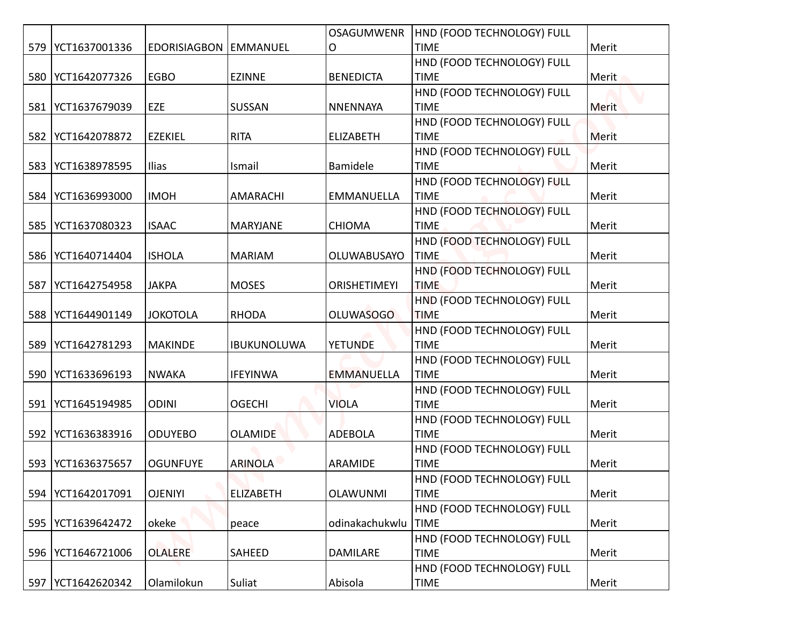|     |                     |                         |                    | <b>OSAGUMWENR</b>   | HND (FOOD TECHNOLOGY) FULL                |              |
|-----|---------------------|-------------------------|--------------------|---------------------|-------------------------------------------|--------------|
|     | 579   YCT1637001336 | EDORISIAGBON   EMMANUEL |                    | О                   | <b>TIME</b>                               | Merit        |
|     |                     |                         |                    |                     | HND (FOOD TECHNOLOGY) FULL                |              |
|     | 580 YCT1642077326   | <b>EGBO</b>             | <b>EZINNE</b>      | <b>BENEDICTA</b>    | <b>TIME</b>                               | Merit        |
|     |                     |                         |                    |                     | HND (FOOD TECHNOLOGY) FULL                |              |
|     | 581   YCT1637679039 | EZE                     | SUSSAN             | <b>NNENNAYA</b>     | <b>TIME</b>                               | <b>Merit</b> |
|     |                     |                         |                    |                     | HND (FOOD TECHNOLOGY) FULL                |              |
|     | 582   YCT1642078872 | <b>EZEKIEL</b>          | <b>RITA</b>        | <b>ELIZABETH</b>    | <b>TIME</b>                               | Merit        |
|     |                     |                         |                    |                     | HND (FOOD TECHNOLOGY) FULL                |              |
|     | 583 YCT1638978595   | Ilias                   | Ismail             | Bamidele            | <b>TIME</b>                               | Merit        |
|     |                     |                         |                    |                     | HND (FOOD TECHNOLOGY) FULL                |              |
|     | 584   YCT1636993000 | <b>IMOH</b>             | AMARACHI           | <b>EMMANUELLA</b>   | <b>TIME</b>                               | Merit        |
|     | 585   YCT1637080323 | <b>ISAAC</b>            | <b>MARYJANE</b>    | <b>CHIOMA</b>       | HND (FOOD TECHNOLOGY) FULL<br><b>TIME</b> | Merit        |
|     |                     |                         |                    |                     | HND (FOOD TECHNOLOGY) FULL                |              |
|     | 586   YCT1640714404 | <b>ISHOLA</b>           | <b>MARIAM</b>      | OLUWABUSAYO         | <b>TIME</b>                               | Merit        |
|     |                     |                         |                    |                     | HND (FOOD TECHNOLOGY) FULL                |              |
| 587 | YCT1642754958       | <b>JAKPA</b>            | <b>MOSES</b>       | <b>ORISHETIMEYI</b> | <b>TIME</b>                               | Merit        |
|     |                     |                         |                    |                     | HND (FOOD TECHNOLOGY) FULL                |              |
|     | 588   YCT1644901149 | <b>JOKOTOLA</b>         | <b>RHODA</b>       | <b>OLUWASOGO</b>    | <b>TIME</b>                               | Merit        |
|     |                     |                         |                    |                     | HND (FOOD TECHNOLOGY) FULL                |              |
| 589 | YCT1642781293       | <b>MAKINDE</b>          | <b>IBUKUNOLUWA</b> | <b>YETUNDE</b>      | <b>TIME</b>                               | Merit        |
|     |                     |                         |                    |                     | HND (FOOD TECHNOLOGY) FULL                |              |
|     | 590   YCT1633696193 | <b>NWAKA</b>            | <b>IFEYINWA</b>    | <b>EMMANUELLA</b>   | <b>TIME</b>                               | Merit        |
|     |                     |                         |                    |                     | HND (FOOD TECHNOLOGY) FULL                |              |
| 591 | YCT1645194985       | <b>ODINI</b>            | <b>OGECHI</b>      | <b>VIOLA</b>        | <b>TIME</b>                               | Merit        |
|     |                     |                         |                    |                     | HND (FOOD TECHNOLOGY) FULL                |              |
|     | 592   YCT1636383916 | <b>ODUYEBO</b>          | <b>OLAMIDE</b>     | <b>ADEBOLA</b>      | <b>TIME</b>                               | Merit        |
|     |                     |                         |                    |                     | HND (FOOD TECHNOLOGY) FULL                |              |
|     | 593   YCT1636375657 | <b>OGUNFUYE</b>         | <b>ARINOLA</b>     | ARAMIDE             | <b>TIME</b><br>HND (FOOD TECHNOLOGY) FULL | Merit        |
|     | 594   YCT1642017091 | <b>OJENIYI</b>          | <b>ELIZABETH</b>   | <b>OLAWUNMI</b>     | <b>TIME</b>                               | Merit        |
|     |                     |                         |                    |                     | HND (FOOD TECHNOLOGY) FULL                |              |
|     | 595   YCT1639642472 | okeke                   | peace              | odinakachukwlu      | <b>TIME</b>                               | Merit        |
|     |                     |                         |                    |                     | HND (FOOD TECHNOLOGY) FULL                |              |
|     | 596   YCT1646721006 | <b>OLALERE</b>          | SAHEED             | DAMILARE            | <b>TIME</b>                               | Merit        |
|     |                     |                         |                    |                     | HND (FOOD TECHNOLOGY) FULL                |              |
|     | 597   YCT1642620342 | Olamilokun              | Suliat             | Abisola             | <b>TIME</b>                               | Merit        |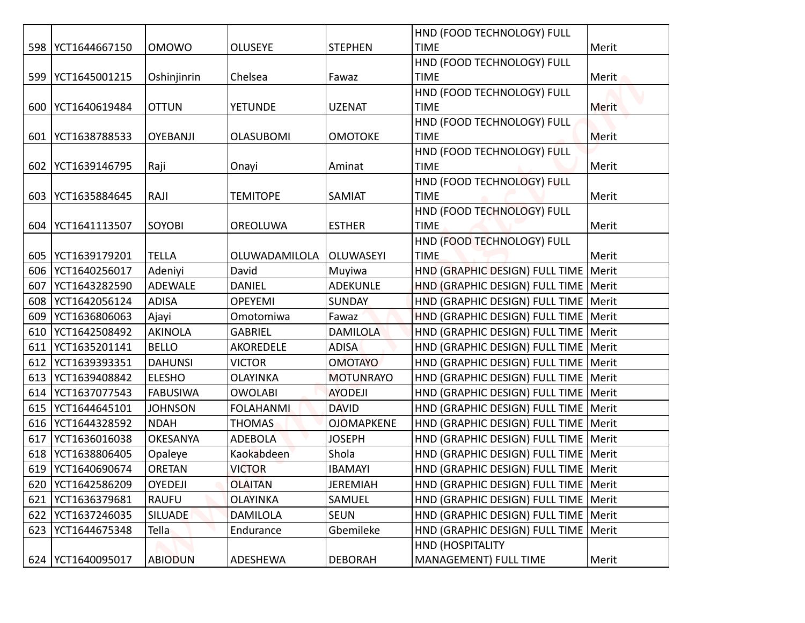|     |                                |                                   |                            |                                    | HND (FOOD TECHNOLOGY) FULL                                                       |       |
|-----|--------------------------------|-----------------------------------|----------------------------|------------------------------------|----------------------------------------------------------------------------------|-------|
|     | 598   YCT1644667150            | <b>OMOWO</b>                      | <b>OLUSEYE</b>             | <b>STEPHEN</b>                     | <b>TIME</b>                                                                      | Merit |
|     |                                |                                   |                            |                                    | HND (FOOD TECHNOLOGY) FULL                                                       |       |
| 599 | YCT1645001215                  | Oshinjinrin                       | Chelsea                    | Fawaz                              | <b>TIME</b>                                                                      | Merit |
|     |                                |                                   |                            |                                    | HND (FOOD TECHNOLOGY) FULL                                                       |       |
| 600 | YCT1640619484                  | <b>OTTUN</b>                      | <b>YETUNDE</b>             | <b>UZENAT</b>                      | <b>TIME</b>                                                                      | Merit |
|     |                                |                                   |                            |                                    | HND (FOOD TECHNOLOGY) FULL                                                       |       |
| 601 | YCT1638788533                  | <b>OYEBANJI</b>                   | <b>OLASUBOMI</b>           | <b>OMOTOKE</b>                     | <b>TIME</b>                                                                      | Merit |
|     |                                |                                   |                            |                                    | HND (FOOD TECHNOLOGY) FULL                                                       |       |
| 602 | YCT1639146795                  | Raji                              | Onayi                      | Aminat                             | <b>TIME</b>                                                                      | Merit |
|     |                                |                                   |                            |                                    | HND (FOOD TECHNOLOGY) FULL                                                       |       |
| 603 | YCT1635884645                  | RAJI                              | <b>TEMITOPE</b>            | SAMIAT                             | <b>TIME</b>                                                                      | Merit |
|     |                                |                                   |                            |                                    | HND (FOOD TECHNOLOGY) FULL                                                       |       |
| 604 | YCT1641113507                  | SOYOBI                            | <b>OREOLUWA</b>            | <b>ESTHER</b>                      | <b>TIME</b>                                                                      | Merit |
|     |                                |                                   |                            |                                    | HND (FOOD TECHNOLOGY) FULL                                                       |       |
| 605 | YCT1639179201                  | <b>TELLA</b>                      | OLUWADAMILOLA              | <b>OLUWASEYI</b>                   | <b>TIME</b>                                                                      | Merit |
| 606 | YCT1640256017                  | Adeniyi                           | David                      | Muyiwa                             | HND (GRAPHIC DESIGN) FULL TIME                                                   | Merit |
| 607 | YCT1643282590                  | <b>ADEWALE</b>                    | <b>DANIEL</b>              | <b>ADEKUNLE</b>                    | HND (GRAPHIC DESIGN) FULL TIME   Merit                                           |       |
| 608 | YCT1642056124                  | <b>ADISA</b>                      | <b>OPEYEMI</b>             | <b>SUNDAY</b>                      | HND (GRAPHIC DESIGN) FULL TIME Merit                                             |       |
| 609 | YCT1636806063                  | Ajayi                             | Omotomiwa                  | Fawaz                              | HND (GRAPHIC DESIGN) FULL TIME   Merit                                           |       |
|     | 610   YCT1642508492            | <b>AKINOLA</b>                    | <b>GABRIEL</b>             | <b>DAMILOLA</b>                    | HND (GRAPHIC DESIGN) FULL TIME   Merit                                           |       |
|     | 611   YCT1635201141            | <b>BELLO</b><br><b>DAHUNSI</b>    | AKOREDELE<br><b>VICTOR</b> | <b>ADISA</b>                       | HND (GRAPHIC DESIGN) FULL TIME Merit                                             |       |
| 612 | YCT1639393351<br>YCT1639408842 |                                   | <b>OLAYINKA</b>            | <b>OMOTAYO</b><br><b>MOTUNRAYO</b> | HND (GRAPHIC DESIGN) FULL TIME   Merit                                           |       |
| 613 | YCT1637077543                  | <b>ELESHO</b>                     | <b>OWOLABI</b>             | <b>AYODEJI</b>                     | HND (GRAPHIC DESIGN) FULL TIME   Merit                                           |       |
| 614 | 615   YCT1644645101            | <b>FABUSIWA</b><br><b>JOHNSON</b> | <b>FOLAHANMI</b>           | <b>DAVID</b>                       | HND (GRAPHIC DESIGN) FULL TIME   Merit<br>HND (GRAPHIC DESIGN) FULL TIME   Merit |       |
|     | 616   YCT1644328592            | <b>NDAH</b>                       | <b>THOMAS</b>              | <b>OJOMAPKENE</b>                  | HND (GRAPHIC DESIGN) FULL TIME   Merit                                           |       |
| 617 | YCT1636016038                  | <b>OKESANYA</b>                   | <b>ADEBOLA</b>             | <b>JOSEPH</b>                      | HND (GRAPHIC DESIGN) FULL TIME   Merit                                           |       |
|     | 618   YCT1638806405            | Opaleye                           | Kaokabdeen                 | Shola                              | HND (GRAPHIC DESIGN) FULL TIME   Merit                                           |       |
| 619 | YCT1640690674                  | <b>ORETAN</b>                     | <b>VICTOR</b>              | <b>IBAMAYI</b>                     | HND (GRAPHIC DESIGN) FULL TIME   Merit                                           |       |
| 620 | YCT1642586209                  | <b>OYEDEJI</b>                    | <b>OLAITAN</b>             | <b>JEREMIAH</b>                    | HND (GRAPHIC DESIGN) FULL TIME   Merit                                           |       |
| 621 | YCT1636379681                  | <b>RAUFU</b>                      | <b>OLAYINKA</b>            | SAMUEL                             | HND (GRAPHIC DESIGN) FULL TIME   Merit                                           |       |
| 622 | YCT1637246035                  | <b>SILUADE</b>                    | DAMILOLA                   | <b>SEUN</b>                        | HND (GRAPHIC DESIGN) FULL TIME   Merit                                           |       |
| 623 | YCT1644675348                  | Tella                             | Endurance                  | Gbemileke                          | HND (GRAPHIC DESIGN) FULL TIME   Merit                                           |       |
|     |                                |                                   |                            |                                    | <b>HND (HOSPITALITY</b>                                                          |       |
|     | 624   YCT1640095017            | <b>ABIODUN</b>                    | ADESHEWA                   | <b>DEBORAH</b>                     | MANAGEMENT) FULL TIME                                                            | Merit |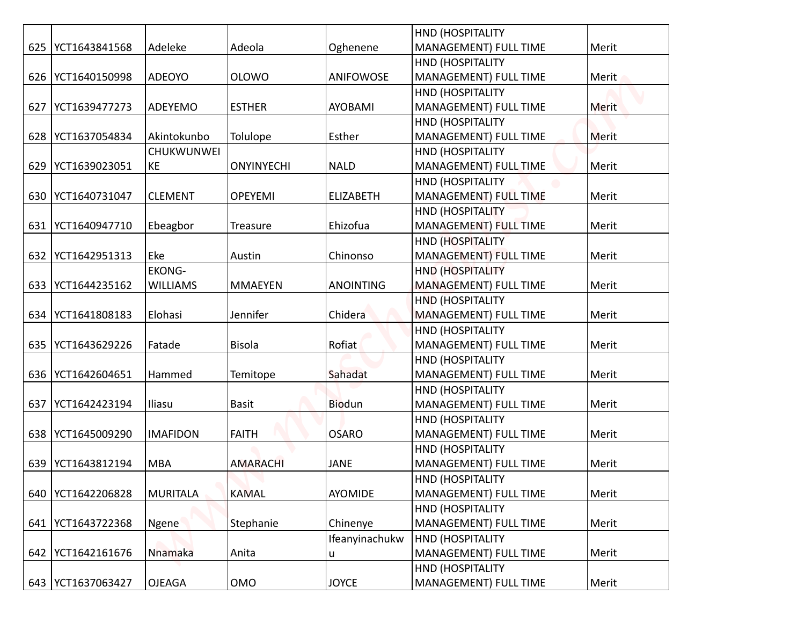|     |                     |                 |                   |                  | <b>HND (HOSPITALITY</b>      |       |
|-----|---------------------|-----------------|-------------------|------------------|------------------------------|-------|
| 625 | YCT1643841568       | Adeleke         | Adeola            | Oghenene         | <b>MANAGEMENT) FULL TIME</b> | Merit |
|     |                     |                 |                   |                  | <b>HND (HOSPITALITY</b>      |       |
| 626 | YCT1640150998       | ADEOYO          | <b>OLOWO</b>      | ANIFOWOSE        | MANAGEMENT) FULL TIME        | Merit |
|     |                     |                 |                   |                  | <b>HND (HOSPITALITY</b>      |       |
| 627 | YCT1639477273       | <b>ADEYEMO</b>  | <b>ESTHER</b>     | <b>AYOBAMI</b>   | <b>MANAGEMENT) FULL TIME</b> | Merit |
|     |                     |                 |                   |                  | <b>HND (HOSPITALITY</b>      |       |
| 628 | YCT1637054834       | Akintokunbo     | Tolulope          | Esther           | MANAGEMENT) FULL TIME        | Merit |
|     |                     | CHUKWUNWEI      |                   |                  | HND (HOSPITALITY             |       |
| 629 | YCT1639023051       | KE              | <b>ONYINYECHI</b> | <b>NALD</b>      | MANAGEMENT) FULL TIME        | Merit |
|     |                     |                 |                   |                  | <b>HND (HOSPITALITY</b>      |       |
| 630 | YCT1640731047       | <b>CLEMENT</b>  | <b>OPEYEMI</b>    | <b>ELIZABETH</b> | MANAGEMENT) FULL TIME        | Merit |
|     |                     |                 |                   |                  | <b>HND (HOSPITALITY)</b>     |       |
| 631 | YCT1640947710       | Ebeagbor        | Treasure          | Ehizofua         | MANAGEMENT) FULL TIME        | Merit |
|     |                     |                 |                   |                  | <b>HND (HOSPITALITY</b>      |       |
| 632 | YCT1642951313       | Eke             | Austin            | Chinonso         | MANAGEMENT) FULL TIME        | Merit |
|     |                     | <b>EKONG-</b>   |                   |                  | <b>HND (HOSPITALITY</b>      |       |
| 633 | YCT1644235162       | <b>WILLIAMS</b> | <b>MMAEYEN</b>    | <b>ANOINTING</b> | <b>MANAGEMENT) FULL TIME</b> | Merit |
|     |                     |                 |                   |                  | <b>HND (HOSPITALITY</b>      |       |
|     | 634   YCT1641808183 | Elohasi         | Jennifer          | Chidera          | <b>MANAGEMENT) FULL TIME</b> | Merit |
|     |                     |                 |                   |                  | <b>HND (HOSPITALITY</b>      |       |
| 635 | YCT1643629226       | Fatade          | <b>Bisola</b>     | Rofiat           | <b>MANAGEMENT) FULL TIME</b> | Merit |
|     |                     |                 |                   |                  | <b>HND (HOSPITALITY</b>      |       |
|     | 636   YCT1642604651 | Hammed          | Temitope          | Sahadat          | MANAGEMENT) FULL TIME        | Merit |
|     |                     |                 |                   |                  | HND (HOSPITALITY             |       |
| 637 | YCT1642423194       | Iliasu          | <b>Basit</b>      | <b>Biodun</b>    | MANAGEMENT) FULL TIME        | Merit |
|     |                     |                 |                   |                  | <b>HND (HOSPITALITY</b>      |       |
|     | 638   YCT1645009290 | <b>IMAFIDON</b> | <b>FAITH</b>      | <b>OSARO</b>     | <b>MANAGEMENT) FULL TIME</b> | Merit |
|     |                     |                 |                   |                  | <b>HND (HOSPITALITY</b>      |       |
| 639 | YCT1643812194       | <b>MBA</b>      | <b>AMARACHI</b>   | <b>JANE</b>      | MANAGEMENT) FULL TIME        | Merit |
|     |                     |                 |                   |                  | <b>HND (HOSPITALITY</b>      |       |
| 640 | YCT1642206828       | <b>MURITALA</b> | <b>KAMAL</b>      | <b>AYOMIDE</b>   | MANAGEMENT) FULL TIME        | Merit |
|     |                     |                 |                   |                  | HND (HOSPITALITY             |       |
| 641 | YCT1643722368       | Ngene           | Stephanie         | Chinenye         | MANAGEMENT) FULL TIME        | Merit |
|     |                     |                 |                   | Ifeanyinachukw   | <b>HND (HOSPITALITY</b>      |       |
|     | 642   YCT1642161676 | Nnamaka         | Anita             | u                | MANAGEMENT) FULL TIME        | Merit |
|     |                     |                 |                   |                  | <b>HND (HOSPITALITY</b>      |       |
|     | 643 YCT1637063427   | <b>OJEAGA</b>   | OMO               | <b>JOYCE</b>     | MANAGEMENT) FULL TIME        | Merit |
|     |                     |                 |                   |                  |                              |       |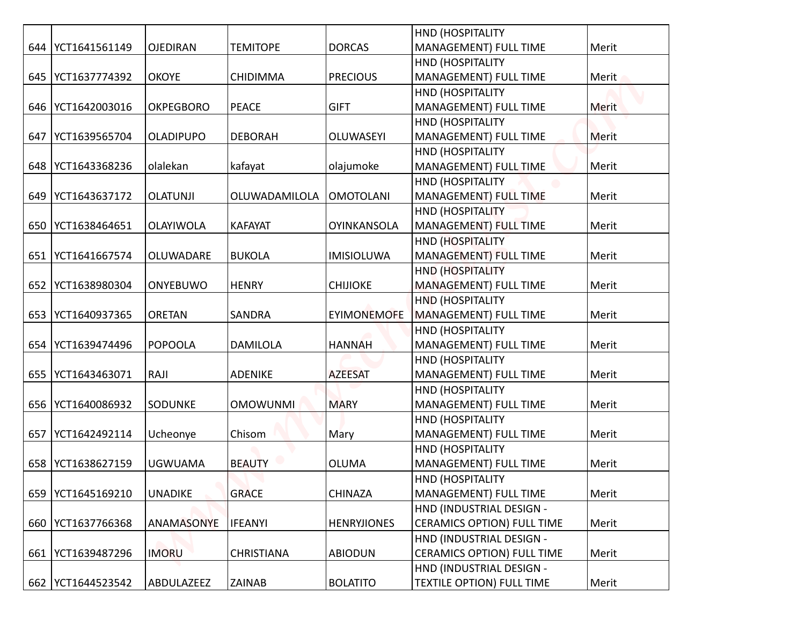|     |                     |                  |                   |                    | HND (HOSPITALITY                          |              |
|-----|---------------------|------------------|-------------------|--------------------|-------------------------------------------|--------------|
|     | 644   YCT1641561149 | <b>OJEDIRAN</b>  | <b>TEMITOPE</b>   | <b>DORCAS</b>      | MANAGEMENT) FULL TIME                     | Merit        |
|     |                     |                  |                   |                    | <b>HND (HOSPITALITY</b>                   |              |
|     | 645   YCT1637774392 | <b>OKOYE</b>     | <b>CHIDIMMA</b>   | <b>PRECIOUS</b>    | MANAGEMENT) FULL TIME                     | Merit        |
|     |                     |                  |                   |                    | <b>HND (HOSPITALITY</b>                   |              |
|     | 646   YCT1642003016 | <b>OKPEGBORO</b> | <b>PEACE</b>      | <b>GIFT</b>        | MANAGEMENT) FULL TIME                     | <b>Merit</b> |
|     |                     |                  |                   |                    | HND (HOSPITALITY                          |              |
| 647 | YCT1639565704       | <b>OLADIPUPO</b> | <b>DEBORAH</b>    | <b>OLUWASEYI</b>   | MANAGEMENT) FULL TIME                     | <b>Merit</b> |
|     |                     |                  |                   |                    | HND (HOSPITALITY                          |              |
|     | 648   YCT1643368236 | olalekan         | kafayat           | olajumoke          | MANAGEMENT) FULL TIME                     | Merit        |
|     |                     |                  |                   |                    | HND (HOSPITALITY                          |              |
| 649 | YCT1643637172       | <b>OLATUNJI</b>  | OLUWADAMILOLA     | <b>OMOTOLANI</b>   | MANAGEMENT) FULL TIME                     | Merit        |
|     |                     |                  |                   |                    | HND (HOSPITALITY                          |              |
|     | 650   YCT1638464651 | OLAYIWOLA        | <b>KAFAYAT</b>    | <b>OYINKANSOLA</b> | MANAGEMENT) FULL TIME                     | Merit        |
|     |                     |                  |                   |                    | <b>HND (HOSPITALITY</b>                   |              |
| 651 | YCT1641667574       | OLUWADARE        | <b>BUKOLA</b>     | <b>IMISIOLUWA</b>  | MANAGEMENT) FULL TIME                     | Merit        |
|     | 652   YCT1638980304 | <b>ONYEBUWO</b>  | <b>HENRY</b>      | <b>CHIJIOKE</b>    | HND (HOSPITALITY<br>MANAGEMENT) FULL TIME | Merit        |
|     |                     |                  |                   |                    | <b>HND (HOSPITALITY</b>                   |              |
|     | 653   YCT1640937365 | <b>ORETAN</b>    | SANDRA            | <b>EYIMONEMOFE</b> | <b>MANAGEMENT) FULL TIME</b>              | Merit        |
|     |                     |                  |                   |                    | <b>HND (HOSPITALITY</b>                   |              |
|     | 654   YCT1639474496 | <b>POPOOLA</b>   | <b>DAMILOLA</b>   | <b>HANNAH</b>      | MANAGEMENT) FULL TIME                     | Merit        |
|     |                     |                  |                   |                    | HND (HOSPITALITY                          |              |
|     | 655   YCT1643463071 | RAJI             | <b>ADENIKE</b>    | <b>AZEESAT</b>     | MANAGEMENT) FULL TIME                     | Merit        |
|     |                     |                  |                   |                    | HND (HOSPITALITY                          |              |
|     | 656   YCT1640086932 | SODUNKE          | <b>OMOWUNMI</b>   | <b>MARY</b>        | MANAGEMENT) FULL TIME                     | Merit        |
|     |                     |                  |                   |                    | HND (HOSPITALITY                          |              |
| 657 | YCT1642492114       | Ucheonye         | Chisom            | Mary               | MANAGEMENT) FULL TIME                     | Merit        |
|     |                     |                  |                   |                    | <b>HND (HOSPITALITY</b>                   |              |
|     | 658   YCT1638627159 | <b>UGWUAMA</b>   | <b>BEAUTY</b>     | <b>OLUMA</b>       | MANAGEMENT) FULL TIME                     | Merit        |
|     |                     |                  |                   |                    | <b>HND (HOSPITALITY</b>                   |              |
|     | 659 YCT1645169210   | <b>UNADIKE</b>   | <b>GRACE</b>      | <b>CHINAZA</b>     | MANAGEMENT) FULL TIME                     | Merit        |
|     |                     |                  |                   |                    | HND (INDUSTRIAL DESIGN -                  |              |
|     | 660   YCT1637766368 | ANAMASONYE       | <b>IFEANYI</b>    | <b>HENRYJIONES</b> | <b>CERAMICS OPTION) FULL TIME</b>         | Merit        |
|     |                     |                  |                   |                    | HND (INDUSTRIAL DESIGN -                  |              |
|     | 661   YCT1639487296 | <b>IMORU</b>     | <b>CHRISTIANA</b> | <b>ABIODUN</b>     | <b>CERAMICS OPTION) FULL TIME</b>         | Merit        |
|     |                     |                  |                   |                    | HND (INDUSTRIAL DESIGN -                  |              |
|     | 662   YCT1644523542 | ABDULAZEEZ       | <b>ZAINAB</b>     | <b>BOLATITO</b>    | <b>TEXTILE OPTION) FULL TIME</b>          | Merit        |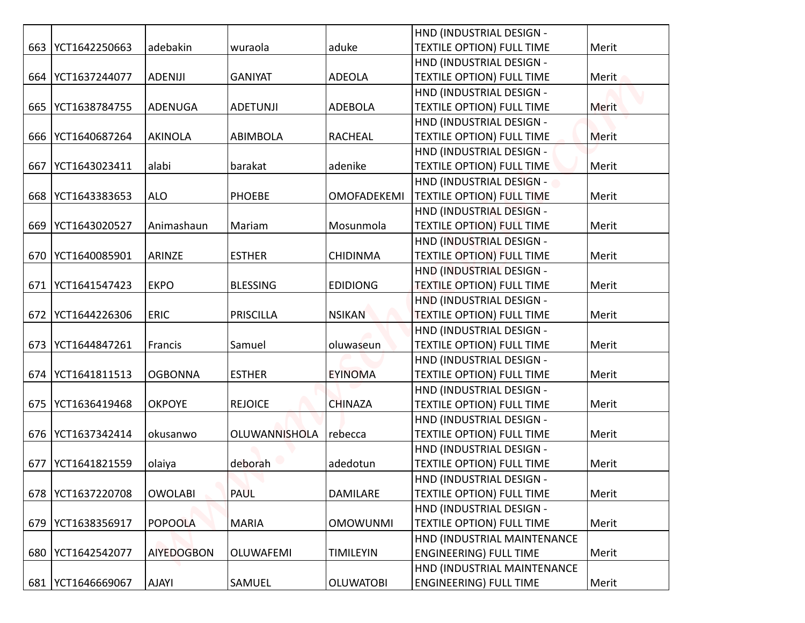|     |                     |                   |                      |                    | HND (INDUSTRIAL DESIGN -                                     |              |
|-----|---------------------|-------------------|----------------------|--------------------|--------------------------------------------------------------|--------------|
|     | 663   YCT1642250663 | adebakin          | wuraola              | aduke              | <b>TEXTILE OPTION) FULL TIME</b>                             | Merit        |
|     |                     |                   |                      |                    | HND (INDUSTRIAL DESIGN -                                     |              |
| 664 | YCT1637244077       | <b>ADENIJI</b>    | <b>GANIYAT</b>       | <b>ADEOLA</b>      | <b>TEXTILE OPTION) FULL TIME</b>                             | Merit        |
|     |                     |                   |                      |                    | HND (INDUSTRIAL DESIGN -                                     |              |
| 665 | YCT1638784755       | <b>ADENUGA</b>    | <b>ADETUNJI</b>      | <b>ADEBOLA</b>     | <b>TEXTILE OPTION) FULL TIME</b>                             | Merit        |
|     |                     |                   |                      |                    | HND (INDUSTRIAL DESIGN -                                     |              |
|     | 666   YCT1640687264 | <b>AKINOLA</b>    | <b>ABIMBOLA</b>      | <b>RACHEAL</b>     | <b>TEXTILE OPTION) FULL TIME</b>                             | <b>Merit</b> |
|     |                     |                   |                      |                    | HND (INDUSTRIAL DESIGN -                                     |              |
| 667 | YCT1643023411       | alabi             | barakat              | adenike            | <b>TEXTILE OPTION) FULL TIME</b>                             | Merit        |
|     |                     |                   |                      |                    | HND (INDUSTRIAL DESIGN -                                     |              |
|     | 668   YCT1643383653 | <b>ALO</b>        | <b>PHOEBE</b>        | <b>OMOFADEKEMI</b> | <b>TEXTILE OPTION) FULL TIME</b>                             | Merit        |
|     |                     |                   |                      |                    | HND (INDUSTRIAL DESIGN -                                     |              |
| 669 | YCT1643020527       | Animashaun        | Mariam               | Mosunmola          | <b>TEXTILE OPTION) FULL TIME</b>                             | Merit        |
|     |                     |                   |                      |                    | HND (INDUSTRIAL DESIGN -                                     |              |
| 670 | YCT1640085901       | ARINZE            | <b>ESTHER</b>        | <b>CHIDINMA</b>    | <b>TEXTILE OPTION) FULL TIME</b>                             | Merit        |
|     |                     |                   |                      |                    | HND (INDUSTRIAL DESIGN -                                     |              |
| 671 | YCT1641547423       | <b>EKPO</b>       | <b>BLESSING</b>      | <b>EDIDIONG</b>    | <b>TEXTILE OPTION) FULL TIME</b>                             | Merit        |
|     | 672 YCT1644226306   | <b>ERIC</b>       | <b>PRISCILLA</b>     | <b>NSIKAN</b>      | HND (INDUSTRIAL DESIGN -<br><b>TEXTILE OPTION) FULL TIME</b> | Merit        |
|     |                     |                   |                      |                    | HND (INDUSTRIAL DESIGN -                                     |              |
|     | 673   YCT1644847261 | Francis           | Samuel               | oluwaseun          | <b>TEXTILE OPTION) FULL TIME</b>                             | Merit        |
|     |                     |                   |                      |                    | HND (INDUSTRIAL DESIGN -                                     |              |
|     | 674   YCT1641811513 | <b>OGBONNA</b>    | <b>ESTHER</b>        | <b>EYINOMA</b>     | <b>TEXTILE OPTION) FULL TIME</b>                             | Merit        |
|     |                     |                   |                      |                    | HND (INDUSTRIAL DESIGN -                                     |              |
|     | 675   YCT1636419468 | <b>OKPOYE</b>     | <b>REJOICE</b>       | <b>CHINAZA</b>     | <b>TEXTILE OPTION) FULL TIME</b>                             | Merit        |
|     |                     |                   |                      |                    | HND (INDUSTRIAL DESIGN -                                     |              |
|     | 676   YCT1637342414 | okusanwo          | <b>OLUWANNISHOLA</b> | rebecca            | <b>TEXTILE OPTION) FULL TIME</b>                             | Merit        |
|     |                     |                   |                      |                    | HND (INDUSTRIAL DESIGN -                                     |              |
| 677 | YCT1641821559       | olaiya            | deborah              | adedotun           | <b>TEXTILE OPTION) FULL TIME</b>                             | Merit        |
|     |                     |                   |                      |                    | HND (INDUSTRIAL DESIGN -                                     |              |
|     | 678   YCT1637220708 | <b>OWOLABI</b>    | <b>PAUL</b>          | DAMILARE           | <b>TEXTILE OPTION) FULL TIME</b>                             | Merit        |
|     |                     |                   |                      |                    | HND (INDUSTRIAL DESIGN -                                     |              |
| 679 | YCT1638356917       | <b>POPOOLA</b>    | <b>MARIA</b>         | <b>OMOWUNMI</b>    | <b>TEXTILE OPTION) FULL TIME</b>                             | Merit        |
|     |                     |                   |                      |                    | HND (INDUSTRIAL MAINTENANCE                                  |              |
|     | 680   YCT1642542077 | <b>AIYEDOGBON</b> | OLUWAFEMI            | <b>TIMILEYIN</b>   | <b>ENGINEERING) FULL TIME</b>                                | Merit        |
|     |                     |                   |                      |                    | HND (INDUSTRIAL MAINTENANCE                                  |              |
|     | 681   YCT1646669067 | <b>AJAYI</b>      | SAMUEL               | <b>OLUWATOBI</b>   | <b>ENGINEERING) FULL TIME</b>                                | Merit        |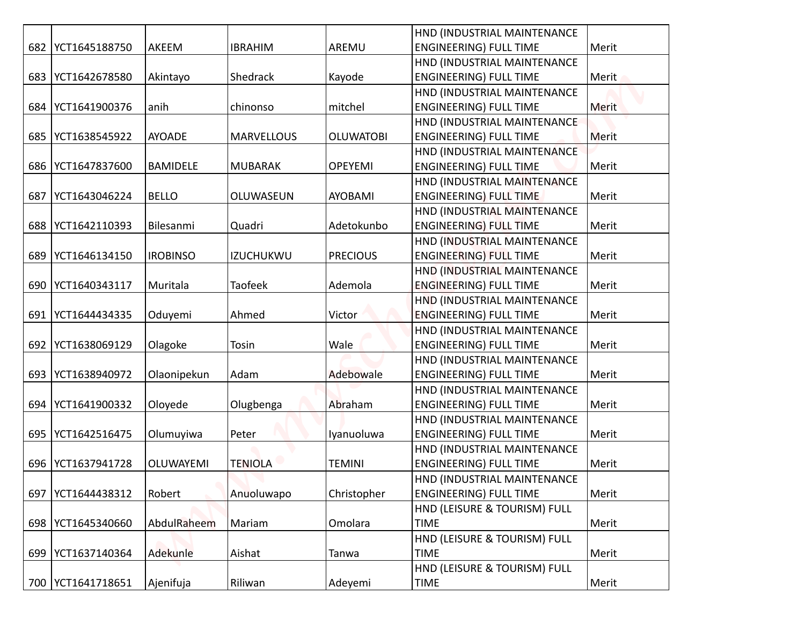|     |                     |                 |                   |                  | HND (INDUSTRIAL MAINTENANCE   |              |
|-----|---------------------|-----------------|-------------------|------------------|-------------------------------|--------------|
|     | 682   YCT1645188750 | AKEEM           | <b>IBRAHIM</b>    | AREMU            | <b>ENGINEERING) FULL TIME</b> | Merit        |
|     |                     |                 |                   |                  | HND (INDUSTRIAL MAINTENANCE   |              |
| 683 | YCT1642678580       | Akintayo        | Shedrack          | Kayode           | <b>ENGINEERING) FULL TIME</b> | Merit        |
|     |                     |                 |                   |                  | HND (INDUSTRIAL MAINTENANCE   |              |
| 684 | YCT1641900376       | anih            | chinonso          | mitchel          | <b>ENGINEERING) FULL TIME</b> | <b>Merit</b> |
|     |                     |                 |                   |                  | HND (INDUSTRIAL MAINTENANCE   |              |
| 685 | YCT1638545922       | <b>AYOADE</b>   | <b>MARVELLOUS</b> | <b>OLUWATOBI</b> | <b>ENGINEERING) FULL TIME</b> | Merit        |
|     |                     |                 |                   |                  | HND (INDUSTRIAL MAINTENANCE   |              |
| 686 | YCT1647837600       | <b>BAMIDELE</b> | <b>MUBARAK</b>    | <b>OPEYEMI</b>   | <b>ENGINEERING) FULL TIME</b> | Merit        |
|     |                     |                 |                   |                  | HND (INDUSTRIAL MAINTENANCE   |              |
| 687 | YCT1643046224       | <b>BELLO</b>    | OLUWASEUN         | <b>AYOBAMI</b>   | <b>ENGINEERING) FULL TIME</b> | Merit        |
|     |                     |                 |                   |                  | HND (INDUSTRIAL MAINTENANCE   |              |
| 688 | YCT1642110393       | Bilesanmi       | Quadri            | Adetokunbo       | <b>ENGINEERING) FULL TIME</b> | Merit        |
|     |                     |                 |                   |                  | HND (INDUSTRIAL MAINTENANCE   |              |
| 689 | YCT1646134150       | <b>IROBINSO</b> | <b>IZUCHUKWU</b>  | <b>PRECIOUS</b>  | <b>ENGINEERING) FULL TIME</b> | Merit        |
|     |                     |                 |                   |                  | HND (INDUSTRIAL MAINTENANCE   |              |
| 690 | YCT1640343117       | Muritala        | <b>Taofeek</b>    | Ademola          | <b>ENGINEERING) FULL TIME</b> | Merit        |
|     |                     |                 |                   |                  | HND (INDUSTRIAL MAINTENANCE   |              |
| 691 | YCT1644434335       | Oduyemi         | Ahmed             | Victor           | <b>ENGINEERING) FULL TIME</b> | Merit        |
|     |                     |                 |                   |                  | HND (INDUSTRIAL MAINTENANCE   |              |
| 692 | YCT1638069129       | Olagoke         | Tosin             | Wale             | <b>ENGINEERING) FULL TIME</b> | Merit        |
|     |                     |                 |                   |                  | HND (INDUSTRIAL MAINTENANCE   |              |
| 693 | YCT1638940972       | Olaonipekun     | Adam              | Adebowale        | <b>ENGINEERING) FULL TIME</b> | Merit        |
|     |                     |                 |                   |                  | HND (INDUSTRIAL MAINTENANCE   |              |
| 694 | YCT1641900332       | Oloyede         | Olugbenga         | Abraham          | <b>ENGINEERING) FULL TIME</b> | Merit        |
|     |                     |                 |                   |                  | HND (INDUSTRIAL MAINTENANCE   |              |
| 695 | YCT1642516475       | Olumuyiwa       | Peter             | Iyanuoluwa       | <b>ENGINEERING) FULL TIME</b> | Merit        |
|     |                     |                 |                   |                  | HND (INDUSTRIAL MAINTENANCE   |              |
| 696 | YCT1637941728       | OLUWAYEMI       | <b>TENIOLA</b>    | <b>TEMINI</b>    | <b>ENGINEERING) FULL TIME</b> | Merit        |
|     |                     |                 |                   |                  | HND (INDUSTRIAL MAINTENANCE   |              |
| 697 | YCT1644438312       | Robert          | Anuoluwapo        | Christopher      | <b>ENGINEERING) FULL TIME</b> | Merit        |
|     |                     |                 |                   |                  | HND (LEISURE & TOURISM) FULL  |              |
| 698 | YCT1645340660       | AbdulRaheem     | Mariam            | Omolara          | <b>TIME</b>                   | Merit        |
|     |                     |                 |                   |                  | HND (LEISURE & TOURISM) FULL  |              |
|     | 699   YCT1637140364 | Adekunle        | Aishat            | Tanwa            | <b>TIME</b>                   | Merit        |
|     |                     |                 |                   |                  | HND (LEISURE & TOURISM) FULL  |              |
|     | 700 YCT1641718651   | Ajenifuja       | Riliwan           | Adeyemi          | <b>TIME</b>                   | Merit        |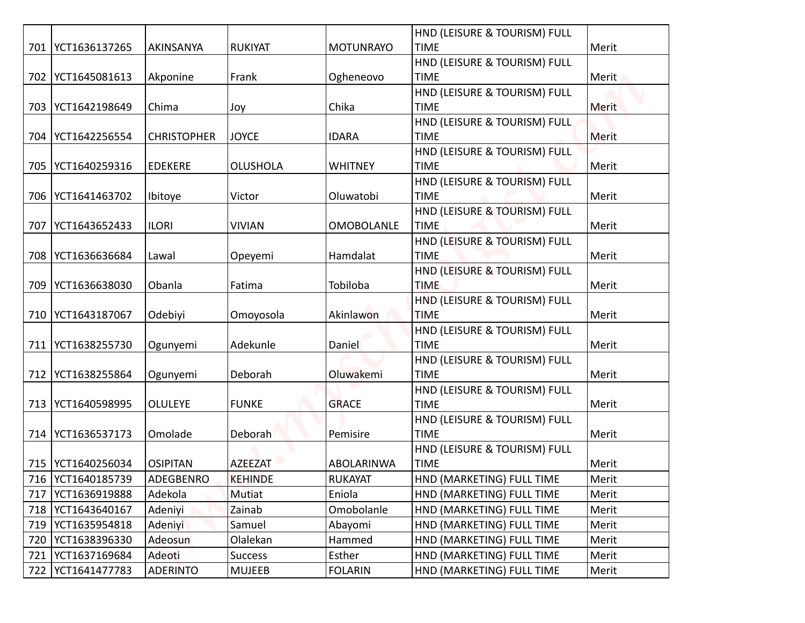| 701 | YCT1636137265                              | AKINSANYA                    | <b>RUKIYAT</b>                   | <b>MOTUNRAYO</b>             | HND (LEISURE & TOURISM) FULL<br><b>TIME</b> | Merit          |
|-----|--------------------------------------------|------------------------------|----------------------------------|------------------------------|---------------------------------------------|----------------|
|     |                                            |                              |                                  |                              | HND (LEISURE & TOURISM) FULL                |                |
|     | 702   YCT1645081613                        | Akponine                     | Frank                            | Ogheneovo                    | <b>TIME</b>                                 | Merit          |
|     |                                            |                              |                                  |                              | HND (LEISURE & TOURISM) FULL                |                |
|     | 703   YCT1642198649                        | Chima                        | Joy                              | Chika                        | <b>TIME</b>                                 | Merit          |
|     |                                            |                              |                                  |                              | HND (LEISURE & TOURISM) FULL                |                |
| 704 | YCT1642256554                              | <b>CHRISTOPHER</b>           | <b>JOYCE</b>                     | <b>IDARA</b>                 | <b>TIME</b>                                 | Merit          |
|     |                                            |                              |                                  |                              | HND (LEISURE & TOURISM) FULL                |                |
|     | 705   YCT1640259316                        | <b>EDEKERE</b>               | <b>OLUSHOLA</b>                  | <b>WHITNEY</b>               | <b>TIME</b>                                 | Merit          |
|     |                                            |                              |                                  |                              | HND (LEISURE & TOURISM) FULL                |                |
|     | 706   YCT1641463702                        | Ibitoye                      | Victor                           | Oluwatobi                    | <b>TIME</b>                                 | Merit          |
|     |                                            |                              |                                  |                              | HND (LEISURE & TOURISM) FULL                |                |
| 707 | YCT1643652433                              | <b>ILORI</b>                 | <b>VIVIAN</b>                    | <b>OMOBOLANLE</b>            | <b>TIME</b>                                 | Merit          |
|     |                                            |                              |                                  |                              | HND (LEISURE & TOURISM) FULL                |                |
| 708 | YCT1636636684                              | Lawal                        | Opeyemi                          | Hamdalat                     | <b>TIME</b>                                 | Merit          |
| 709 | YCT1636638030                              | Obanla                       | Fatima                           | Tobiloba                     | HND (LEISURE & TOURISM) FULL<br><b>TIME</b> | Merit          |
|     |                                            |                              |                                  |                              | HND (LEISURE & TOURISM) FULL                |                |
|     | 710 YCT1643187067                          | Odebiyi                      | Omoyosola                        | Akinlawon                    | <b>TIME</b>                                 | Merit          |
|     |                                            |                              |                                  |                              | HND (LEISURE & TOURISM) FULL                |                |
|     | 711   YCT1638255730                        | Ogunyemi                     | Adekunle                         | <b>Daniel</b>                | <b>TIME</b>                                 | Merit          |
|     |                                            |                              |                                  |                              | HND (LEISURE & TOURISM) FULL                |                |
|     | 712   YCT1638255864                        | Ogunyemi                     | Deborah                          | Oluwakemi                    | <b>TIME</b>                                 | Merit          |
|     |                                            |                              |                                  |                              | HND (LEISURE & TOURISM) FULL                |                |
|     | 713   YCT1640598995                        | <b>OLULEYE</b>               | <b>FUNKE</b>                     | <b>GRACE</b>                 | <b>TIME</b>                                 | Merit          |
|     |                                            |                              |                                  |                              | HND (LEISURE & TOURISM) FULL                |                |
|     | 714   YCT1636537173                        | Omolade                      | Deborah                          | Pemisire                     | <b>TIME</b>                                 | Merit          |
|     |                                            |                              |                                  |                              | HND (LEISURE & TOURISM) FULL                |                |
|     | 715   YCT1640256034<br>716   YCT1640185739 | <b>OSIPITAN</b><br>ADEGBENRO | <b>AZEEZAT</b><br><b>KEHINDE</b> | ABOLARINWA<br><b>RUKAYAT</b> | <b>TIME</b><br>HND (MARKETING) FULL TIME    | Merit<br>Merit |
| 717 | YCT1636919888                              | Adekola                      | Mutiat                           | Eniola                       | HND (MARKETING) FULL TIME                   | Merit          |
| 718 | YCT1643640167                              | Adeniyi                      | Zainab                           | Omobolanle                   | HND (MARKETING) FULL TIME                   | Merit          |
| 719 | YCT1635954818                              | Adeniyi                      | Samuel                           | Abayomi                      | HND (MARKETING) FULL TIME                   | Merit          |
| 720 | YCT1638396330                              | Adeosun                      | Olalekan                         | Hammed                       | HND (MARKETING) FULL TIME                   | Merit          |
| 721 | YCT1637169684                              | Adeoti                       | <b>Success</b>                   | Esther                       | HND (MARKETING) FULL TIME                   | Merit          |
|     | 722   YCT1641477783                        | <b>ADERINTO</b>              | <b>MUJEEB</b>                    | <b>FOLARIN</b>               | HND (MARKETING) FULL TIME                   | Merit          |
|     |                                            |                              |                                  |                              |                                             |                |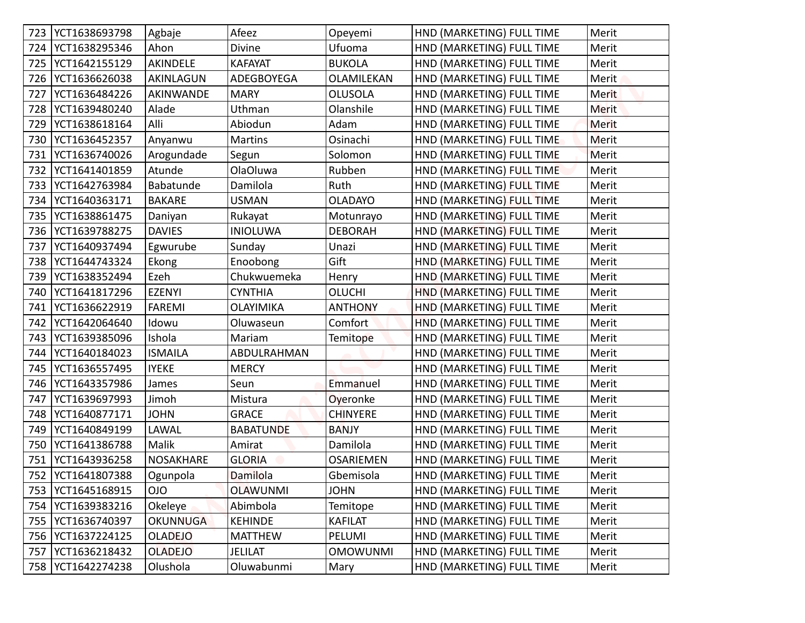|     | 723   YCT1638693798 | Agbaje          | Afeez            | Opeyemi          | HND (MARKETING) FULL TIME | Merit        |
|-----|---------------------|-----------------|------------------|------------------|---------------------------|--------------|
| 724 | YCT1638295346       | Ahon            | Divine           | Ufuoma           | HND (MARKETING) FULL TIME | Merit        |
| 725 | YCT1642155129       | AKINDELE        | <b>KAFAYAT</b>   | <b>BUKOLA</b>    | HND (MARKETING) FULL TIME | Merit        |
| 726 | YCT1636626038       | AKINLAGUN       | ADEGBOYEGA       | OLAMILEKAN       | HND (MARKETING) FULL TIME | Merit        |
| 727 | YCT1636484226       | AKINWANDE       | <b>MARY</b>      | <b>OLUSOLA</b>   | HND (MARKETING) FULL TIME | <b>Merit</b> |
| 728 | YCT1639480240       | Alade           | Uthman           | Olanshile        | HND (MARKETING) FULL TIME | <b>Merit</b> |
| 729 | YCT1638618164       | Alli            | Abiodun          | Adam             | HND (MARKETING) FULL TIME | <b>Merit</b> |
| 730 | YCT1636452357       | Anyanwu         | <b>Martins</b>   | Osinachi         | HND (MARKETING) FULL TIME | <b>Merit</b> |
| 731 | YCT1636740026       | Arogundade      | Segun            | Solomon          | HND (MARKETING) FULL TIME | Merit        |
| 732 | YCT1641401859       | Atunde          | <b>OlaOluwa</b>  | Rubben           | HND (MARKETING) FULL TIME | Merit        |
| 733 | YCT1642763984       | Babatunde       | Damilola         | Ruth             | HND (MARKETING) FULL TIME | Merit        |
| 734 | YCT1640363171       | <b>BAKARE</b>   | <b>USMAN</b>     | <b>OLADAYO</b>   | HND (MARKETING) FULL TIME | Merit        |
| 735 | YCT1638861475       | Daniyan         | Rukayat          | Motunrayo        | HND (MARKETING) FULL TIME | Merit        |
| 736 | YCT1639788275       | <b>DAVIES</b>   | <b>INIOLUWA</b>  | <b>DEBORAH</b>   | HND (MARKETING) FULL TIME | Merit        |
| 737 | YCT1640937494       | Egwurube        | Sunday           | Unazi            | HND (MARKETING) FULL TIME | Merit        |
| 738 | YCT1644743324       | Ekong           | Enoobong         | Gift             | HND (MARKETING) FULL TIME | Merit        |
| 739 | YCT1638352494       | Ezeh            | Chukwuemeka      | Henry            | HND (MARKETING) FULL TIME | Merit        |
| 740 | YCT1641817296       | <b>EZENYI</b>   | <b>CYNTHIA</b>   | <b>OLUCHI</b>    | HND (MARKETING) FULL TIME | Merit        |
| 741 | YCT1636622919       | <b>FAREMI</b>   | OLAYIMIKA        | <b>ANTHONY</b>   | HND (MARKETING) FULL TIME | Merit        |
| 742 | YCT1642064640       | Idowu           | Oluwaseun        | Comfort          | HND (MARKETING) FULL TIME | Merit        |
|     | 743 YCT1639385096   | Ishola          | Mariam           | Temitope         | HND (MARKETING) FULL TIME | Merit        |
|     | 744   YCT1640184023 | <b>ISMAILA</b>  | ABDULRAHMAN      |                  | HND (MARKETING) FULL TIME | Merit        |
|     | 745   YCT1636557495 | <b>IYEKE</b>    | <b>MERCY</b>     |                  | HND (MARKETING) FULL TIME | Merit        |
| 746 | YCT1643357986       | James           | Seun             | Emmanuel         | HND (MARKETING) FULL TIME | Merit        |
| 747 | YCT1639697993       | Jimoh           | Mistura          | Oyeronke         | HND (MARKETING) FULL TIME | Merit        |
| 748 | YCT1640877171       | <b>JOHN</b>     | <b>GRACE</b>     | <b>CHINYERE</b>  | HND (MARKETING) FULL TIME | Merit        |
| 749 | YCT1640849199       | LAWAL           | <b>BABATUNDE</b> | <b>BANJY</b>     | HND (MARKETING) FULL TIME | Merit        |
| 750 | YCT1641386788       | Malik           | Amirat           | Damilola         | HND (MARKETING) FULL TIME | Merit        |
| 751 | YCT1643936258       | NOSAKHARE       | <b>GLORIA</b>    | <b>OSARIEMEN</b> | HND (MARKETING) FULL TIME | Merit        |
| 752 | YCT1641807388       | Ogunpola        | <b>Damilola</b>  | Gbemisola        | HND (MARKETING) FULL TIME | Merit        |
| 753 | YCT1645168915       | <b>OIO</b>      | <b>OLAWUNMI</b>  | <b>JOHN</b>      | HND (MARKETING) FULL TIME | Merit        |
| 754 | YCT1639383216       | Okeleye         | Abimbola         | Temitope         | HND (MARKETING) FULL TIME | Merit        |
| 755 | YCT1636740397       | <b>OKUNNUGA</b> | <b>KEHINDE</b>   | <b>KAFILAT</b>   | HND (MARKETING) FULL TIME | Merit        |
| 756 | YCT1637224125       | <b>OLADEJO</b>  | <b>MATTHEW</b>   | PELUMI           | HND (MARKETING) FULL TIME | Merit        |
| 757 | YCT1636218432       | <b>OLADEJO</b>  | <b>JELILAT</b>   | <b>OMOWUNMI</b>  | HND (MARKETING) FULL TIME | Merit        |
|     | 758   YCT1642274238 | Olushola        | Oluwabunmi       | Mary             | HND (MARKETING) FULL TIME | Merit        |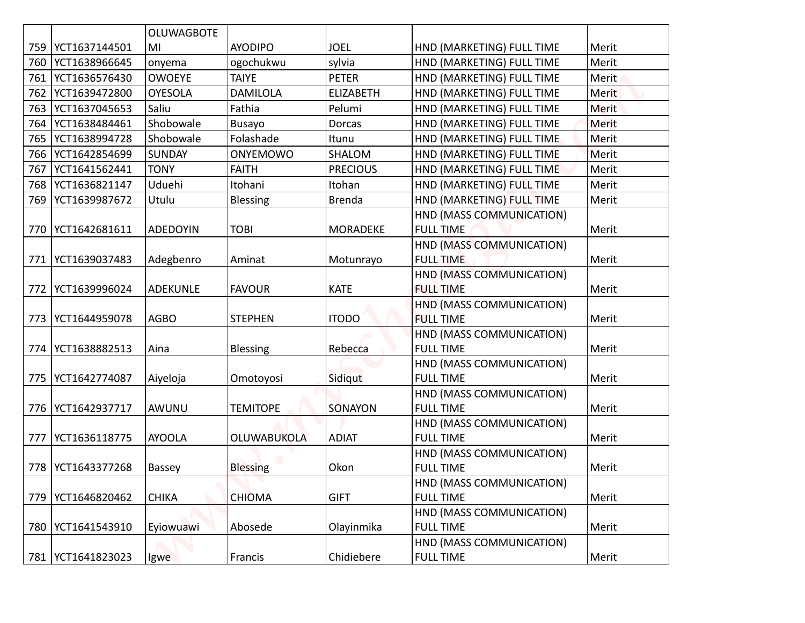|     |                     | <b>OLUWAGBOTE</b> |                    |                  |                                              |              |
|-----|---------------------|-------------------|--------------------|------------------|----------------------------------------------|--------------|
|     | 759   YCT1637144501 | MI                | <b>AYODIPO</b>     | <b>JOEL</b>      | HND (MARKETING) FULL TIME                    | Merit        |
|     | 760   YCT1638966645 | onyema            | ogochukwu          | sylvia           | HND (MARKETING) FULL TIME                    | Merit        |
| 761 | YCT1636576430       | <b>OWOEYE</b>     | <b>TAIYE</b>       | <b>PETER</b>     | HND (MARKETING) FULL TIME                    | Merit        |
| 762 | YCT1639472800       | <b>OYESOLA</b>    | <b>DAMILOLA</b>    | <b>ELIZABETH</b> | HND (MARKETING) FULL TIME                    | <b>Merit</b> |
| 763 | YCT1637045653       | Saliu             | Fathia             | Pelumi           | HND (MARKETING) FULL TIME                    | <b>Merit</b> |
| 764 | YCT1638484461       | Shobowale         | Busayo             | <b>Dorcas</b>    | HND (MARKETING) FULL TIME                    | <b>Merit</b> |
| 765 | YCT1638994728       | Shobowale         | Folashade          | Itunu            | HND (MARKETING) FULL TIME                    | Merit        |
|     | 766   YCT1642854699 | <b>SUNDAY</b>     | ONYEMOWO           | SHALOM           | HND (MARKETING) FULL TIME                    | Merit        |
| 767 | YCT1641562441       | <b>TONY</b>       | <b>FAITH</b>       | <b>PRECIOUS</b>  | HND (MARKETING) FULL TIME                    | Merit        |
|     | 768   YCT1636821147 | Uduehi            | Itohani            | Itohan           | HND (MARKETING) FULL TIME                    | Merit        |
| 769 | YCT1639987672       | Utulu             | <b>Blessing</b>    | <b>Brenda</b>    | HND (MARKETING) FULL TIME                    | Merit        |
|     |                     |                   |                    |                  | HND (MASS COMMUNICATION)                     |              |
|     | 770   YCT1642681611 | <b>ADEDOYIN</b>   | <b>TOBI</b>        | <b>MORADEKE</b>  | <b>FULL TIME</b>                             | Merit        |
|     |                     |                   |                    |                  | HND (MASS COMMUNICATION)                     |              |
| 771 | YCT1639037483       | Adegbenro         | Aminat             | Motunrayo        | <b>FULL TIME</b>                             | Merit        |
|     |                     |                   |                    |                  | HND (MASS COMMUNICATION)                     |              |
|     | 772   YCT1639996024 | <b>ADEKUNLE</b>   | <b>FAVOUR</b>      | <b>KATE</b>      | <b>FULL TIME</b>                             | Merit        |
|     |                     |                   |                    |                  | HND (MASS COMMUNICATION)                     |              |
| 773 | YCT1644959078       | <b>AGBO</b>       | <b>STEPHEN</b>     | <b>ITODO</b>     | <b>FULL TIME</b>                             | Merit        |
|     |                     |                   |                    |                  | HND (MASS COMMUNICATION)                     |              |
|     | 774   YCT1638882513 | Aina              | <b>Blessing</b>    | Rebecca          | <b>FULL TIME</b>                             | Merit        |
|     |                     |                   |                    |                  | HND (MASS COMMUNICATION)                     |              |
| 775 | YCT1642774087       | Aiyeloja          | Omotoyosi          | Sidiqut          | <b>FULL TIME</b>                             | Merit        |
|     |                     |                   |                    |                  | HND (MASS COMMUNICATION)                     |              |
|     | 776   YCT1642937717 | AWUNU             | <b>TEMITOPE</b>    | SONAYON          | <b>FULL TIME</b>                             | Merit        |
| 777 | YCT1636118775       | <b>AYOOLA</b>     | <b>OLUWABUKOLA</b> | <b>ADIAT</b>     | HND (MASS COMMUNICATION)<br><b>FULL TIME</b> | Merit        |
|     |                     |                   |                    |                  | HND (MASS COMMUNICATION)                     |              |
|     | 778   YCT1643377268 | Bassey            | <b>Blessing</b>    | Okon             | <b>FULL TIME</b>                             | Merit        |
|     |                     |                   |                    |                  | HND (MASS COMMUNICATION)                     |              |
| 779 | YCT1646820462       | <b>CHIKA</b>      | <b>CHIOMA</b>      | <b>GIFT</b>      | <b>FULL TIME</b>                             | Merit        |
|     |                     |                   |                    |                  | HND (MASS COMMUNICATION)                     |              |
|     | 780 YCT1641543910   | Eyiowuawi         | Abosede            | Olayinmika       | <b>FULL TIME</b>                             | Merit        |
|     |                     |                   |                    |                  | HND (MASS COMMUNICATION)                     |              |
|     | 781   YCT1641823023 | Igwe              | Francis            | Chidiebere       | <b>FULL TIME</b>                             | Merit        |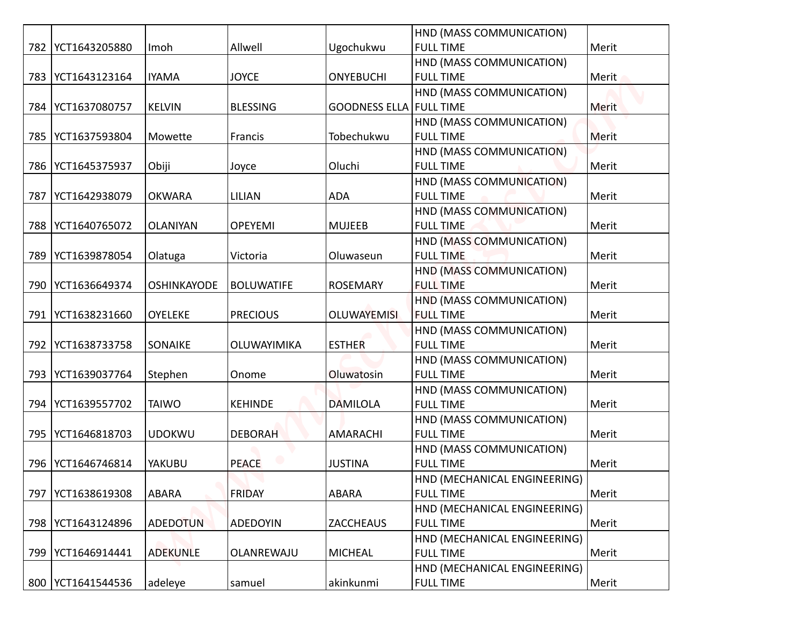|     | 782   YCT1643205880 | Imoh               | Allwell            | Ugochukwu                      | HND (MASS COMMUNICATION)<br><b>FULL TIME</b> | Merit        |
|-----|---------------------|--------------------|--------------------|--------------------------------|----------------------------------------------|--------------|
|     |                     |                    |                    |                                | HND (MASS COMMUNICATION)                     |              |
| 783 | YCT1643123164       | <b>IYAMA</b>       | <b>JOYCE</b>       | <b>ONYEBUCHI</b>               | <b>FULL TIME</b>                             | Merit        |
|     |                     |                    |                    |                                | HND (MASS COMMUNICATION)                     |              |
| 784 | YCT1637080757       | <b>KELVIN</b>      | <b>BLESSING</b>    | <b>GOODNESS ELLA FULL TIME</b> |                                              | <b>Merit</b> |
|     |                     |                    |                    |                                | HND (MASS COMMUNICATION)                     |              |
| 785 | YCT1637593804       | Mowette            | Francis            | Tobechukwu                     | <b>FULL TIME</b>                             | Merit        |
|     |                     |                    |                    |                                | HND (MASS COMMUNICATION)                     |              |
|     | 786   YCT1645375937 | Obiji              | Joyce              | Oluchi                         | <b>FULL TIME</b>                             | Merit        |
|     |                     |                    |                    |                                | HND (MASS COMMUNICATION)                     |              |
| 787 | YCT1642938079       | <b>OKWARA</b>      | <b>LILIAN</b>      | <b>ADA</b>                     | <b>FULL TIME</b>                             | Merit        |
|     |                     |                    |                    |                                | HND (MASS COMMUNICATION)                     |              |
| 788 | YCT1640765072       | <b>OLANIYAN</b>    | <b>OPEYEMI</b>     | <b>MUJEEB</b>                  | <b>FULL TIME</b>                             | Merit        |
|     |                     |                    |                    |                                | HND (MASS COMMUNICATION)                     |              |
| 789 | YCT1639878054       | Olatuga            | Victoria           | Oluwaseun                      | <b>FULL TIME</b>                             | Merit        |
|     |                     |                    |                    |                                | HND (MASS COMMUNICATION)                     |              |
|     | 790   YCT1636649374 | <b>OSHINKAYODE</b> | <b>BOLUWATIFE</b>  | <b>ROSEMARY</b>                | <b>FULL TIME</b>                             | Merit        |
|     |                     |                    |                    |                                | HND (MASS COMMUNICATION)                     |              |
| 791 | YCT1638231660       | <b>OYELEKE</b>     | <b>PRECIOUS</b>    | <b>OLUWAYEMISI</b>             | <b>FULL TIME</b>                             | Merit        |
|     |                     |                    |                    |                                | HND (MASS COMMUNICATION)                     |              |
|     | 792   YCT1638733758 | <b>SONAIKE</b>     | <b>OLUWAYIMIKA</b> | <b>ESTHER</b>                  | <b>FULL TIME</b>                             | Merit        |
|     |                     |                    |                    |                                | HND (MASS COMMUNICATION)                     |              |
|     | 793   YCT1639037764 | Stephen            | Onome              | Oluwatosin                     | <b>FULL TIME</b>                             | Merit        |
|     |                     |                    |                    |                                | HND (MASS COMMUNICATION)                     |              |
|     | 794   YCT1639557702 | <b>TAIWO</b>       | <b>KEHINDE</b>     | <b>DAMILOLA</b>                | <b>FULL TIME</b>                             | Merit        |
|     | YCT1646818703       | <b>UDOKWU</b>      | <b>DEBORAH</b>     | <b>AMARACHI</b>                | HND (MASS COMMUNICATION)<br><b>FULL TIME</b> | Merit        |
| 795 |                     |                    |                    |                                | HND (MASS COMMUNICATION)                     |              |
|     | 796   YCT1646746814 | YAKUBU             | <b>PEACE</b>       | <b>JUSTINA</b>                 | <b>FULL TIME</b>                             | Merit        |
|     |                     |                    |                    |                                | HND (MECHANICAL ENGINEERING)                 |              |
| 797 | YCT1638619308       | ABARA              | <b>FRIDAY</b>      | ABARA                          | <b>FULL TIME</b>                             | Merit        |
|     |                     |                    |                    |                                | HND (MECHANICAL ENGINEERING)                 |              |
|     | 798   YCT1643124896 | <b>ADEDOTUN</b>    | <b>ADEDOYIN</b>    | <b>ZACCHEAUS</b>               | <b>FULL TIME</b>                             | Merit        |
|     |                     |                    |                    |                                | HND (MECHANICAL ENGINEERING)                 |              |
|     | 799   YCT1646914441 | <b>ADEKUNLE</b>    | OLANREWAJU         | <b>MICHEAL</b>                 | <b>FULL TIME</b>                             | Merit        |
|     |                     |                    |                    |                                | HND (MECHANICAL ENGINEERING)                 |              |
|     | 800 YCT1641544536   | adeleye            | samuel             | akinkunmi                      | <b>FULL TIME</b>                             | Merit        |
|     |                     |                    |                    |                                |                                              |              |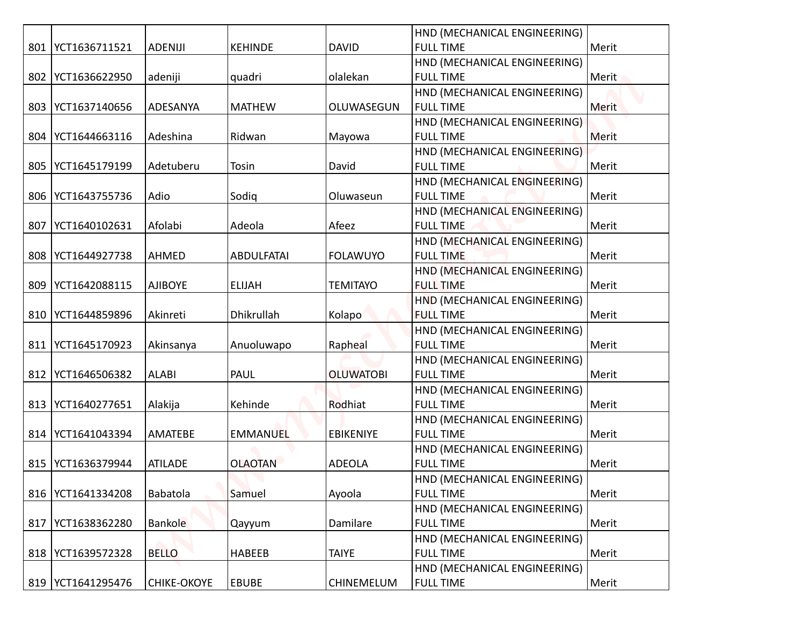|     |                     |                    |                   |                   | HND (MECHANICAL ENGINEERING)                     |       |
|-----|---------------------|--------------------|-------------------|-------------------|--------------------------------------------------|-------|
|     | 801   YCT1636711521 | <b>ADENIJI</b>     | <b>KEHINDE</b>    | <b>DAVID</b>      | <b>FULL TIME</b>                                 | Merit |
|     |                     |                    |                   |                   | HND (MECHANICAL ENGINEERING)                     |       |
|     | 802   YCT1636622950 | adeniji            | quadri            | olalekan          | <b>FULL TIME</b>                                 | Merit |
|     |                     |                    |                   |                   | HND (MECHANICAL ENGINEERING)                     |       |
|     | 803   YCT1637140656 | ADESANYA           | <b>MATHEW</b>     | OLUWASEGUN        | <b>FULL TIME</b>                                 | Merit |
|     |                     |                    |                   |                   | HND (MECHANICAL ENGINEERING)                     |       |
|     | 804   YCT1644663116 | Adeshina           | Ridwan            | Mayowa            | <b>FULL TIME</b>                                 | Merit |
|     |                     |                    |                   |                   | HND (MECHANICAL ENGINEERING)                     |       |
|     | 805   YCT1645179199 | Adetuberu          | Tosin             | David             | <b>FULL TIME</b>                                 | Merit |
|     |                     |                    |                   |                   | HND (MECHANICAL ENGINEERING)                     |       |
|     | 806   YCT1643755736 | Adio               | Sodig             | Oluwaseun         | <b>FULL TIME</b>                                 | Merit |
|     |                     |                    |                   |                   | HND (MECHANICAL ENGINEERING)                     |       |
| 807 | YCT1640102631       | Afolabi            | Adeola            | Afeez             | <b>FULL TIME</b>                                 | Merit |
|     |                     |                    |                   |                   | HND (MECHANICAL ENGINEERING)                     |       |
|     | 808   YCT1644927738 | AHMED              | <b>ABDULFATAI</b> | <b>FOLAWUYO</b>   | <b>FULL TIME</b>                                 | Merit |
|     |                     |                    |                   |                   | HND (MECHANICAL ENGINEERING)                     |       |
|     | 809   YCT1642088115 | <b>AJIBOYE</b>     | <b>ELIJAH</b>     | <b>TEMITAYO</b>   | <b>FULL TIME</b>                                 | Merit |
|     |                     |                    |                   |                   | HND (MECHANICAL ENGINEERING)                     |       |
|     | 810   YCT1644859896 | Akinreti           | Dhikrullah        | Kolapo            | <b>FULL TIME</b>                                 | Merit |
|     |                     |                    |                   |                   | HND (MECHANICAL ENGINEERING)                     |       |
|     | 811   YCT1645170923 | Akinsanya          | Anuoluwapo        | Rapheal           | <b>FULL TIME</b>                                 | Merit |
|     |                     |                    |                   |                   | HND (MECHANICAL ENGINEERING)                     |       |
|     | 812   YCT1646506382 | <b>ALABI</b>       | PAUL              | <b>OLUWATOBI</b>  | <b>FULL TIME</b>                                 | Merit |
|     |                     |                    |                   |                   | HND (MECHANICAL ENGINEERING)                     |       |
|     | 813   YCT1640277651 | Alakija            | Kehinde           | Rodhiat           | <b>FULL TIME</b>                                 | Merit |
|     |                     |                    |                   |                   | HND (MECHANICAL ENGINEERING)                     |       |
|     | 814   YCT1641043394 | AMATEBE            | <b>EMMANUEL</b>   | <b>EBIKENIYE</b>  | <b>FULL TIME</b>                                 | Merit |
|     |                     |                    | <b>OLAOTAN</b>    |                   | HND (MECHANICAL ENGINEERING)<br><b>FULL TIME</b> |       |
| 815 | YCT1636379944       | <b>ATILADE</b>     |                   | <b>ADEOLA</b>     |                                                  | Merit |
|     | 816   YCT1641334208 | Babatola           | Samuel            | Ayoola            | HND (MECHANICAL ENGINEERING)<br><b>FULL TIME</b> | Merit |
|     |                     |                    |                   |                   | HND (MECHANICAL ENGINEERING)                     |       |
| 817 | YCT1638362280       | <b>Bankole</b>     | Qayyum            | Damilare          | <b>FULL TIME</b>                                 | Merit |
|     |                     |                    |                   |                   | HND (MECHANICAL ENGINEERING)                     |       |
|     | 818   YCT1639572328 | <b>BELLO</b>       | <b>HABEEB</b>     | <b>TAIYE</b>      | <b>FULL TIME</b>                                 | Merit |
|     |                     |                    |                   |                   | HND (MECHANICAL ENGINEERING)                     |       |
|     | 819   YCT1641295476 | <b>CHIKE-OKOYE</b> | EBUBE             | <b>CHINEMELUM</b> | <b>FULL TIME</b>                                 | Merit |
|     |                     |                    |                   |                   |                                                  |       |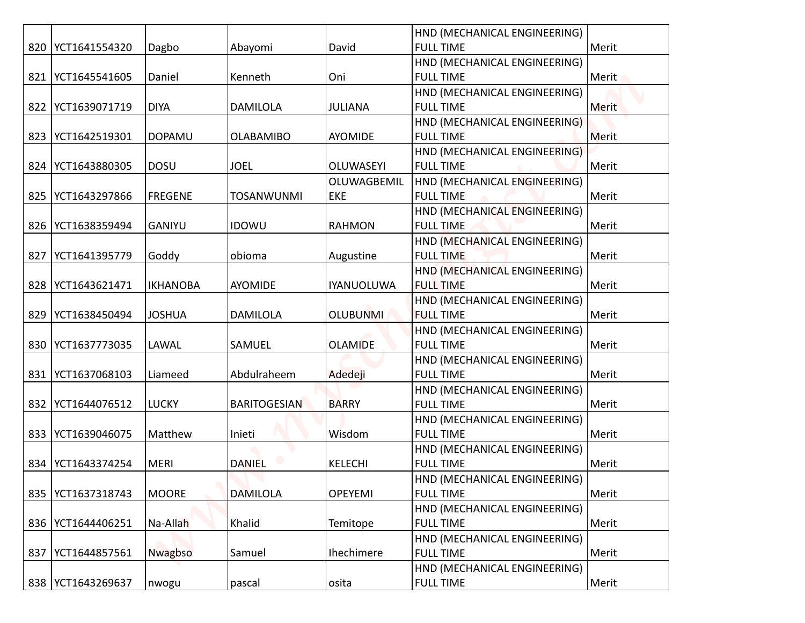|     |                     |                 |                     |                   | HND (MECHANICAL ENGINEERING) |              |
|-----|---------------------|-----------------|---------------------|-------------------|------------------------------|--------------|
|     | 820   YCT1641554320 | Dagbo           | Abayomi             | David             | <b>FULL TIME</b>             | Merit        |
|     |                     |                 |                     |                   | HND (MECHANICAL ENGINEERING) |              |
| 821 | YCT1645541605       | Daniel          | Kenneth             | Oni               | <b>FULL TIME</b>             | Merit        |
|     |                     |                 |                     |                   | HND (MECHANICAL ENGINEERING) |              |
|     | 822   YCT1639071719 | <b>DIYA</b>     | <b>DAMILOLA</b>     | <b>JULIANA</b>    | <b>FULL TIME</b>             | <b>Merit</b> |
|     |                     |                 |                     |                   | HND (MECHANICAL ENGINEERING) |              |
| 823 | YCT1642519301       | <b>DOPAMU</b>   | <b>OLABAMIBO</b>    | AYOMIDE           | <b>FULL TIME</b>             | Merit        |
|     |                     |                 |                     |                   | HND (MECHANICAL ENGINEERING) |              |
|     | 824   YCT1643880305 | <b>DOSU</b>     | <b>JOEL</b>         | <b>OLUWASEYI</b>  | <b>FULL TIME</b>             | Merit        |
|     |                     |                 |                     | OLUWAGBEMIL       | HND (MECHANICAL ENGINEERING) |              |
| 825 | YCT1643297866       | <b>FREGENE</b>  | <b>TOSANWUNMI</b>   | EKE               | <b>FULL TIME</b>             | Merit        |
|     |                     |                 |                     |                   | HND (MECHANICAL ENGINEERING) |              |
|     | 826   YCT1638359494 | <b>GANIYU</b>   | <b>IDOWU</b>        | <b>RAHMON</b>     | <b>FULL TIME</b>             | Merit        |
|     |                     |                 |                     |                   | HND (MECHANICAL ENGINEERING) |              |
| 827 | YCT1641395779       | Goddy           | obioma              | Augustine         | <b>FULL TIME</b>             | Merit        |
|     |                     |                 |                     |                   | HND (MECHANICAL ENGINEERING) |              |
|     | 828   YCT1643621471 | <b>IKHANOBA</b> | AYOMIDE             | <b>IYANUOLUWA</b> | <b>FULL TIME</b>             | Merit        |
|     |                     |                 |                     |                   | HND (MECHANICAL ENGINEERING) |              |
|     | 829   YCT1638450494 | <b>JOSHUA</b>   | <b>DAMILOLA</b>     | <b>OLUBUNMI</b>   | <b>FULL TIME</b>             | Merit        |
|     |                     |                 |                     |                   | HND (MECHANICAL ENGINEERING) |              |
|     | 830 YCT1637773035   | LAWAL           | SAMUEL              | <b>OLAMIDE</b>    | <b>FULL TIME</b>             | Merit        |
|     |                     |                 |                     |                   | HND (MECHANICAL ENGINEERING) |              |
|     | 831   YCT1637068103 | Liameed         | Abdulraheem         | Adedeji           | <b>FULL TIME</b>             | Merit        |
|     |                     |                 |                     |                   | HND (MECHANICAL ENGINEERING) |              |
|     | 832   YCT1644076512 | <b>LUCKY</b>    | <b>BARITOGESIAN</b> | <b>BARRY</b>      | <b>FULL TIME</b>             | Merit        |
|     |                     |                 |                     |                   | HND (MECHANICAL ENGINEERING) |              |
|     | 833   YCT1639046075 | Matthew         | Inieti              | Wisdom            | <b>FULL TIME</b>             | Merit        |
|     |                     |                 |                     |                   | HND (MECHANICAL ENGINEERING) |              |
|     | 834 YCT1643374254   | MERI            | <b>DANIEL</b>       | <b>KELECHI</b>    | <b>FULL TIME</b>             | Merit        |
|     |                     |                 |                     |                   | HND (MECHANICAL ENGINEERING) |              |
|     | 835   YCT1637318743 | <b>MOORE</b>    | <b>DAMILOLA</b>     | <b>OPEYEMI</b>    | <b>FULL TIME</b>             | Merit        |
|     |                     |                 |                     |                   | HND (MECHANICAL ENGINEERING) |              |
|     | 836   YCT1644406251 | Na-Allah        | Khalid              | Temitope          | <b>FULL TIME</b>             | Merit        |
|     |                     |                 |                     |                   | HND (MECHANICAL ENGINEERING) |              |
|     | 837   YCT1644857561 | Nwagbso         | Samuel              | Ihechimere        | <b>FULL TIME</b>             | Merit        |
|     |                     |                 |                     |                   | HND (MECHANICAL ENGINEERING) |              |
|     | 838   YCT1643269637 | nwogu           | pascal              | osita             | <b>FULL TIME</b>             | Merit        |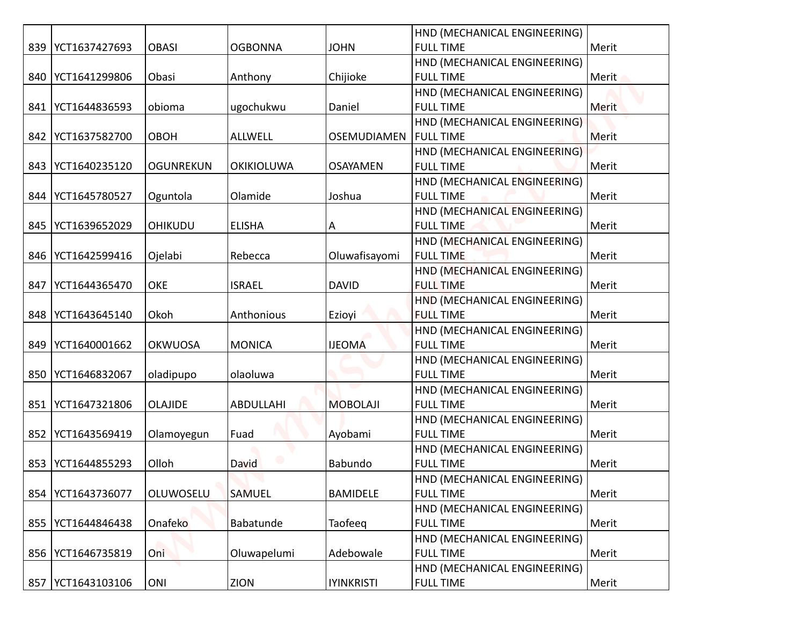|     |                     |                  |                   |                    | HND (MECHANICAL ENGINEERING) |              |
|-----|---------------------|------------------|-------------------|--------------------|------------------------------|--------------|
|     | 839   YCT1637427693 | <b>OBASI</b>     | <b>OGBONNA</b>    | <b>JOHN</b>        | <b>FULL TIME</b>             | Merit        |
|     |                     |                  |                   |                    | HND (MECHANICAL ENGINEERING) |              |
|     | 840   YCT1641299806 | Obasi            | Anthony           | Chijioke           | <b>FULL TIME</b>             | Merit        |
|     |                     |                  |                   |                    | HND (MECHANICAL ENGINEERING) |              |
|     | 841   YCT1644836593 | obioma           | ugochukwu         | Daniel             | <b>FULL TIME</b>             | <b>Merit</b> |
|     |                     |                  |                   |                    | HND (MECHANICAL ENGINEERING) |              |
|     | 842   YCT1637582700 | OBOH             | <b>ALLWELL</b>    | <b>OSEMUDIAMEN</b> | <b>FULL TIME</b>             | Merit        |
|     |                     |                  |                   |                    | HND (MECHANICAL ENGINEERING) |              |
|     | 843   YCT1640235120 | <b>OGUNREKUN</b> | <b>OKIKIOLUWA</b> | <b>OSAYAMEN</b>    | <b>FULL TIME</b>             | Merit        |
|     |                     |                  |                   |                    | HND (MECHANICAL ENGINEERING) |              |
| 844 | YCT1645780527       | Oguntola         | Olamide           | Joshua             | <b>FULL TIME</b>             | Merit        |
|     |                     |                  |                   |                    | HND (MECHANICAL ENGINEERING) |              |
| 845 | YCT1639652029       | <b>OHIKUDU</b>   | <b>ELISHA</b>     | A                  | <b>FULL TIME</b>             | Merit        |
|     |                     |                  |                   |                    | HND (MECHANICAL ENGINEERING) |              |
|     | 846   YCT1642599416 | Ojelabi          | Rebecca           | Oluwafisayomi      | <b>FULL TIME</b>             | Merit        |
|     |                     |                  |                   |                    | HND (MECHANICAL ENGINEERING) |              |
| 847 | YCT1644365470       | <b>OKE</b>       | <b>ISRAEL</b>     | <b>DAVID</b>       | <b>FULL TIME</b>             | Merit        |
|     |                     |                  |                   |                    | HND (MECHANICAL ENGINEERING) |              |
|     | 848   YCT1643645140 | Okoh             | Anthonious        | Ezioyi             | <b>FULL TIME</b>             | Merit        |
|     |                     |                  |                   |                    | HND (MECHANICAL ENGINEERING) |              |
|     | 849   YCT1640001662 | <b>OKWUOSA</b>   | <b>MONICA</b>     | <b>IJEOMA</b>      | <b>FULL TIME</b>             | Merit        |
|     |                     |                  |                   |                    | HND (MECHANICAL ENGINEERING) |              |
|     | 850   YCT1646832067 | oladipupo        | olaoluwa          |                    | <b>FULL TIME</b>             | Merit        |
|     |                     |                  |                   |                    | HND (MECHANICAL ENGINEERING) |              |
| 851 | YCT1647321806       | <b>OLAJIDE</b>   | ABDULLAHI         | <b>MOBOLAJI</b>    | <b>FULL TIME</b>             | Merit        |
|     |                     |                  |                   |                    | HND (MECHANICAL ENGINEERING) |              |
|     | 852   YCT1643569419 | Olamoyegun       | Fuad              | Ayobami            | <b>FULL TIME</b>             | Merit        |
|     |                     |                  |                   |                    | HND (MECHANICAL ENGINEERING) |              |
| 853 | YCT1644855293       | Olloh            | David             | Babundo            | <b>FULL TIME</b>             | Merit        |
|     |                     |                  |                   |                    | HND (MECHANICAL ENGINEERING) |              |
|     | 854   YCT1643736077 | OLUWOSELU        | SAMUEL            | <b>BAMIDELE</b>    | <b>FULL TIME</b>             | Merit        |
|     |                     |                  |                   |                    | HND (MECHANICAL ENGINEERING) |              |
|     | 855   YCT1644846438 | Onafeko          | Babatunde         | Taofeeq            | <b>FULL TIME</b>             | Merit        |
|     |                     |                  |                   |                    | HND (MECHANICAL ENGINEERING) |              |
|     | 856   YCT1646735819 | Oni.             | Oluwapelumi       | Adebowale          | <b>FULL TIME</b>             | Merit        |
|     |                     |                  |                   |                    | HND (MECHANICAL ENGINEERING) |              |
|     | 857   YCT1643103106 | ONI              | ZION              | <b>IYINKRISTI</b>  | <b>FULL TIME</b>             | Merit        |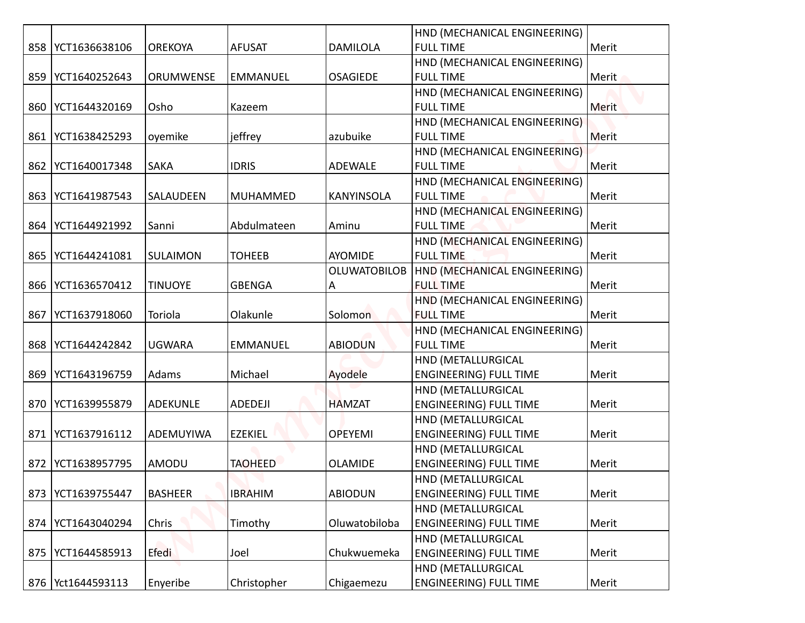|     |                     |                  |                 |                     | HND (MECHANICAL ENGINEERING)  |       |
|-----|---------------------|------------------|-----------------|---------------------|-------------------------------|-------|
|     | 858   YCT1636638106 | <b>OREKOYA</b>   | <b>AFUSAT</b>   | <b>DAMILOLA</b>     | <b>FULL TIME</b>              | Merit |
|     |                     |                  |                 |                     | HND (MECHANICAL ENGINEERING)  |       |
|     | 859   YCT1640252643 | <b>ORUMWENSE</b> | <b>EMMANUEL</b> | <b>OSAGIEDE</b>     | <b>FULL TIME</b>              | Merit |
|     |                     |                  |                 |                     | HND (MECHANICAL ENGINEERING)  |       |
|     | 860   YCT1644320169 | Osho             | Kazeem          |                     | <b>FULL TIME</b>              | Merit |
|     |                     |                  |                 |                     | HND (MECHANICAL ENGINEERING)  |       |
|     | 861   YCT1638425293 | oyemike          | jeffrey         | azubuike            | <b>FULL TIME</b>              | Merit |
|     |                     |                  |                 |                     | HND (MECHANICAL ENGINEERING)  |       |
|     | 862   YCT1640017348 | <b>SAKA</b>      | <b>IDRIS</b>    | ADEWALE             | <b>FULL TIME</b>              | Merit |
|     |                     |                  |                 |                     | HND (MECHANICAL ENGINEERING)  |       |
|     | 863   YCT1641987543 | SALAUDEEN        | <b>MUHAMMED</b> | <b>KANYINSOLA</b>   | <b>FULL TIME</b>              | Merit |
|     |                     |                  |                 |                     | HND (MECHANICAL ENGINEERING)  |       |
|     | 864   YCT1644921992 | Sanni            | Abdulmateen     | Aminu               | <b>FULL TIME</b>              | Merit |
|     |                     |                  |                 |                     | HND (MECHANICAL ENGINEERING)  |       |
|     | 865   YCT1644241081 | SULAIMON         | <b>TOHEEB</b>   | <b>AYOMIDE</b>      | <b>FULL TIME</b>              | Merit |
|     |                     |                  |                 | <b>OLUWATOBILOB</b> | HND (MECHANICAL ENGINEERING)  |       |
|     | 866   YCT1636570412 | <b>TINUOYE</b>   | <b>GBENGA</b>   | A                   | <b>FULL TIME</b>              | Merit |
|     |                     |                  |                 |                     | HND (MECHANICAL ENGINEERING)  |       |
|     | 867   YCT1637918060 | Toriola          | Olakunle        | Solomon             | <b>FULL TIME</b>              | Merit |
|     |                     |                  |                 |                     | HND (MECHANICAL ENGINEERING)  |       |
|     | 868   YCT1644242842 | <b>UGWARA</b>    | <b>EMMANUEL</b> | <b>ABIODUN</b>      | <b>FULL TIME</b>              | Merit |
|     |                     |                  |                 |                     | HND (METALLURGICAL            |       |
|     | 869   YCT1643196759 | Adams            | Michael         | Ayodele             | <b>ENGINEERING) FULL TIME</b> | Merit |
|     |                     |                  |                 |                     | HND (METALLURGICAL            |       |
|     | 870   YCT1639955879 | <b>ADEKUNLE</b>  | ADEDEJI         | <b>HAMZAT</b>       | <b>ENGINEERING) FULL TIME</b> | Merit |
|     |                     |                  |                 |                     | HND (METALLURGICAL            |       |
|     | 871   YCT1637916112 | ADEMUYIWA        | <b>EZEKIEL</b>  | <b>OPEYEMI</b>      | <b>ENGINEERING) FULL TIME</b> | Merit |
|     |                     |                  |                 |                     | HND (METALLURGICAL            |       |
| 872 | YCT1638957795       | AMODU            | <b>TAOHEED</b>  | <b>OLAMIDE</b>      | <b>ENGINEERING) FULL TIME</b> | Merit |
|     |                     |                  |                 |                     | HND (METALLURGICAL            |       |
| 873 | YCT1639755447       | <b>BASHEER</b>   | <b>IBRAHIM</b>  | <b>ABIODUN</b>      | <b>ENGINEERING) FULL TIME</b> | Merit |
|     |                     |                  |                 |                     | HND (METALLURGICAL            |       |
| 874 | YCT1643040294       | Chris            | Timothy         | Oluwatobiloba       | <b>ENGINEERING) FULL TIME</b> | Merit |
|     |                     |                  |                 |                     | HND (METALLURGICAL            |       |
|     | 875   YCT1644585913 | Efedi            | Joel            | Chukwuemeka         | <b>ENGINEERING) FULL TIME</b> | Merit |
|     |                     |                  |                 |                     | HND (METALLURGICAL            |       |
|     | 876   Yct1644593113 | Enyeribe         | Christopher     | Chigaemezu          | <b>ENGINEERING) FULL TIME</b> | Merit |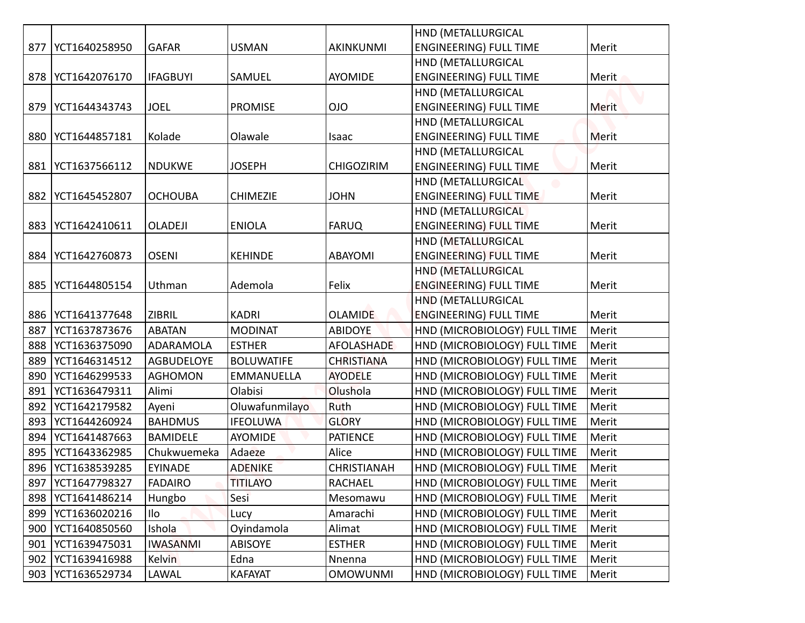|     |                     |                   |                   |                    | HND (METALLURGICAL            |       |
|-----|---------------------|-------------------|-------------------|--------------------|-------------------------------|-------|
| 877 | YCT1640258950       | <b>GAFAR</b>      | <b>USMAN</b>      | AKINKUNMI          | <b>ENGINEERING) FULL TIME</b> | Merit |
|     |                     |                   |                   |                    | HND (METALLURGICAL            |       |
|     | 878   YCT1642076170 | <b>IFAGBUYI</b>   | SAMUEL            | <b>AYOMIDE</b>     | <b>ENGINEERING) FULL TIME</b> | Merit |
|     |                     |                   |                   |                    | HND (METALLURGICAL            |       |
| 879 | YCT1644343743       | <b>JOEL</b>       | <b>PROMISE</b>    | <b>OIO</b>         | <b>ENGINEERING) FULL TIME</b> | Merit |
|     |                     |                   |                   |                    | HND (METALLURGICAL            |       |
| 880 | YCT1644857181       | Kolade            | Olawale           | Isaac              | <b>ENGINEERING) FULL TIME</b> | Merit |
|     |                     |                   |                   |                    | HND (METALLURGICAL            |       |
| 881 | YCT1637566112       | <b>NDUKWE</b>     | <b>JOSEPH</b>     | <b>CHIGOZIRIM</b>  | <b>ENGINEERING) FULL TIME</b> | Merit |
|     |                     |                   |                   |                    | HND (METALLURGICAL            |       |
| 882 | YCT1645452807       | <b>OCHOUBA</b>    | <b>CHIMEZIE</b>   | <b>JOHN</b>        | <b>ENGINEERING) FULL TIME</b> | Merit |
|     |                     |                   |                   |                    | HND (METALLURGICAL)           |       |
| 883 | YCT1642410611       | <b>OLADEJI</b>    | <b>ENIOLA</b>     | <b>FARUQ</b>       | <b>ENGINEERING) FULL TIME</b> | Merit |
|     |                     |                   |                   |                    | HND (METALLURGICAL            |       |
| 884 | YCT1642760873       | <b>OSENI</b>      | <b>KEHINDE</b>    | <b>ABAYOMI</b>     | <b>ENGINEERING) FULL TIME</b> | Merit |
|     |                     |                   |                   |                    | HND (METALLURGICAL            |       |
| 885 | YCT1644805154       | Uthman            | Ademola           | Felix              | <b>ENGINEERING) FULL TIME</b> | Merit |
|     |                     |                   |                   |                    | <b>HND (METALLURGICAL</b>     |       |
|     | 886   YCT1641377648 | <b>ZIBRIL</b>     | <b>KADRI</b>      | <b>OLAMIDE</b>     | <b>ENGINEERING) FULL TIME</b> | Merit |
|     | 887 YCT1637873676   | <b>ABATAN</b>     | <b>MODINAT</b>    | <b>ABIDOYE</b>     | HND (MICROBIOLOGY) FULL TIME  | Merit |
| 888 | YCT1636375090       | ADARAMOLA         | <b>ESTHER</b>     | AFOLASHADE         | HND (MICROBIOLOGY) FULL TIME  | Merit |
| 889 | YCT1646314512       | <b>AGBUDELOYE</b> | <b>BOLUWATIFE</b> | <b>CHRISTIANA</b>  | HND (MICROBIOLOGY) FULL TIME  | Merit |
| 890 | YCT1646299533       | <b>AGHOMON</b>    | <b>EMMANUELLA</b> | <b>AYODELE</b>     | HND (MICROBIOLOGY) FULL TIME  | Merit |
| 891 | YCT1636479311       | Alimi             | Olabisi           | Olushola           | HND (MICROBIOLOGY) FULL TIME  | Merit |
| 892 | YCT1642179582       | Ayeni             | Oluwafunmilayo    | Ruth               | HND (MICROBIOLOGY) FULL TIME  | Merit |
| 893 | YCT1644260924       | <b>BAHDMUS</b>    | <b>IFEOLUWA</b>   | <b>GLORY</b>       | HND (MICROBIOLOGY) FULL TIME  | Merit |
| 894 | YCT1641487663       | <b>BAMIDELE</b>   | <b>AYOMIDE</b>    | <b>PATIENCE</b>    | HND (MICROBIOLOGY) FULL TIME  | Merit |
| 895 | YCT1643362985       | Chukwuemeka       | Adaeze            | Alice              | HND (MICROBIOLOGY) FULL TIME  | Merit |
| 896 | YCT1638539285       | <b>EYINADE</b>    | <b>ADENIKE</b>    | <b>CHRISTIANAH</b> | HND (MICROBIOLOGY) FULL TIME  | Merit |
| 897 | YCT1647798327       | <b>FADAIRO</b>    | <b>TITILAYO</b>   | RACHAEL            | HND (MICROBIOLOGY) FULL TIME  | Merit |
| 898 | YCT1641486214       | Hungbo            | Sesi              | Mesomawu           | HND (MICROBIOLOGY) FULL TIME  | Merit |
| 899 | YCT1636020216       | Ilo               | Lucy              | Amarachi           | HND (MICROBIOLOGY) FULL TIME  | Merit |
| 900 | YCT1640850560       | Ishola            | Oyindamola        | Alimat             | HND (MICROBIOLOGY) FULL TIME  | Merit |
| 901 | YCT1639475031       | <b>IWASANMI</b>   | <b>ABISOYE</b>    | <b>ESTHER</b>      | HND (MICROBIOLOGY) FULL TIME  | Merit |
| 902 | YCT1639416988       | <b>Kelvin</b>     | Edna              | Nnenna             | HND (MICROBIOLOGY) FULL TIME  | Merit |
| 903 | YCT1636529734       | LAWAL             | <b>KAFAYAT</b>    | <b>OMOWUNMI</b>    | HND (MICROBIOLOGY) FULL TIME  | Merit |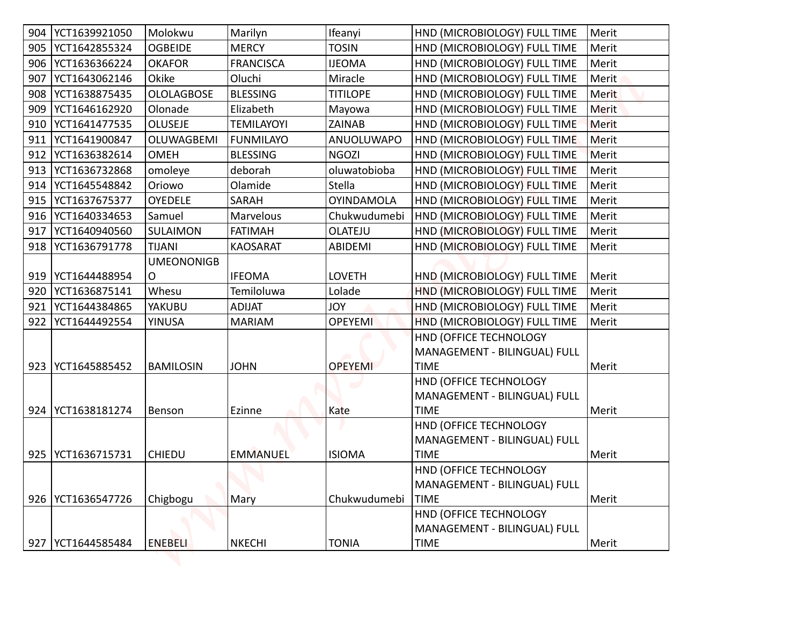| 904 | YCT1639921050       | Molokwu           | Marilyn           | Ifeanyi           | HND (MICROBIOLOGY) FULL TIME          | Merit        |
|-----|---------------------|-------------------|-------------------|-------------------|---------------------------------------|--------------|
| 905 | YCT1642855324       | <b>OGBEIDE</b>    | <b>MERCY</b>      | <b>TOSIN</b>      | HND (MICROBIOLOGY) FULL TIME          | Merit        |
| 906 | YCT1636366224       | <b>OKAFOR</b>     | <b>FRANCISCA</b>  | <b>IJEOMA</b>     | HND (MICROBIOLOGY) FULL TIME          | Merit        |
| 907 | YCT1643062146       | Okike             | Oluchi            | Miracle           | HND (MICROBIOLOGY) FULL TIME          | Merit        |
| 908 | YCT1638875435       | <b>OLOLAGBOSE</b> | <b>BLESSING</b>   | <b>TITILOPE</b>   | HND (MICROBIOLOGY) FULL TIME          | <b>Merit</b> |
| 909 | YCT1646162920       | Olonade           | Elizabeth         | Mayowa            | HND (MICROBIOLOGY) FULL TIME          | <b>Merit</b> |
| 910 | YCT1641477535       | <b>OLUSEJE</b>    | <b>TEMILAYOYI</b> | <b>ZAINAB</b>     | HND (MICROBIOLOGY) FULL TIME          | <b>Merit</b> |
| 911 | YCT1641900847       | OLUWAGBEMI        | <b>FUNMILAYO</b>  | ANUOLUWAPO        | HND (MICROBIOLOGY) FULL TIME          | Merit        |
| 912 | YCT1636382614       | <b>OMEH</b>       | <b>BLESSING</b>   | <b>NGOZI</b>      | HND (MICROBIOLOGY) FULL TIME          | Merit        |
| 913 | YCT1636732868       | omoleye           | deborah           | oluwatobioba      | HND (MICROBIOLOGY) FULL TIME          | Merit        |
| 914 | YCT1645548842       | Oriowo            | Olamide           | <b>Stella</b>     | HND (MICROBIOLOGY) FULL TIME          | Merit        |
| 915 | YCT1637675377       | <b>OYEDELE</b>    | SARAH             | <b>OYINDAMOLA</b> | HND (MICROBIOLOGY) FULL TIME          | Merit        |
| 916 | YCT1640334653       | Samuel            | Marvelous         | Chukwudumebi      | HND (MICROBIOLOGY) FULL TIME          | Merit        |
| 917 | YCT1640940560       | SULAIMON          | <b>FATIMAH</b>    | OLATEJU           | HND (MICROBIOLOGY) FULL TIME          | Merit        |
| 918 | YCT1636791778       | <b>TIJANI</b>     | <b>KAOSARAT</b>   | <b>ABIDEMI</b>    | HND (MICROBIOLOGY) FULL TIME          | Merit        |
|     |                     | <b>UMEONONIGB</b> |                   |                   |                                       |              |
| 919 | YCT1644488954       | O                 | <b>IFEOMA</b>     | <b>LOVETH</b>     | HND (MICROBIOLOGY) FULL TIME          | Merit        |
| 920 | YCT1636875141       | Whesu             | Temiloluwa        | Lolade            | HND (MICROBIOLOGY) FULL TIME          | Merit        |
| 921 | YCT1644384865       | YAKUBU            | <b>ADIJAT</b>     | <b>YOL</b>        | HND (MICROBIOLOGY) FULL TIME          | Merit        |
| 922 | YCT1644492554       | <b>YINUSA</b>     | <b>MARIAM</b>     | <b>OPEYEMI</b>    | HND (MICROBIOLOGY) FULL TIME          | Merit        |
|     |                     |                   |                   |                   | HND (OFFICE TECHNOLOGY                |              |
|     |                     |                   |                   |                   | MANAGEMENT - BILINGUAL) FULL          |              |
| 923 | YCT1645885452       | BAMILOSIN         | <b>JOHN</b>       | <b>OPEYEMI</b>    | <b>TIME</b>                           | Merit        |
|     |                     |                   |                   |                   | HND (OFFICE TECHNOLOGY                |              |
|     |                     |                   |                   |                   | MANAGEMENT - BILINGUAL) FULL          |              |
|     | 924   YCT1638181274 | Benson            | Ezinne            | Kate              | <b>TIME</b>                           | Merit        |
|     |                     |                   |                   |                   | HND (OFFICE TECHNOLOGY                |              |
|     | YCT1636715731       | <b>CHIEDU</b>     |                   |                   | MANAGEMENT - BILINGUAL) FULL          |              |
| 925 |                     |                   | <b>EMMANUEL</b>   | <b>ISIOMA</b>     | <b>TIME</b><br>HND (OFFICE TECHNOLOGY | Merit        |
|     |                     |                   |                   |                   | MANAGEMENT - BILINGUAL) FULL          |              |
|     | 926   YCT1636547726 | Chigbogu          | Mary              | Chukwudumebi      | <b>TIME</b>                           | Merit        |
|     |                     |                   |                   |                   | HND (OFFICE TECHNOLOGY                |              |
|     |                     |                   |                   |                   | MANAGEMENT - BILINGUAL) FULL          |              |
|     |                     |                   |                   |                   |                                       |              |
| 927 | YCT1644585484       | <b>ENEBELI</b>    | <b>NKECHI</b>     | <b>TONIA</b>      | <b>TIME</b>                           | Merit        |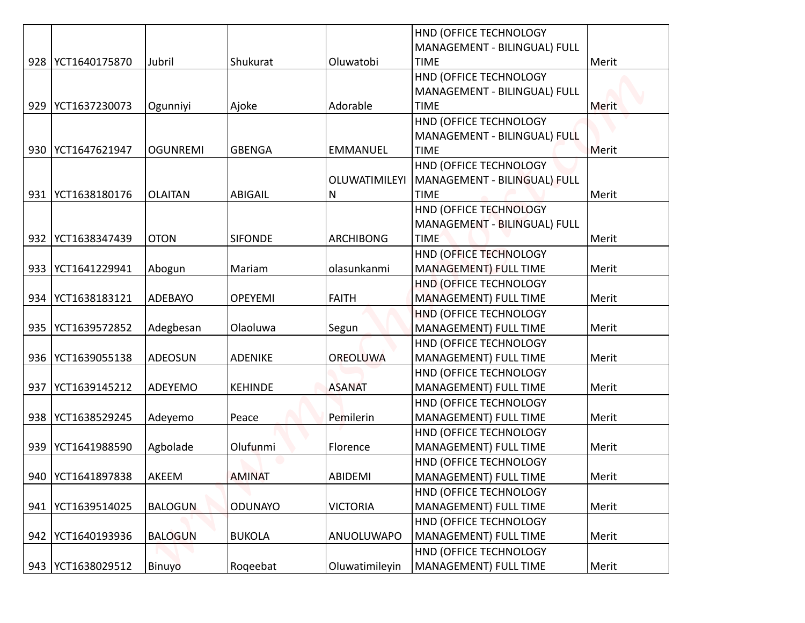|     |                     |                 |                |                  | HND (OFFICE TECHNOLOGY                                 |       |
|-----|---------------------|-----------------|----------------|------------------|--------------------------------------------------------|-------|
|     |                     |                 |                |                  | MANAGEMENT - BILINGUAL) FULL                           |       |
|     | 928   YCT1640175870 | Jubril          | Shukurat       | Oluwatobi        | <b>TIME</b>                                            | Merit |
|     |                     |                 |                |                  | HND (OFFICE TECHNOLOGY                                 |       |
|     |                     |                 |                |                  | MANAGEMENT - BILINGUAL) FULL                           |       |
| 929 | YCT1637230073       | Ogunniyi        | Ajoke          | Adorable         | <b>TIME</b>                                            | Merit |
|     |                     |                 |                |                  | HND (OFFICE TECHNOLOGY                                 |       |
|     |                     |                 |                |                  | MANAGEMENT - BILINGUAL) FULL                           |       |
|     | 930   YCT1647621947 | <b>OGUNREMI</b> | <b>GBENGA</b>  | <b>EMMANUEL</b>  | <b>TIME</b>                                            | Merit |
|     |                     |                 |                |                  | HND (OFFICE TECHNOLOGY                                 |       |
|     |                     |                 |                | OLUWATIMILEYI    | MANAGEMENT - BILINGUAL) FULL                           |       |
|     | 931   YCT1638180176 | <b>OLAITAN</b>  | <b>ABIGAIL</b> | Ν                | <b>TIME</b>                                            | Merit |
|     |                     |                 |                |                  | HND (OFFICE TECHNOLOGY                                 |       |
|     |                     |                 |                |                  | MANAGEMENT - BILINGUAL) FULL                           |       |
|     | 932   YCT1638347439 | <b>OTON</b>     | <b>SIFONDE</b> | <b>ARCHIBONG</b> | <b>TIME</b>                                            | Merit |
|     |                     |                 |                |                  | HND (OFFICE TECHNOLOGY                                 |       |
|     | 933   YCT1641229941 | Abogun          | Mariam         | olasunkanmi      | MANAGEMENT) FULL TIME                                  | Merit |
|     |                     |                 |                |                  | HND (OFFICE TECHNOLOGY                                 |       |
|     | 934   YCT1638183121 | ADEBAYO         | <b>OPEYEMI</b> | <b>FAITH</b>     | MANAGEMENT) FULL TIME                                  | Merit |
|     |                     |                 |                |                  | <b>HND (OFFICE TECHNOLOGY</b>                          |       |
|     | 935   YCT1639572852 | Adegbesan       | Olaoluwa       | Segun            | MANAGEMENT) FULL TIME                                  | Merit |
|     |                     |                 |                |                  | HND (OFFICE TECHNOLOGY                                 |       |
|     | 936   YCT1639055138 | ADEOSUN         | <b>ADENIKE</b> | <b>OREOLUWA</b>  | <b>MANAGEMENT) FULL TIME</b>                           | Merit |
|     |                     |                 |                |                  | HND (OFFICE TECHNOLOGY                                 |       |
| 937 | YCT1639145212       | ADEYEMO         | <b>KEHINDE</b> | <b>ASANAT</b>    | MANAGEMENT) FULL TIME                                  | Merit |
|     |                     |                 |                |                  | HND (OFFICE TECHNOLOGY                                 |       |
|     | 938   YCT1638529245 | Adeyemo         | Peace          | Pemilerin        | MANAGEMENT) FULL TIME                                  | Merit |
|     |                     |                 |                |                  | HND (OFFICE TECHNOLOGY<br><b>MANAGEMENT) FULL TIME</b> |       |
|     | 939   YCT1641988590 | Agbolade        | Olufunmi       | Florence         | HND (OFFICE TECHNOLOGY                                 | Merit |
|     | 940   YCT1641897838 | AKEEM           | <b>AMINAT</b>  | ABIDEMI          | MANAGEMENT) FULL TIME                                  | Merit |
|     |                     |                 |                |                  | HND (OFFICE TECHNOLOGY                                 |       |
| 941 | YCT1639514025       | <b>BALOGUN</b>  | <b>ODUNAYO</b> | <b>VICTORIA</b>  | MANAGEMENT) FULL TIME                                  | Merit |
|     |                     |                 |                |                  | HND (OFFICE TECHNOLOGY                                 |       |
| 942 | YCT1640193936       | <b>BALOGUN</b>  | <b>BUKOLA</b>  | ANUOLUWAPO       | MANAGEMENT) FULL TIME                                  | Merit |
|     |                     |                 |                |                  | HND (OFFICE TECHNOLOGY                                 |       |
|     | 943   YCT1638029512 | Binuyo          | Rogeebat       | Oluwatimileyin   | MANAGEMENT) FULL TIME                                  | Merit |
|     |                     |                 |                |                  |                                                        |       |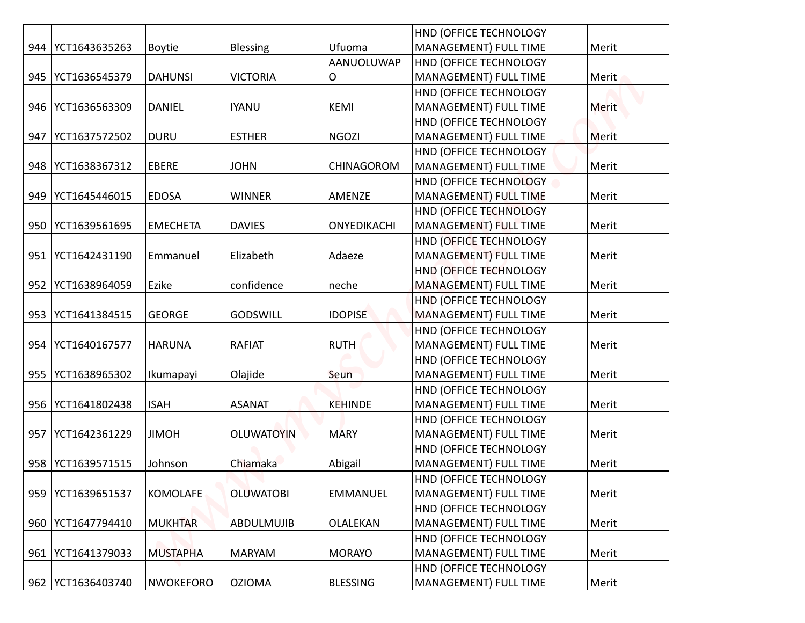|     |                     |                  |                   |                 | HND (OFFICE TECHNOLOGY                          |              |
|-----|---------------------|------------------|-------------------|-----------------|-------------------------------------------------|--------------|
|     | 944   YCT1643635263 | <b>Boytie</b>    | <b>Blessing</b>   | Ufuoma          | MANAGEMENT) FULL TIME                           | Merit        |
|     |                     |                  |                   | AANUOLUWAP      | HND (OFFICE TECHNOLOGY                          |              |
|     | 945   YCT1636545379 | <b>DAHUNSI</b>   | <b>VICTORIA</b>   | О               | MANAGEMENT) FULL TIME                           | Merit        |
|     |                     |                  |                   |                 | HND (OFFICE TECHNOLOGY                          |              |
|     | 946   YCT1636563309 | <b>DANIEL</b>    | <b>IYANU</b>      | <b>KEMI</b>     | MANAGEMENT) FULL TIME                           | Merit        |
|     |                     |                  |                   |                 | HND (OFFICE TECHNOLOGY                          |              |
| 947 | YCT1637572502       | <b>DURU</b>      | <b>ESTHER</b>     | <b>NGOZI</b>    | MANAGEMENT) FULL TIME                           | <b>Merit</b> |
|     |                     | EBERE            | <b>JOHN</b>       |                 | HND (OFFICE TECHNOLOGY<br>MANAGEMENT) FULL TIME |              |
|     | 948   YCT1638367312 |                  |                   | CHINAGOROM      |                                                 | Merit        |
| 949 | YCT1645446015       | <b>EDOSA</b>     | <b>WINNER</b>     | AMENZE          | HND (OFFICE TECHNOLOGY<br>MANAGEMENT) FULL TIME | Merit        |
|     |                     |                  |                   |                 |                                                 |              |
|     | 950   YCT1639561695 | <b>EMECHETA</b>  | <b>DAVIES</b>     | ONYEDIKACHI     | HND (OFFICE TECHNOLOGY<br>MANAGEMENT) FULL TIME | Merit        |
|     |                     |                  |                   |                 |                                                 |              |
| 951 | YCT1642431190       | Emmanuel         | Elizabeth         | Adaeze          | HND (OFFICE TECHNOLOGY<br>MANAGEMENT) FULL TIME | Merit        |
|     |                     |                  |                   |                 | HND (OFFICE TECHNOLOGY                          |              |
|     | 952   YCT1638964059 | Ezike            | confidence        | neche           | MANAGEMENT) FULL TIME                           | Merit        |
|     |                     |                  |                   |                 | HND (OFFICE TECHNOLOGY                          |              |
|     | 953   YCT1641384515 | <b>GEORGE</b>    | <b>GODSWILL</b>   | <b>IDOPISE</b>  | <b>MANAGEMENT) FULL TIME</b>                    | Merit        |
|     |                     |                  |                   |                 | HND (OFFICE TECHNOLOGY                          |              |
|     | 954   YCT1640167577 | <b>HARUNA</b>    | <b>RAFIAT</b>     | <b>RUTH</b>     | MANAGEMENT) FULL TIME                           | Merit        |
|     |                     |                  |                   |                 | HND (OFFICE TECHNOLOGY                          |              |
|     | 955   YCT1638965302 | Ikumapayi        | Olajide           | Seun            | MANAGEMENT) FULL TIME                           | Merit        |
|     |                     |                  |                   |                 | HND (OFFICE TECHNOLOGY                          |              |
|     | 956   YCT1641802438 | <b>ISAH</b>      | <b>ASANAT</b>     | <b>KEHINDE</b>  | MANAGEMENT) FULL TIME                           | Merit        |
|     |                     |                  |                   |                 | HND (OFFICE TECHNOLOGY                          |              |
| 957 | YCT1642361229       | <b>JIMOH</b>     | <b>OLUWATOYIN</b> | <b>MARY</b>     | MANAGEMENT) FULL TIME                           | Merit        |
|     |                     |                  |                   |                 | HND (OFFICE TECHNOLOGY                          |              |
|     | 958   YCT1639571515 | Johnson          | Chiamaka          | Abigail         | MANAGEMENT) FULL TIME                           | Merit        |
|     |                     |                  |                   |                 | HND (OFFICE TECHNOLOGY                          |              |
|     | 959   YCT1639651537 | <b>KOMOLAFE</b>  | <b>OLUWATOBI</b>  | EMMANUEL        | MANAGEMENT) FULL TIME                           | Merit        |
|     |                     |                  |                   |                 | HND (OFFICE TECHNOLOGY                          |              |
|     | 960   YCT1647794410 | <b>MUKHTAR</b>   | ABDULMUJIB        | OLALEKAN        | MANAGEMENT) FULL TIME                           | Merit        |
|     |                     |                  |                   |                 | HND (OFFICE TECHNOLOGY                          |              |
|     | 961   YCT1641379033 | <b>MUSTAPHA</b>  | <b>MARYAM</b>     | <b>MORAYO</b>   | MANAGEMENT) FULL TIME                           | Merit        |
|     |                     |                  |                   |                 | HND (OFFICE TECHNOLOGY                          |              |
|     | 962   YCT1636403740 | <b>NWOKEFORO</b> | <b>OZIOMA</b>     | <b>BLESSING</b> | MANAGEMENT) FULL TIME                           | Merit        |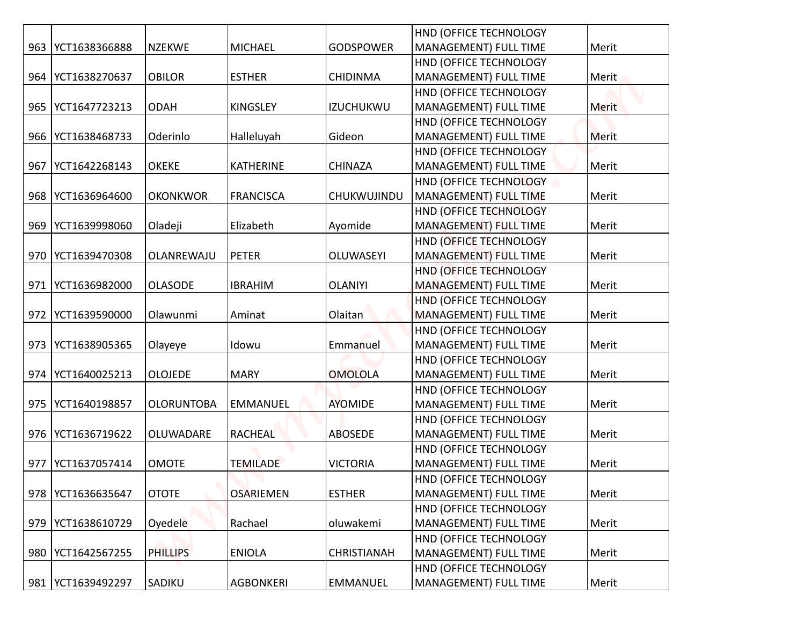|     |                     |                   |                  |                    | HND (OFFICE TECHNOLOGY                          |              |
|-----|---------------------|-------------------|------------------|--------------------|-------------------------------------------------|--------------|
| 963 | YCT1638366888       | <b>NZEKWE</b>     | <b>MICHAEL</b>   | <b>GODSPOWER</b>   | MANAGEMENT) FULL TIME                           | Merit        |
| 964 | YCT1638270637       | <b>OBILOR</b>     | <b>ESTHER</b>    | <b>CHIDINMA</b>    | HND (OFFICE TECHNOLOGY<br>MANAGEMENT) FULL TIME | Merit        |
|     |                     |                   |                  |                    | HND (OFFICE TECHNOLOGY                          |              |
|     | 965   YCT1647723213 | <b>ODAH</b>       | <b>KINGSLEY</b>  | <b>IZUCHUKWU</b>   | MANAGEMENT) FULL TIME                           | Merit        |
|     |                     |                   |                  |                    | HND (OFFICE TECHNOLOGY                          |              |
|     | 966   YCT1638468733 | Oderinlo          | Halleluyah       | Gideon             | MANAGEMENT) FULL TIME                           | <b>Merit</b> |
|     |                     |                   |                  |                    | HND (OFFICE TECHNOLOGY                          |              |
| 967 | YCT1642268143       | <b>OKEKE</b>      | <b>KATHERINE</b> | <b>CHINAZA</b>     | MANAGEMENT) FULL TIME                           | Merit        |
|     |                     |                   |                  |                    | HND (OFFICE TECHNOLOGY                          |              |
|     | 968   YCT1636964600 | <b>OKONKWOR</b>   | <b>FRANCISCA</b> | CHUKWUJINDU        | MANAGEMENT) FULL TIME                           | Merit        |
|     |                     |                   |                  |                    | HND (OFFICE TECHNOLOGY                          |              |
| 969 | YCT1639998060       | Oladeji           | Elizabeth        | Ayomide            | MANAGEMENT) FULL TIME                           | Merit        |
|     |                     |                   |                  |                    | HND (OFFICE TECHNOLOGY                          |              |
| 970 | YCT1639470308       | OLANREWAJU        | <b>PETER</b>     | OLUWASEYI          | MANAGEMENT) FULL TIME                           | Merit        |
|     |                     |                   |                  |                    | HND (OFFICE TECHNOLOGY                          |              |
| 971 | YCT1636982000       | <b>OLASODE</b>    | <b>IBRAHIM</b>   | <b>OLANIYI</b>     | MANAGEMENT) FULL TIME                           | Merit        |
|     |                     |                   |                  |                    | HND (OFFICE TECHNOLOGY                          |              |
|     | 972   YCT1639590000 | Olawunmi          | Aminat           | Olaitan            | <b>MANAGEMENT) FULL TIME</b>                    | Merit        |
|     |                     |                   |                  |                    | HND (OFFICE TECHNOLOGY                          |              |
|     | 973   YCT1638905365 | Olayeye           | Idowu            | Emmanuel           | MANAGEMENT) FULL TIME                           | Merit        |
|     |                     |                   |                  |                    | HND (OFFICE TECHNOLOGY                          |              |
|     | 974   YCT1640025213 | <b>OLOJEDE</b>    | <b>MARY</b>      | <b>OMOLOLA</b>     | MANAGEMENT) FULL TIME                           | Merit        |
|     |                     |                   |                  |                    | HND (OFFICE TECHNOLOGY                          |              |
|     | 975   YCT1640198857 | <b>OLORUNTOBA</b> | <b>EMMANUEL</b>  | <b>AYOMIDE</b>     | MANAGEMENT) FULL TIME                           | Merit        |
|     |                     |                   |                  |                    | HND (OFFICE TECHNOLOGY                          |              |
|     | 976   YCT1636719622 | OLUWADARE         | <b>RACHEAL</b>   | <b>ABOSEDE</b>     | MANAGEMENT) FULL TIME                           | Merit        |
|     |                     |                   |                  |                    | HND (OFFICE TECHNOLOGY                          |              |
| 977 | YCT1637057414       | <b>OMOTE</b>      | <b>TEMILADE</b>  | <b>VICTORIA</b>    | <b>MANAGEMENT) FULL TIME</b>                    | Merit        |
|     | 978   YCT1636635647 | <b>OTOTE</b>      | <b>OSARIEMEN</b> | <b>ESTHER</b>      | HND (OFFICE TECHNOLOGY<br>MANAGEMENT) FULL TIME | Merit        |
|     |                     |                   |                  |                    | HND (OFFICE TECHNOLOGY                          |              |
| 979 | YCT1638610729       | Oyedele           | Rachael          | oluwakemi          | MANAGEMENT) FULL TIME                           | Merit        |
|     |                     |                   |                  |                    | HND (OFFICE TECHNOLOGY                          |              |
|     | 980   YCT1642567255 | <b>PHILLIPS</b>   | <b>ENIOLA</b>    | <b>CHRISTIANAH</b> | MANAGEMENT) FULL TIME                           | Merit        |
|     |                     |                   |                  |                    | HND (OFFICE TECHNOLOGY                          |              |
|     | 981   YCT1639492297 | SADIKU            | <b>AGBONKERI</b> | <b>EMMANUEL</b>    | MANAGEMENT) FULL TIME                           | Merit        |
|     |                     |                   |                  |                    |                                                 |              |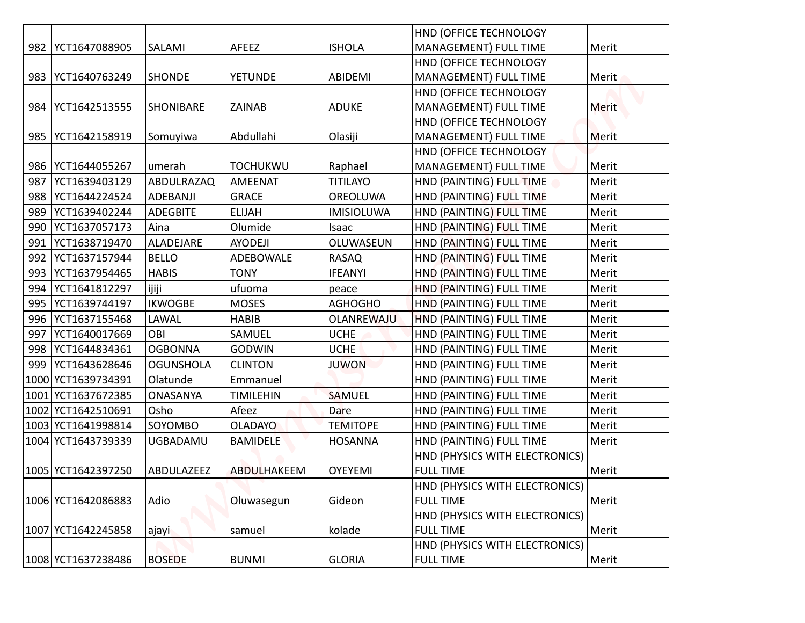|     |                     |                  |                  |                   | HND (OFFICE TECHNOLOGY         |       |
|-----|---------------------|------------------|------------------|-------------------|--------------------------------|-------|
|     | 982   YCT1647088905 | SALAMI           | AFEEZ            | <b>ISHOLA</b>     | MANAGEMENT) FULL TIME          | Merit |
|     |                     |                  |                  |                   | HND (OFFICE TECHNOLOGY         |       |
|     | 983   YCT1640763249 | <b>SHONDE</b>    | <b>YETUNDE</b>   | ABIDEMI           | MANAGEMENT) FULL TIME          | Merit |
|     |                     |                  |                  |                   | HND (OFFICE TECHNOLOGY         |       |
|     | 984   YCT1642513555 | <b>SHONIBARE</b> | <b>ZAINAB</b>    | <b>ADUKE</b>      | MANAGEMENT) FULL TIME          | Merit |
|     |                     |                  |                  |                   | HND (OFFICE TECHNOLOGY         |       |
|     | 985   YCT1642158919 | Somuyiwa         | Abdullahi        | Olasiji           | MANAGEMENT) FULL TIME          | Merit |
|     |                     |                  |                  |                   | HND (OFFICE TECHNOLOGY         |       |
|     | 986   YCT1644055267 | umerah           | <b>TOCHUKWU</b>  | Raphael           | MANAGEMENT) FULL TIME          | Merit |
| 987 | YCT1639403129       | ABDULRAZAQ       | AMEENAT          | <b>TITILAYO</b>   | HND (PAINTING) FULL TIME       | Merit |
| 988 | YCT1644224524       | <b>ADEBANJI</b>  | <b>GRACE</b>     | OREOLUWA          | HND (PAINTING) FULL TIME       | Merit |
| 989 | YCT1639402244       | <b>ADEGBITE</b>  | <b>ELIJAH</b>    | <b>IMISIOLUWA</b> | HND (PAINTING) FULL TIME       | Merit |
| 990 | YCT1637057173       | Aina             | Olumide          | Isaac             | HND (PAINTING) FULL TIME       | Merit |
| 991 | YCT1638719470       | ALADEJARE        | <b>AYODEJI</b>   | OLUWASEUN         | HND (PAINTING) FULL TIME       | Merit |
| 992 | YCT1637157944       | <b>BELLO</b>     | ADEBOWALE        | RASAQ             | HND (PAINTING) FULL TIME       | Merit |
| 993 | YCT1637954465       | <b>HABIS</b>     | <b>TONY</b>      | <b>IFEANYI</b>    | HND (PAINTING) FULL TIME       | Merit |
| 994 | YCT1641812297       | ijiji            | ufuoma           | peace             | HND (PAINTING) FULL TIME       | Merit |
| 995 | YCT1639744197       | <b>IKWOGBE</b>   | <b>MOSES</b>     | <b>AGHOGHO</b>    | HND (PAINTING) FULL TIME       | Merit |
|     | 996   YCT1637155468 | LAWAL            | <b>HABIB</b>     | <b>OLANREWAJU</b> | HND (PAINTING) FULL TIME       | Merit |
|     | 997   YCT1640017669 | OBI              | SAMUEL           | <b>UCHE</b>       | HND (PAINTING) FULL TIME       | Merit |
|     | 998   YCT1644834361 | <b>OGBONNA</b>   | <b>GODWIN</b>    | <b>UCHE</b>       | HND (PAINTING) FULL TIME       | Merit |
|     | 999   YCT1643628646 | <b>OGUNSHOLA</b> | <b>CLINTON</b>   | <b>JUWON</b>      | HND (PAINTING) FULL TIME       | Merit |
|     | 1000 YCT1639734391  | Olatunde         | Emmanuel         |                   | HND (PAINTING) FULL TIME       | Merit |
|     | 1001 YCT1637672385  | <b>ONASANYA</b>  | <b>TIMILEHIN</b> | <b>SAMUEL</b>     | HND (PAINTING) FULL TIME       | Merit |
|     | 1002 YCT1642510691  | Osho             | Afeez            | Dare              | HND (PAINTING) FULL TIME       | Merit |
|     | 1003 YCT1641998814  | SOYOMBO          | <b>OLADAYO</b>   | <b>TEMITOPE</b>   | HND (PAINTING) FULL TIME       | Merit |
|     | 1004 YCT1643739339  | UGBADAMU         | <b>BAMIDELE</b>  | <b>HOSANNA</b>    | HND (PAINTING) FULL TIME       | Merit |
|     |                     |                  |                  |                   | HND (PHYSICS WITH ELECTRONICS) |       |
|     | 1005 YCT1642397250  | ABDULAZEEZ       | ABDULHAKEEM      | <b>OYEYEMI</b>    | <b>FULL TIME</b>               | Merit |
|     |                     |                  |                  |                   | HND (PHYSICS WITH ELECTRONICS) |       |
|     | 1006 YCT1642086883  | Adio             | Oluwasegun       | Gideon            | <b>FULL TIME</b>               | Merit |
|     |                     |                  |                  |                   | HND (PHYSICS WITH ELECTRONICS) |       |
|     | 1007 YCT1642245858  | ajayi:           | samuel           | kolade            | <b>FULL TIME</b>               | Merit |
|     |                     |                  |                  |                   | HND (PHYSICS WITH ELECTRONICS) |       |
|     | 1008 YCT1637238486  | <b>BOSEDE</b>    | <b>BUNMI</b>     | <b>GLORIA</b>     | <b>FULL TIME</b>               | Merit |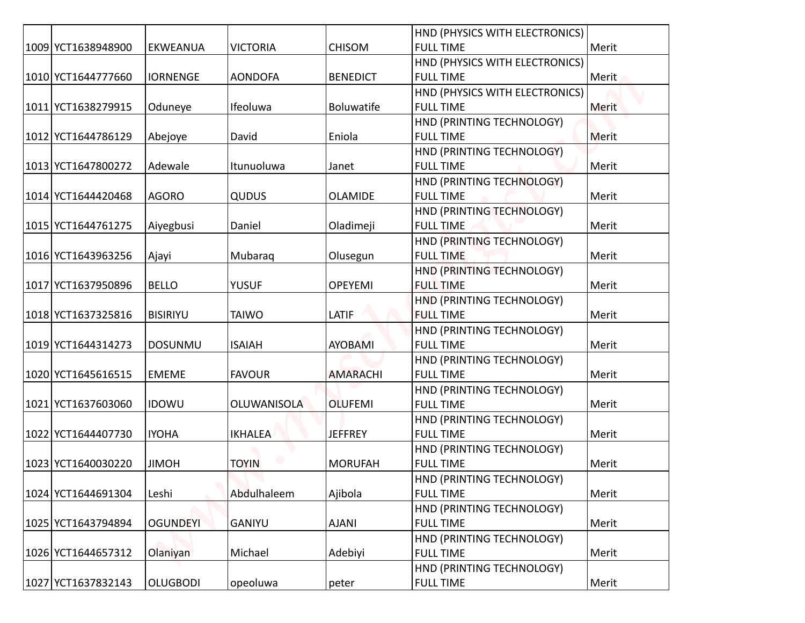| 1009 YCT1638948900 | <b>EKWEANUA</b> | <b>VICTORIA</b>    | <b>CHISOM</b>   | HND (PHYSICS WITH ELECTRONICS)<br><b>FULL TIME</b> | Merit |
|--------------------|-----------------|--------------------|-----------------|----------------------------------------------------|-------|
|                    |                 |                    |                 |                                                    |       |
| 1010 YCT1644777660 | <b>IORNENGE</b> | <b>AONDOFA</b>     | <b>BENEDICT</b> | HND (PHYSICS WITH ELECTRONICS)<br><b>FULL TIME</b> | Merit |
|                    |                 |                    |                 | HND (PHYSICS WITH ELECTRONICS)                     |       |
| 1011 YCT1638279915 | Oduneye         | Ifeoluwa           | Boluwatife      | <b>FULL TIME</b>                                   | Merit |
|                    |                 |                    |                 | HND (PRINTING TECHNOLOGY)                          |       |
| 1012 YCT1644786129 | Abejoye         | David              | Eniola          | <b>FULL TIME</b>                                   | Merit |
|                    |                 |                    |                 | HND (PRINTING TECHNOLOGY)                          |       |
| 1013 YCT1647800272 | Adewale         | Itunuoluwa         | Janet           | <b>FULL TIME</b>                                   | Merit |
|                    |                 |                    |                 | HND (PRINTING TECHNOLOGY)                          |       |
| 1014 YCT1644420468 | <b>AGORO</b>    | QUDUS              | <b>OLAMIDE</b>  | <b>FULL TIME</b>                                   | Merit |
|                    |                 |                    |                 | HND (PRINTING TECHNOLOGY)                          |       |
| 1015 YCT1644761275 | Aiyegbusi       | Daniel             | Oladimeji       | <b>FULL TIME</b>                                   | Merit |
|                    |                 |                    |                 | HND (PRINTING TECHNOLOGY)                          |       |
| 1016 YCT1643963256 | Ajayi           | Mubaraq            | Olusegun        | <b>FULL TIME</b>                                   | Merit |
|                    |                 |                    |                 | HND (PRINTING TECHNOLOGY)                          |       |
| 1017 YCT1637950896 | <b>BELLO</b>    | <b>YUSUF</b>       | <b>OPEYEMI</b>  | <b>FULL TIME</b>                                   | Merit |
|                    |                 |                    |                 | HND (PRINTING TECHNOLOGY)                          |       |
| 1018 YCT1637325816 | <b>BISIRIYU</b> | <b>TAIWO</b>       | LATIF           | <b>FULL TIME</b>                                   | Merit |
|                    |                 |                    |                 | HND (PRINTING TECHNOLOGY)                          |       |
| 1019 YCT1644314273 | <b>DOSUNMU</b>  | <b>ISAIAH</b>      | <b>AYOBAMI</b>  | <b>FULL TIME</b>                                   | Merit |
|                    |                 |                    |                 | HND (PRINTING TECHNOLOGY)                          |       |
| 1020 YCT1645616515 | <b>EMEME</b>    | <b>FAVOUR</b>      | <b>AMARACHI</b> | <b>FULL TIME</b>                                   | Merit |
|                    |                 |                    |                 | HND (PRINTING TECHNOLOGY)                          |       |
| 1021 YCT1637603060 | <b>IDOWU</b>    | <b>OLUWANISOLA</b> | <b>OLUFEMI</b>  | <b>FULL TIME</b>                                   | Merit |
|                    |                 |                    |                 | HND (PRINTING TECHNOLOGY)                          |       |
| 1022 YCT1644407730 | <b>IYOHA</b>    | IKHALEA            | JEFFREY         | <b>FULL TIME</b>                                   | Merit |
|                    |                 |                    |                 | HND (PRINTING TECHNOLOGY)<br><b>FULL TIME</b>      |       |
| 1023 YCT1640030220 | <b>JIMOH</b>    | <b>TOYIN</b>       | <b>MORUFAH</b>  |                                                    | Merit |
| 1024 YCT1644691304 | Leshi           | Abdulhaleem        | Ajibola         | HND (PRINTING TECHNOLOGY)<br><b>FULL TIME</b>      | Merit |
|                    |                 |                    |                 | HND (PRINTING TECHNOLOGY)                          |       |
| 1025 YCT1643794894 | <b>OGUNDEYI</b> | GANIYU             | <b>AJANI</b>    | <b>FULL TIME</b>                                   | Merit |
|                    |                 |                    |                 | HND (PRINTING TECHNOLOGY)                          |       |
| 1026 YCT1644657312 | Olaniyan        | Michael            | Adebiyi         | <b>FULL TIME</b>                                   | Merit |
|                    |                 |                    |                 | HND (PRINTING TECHNOLOGY)                          |       |
| 1027 YCT1637832143 | <b>OLUGBODI</b> | opeoluwa           | peter           | <b>FULL TIME</b>                                   | Merit |
|                    |                 |                    |                 |                                                    |       |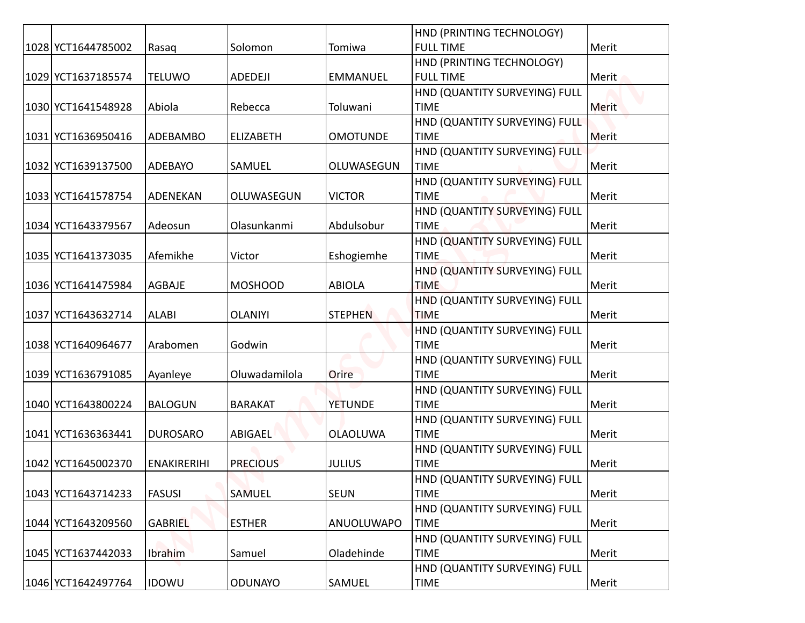|  |                    |                    |                  |                 | HND (PRINTING TECHNOLOGY)                    |              |
|--|--------------------|--------------------|------------------|-----------------|----------------------------------------------|--------------|
|  | 1028 YCT1644785002 | Rasaq              | Solomon          | Tomiwa          | <b>FULL TIME</b>                             | Merit        |
|  |                    |                    |                  |                 | HND (PRINTING TECHNOLOGY)                    |              |
|  | 1029 YCT1637185574 | <b>TELUWO</b>      | ADEDEJI          | <b>EMMANUEL</b> | <b>FULL TIME</b>                             | Merit        |
|  |                    |                    |                  |                 | HND (QUANTITY SURVEYING) FULL                |              |
|  | 1030 YCT1641548928 | Abiola             | Rebecca          | Toluwani        | <b>TIME</b>                                  | <b>Merit</b> |
|  |                    |                    |                  |                 | HND (QUANTITY SURVEYING) FULL                |              |
|  | 1031 YCT1636950416 | ADEBAMBO           | <b>ELIZABETH</b> | <b>OMOTUNDE</b> | <b>TIME</b>                                  | <b>Merit</b> |
|  |                    |                    |                  |                 | HND (QUANTITY SURVEYING) FULL                |              |
|  | 1032 YCT1639137500 | ADEBAYO            | SAMUEL           | OLUWASEGUN      | <b>TIME</b>                                  | Merit        |
|  |                    |                    |                  |                 | HND (QUANTITY SURVEYING) FULL                |              |
|  | 1033 YCT1641578754 | ADENEKAN           | OLUWASEGUN       | <b>VICTOR</b>   | <b>TIME</b>                                  | Merit        |
|  |                    |                    |                  |                 | HND (QUANTITY SURVEYING) FULL                |              |
|  | 1034 YCT1643379567 | Adeosun            | Olasunkanmi      | Abdulsobur      | <b>TIME</b>                                  | Merit        |
|  |                    |                    |                  |                 | HND (QUANTITY SURVEYING) FULL                |              |
|  | 1035 YCT1641373035 | Afemikhe           | Victor           | Eshogiemhe      | <b>TIME</b>                                  | Merit        |
|  | 1036 YCT1641475984 |                    | <b>MOSHOOD</b>   |                 | HND (QUANTITY SURVEYING) FULL<br><b>TIME</b> |              |
|  |                    | AGBAJE             |                  | <b>ABIOLA</b>   | HND (QUANTITY SURVEYING) FULL                | Merit        |
|  | 1037 YCT1643632714 | <b>ALABI</b>       | <b>OLANIYI</b>   | <b>STEPHEN</b>  | <b>TIME</b>                                  | Merit        |
|  |                    |                    |                  |                 | HND (QUANTITY SURVEYING) FULL                |              |
|  | 1038 YCT1640964677 | Arabomen           | Godwin           |                 | <b>TIME</b>                                  | Merit        |
|  |                    |                    |                  |                 | HND (QUANTITY SURVEYING) FULL                |              |
|  | 1039 YCT1636791085 | Ayanleye           | Oluwadamilola    | Orire           | <b>TIME</b>                                  | Merit        |
|  |                    |                    |                  |                 | HND (QUANTITY SURVEYING) FULL                |              |
|  | 1040 YCT1643800224 | <b>BALOGUN</b>     | <b>BARAKAT</b>   | <b>YETUNDE</b>  | <b>TIME</b>                                  | Merit        |
|  |                    |                    |                  |                 | HND (QUANTITY SURVEYING) FULL                |              |
|  | 1041 YCT1636363441 | <b>DUROSARO</b>    | ABIGAEL          | <b>OLAOLUWA</b> | <b>TIME</b>                                  | Merit        |
|  |                    |                    |                  |                 | HND (QUANTITY SURVEYING) FULL                |              |
|  | 1042 YCT1645002370 | <b>ENAKIRERIHI</b> | <b>PRECIOUS</b>  | <b>JULIUS</b>   | <b>TIME</b>                                  | Merit        |
|  |                    |                    |                  |                 | HND (QUANTITY SURVEYING) FULL                |              |
|  | 1043 YCT1643714233 | <b>FASUSI</b>      | SAMUEL           | <b>SEUN</b>     | <b>TIME</b>                                  | Merit        |
|  |                    |                    |                  |                 | HND (QUANTITY SURVEYING) FULL                |              |
|  | 1044 YCT1643209560 | <b>GABRIEL</b>     | <b>ESTHER</b>    | ANUOLUWAPO      | <b>TIME</b>                                  | Merit        |
|  |                    |                    |                  |                 | HND (QUANTITY SURVEYING) FULL                |              |
|  | 1045 YCT1637442033 | <b>Ibrahim</b>     | Samuel           | Oladehinde      | <b>TIME</b>                                  | Merit        |
|  |                    |                    |                  |                 | HND (QUANTITY SURVEYING) FULL                |              |
|  | 1046 YCT1642497764 | <b>IDOWU</b>       | <b>ODUNAYO</b>   | SAMUEL          | <b>TIME</b>                                  | Merit        |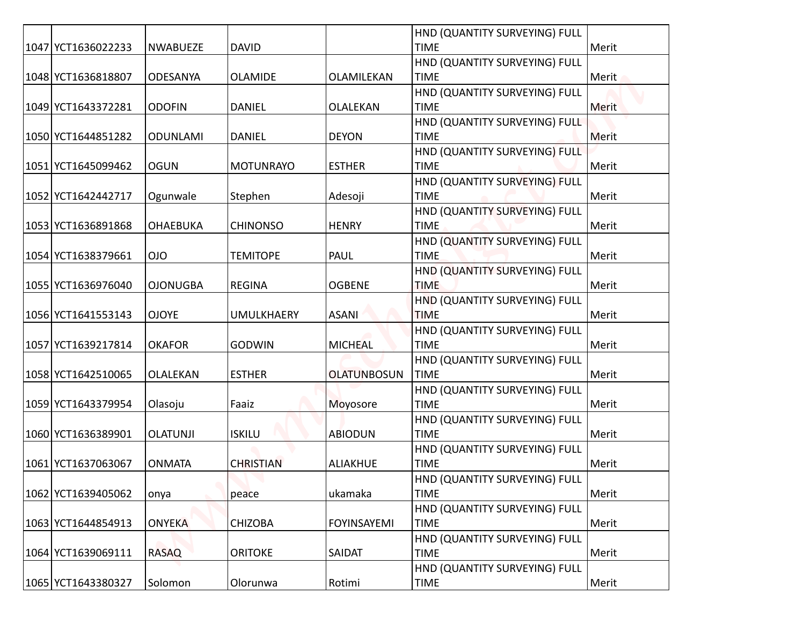|                    |                 |                   |                    | HND (QUANTITY SURVEYING) FULL                |       |
|--------------------|-----------------|-------------------|--------------------|----------------------------------------------|-------|
| 1047 YCT1636022233 | <b>NWABUEZE</b> | <b>DAVID</b>      |                    | <b>TIME</b>                                  | Merit |
|                    |                 |                   |                    | HND (QUANTITY SURVEYING) FULL                |       |
| 1048 YCT1636818807 | <b>ODESANYA</b> | <b>OLAMIDE</b>    | OLAMILEKAN         | <b>TIME</b>                                  | Merit |
|                    |                 |                   |                    | HND (QUANTITY SURVEYING) FULL                |       |
| 1049 YCT1643372281 | <b>ODOFIN</b>   | <b>DANIEL</b>     | OLALEKAN           | <b>TIME</b>                                  | Merit |
|                    |                 |                   |                    | HND (QUANTITY SURVEYING) FULL                |       |
| 1050 YCT1644851282 | <b>ODUNLAMI</b> | <b>DANIEL</b>     | <b>DEYON</b>       | <b>TIME</b>                                  | Merit |
|                    |                 |                   |                    | HND (QUANTITY SURVEYING) FULL                |       |
| 1051 YCT1645099462 | <b>OGUN</b>     | <b>MOTUNRAYO</b>  | <b>ESTHER</b>      | <b>TIME</b>                                  | Merit |
|                    |                 |                   |                    | HND (QUANTITY SURVEYING) FULL                |       |
| 1052 YCT1642442717 | Ogunwale        | Stephen           | Adesoji            | <b>TIME</b>                                  | Merit |
|                    | <b>OHAEBUKA</b> | <b>CHINONSO</b>   | <b>HENRY</b>       | HND (QUANTITY SURVEYING) FULL<br><b>TIME</b> |       |
| 1053 YCT1636891868 |                 |                   |                    | HND (QUANTITY SURVEYING) FULL                | Merit |
| 1054 YCT1638379661 | <b>OIO</b>      | <b>TEMITOPE</b>   | PAUL               | <b>TIME</b>                                  | Merit |
|                    |                 |                   |                    | HND (QUANTITY SURVEYING) FULL                |       |
| 1055 YCT1636976040 | <b>OJONUGBA</b> | <b>REGINA</b>     | <b>OGBENE</b>      | <b>TIME</b>                                  | Merit |
|                    |                 |                   |                    | HND (QUANTITY SURVEYING) FULL                |       |
| 1056 YCT1641553143 | <b>OJOYE</b>    | <b>UMULKHAERY</b> | <b>ASANI</b>       | <b>TIME</b>                                  | Merit |
|                    |                 |                   |                    | HND (QUANTITY SURVEYING) FULL                |       |
| 1057 YCT1639217814 | <b>OKAFOR</b>   | <b>GODWIN</b>     | <b>MICHEAL</b>     | <b>TIME</b>                                  | Merit |
|                    |                 |                   |                    | HND (QUANTITY SURVEYING) FULL                |       |
| 1058 YCT1642510065 | OLALEKAN        | <b>ESTHER</b>     | <b>OLATUNBOSUN</b> | <b>TIME</b>                                  | Merit |
|                    |                 |                   |                    | HND (QUANTITY SURVEYING) FULL                |       |
| 1059 YCT1643379954 | Olasoju         | Faaiz             | Moyosore           | <b>TIME</b>                                  | Merit |
|                    |                 |                   |                    | HND (QUANTITY SURVEYING) FULL                |       |
| 1060 YCT1636389901 | <b>OLATUNJI</b> | <b>ISKILU</b>     | <b>ABIODUN</b>     | <b>TIME</b>                                  | Merit |
|                    |                 |                   |                    | HND (QUANTITY SURVEYING) FULL                |       |
| 1061 YCT1637063067 | <b>ONMATA</b>   | <b>CHRISTIAN</b>  | <b>ALIAKHUE</b>    | <b>TIME</b>                                  | Merit |
| 1062 YCT1639405062 | onya            | peace             | ukamaka            | HND (QUANTITY SURVEYING) FULL<br><b>TIME</b> | Merit |
|                    |                 |                   |                    | HND (QUANTITY SURVEYING) FULL                |       |
| 1063 YCT1644854913 | <b>ONYEKA</b>   | <b>CHIZOBA</b>    | <b>FOYINSAYEMI</b> | <b>TIME</b>                                  | Merit |
|                    |                 |                   |                    | HND (QUANTITY SURVEYING) FULL                |       |
| 1064 YCT1639069111 | <b>RASAQ</b>    | <b>ORITOKE</b>    | SAIDAT             | <b>TIME</b>                                  | Merit |
|                    |                 |                   |                    | HND (QUANTITY SURVEYING) FULL                |       |
| 1065 YCT1643380327 | Solomon         | Olorunwa          | Rotimi             | <b>TIME</b>                                  | Merit |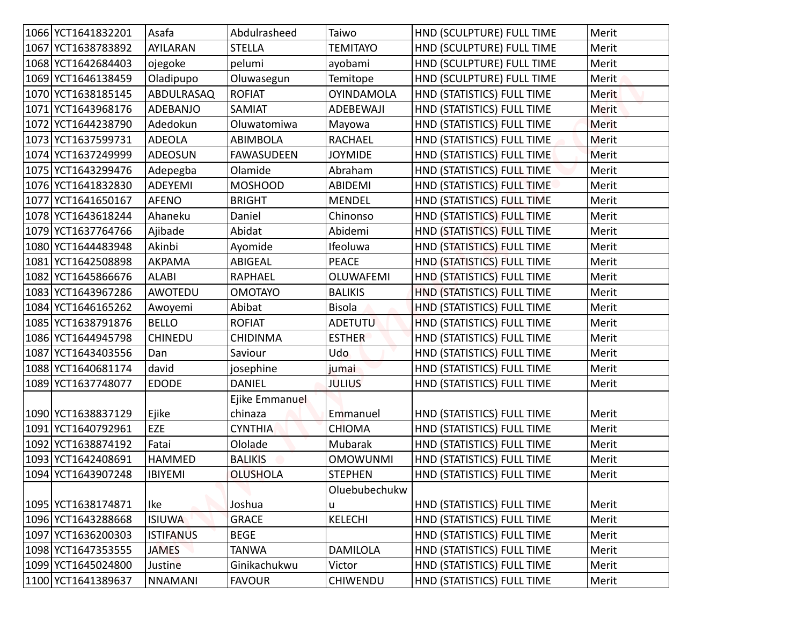| 1066 YCT1641832201 | Asafa            | Abdulrasheed              | Taiwo             | HND (SCULPTURE) FULL TIME  | Merit        |
|--------------------|------------------|---------------------------|-------------------|----------------------------|--------------|
| 1067 YCT1638783892 | <b>AYILARAN</b>  | <b>STELLA</b>             | <b>TEMITAYO</b>   | HND (SCULPTURE) FULL TIME  | Merit        |
| 1068 YCT1642684403 | ojegoke          | pelumi                    | ayobami           | HND (SCULPTURE) FULL TIME  | Merit        |
| 1069 YCT1646138459 | Oladipupo        | Oluwasegun                | Temitope          | HND (SCULPTURE) FULL TIME  | Merit        |
| 1070 YCT1638185145 | ABDULRASAQ       | <b>ROFIAT</b>             | <b>OYINDAMOLA</b> | HND (STATISTICS) FULL TIME | <b>Merit</b> |
| 1071 YCT1643968176 | ADEBANJO         | SAMIAT                    | ADEBEWAJI         | HND (STATISTICS) FULL TIME | <b>Merit</b> |
| 1072 YCT1644238790 | Adedokun         | Oluwatomiwa               | Mayowa            | HND (STATISTICS) FULL TIME | <b>Merit</b> |
| 1073 YCT1637599731 | <b>ADEOLA</b>    | <b>ABIMBOLA</b>           | <b>RACHAEL</b>    | HND (STATISTICS) FULL TIME | <b>Merit</b> |
| 1074 YCT1637249999 | <b>ADEOSUN</b>   | <b>FAWASUDEEN</b>         | <b>JOYMIDE</b>    | HND (STATISTICS) FULL TIME | Merit        |
| 1075 YCT1643299476 | Adepegba         | Olamide                   | Abraham           | HND (STATISTICS) FULL TIME | Merit        |
| 1076 YCT1641832830 | ADEYEMI          | <b>MOSHOOD</b>            | <b>ABIDEMI</b>    | HND (STATISTICS) FULL TIME | Merit        |
| 1077 YCT1641650167 | <b>AFENO</b>     | <b>BRIGHT</b>             | <b>MENDEL</b>     | HND (STATISTICS) FULL TIME | Merit        |
| 1078 YCT1643618244 | Ahaneku          | Daniel                    | Chinonso          | HND (STATISTICS) FULL TIME | Merit        |
| 1079 YCT1637764766 | Ajibade          | Abidat                    | Abidemi           | HND (STATISTICS) FULL TIME | Merit        |
| 1080 YCT1644483948 | Akinbi           | Ayomide                   | Ifeoluwa          | HND (STATISTICS) FULL TIME | Merit        |
| 1081 YCT1642508898 | AKPAMA           | <b>ABIGEAL</b>            | <b>PEACE</b>      | HND (STATISTICS) FULL TIME | Merit        |
| 1082 YCT1645866676 | <b>ALABI</b>     | RAPHAEL                   | <b>OLUWAFEMI</b>  | HND (STATISTICS) FULL TIME | Merit        |
| 1083 YCT1643967286 | AWOTEDU          | <b>OMOTAYO</b>            | <b>BALIKIS</b>    | HND (STATISTICS) FULL TIME | Merit        |
| 1084 YCT1646165262 | Awoyemi          | Abibat                    | <b>Bisola</b>     | HND (STATISTICS) FULL TIME | Merit        |
| 1085 YCT1638791876 | <b>BELLO</b>     | <b>ROFIAT</b>             | <b>ADETUTU</b>    | HND (STATISTICS) FULL TIME | Merit        |
| 1086 YCT1644945798 | <b>CHINEDU</b>   | <b>CHIDINMA</b>           | <b>ESTHER</b>     | HND (STATISTICS) FULL TIME | Merit        |
| 1087 YCT1643403556 | Dan              | Saviour                   | Udo               | HND (STATISTICS) FULL TIME | Merit        |
| 1088 YCT1640681174 | david            | josephine                 | jumai             | HND (STATISTICS) FULL TIME | Merit        |
| 1089 YCT1637748077 | <b>EDODE</b>     | <b>DANIEL</b>             | <b>JULIUS</b>     | HND (STATISTICS) FULL TIME | Merit        |
| 1090 YCT1638837129 | Ejike            | Ejike Emmanuel<br>chinaza | Emmanuel          | HND (STATISTICS) FULL TIME | Merit        |
| 1091 YCT1640792961 | EZE              | <b>CYNTHIA</b>            | <b>CHIOMA</b>     | HND (STATISTICS) FULL TIME | Merit        |
| 1092 YCT1638874192 | Fatai            | Ololade                   | Mubarak           | HND (STATISTICS) FULL TIME | Merit        |
| 1093 YCT1642408691 | <b>HAMMED</b>    | <b>BALIKIS</b>            | <b>OMOWUNMI</b>   | HND (STATISTICS) FULL TIME | Merit        |
| 1094 YCT1643907248 | <b>IBIYEMI</b>   | <b>OLUSHOLA</b>           | <b>STEPHEN</b>    | HND (STATISTICS) FULL TIME | Merit        |
|                    |                  |                           | Oluebubechukw     |                            |              |
| 1095 YCT1638174871 | Ike              | Joshua                    | u                 | HND (STATISTICS) FULL TIME | Merit        |
| 1096 YCT1643288668 | <b>ISIUWA</b>    | <b>GRACE</b>              | <b>KELECHI</b>    | HND (STATISTICS) FULL TIME | Merit        |
| 1097 YCT1636200303 | <b>ISTIFANUS</b> | <b>BEGE</b>               |                   | HND (STATISTICS) FULL TIME | Merit        |
| 1098 YCT1647353555 | <b>JAMES</b>     | <b>TANWA</b>              | <b>DAMILOLA</b>   | HND (STATISTICS) FULL TIME | Merit        |
| 1099 YCT1645024800 | Justine          | Ginikachukwu              | Victor            | HND (STATISTICS) FULL TIME | Merit        |
| 1100 YCT1641389637 | <b>NNAMANI</b>   | <b>FAVOUR</b>             | CHIWENDU          | HND (STATISTICS) FULL TIME | Merit        |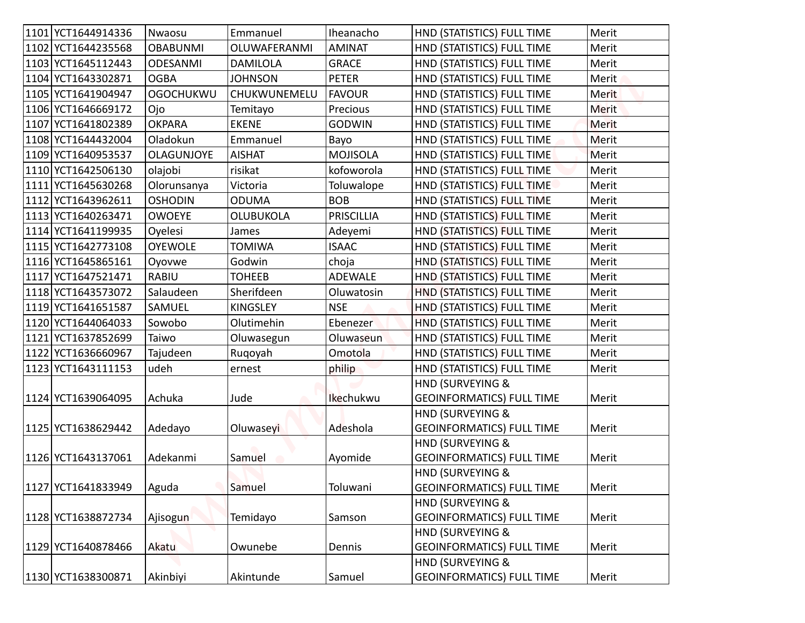| 1101 YCT1644914336 | Nwaosu            | Emmanuel         | Iheanacho         | HND (STATISTICS) FULL TIME                           | Merit        |
|--------------------|-------------------|------------------|-------------------|------------------------------------------------------|--------------|
| 1102 YCT1644235568 | <b>OBABUNMI</b>   | OLUWAFERANMI     | <b>AMINAT</b>     | HND (STATISTICS) FULL TIME                           | Merit        |
| 1103 YCT1645112443 | <b>ODESANMI</b>   | <b>DAMILOLA</b>  | <b>GRACE</b>      | HND (STATISTICS) FULL TIME                           | Merit        |
| 1104 YCT1643302871 | <b>OGBA</b>       | <b>JOHNSON</b>   | <b>PETER</b>      | HND (STATISTICS) FULL TIME                           | Merit        |
| 1105 YCT1641904947 | <b>OGOCHUKWU</b>  | CHUKWUNEMELU     | <b>FAVOUR</b>     | HND (STATISTICS) FULL TIME                           | <b>Merit</b> |
| 1106 YCT1646669172 | Ojo               | Temitayo         | Precious          | HND (STATISTICS) FULL TIME                           | <b>Merit</b> |
| 1107 YCT1641802389 | <b>OKPARA</b>     | <b>EKENE</b>     | <b>GODWIN</b>     | HND (STATISTICS) FULL TIME                           | Merit        |
| 1108 YCT1644432004 | Oladokun          | Emmanuel         | Bayo              | HND (STATISTICS) FULL TIME                           | Merit        |
| 1109 YCT1640953537 | <b>OLAGUNJOYE</b> | <b>AISHAT</b>    | <b>MOJISOLA</b>   | HND (STATISTICS) FULL TIME                           | Merit        |
| 1110 YCT1642506130 | olajobi           | risikat          | kofoworola        | HND (STATISTICS) FULL TIME                           | Merit        |
| 1111 YCT1645630268 | Olorunsanya       | Victoria         | Toluwalope        | HND (STATISTICS) FULL TIME                           | Merit        |
| 1112 YCT1643962611 | <b>OSHODIN</b>    | <b>ODUMA</b>     | <b>BOB</b>        | HND (STATISTICS) FULL TIME                           | Merit        |
| 1113 YCT1640263471 | <b>OWOEYE</b>     | <b>OLUBUKOLA</b> | <b>PRISCILLIA</b> | HND (STATISTICS) FULL TIME                           | Merit        |
| 1114 YCT1641199935 | Oyelesi           | James            | Adeyemi           | HND (STATISTICS) FULL TIME                           | Merit        |
| 1115 YCT1642773108 | <b>OYEWOLE</b>    | <b>TOMIWA</b>    | <b>ISAAC</b>      | HND (STATISTICS) FULL TIME                           | Merit        |
| 1116 YCT1645865161 | Oyovwe            | Godwin           | choja             | HND (STATISTICS) FULL TIME                           | Merit        |
| 1117 YCT1647521471 | <b>RABIU</b>      | <b>TOHEEB</b>    | <b>ADEWALE</b>    | HND (STATISTICS) FULL TIME                           | Merit        |
| 1118 YCT1643573072 | Salaudeen         | Sherifdeen       | Oluwatosin        | HND (STATISTICS) FULL TIME                           | Merit        |
| 1119 YCT1641651587 | SAMUEL            | <b>KINGSLEY</b>  | <b>NSE</b>        | HND (STATISTICS) FULL TIME                           | Merit        |
| 1120 YCT1644064033 | Sowobo            | Olutimehin       | Ebenezer          | HND (STATISTICS) FULL TIME                           | Merit        |
| 1121 YCT1637852699 | Taiwo             | Oluwasegun       | Oluwaseun         | HND (STATISTICS) FULL TIME                           | Merit        |
| 1122 YCT1636660967 | Tajudeen          | Ruqoyah          | Omotola           | HND (STATISTICS) FULL TIME                           | Merit        |
| 1123 YCT1643111153 | udeh              | ernest           | philip            | HND (STATISTICS) FULL TIME                           | Merit        |
|                    |                   |                  |                   | HND (SURVEYING &                                     |              |
| 1124 YCT1639064095 | Achuka            | Jude             | Ikechukwu         | <b>GEOINFORMATICS) FULL TIME</b>                     | Merit        |
|                    |                   |                  |                   | HND (SURVEYING &                                     |              |
| 1125 YCT1638629442 | Adedayo           | Oluwaseyi        | Adeshola          | <b>GEOINFORMATICS) FULL TIME</b>                     | Merit        |
|                    |                   |                  |                   | HND (SURVEYING &                                     |              |
| 1126 YCT1643137061 | Adekanmi          | Samuel           | Ayomide           | <b>GEOINFORMATICS) FULL TIME</b>                     | Merit        |
| 1127 YCT1641833949 |                   | Samuel           | Toluwani          | HND (SURVEYING &<br><b>GEOINFORMATICS) FULL TIME</b> | Merit        |
|                    | Aguda             |                  |                   | HND (SURVEYING &                                     |              |
| 1128 YCT1638872734 | Ajisogun          | Temidayo         | Samson            | <b>GEOINFORMATICS) FULL TIME</b>                     | Merit        |
|                    |                   |                  |                   | HND (SURVEYING &                                     |              |
| 1129 YCT1640878466 | Akatu             | Owunebe          | Dennis            | <b>GEOINFORMATICS) FULL TIME</b>                     | Merit        |
|                    |                   |                  |                   | HND (SURVEYING &                                     |              |
| 1130 YCT1638300871 | Akinbiyi          | Akintunde        | Samuel            | <b>GEOINFORMATICS) FULL TIME</b>                     | Merit        |
|                    |                   |                  |                   |                                                      |              |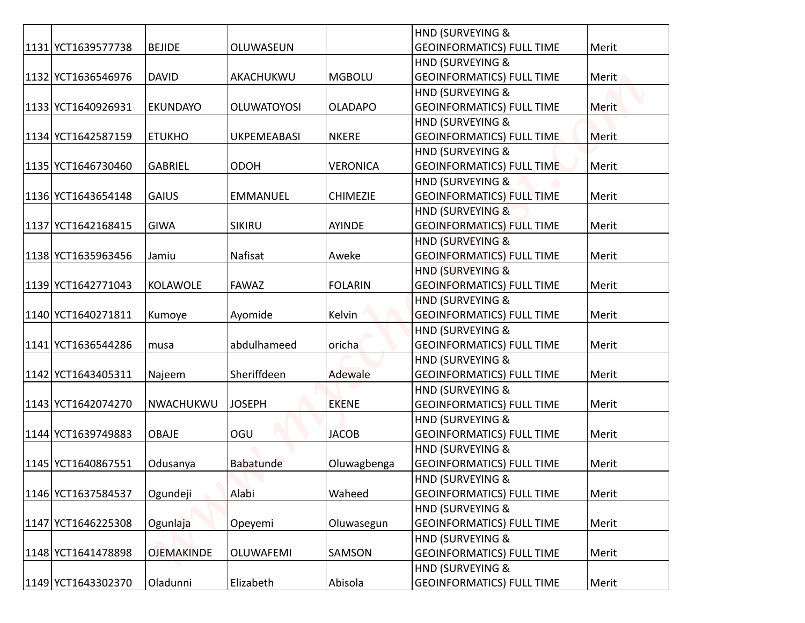|                    |                   |                    |                 | <b>HND (SURVEYING &amp;</b>                          |       |
|--------------------|-------------------|--------------------|-----------------|------------------------------------------------------|-------|
| 1131 YCT1639577738 | <b>BEJIDE</b>     | OLUWASEUN          |                 | <b>GEOINFORMATICS) FULL TIME</b>                     | Merit |
|                    |                   |                    |                 | HND (SURVEYING &                                     |       |
| 1132 YCT1636546976 | <b>DAVID</b>      | AKACHUKWU          | <b>MGBOLU</b>   | <b>GEOINFORMATICS) FULL TIME</b>                     | Merit |
|                    |                   |                    |                 | <b>HND (SURVEYING &amp;</b>                          |       |
| 1133 YCT1640926931 | <b>EKUNDAYO</b>   | <b>OLUWATOYOSI</b> | <b>OLADAPO</b>  | <b>GEOINFORMATICS) FULL TIME</b>                     | Merit |
|                    |                   |                    |                 | HND (SURVEYING &                                     |       |
| 1134 YCT1642587159 | <b>ETUKHO</b>     | UKPEMEABASI        | <b>NKERE</b>    | <b>GEOINFORMATICS) FULL TIME</b>                     | Merit |
| 1135 YCT1646730460 | <b>GABRIEL</b>    | <b>ODOH</b>        | <b>VERONICA</b> | HND (SURVEYING &<br><b>GEOINFORMATICS) FULL TIME</b> | Merit |
|                    |                   |                    |                 | HND (SURVEYING &                                     |       |
| 1136 YCT1643654148 | <b>GAIUS</b>      | <b>EMMANUEL</b>    | <b>CHIMEZIE</b> | <b>GEOINFORMATICS) FULL TIME</b>                     | Merit |
|                    |                   |                    |                 | HND (SURVEYING &                                     |       |
| 1137 YCT1642168415 | <b>GIWA</b>       | SIKIRU             | AYINDE          | <b>GEOINFORMATICS) FULL TIME</b>                     | Merit |
|                    |                   |                    |                 | HND (SURVEYING &                                     |       |
| 1138 YCT1635963456 | Jamiu             | Nafisat            | Aweke           | <b>GEOINFORMATICS) FULL TIME</b>                     | Merit |
|                    |                   |                    |                 | <b>HND (SURVEYING &amp;</b>                          |       |
| 1139 YCT1642771043 | <b>KOLAWOLE</b>   | <b>FAWAZ</b>       | <b>FOLARIN</b>  | <b>GEOINFORMATICS) FULL TIME</b>                     | Merit |
|                    |                   |                    |                 | <b>HND (SURVEYING &amp;</b>                          |       |
| 1140 YCT1640271811 | Kumoye            | Ayomide            | Kelvin          | <b>GEOINFORMATICS) FULL TIME</b>                     | Merit |
|                    |                   |                    |                 | <b>HND (SURVEYING &amp;</b>                          |       |
| 1141 YCT1636544286 | musa              | abdulhameed        | oricha          | <b>GEOINFORMATICS) FULL TIME</b>                     | Merit |
|                    |                   |                    |                 | HND (SURVEYING &                                     |       |
| 1142 YCT1643405311 | Najeem            | Sheriffdeen        | Adewale         | <b>GEOINFORMATICS) FULL TIME</b>                     | Merit |
|                    |                   |                    |                 | <b>HND (SURVEYING &amp;</b>                          |       |
| 1143 YCT1642074270 | NWACHUKWU         | <b>JOSEPH</b>      | <b>EKENE</b>    | <b>GEOINFORMATICS) FULL TIME</b>                     | Merit |
|                    |                   |                    |                 | <b>HND (SURVEYING &amp;</b>                          |       |
| 1144 YCT1639749883 | <b>OBAJE</b>      | OGU                | <b>JACOB</b>    | <b>GEOINFORMATICS) FULL TIME</b>                     | Merit |
|                    |                   |                    |                 | <b>HND (SURVEYING &amp;</b>                          |       |
| 1145 YCT1640867551 | Odusanya          | Babatunde          | Oluwagbenga     | <b>GEOINFORMATICS) FULL TIME</b>                     | Merit |
|                    |                   |                    |                 | HND (SURVEYING &                                     |       |
| 1146 YCT1637584537 | Ogundeji          | Alabi              | Waheed          | <b>GEOINFORMATICS) FULL TIME</b>                     | Merit |
|                    |                   |                    |                 | <b>HND (SURVEYING &amp;</b>                          |       |
| 1147 YCT1646225308 | Ogunlaja          | Opeyemi            | Oluwasegun      | <b>GEOINFORMATICS) FULL TIME</b>                     | Merit |
|                    |                   |                    |                 | <b>HND (SURVEYING &amp;</b>                          |       |
| 1148 YCT1641478898 | <b>OJEMAKINDE</b> | <b>OLUWAFEMI</b>   | SAMSON          | <b>GEOINFORMATICS) FULL TIME</b>                     | Merit |
|                    |                   |                    |                 | <b>HND (SURVEYING &amp;</b>                          |       |
| 1149 YCT1643302370 | Oladunni          | Elizabeth          | Abisola         | <b>GEOINFORMATICS) FULL TIME</b>                     | Merit |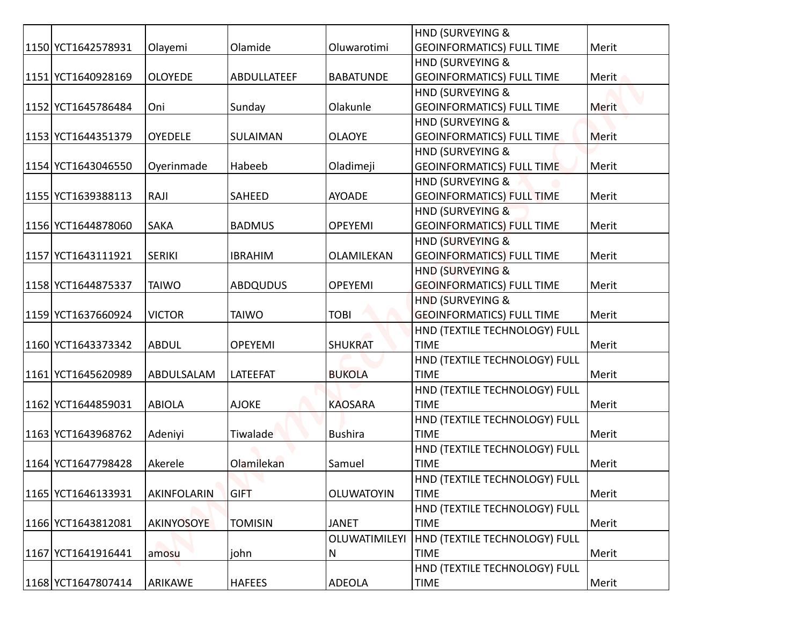|                    |                   |                 |                   | <b>HND (SURVEYING &amp;</b>                  |       |
|--------------------|-------------------|-----------------|-------------------|----------------------------------------------|-------|
| 1150 YCT1642578931 | Olayemi           | Olamide         | Oluwarotimi       | <b>GEOINFORMATICS) FULL TIME</b>             | Merit |
|                    |                   |                 |                   | <b>HND (SURVEYING &amp;</b>                  |       |
| 1151 YCT1640928169 | <b>OLOYEDE</b>    | ABDULLATEEF     | <b>BABATUNDE</b>  | <b>GEOINFORMATICS) FULL TIME</b>             | Merit |
|                    |                   |                 |                   | <b>HND (SURVEYING &amp;</b>                  |       |
| 1152 YCT1645786484 | Oni               | Sunday          | Olakunle          | <b>GEOINFORMATICS) FULL TIME</b>             | Merit |
|                    |                   |                 |                   | HND (SURVEYING &                             |       |
| 1153 YCT1644351379 | <b>OYEDELE</b>    | SULAIMAN        | <b>OLAOYE</b>     | <b>GEOINFORMATICS) FULL TIME</b>             | Merit |
|                    |                   |                 |                   | HND (SURVEYING &                             |       |
| 1154 YCT1643046550 | Oyerinmade        | Habeeb          | Oladimeji         | <b>GEOINFORMATICS) FULL TIME</b>             | Merit |
|                    |                   |                 |                   | <b>HND (SURVEYING &amp;</b>                  |       |
| 1155 YCT1639388113 | RAJI              | SAHEED          | <b>AYOADE</b>     | <b>GEOINFORMATICS) FULL TIME</b>             | Merit |
|                    |                   |                 |                   | HND (SURVEYING &                             |       |
| 1156 YCT1644878060 | <b>SAKA</b>       | <b>BADMUS</b>   | <b>OPEYEMI</b>    | <b>GEOINFORMATICS) FULL TIME</b>             | Merit |
|                    |                   |                 |                   | HND (SURVEYING &                             |       |
| 1157 YCT1643111921 | <b>SERIKI</b>     | <b>IBRAHIM</b>  | OLAMILEKAN        | <b>GEOINFORMATICS) FULL TIME</b>             | Merit |
|                    |                   |                 |                   | <b>HND (SURVEYING &amp;</b>                  |       |
| 1158 YCT1644875337 | <b>TAIWO</b>      | <b>ABDQUDUS</b> | OPEYEMI           | <b>GEOINFORMATICS) FULL TIME</b>             | Merit |
|                    |                   |                 |                   | <b>HND (SURVEYING &amp;</b>                  |       |
| 1159 YCT1637660924 | <b>VICTOR</b>     | <b>TAIWO</b>    | <b>TOBI</b>       | <b>GEOINFORMATICS) FULL TIME</b>             | Merit |
|                    |                   |                 |                   | HND (TEXTILE TECHNOLOGY) FULL                |       |
| 1160 YCT1643373342 | <b>ABDUL</b>      | <b>OPEYEMI</b>  | <b>SHUKRAT</b>    | <b>TIME</b>                                  | Merit |
|                    |                   |                 |                   | HND (TEXTILE TECHNOLOGY) FULL                |       |
| 1161 YCT1645620989 | ABDULSALAM        | LATEEFAT        | <b>BUKOLA</b>     | <b>TIME</b>                                  | Merit |
| 1162 YCT1644859031 | <b>ABIOLA</b>     | <b>AJOKE</b>    | <b>KAOSARA</b>    | HND (TEXTILE TECHNOLOGY) FULL<br><b>TIME</b> | Merit |
|                    |                   |                 |                   | HND (TEXTILE TECHNOLOGY) FULL                |       |
| 1163 YCT1643968762 | Adeniyi           | Tiwalade        | <b>Bushira</b>    | <b>TIME</b>                                  | Merit |
|                    |                   |                 |                   | HND (TEXTILE TECHNOLOGY) FULL                |       |
| 1164 YCT1647798428 | Akerele           | Olamilekan      | Samuel            | <b>TIME</b>                                  | Merit |
|                    |                   |                 |                   | HND (TEXTILE TECHNOLOGY) FULL                |       |
| 1165 YCT1646133931 | AKINFOLARIN       | <b>GIFT</b>     | <b>OLUWATOYIN</b> | <b>TIME</b>                                  | Merit |
|                    |                   |                 |                   | HND (TEXTILE TECHNOLOGY) FULL                |       |
| 1166 YCT1643812081 | <b>AKINYOSOYE</b> | <b>TOMISIN</b>  | <b>JANET</b>      | <b>TIME</b>                                  | Merit |
|                    |                   |                 | OLUWATIMILEYI     | HND (TEXTILE TECHNOLOGY) FULL                |       |
| 1167 YCT1641916441 | amosu             | john            | N                 | <b>TIME</b>                                  | Merit |
|                    |                   |                 |                   | HND (TEXTILE TECHNOLOGY) FULL                |       |
| 1168 YCT1647807414 | ARIKAWE           | <b>HAFEES</b>   | <b>ADEOLA</b>     | <b>TIME</b>                                  | Merit |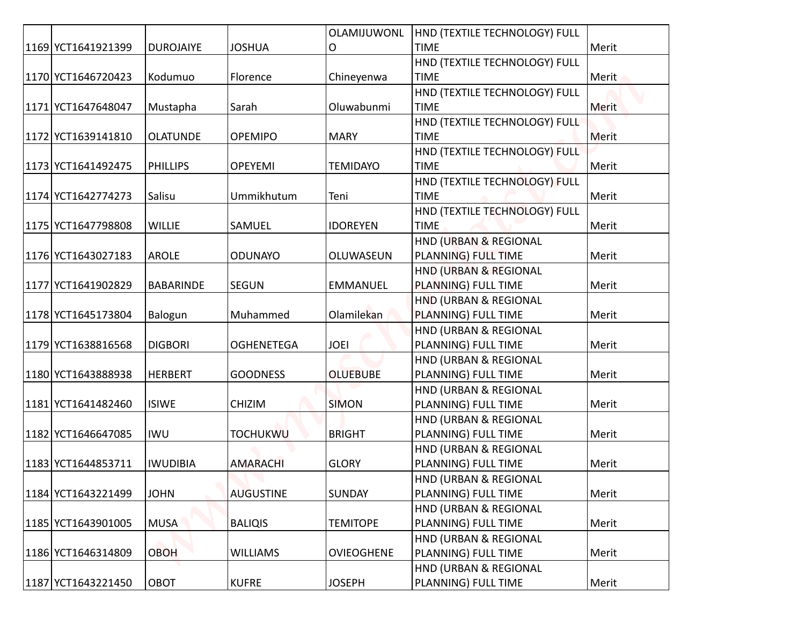|                    |                  |                   | OLAMIJUWONL       | HND (TEXTILE TECHNOLOGY) FULL                |              |
|--------------------|------------------|-------------------|-------------------|----------------------------------------------|--------------|
| 1169 YCT1641921399 | <b>DUROJAIYE</b> | <b>JOSHUA</b>     | O                 | <b>TIME</b>                                  | Merit        |
|                    |                  |                   |                   | HND (TEXTILE TECHNOLOGY) FULL                |              |
| 1170 YCT1646720423 | Kodumuo          | Florence          | Chineyenwa        | <b>TIME</b>                                  | Merit        |
| 1171 YCT1647648047 | Mustapha         | Sarah             | Oluwabunmi        | HND (TEXTILE TECHNOLOGY) FULL<br><b>TIME</b> | <b>Merit</b> |
|                    |                  |                   |                   | HND (TEXTILE TECHNOLOGY) FULL                |              |
| 1172 YCT1639141810 | <b>OLATUNDE</b>  | <b>OPEMIPO</b>    | <b>MARY</b>       | <b>TIME</b>                                  | Merit        |
|                    |                  |                   |                   | HND (TEXTILE TECHNOLOGY) FULL                |              |
| 1173 YCT1641492475 | <b>PHILLIPS</b>  | <b>OPEYEMI</b>    | <b>TEMIDAYO</b>   | <b>TIME</b>                                  | Merit        |
|                    |                  |                   |                   | HND (TEXTILE TECHNOLOGY) FULL                |              |
| 1174 YCT1642774273 | Salisu           | Ummikhutum        | Teni              | <b>TIME</b>                                  | Merit        |
|                    |                  |                   |                   | HND (TEXTILE TECHNOLOGY) FULL                |              |
| 1175 YCT1647798808 | <b>WILLIE</b>    | <b>SAMUEL</b>     | <b>IDOREYEN</b>   | <b>TIME</b>                                  | Merit        |
|                    |                  |                   |                   | HND (URBAN & REGIONAL                        |              |
| 1176 YCT1643027183 | <b>AROLE</b>     | <b>ODUNAYO</b>    | OLUWASEUN         | PLANNING) FULL TIME                          | Merit        |
|                    |                  |                   |                   | HND (URBAN & REGIONAL                        |              |
| 1177 YCT1641902829 | <b>BABARINDE</b> | <b>SEGUN</b>      | <b>EMMANUEL</b>   | PLANNING) FULL TIME                          | Merit        |
|                    |                  |                   |                   | HND (URBAN & REGIONAL                        |              |
| 1178 YCT1645173804 | Balogun          | Muhammed          | Olamilekan        | PLANNING) FULL TIME                          | Merit        |
|                    |                  |                   |                   | HND (URBAN & REGIONAL                        |              |
| 1179 YCT1638816568 | <b>DIGBORI</b>   | <b>OGHENETEGA</b> | <b>JOEI</b>       | PLANNING) FULL TIME                          | Merit        |
|                    |                  |                   |                   | HND (URBAN & REGIONAL                        |              |
| 1180 YCT1643888938 | <b>HERBERT</b>   | <b>GOODNESS</b>   | <b>OLUEBUBE</b>   | PLANNING) FULL TIME                          | Merit        |
|                    |                  |                   |                   | HND (URBAN & REGIONAL                        |              |
| 1181 YCT1641482460 | <b>ISIWE</b>     | <b>CHIZIM</b>     | <b>SIMON</b>      | PLANNING) FULL TIME                          | Merit        |
|                    |                  |                   |                   | HND (URBAN & REGIONAL                        |              |
| 1182 YCT1646647085 | IWU              | <b>TOCHUKWU</b>   | <b>BRIGHT</b>     | PLANNING) FULL TIME                          | Merit        |
|                    |                  |                   |                   | HND (URBAN & REGIONAL                        |              |
| 1183 YCT1644853711 | <b>IWUDIBIA</b>  | <b>AMARACHI</b>   | <b>GLORY</b>      | PLANNING) FULL TIME                          | Merit        |
|                    |                  |                   |                   | HND (URBAN & REGIONAL                        |              |
| 1184 YCT1643221499 | <b>JOHN</b>      | <b>AUGUSTINE</b>  | <b>SUNDAY</b>     | PLANNING) FULL TIME                          | Merit        |
| 1185 YCT1643901005 | <b>MUSA</b>      | <b>BALIQIS</b>    | <b>TEMITOPE</b>   | HND (URBAN & REGIONAL<br>PLANNING) FULL TIME | Merit        |
|                    |                  |                   |                   | HND (URBAN & REGIONAL                        |              |
| 1186 YCT1646314809 | <b>OBOH</b>      | <b>WILLIAMS</b>   | <b>OVIEOGHENE</b> | PLANNING) FULL TIME                          | Merit        |
|                    |                  |                   |                   | HND (URBAN & REGIONAL                        |              |
| 1187 YCT1643221450 | OBOT             | <b>KUFRE</b>      | <b>JOSEPH</b>     | PLANNING) FULL TIME                          | Merit        |
|                    |                  |                   |                   |                                              |              |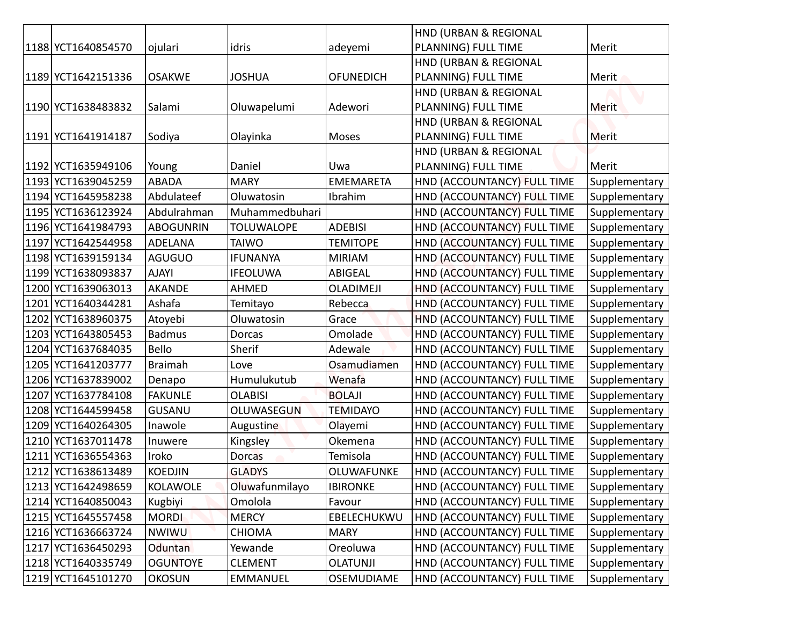|                    |                  |                   |                  | HND (URBAN & REGIONAL       |               |
|--------------------|------------------|-------------------|------------------|-----------------------------|---------------|
| 1188 YCT1640854570 | ojulari          | idris             | adeyemi          | PLANNING) FULL TIME         | Merit         |
|                    |                  |                   |                  | HND (URBAN & REGIONAL       |               |
| 1189 YCT1642151336 | <b>OSAKWE</b>    | <b>JOSHUA</b>     | <b>OFUNEDICH</b> | PLANNING) FULL TIME         | Merit         |
|                    |                  |                   |                  | HND (URBAN & REGIONAL       |               |
| 1190 YCT1638483832 | Salami           | Oluwapelumi       | Adewori          | PLANNING) FULL TIME         | Merit         |
|                    |                  |                   |                  | HND (URBAN & REGIONAL       |               |
| 1191 YCT1641914187 | Sodiya           | Olayinka          | Moses            | PLANNING) FULL TIME         | Merit         |
|                    |                  |                   |                  | HND (URBAN & REGIONAL       |               |
| 1192 YCT1635949106 | Young            | Daniel            | Uwa              | PLANNING) FULL TIME         | Merit         |
| 1193 YCT1639045259 | <b>ABADA</b>     | <b>MARY</b>       | <b>EMEMARETA</b> | HND (ACCOUNTANCY) FULL TIME | Supplementary |
| 1194 YCT1645958238 | Abdulateef       | Oluwatosin        | Ibrahim          | HND (ACCOUNTANCY) FULL TIME | Supplementary |
| 1195 YCT1636123924 | Abdulrahman      | Muhammedbuhari    |                  | HND (ACCOUNTANCY) FULL TIME | Supplementary |
| 1196 YCT1641984793 | <b>ABOGUNRIN</b> | <b>TOLUWALOPE</b> | <b>ADEBISI</b>   | HND (ACCOUNTANCY) FULL TIME | Supplementary |
| 1197 YCT1642544958 | <b>ADELANA</b>   | <b>TAIWO</b>      | <b>TEMITOPE</b>  | HND (ACCOUNTANCY) FULL TIME | Supplementary |
| 1198 YCT1639159134 | <b>AGUGUO</b>    | <b>IFUNANYA</b>   | <b>MIRIAM</b>    | HND (ACCOUNTANCY) FULL TIME | Supplementary |
| 1199 YCT1638093837 | <b>AJAYI</b>     | IFEOLUWA          | ABIGEAL          | HND (ACCOUNTANCY) FULL TIME | Supplementary |
| 1200 YCT1639063013 | <b>AKANDE</b>    | <b>AHMED</b>      | <b>OLADIMEJI</b> | HND (ACCOUNTANCY) FULL TIME | Supplementary |
| 1201 YCT1640344281 | Ashafa           | Temitayo          | Rebecca          | HND (ACCOUNTANCY) FULL TIME | Supplementary |
| 1202 YCT1638960375 | Atoyebi          | Oluwatosin        | Grace            | HND (ACCOUNTANCY) FULL TIME | Supplementary |
| 1203 YCT1643805453 | <b>Badmus</b>    | Dorcas            | Omolade          | HND (ACCOUNTANCY) FULL TIME | Supplementary |
| 1204 YCT1637684035 | <b>Bello</b>     | Sherif            | Adewale          | HND (ACCOUNTANCY) FULL TIME | Supplementary |
| 1205 YCT1641203777 | <b>Braimah</b>   | Love              | Osamudiamen      | HND (ACCOUNTANCY) FULL TIME | Supplementary |
| 1206 YCT1637839002 | Denapo           | Humulukutub       | Wenafa           | HND (ACCOUNTANCY) FULL TIME | Supplementary |
| 1207 YCT1637784108 | <b>FAKUNLE</b>   | <b>OLABISI</b>    | <b>BOLAJI</b>    | HND (ACCOUNTANCY) FULL TIME | Supplementary |
| 1208 YCT1644599458 | <b>GUSANU</b>    | <b>OLUWASEGUN</b> | <b>TEMIDAYO</b>  | HND (ACCOUNTANCY) FULL TIME | Supplementary |
| 1209 YCT1640264305 | Inawole          | Augustine         | Olayemi          | HND (ACCOUNTANCY) FULL TIME | Supplementary |
| 1210 YCT1637011478 | Inuwere          | Kingsley          | Okemena          | HND (ACCOUNTANCY) FULL TIME | Supplementary |
| 1211 YCT1636554363 | Iroko            | <b>Dorcas</b>     | Temisola         | HND (ACCOUNTANCY) FULL TIME | Supplementary |
| 1212 YCT1638613489 | <b>KOEDJIN</b>   | <b>GLADYS</b>     | OLUWAFUNKE       | HND (ACCOUNTANCY) FULL TIME | Supplementary |
| 1213 YCT1642498659 | <b>KOLAWOLE</b>  | Oluwafunmilayo    | <b>IBIRONKE</b>  | HND (ACCOUNTANCY) FULL TIME | Supplementary |
| 1214 YCT1640850043 | Kugbiyi          | Omolola           | Favour           | HND (ACCOUNTANCY) FULL TIME | Supplementary |
| 1215 YCT1645557458 | <b>MORDI</b>     | <b>MERCY</b>      | EBELECHUKWU      | HND (ACCOUNTANCY) FULL TIME | Supplementary |
| 1216 YCT1636663724 | <b>NWIWU</b>     | <b>CHIOMA</b>     | <b>MARY</b>      | HND (ACCOUNTANCY) FULL TIME | Supplementary |
| 1217 YCT1636450293 | Oduntan          | Yewande           | Oreoluwa         | HND (ACCOUNTANCY) FULL TIME | Supplementary |
| 1218 YCT1640335749 | <b>OGUNTOYE</b>  | <b>CLEMENT</b>    | <b>OLATUNJI</b>  | HND (ACCOUNTANCY) FULL TIME | Supplementary |
| 1219 YCT1645101270 | <b>OKOSUN</b>    | EMMANUEL          | OSEMUDIAME       | HND (ACCOUNTANCY) FULL TIME | Supplementary |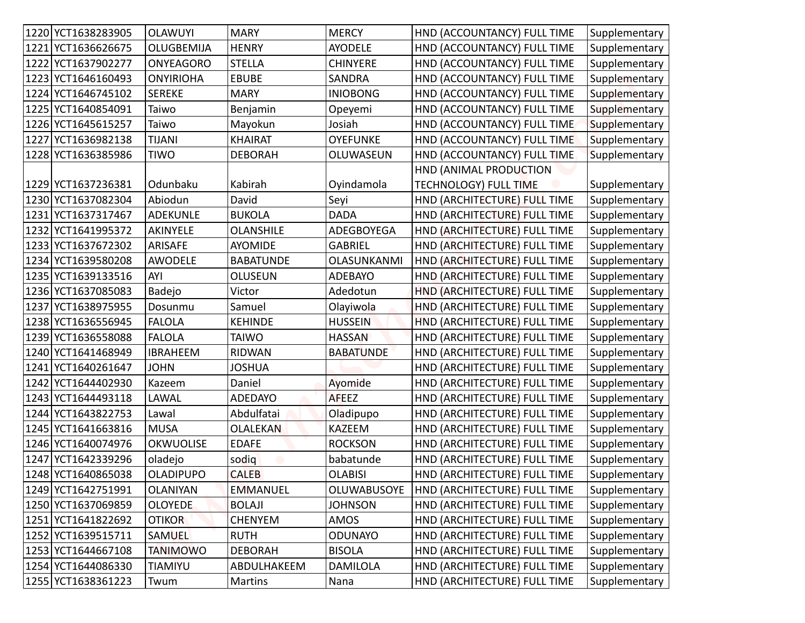| 1220 YCT1638283905   | <b>OLAWUYI</b>   | <b>MARY</b>      | <b>MERCY</b>     | HND (ACCOUNTANCY) FULL TIME  | Supplementary |
|----------------------|------------------|------------------|------------------|------------------------------|---------------|
| 1221 YCT1636626675   | OLUGBEMIJA       | <b>HENRY</b>     | <b>AYODELE</b>   | HND (ACCOUNTANCY) FULL TIME  | Supplementary |
| 1222 YCT1637902277   | <b>ONYEAGORO</b> | <b>STELLA</b>    | <b>CHINYERE</b>  | HND (ACCOUNTANCY) FULL TIME  | Supplementary |
| 1223 YCT1646160493   | <b>ONYIRIOHA</b> | <b>EBUBE</b>     | <b>SANDRA</b>    | HND (ACCOUNTANCY) FULL TIME  | Supplementary |
| 1224 YCT1646745102   | <b>SEREKE</b>    | <b>MARY</b>      | <b>INIOBONG</b>  | HND (ACCOUNTANCY) FULL TIME  | Supplementary |
| 1225 YCT1640854091   | Taiwo            | Benjamin         | Opeyemi          | HND (ACCOUNTANCY) FULL TIME  | Supplementary |
| 1226 YCT1645615257   | Taiwo            | Mayokun          | Josiah           | HND (ACCOUNTANCY) FULL TIME  | Supplementary |
| 1227 YCT1636982138   | <b>TIJANI</b>    | <b>KHAIRAT</b>   | <b>OYEFUNKE</b>  | HND (ACCOUNTANCY) FULL TIME  | Supplementary |
| 1228 YCT1636385986   | TIWO             | <b>DEBORAH</b>   | OLUWASEUN        | HND (ACCOUNTANCY) FULL TIME  | Supplementary |
|                      |                  |                  |                  | HND (ANIMAL PRODUCTION       |               |
| 1229 YCT1637236381   | Odunbaku         | Kabirah          | Oyindamola       | <b>TECHNOLOGY) FULL TIME</b> | Supplementary |
| 1230 YCT1637082304   | Abiodun          | David            | Seyi             | HND (ARCHITECTURE) FULL TIME | Supplementary |
| 1231   YCT1637317467 | <b>ADEKUNLE</b>  | <b>BUKOLA</b>    | <b>DADA</b>      | HND (ARCHITECTURE) FULL TIME | Supplementary |
| 1232 YCT1641995372   | AKINYELE         | <b>OLANSHILE</b> | ADEGBOYEGA       | HND (ARCHITECTURE) FULL TIME | Supplementary |
| 1233 YCT1637672302   | ARISAFE          | <b>AYOMIDE</b>   | <b>GABRIEL</b>   | HND (ARCHITECTURE) FULL TIME | Supplementary |
| 1234 YCT1639580208   | <b>AWODELE</b>   | <b>BABATUNDE</b> | OLASUNKANMI      | HND (ARCHITECTURE) FULL TIME | Supplementary |
| 1235 YCT1639133516   | AYI              | <b>OLUSEUN</b>   | <b>ADEBAYO</b>   | HND (ARCHITECTURE) FULL TIME | Supplementary |
| 1236 YCT1637085083   | Badejo           | Victor           | Adedotun         | HND (ARCHITECTURE) FULL TIME | Supplementary |
| 1237 YCT1638975955   | Dosunmu          | Samuel           | Olayiwola        | HND (ARCHITECTURE) FULL TIME | Supplementary |
| 1238 YCT1636556945   | <b>FALOLA</b>    | <b>KEHINDE</b>   | <b>HUSSEIN</b>   | HND (ARCHITECTURE) FULL TIME | Supplementary |
| 1239 YCT1636558088   | <b>FALOLA</b>    | <b>TAIWO</b>     | <b>HASSAN</b>    | HND (ARCHITECTURE) FULL TIME | Supplementary |
| 1240 YCT1641468949   | <b>IBRAHEEM</b>  | <b>RIDWAN</b>    | <b>BABATUNDE</b> | HND (ARCHITECTURE) FULL TIME | Supplementary |
| 1241 YCT1640261647   | <b>JOHN</b>      | <b>JOSHUA</b>    |                  | HND (ARCHITECTURE) FULL TIME | Supplementary |
| 1242 YCT1644402930   | Kazeem           | Daniel           | Ayomide          | HND (ARCHITECTURE) FULL TIME | Supplementary |
| 1243 YCT1644493118   | LAWAL            | <b>ADEDAYO</b>   | <b>AFEEZ</b>     | HND (ARCHITECTURE) FULL TIME | Supplementary |
| 1244 YCT1643822753   | Lawal            | Abdulfatai       | Oladipupo        | HND (ARCHITECTURE) FULL TIME | Supplementary |
| 1245 YCT1641663816   | <b>MUSA</b>      | <b>OLALEKAN</b>  | <b>KAZEEM</b>    | HND (ARCHITECTURE) FULL TIME | Supplementary |
| 1246 YCT1640074976   | <b>OKWUOLISE</b> | <b>EDAFE</b>     | <b>ROCKSON</b>   | HND (ARCHITECTURE) FULL TIME | Supplementary |
| 1247 YCT1642339296   | oladejo          | sodig            | babatunde        | HND (ARCHITECTURE) FULL TIME | Supplementary |
| 1248 YCT1640865038   | <b>OLADIPUPO</b> | <b>CALEB</b>     | <b>OLABISI</b>   | HND (ARCHITECTURE) FULL TIME | Supplementary |
| 1249 YCT1642751991   | <b>OLANIYAN</b>  | <b>EMMANUEL</b>  | OLUWABUSOYE      | HND (ARCHITECTURE) FULL TIME | Supplementary |
| 1250 YCT1637069859   | <b>OLOYEDE</b>   | <b>BOLAJI</b>    | <b>JOHNSON</b>   | HND (ARCHITECTURE) FULL TIME | Supplementary |
| 1251 YCT1641822692   | <b>OTIKOR</b>    | <b>CHENYEM</b>   | AMOS             | HND (ARCHITECTURE) FULL TIME | Supplementary |
| 1252 YCT1639515711   | <b>SAMUEL</b>    | <b>RUTH</b>      | <b>ODUNAYO</b>   | HND (ARCHITECTURE) FULL TIME | Supplementary |
| 1253 YCT1644667108   | <b>TANIMOWO</b>  | <b>DEBORAH</b>   | <b>BISOLA</b>    | HND (ARCHITECTURE) FULL TIME | Supplementary |
| 1254 YCT1644086330   | <b>TIAMIYU</b>   | ABDULHAKEEM      | <b>DAMILOLA</b>  | HND (ARCHITECTURE) FULL TIME | Supplementary |
| 1255 YCT1638361223   | Twum             | Martins          | Nana             | HND (ARCHITECTURE) FULL TIME | Supplementary |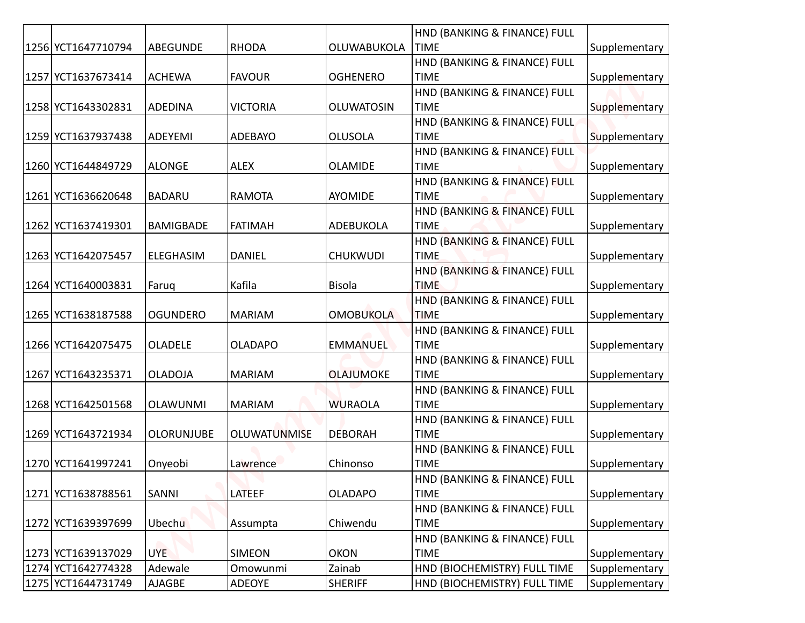|  |                    |                   |                 |                   | HND (BANKING & FINANCE) FULL                |               |
|--|--------------------|-------------------|-----------------|-------------------|---------------------------------------------|---------------|
|  | 1256 YCT1647710794 | ABEGUNDE          | <b>RHODA</b>    | OLUWABUKOLA       | <b>TIME</b>                                 | Supplementary |
|  |                    |                   |                 |                   | HND (BANKING & FINANCE) FULL                |               |
|  | 1257 YCT1637673414 | <b>ACHEWA</b>     | <b>FAVOUR</b>   | <b>OGHENERO</b>   | <b>TIME</b>                                 | Supplementary |
|  |                    |                   |                 |                   | HND (BANKING & FINANCE) FULL                |               |
|  | 1258 YCT1643302831 | <b>ADEDINA</b>    | <b>VICTORIA</b> | <b>OLUWATOSIN</b> | <b>TIME</b>                                 | Supplementary |
|  |                    |                   |                 |                   | HND (BANKING & FINANCE) FULL                |               |
|  | 1259 YCT1637937438 | ADEYEMI           | <b>ADEBAYO</b>  | <b>OLUSOLA</b>    | <b>TIME</b>                                 | Supplementary |
|  | 1260 YCT1644849729 | <b>ALONGE</b>     | <b>ALEX</b>     | <b>OLAMIDE</b>    | HND (BANKING & FINANCE) FULL<br><b>TIME</b> | Supplementary |
|  |                    |                   |                 |                   | HND (BANKING & FINANCE) FULL                |               |
|  | 1261 YCT1636620648 | <b>BADARU</b>     | <b>RAMOTA</b>   | AYOMIDE           | <b>TIME</b>                                 | Supplementary |
|  |                    |                   |                 |                   | HND (BANKING & FINANCE) FULL                |               |
|  | 1262 YCT1637419301 | <b>BAMIGBADE</b>  | <b>FATIMAH</b>  | ADEBUKOLA         | <b>TIME</b>                                 | Supplementary |
|  |                    |                   |                 |                   | HND (BANKING & FINANCE) FULL                |               |
|  | 1263 YCT1642075457 | <b>ELEGHASIM</b>  | <b>DANIEL</b>   | <b>CHUKWUDI</b>   | <b>TIME</b>                                 | Supplementary |
|  |                    |                   |                 |                   | HND (BANKING & FINANCE) FULL                |               |
|  | 1264 YCT1640003831 | Faruq             | Kafila          | <b>Bisola</b>     | <b>TIME</b>                                 | Supplementary |
|  |                    |                   |                 |                   | HND (BANKING & FINANCE) FULL                |               |
|  | 1265 YCT1638187588 | <b>OGUNDERO</b>   | <b>MARIAM</b>   | <b>OMOBUKOLA</b>  | <b>TIME</b>                                 | Supplementary |
|  | 1266 YCT1642075475 | OLADELE           | <b>OLADAPO</b>  |                   | HND (BANKING & FINANCE) FULL<br><b>TIME</b> | Supplementary |
|  |                    |                   |                 | <b>EMMANUEL</b>   | HND (BANKING & FINANCE) FULL                |               |
|  | 1267 YCT1643235371 | <b>OLADOJA</b>    | <b>MARIAM</b>   | <b>OLAJUMOKE</b>  | <b>TIME</b>                                 | Supplementary |
|  |                    |                   |                 |                   | HND (BANKING & FINANCE) FULL                |               |
|  | 1268 YCT1642501568 | <b>OLAWUNMI</b>   | <b>MARIAM</b>   | <b>WURAOLA</b>    | <b>TIME</b>                                 | Supplementary |
|  |                    |                   |                 |                   | HND (BANKING & FINANCE) FULL                |               |
|  | 1269 YCT1643721934 | <b>OLORUNJUBE</b> | OLUWATUNMISE    | <b>DEBORAH</b>    | <b>TIME</b>                                 | Supplementary |
|  |                    |                   |                 |                   | HND (BANKING & FINANCE) FULL                |               |
|  | 1270 YCT1641997241 | Onyeobi           | Lawrence        | Chinonso          | <b>TIME</b>                                 | Supplementary |
|  |                    |                   |                 |                   | HND (BANKING & FINANCE) FULL                |               |
|  | 1271 YCT1638788561 | SANNI             | LATEEF          | <b>OLADAPO</b>    | <b>TIME</b>                                 | Supplementary |
|  | 1272 YCT1639397699 | Ubechu            | Assumpta        | Chiwendu          | HND (BANKING & FINANCE) FULL<br><b>TIME</b> | Supplementary |
|  |                    |                   |                 |                   | HND (BANKING & FINANCE) FULL                |               |
|  | 1273 YCT1639137029 | UYE.              | <b>SIMEON</b>   | <b>OKON</b>       | <b>TIME</b>                                 | Supplementary |
|  | 1274 YCT1642774328 | Adewale           | Omowunmi        | Zainab            | HND (BIOCHEMISTRY) FULL TIME                | Supplementary |
|  | 1275 YCT1644731749 | AJAGBE            | <b>ADEOYE</b>   | <b>SHERIFF</b>    | HND (BIOCHEMISTRY) FULL TIME                | Supplementary |
|  |                    |                   |                 |                   |                                             |               |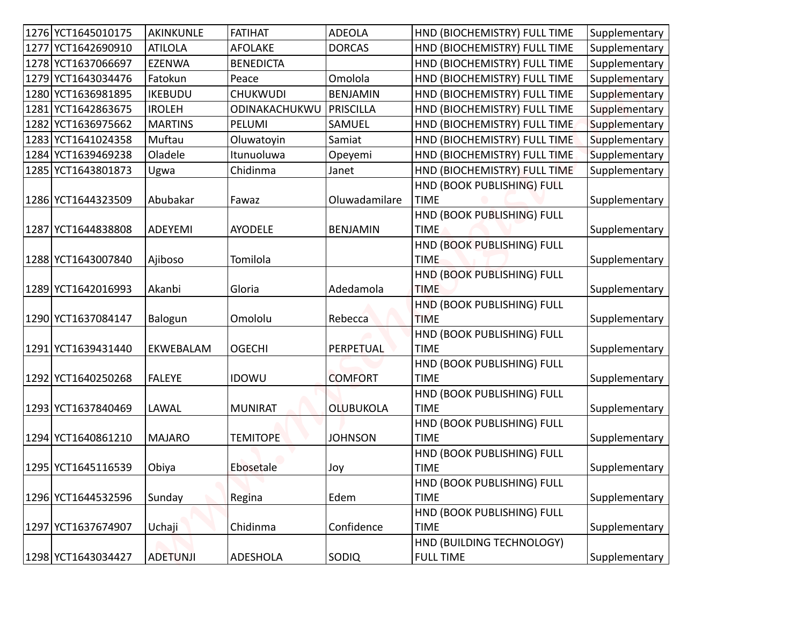| 1276 YCT1645010175 | AKINKUNLE       | <b>FATIHAT</b>   | <b>ADEOLA</b>    | HND (BIOCHEMISTRY) FULL TIME              | Supplementary |
|--------------------|-----------------|------------------|------------------|-------------------------------------------|---------------|
| 1277 YCT1642690910 | <b>ATILOLA</b>  | <b>AFOLAKE</b>   | <b>DORCAS</b>    | HND (BIOCHEMISTRY) FULL TIME              | Supplementary |
| 1278 YCT1637066697 | <b>EZENWA</b>   | <b>BENEDICTA</b> |                  | HND (BIOCHEMISTRY) FULL TIME              | Supplementary |
| 1279 YCT1643034476 | Fatokun         | Peace            | Omolola          | HND (BIOCHEMISTRY) FULL TIME              | Supplementary |
| 1280 YCT1636981895 | <b>IKEBUDU</b>  | CHUKWUDI         | <b>BENJAMIN</b>  | HND (BIOCHEMISTRY) FULL TIME              | Supplementary |
| 1281 YCT1642863675 | <b>IROLEH</b>   | ODINAKACHUKWU    | <b>PRISCILLA</b> | HND (BIOCHEMISTRY) FULL TIME              | Supplementary |
| 1282 YCT1636975662 | <b>MARTINS</b>  | PELUMI           | SAMUEL           | HND (BIOCHEMISTRY) FULL TIME              | Supplementary |
| 1283 YCT1641024358 | Muftau          | Oluwatoyin       | Samiat           | HND (BIOCHEMISTRY) FULL TIME              | Supplementary |
| 1284 YCT1639469238 | Oladele         | Itunuoluwa       | Opeyemi          | HND (BIOCHEMISTRY) FULL TIME              | Supplementary |
| 1285 YCT1643801873 | Ugwa            | Chidinma         | Janet            | HND (BIOCHEMISTRY) FULL TIME              | Supplementary |
|                    |                 |                  |                  | HND (BOOK PUBLISHING) FULL                |               |
| 1286 YCT1644323509 | Abubakar        | Fawaz            | Oluwadamilare    | <b>TIME</b>                               | Supplementary |
|                    |                 |                  |                  | HND (BOOK PUBLISHING) FULL                |               |
| 1287 YCT1644838808 | <b>ADEYEMI</b>  | <b>AYODELE</b>   | <b>BENJAMIN</b>  | <b>TIME</b>                               | Supplementary |
|                    |                 |                  |                  | HND (BOOK PUBLISHING) FULL                |               |
| 1288 YCT1643007840 | Ajiboso         | Tomilola         |                  | <b>TIME</b>                               | Supplementary |
| 1289 YCT1642016993 | Akanbi          | Gloria           | Adedamola        | HND (BOOK PUBLISHING) FULL<br><b>TIME</b> | Supplementary |
|                    |                 |                  |                  | HND (BOOK PUBLISHING) FULL                |               |
| 1290 YCT1637084147 | Balogun         | Omololu          | Rebecca          | <b>TIME</b>                               | Supplementary |
|                    |                 |                  |                  | HND (BOOK PUBLISHING) FULL                |               |
| 1291 YCT1639431440 | EKWEBALAM       | <b>OGECHI</b>    | PERPETUAL        | <b>TIME</b>                               | Supplementary |
|                    |                 |                  |                  | HND (BOOK PUBLISHING) FULL                |               |
| 1292 YCT1640250268 | <b>FALEYE</b>   | <b>IDOWU</b>     | <b>COMFORT</b>   | <b>TIME</b>                               | Supplementary |
|                    |                 |                  |                  | HND (BOOK PUBLISHING) FULL                |               |
| 1293 YCT1637840469 | LAWAL           | <b>MUNIRAT</b>   | <b>OLUBUKOLA</b> | <b>TIME</b>                               | Supplementary |
|                    |                 |                  |                  | HND (BOOK PUBLISHING) FULL                |               |
| 1294 YCT1640861210 | <b>MAJARO</b>   | <b>TEMITOPE</b>  | <b>JOHNSON</b>   | <b>TIME</b>                               | Supplementary |
|                    |                 |                  |                  | HND (BOOK PUBLISHING) FULL                |               |
| 1295 YCT1645116539 | Obiya           | Ebosetale        | Joy              | <b>TIME</b>                               | Supplementary |
|                    |                 |                  |                  | HND (BOOK PUBLISHING) FULL                |               |
| 1296 YCT1644532596 | Sunday          | Regina           | Edem             | <b>TIME</b>                               | Supplementary |
|                    |                 |                  |                  | HND (BOOK PUBLISHING) FULL                |               |
| 1297 YCT1637674907 | Uchaji          | Chidinma         | Confidence       | <b>TIME</b>                               | Supplementary |
|                    |                 |                  |                  | HND (BUILDING TECHNOLOGY)                 |               |
| 1298 YCT1643034427 | <b>ADETUNJI</b> | ADESHOLA         | <b>SODIQ</b>     | <b>FULL TIME</b>                          | Supplementary |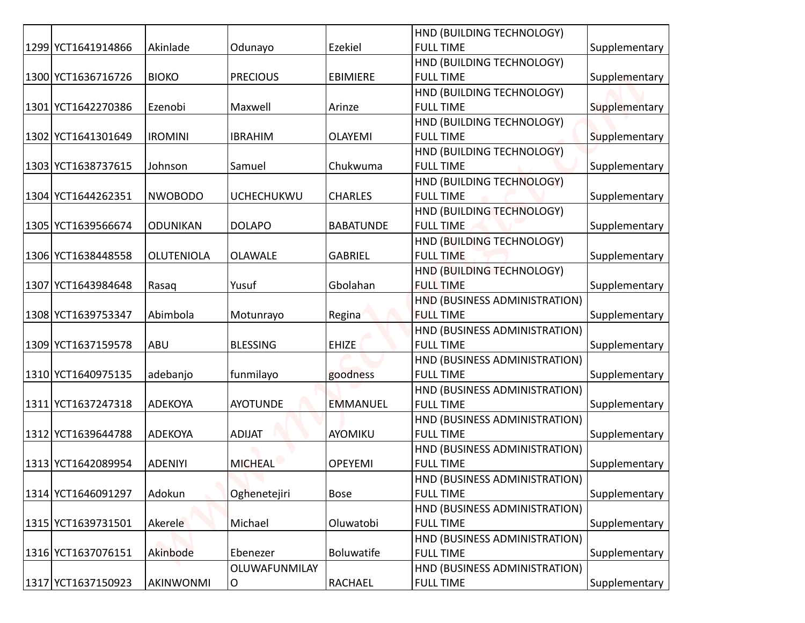|                    |                   |                   |                  | HND (BUILDING TECHNOLOGY)     |               |
|--------------------|-------------------|-------------------|------------------|-------------------------------|---------------|
| 1299 YCT1641914866 | Akinlade          | Odunayo           | Ezekiel          | <b>FULL TIME</b>              | Supplementary |
|                    |                   |                   |                  | HND (BUILDING TECHNOLOGY)     |               |
| 1300 YCT1636716726 | <b>BIOKO</b>      | <b>PRECIOUS</b>   | <b>EBIMIERE</b>  | <b>FULL TIME</b>              | Supplementary |
|                    |                   |                   |                  | HND (BUILDING TECHNOLOGY)     |               |
| 1301 YCT1642270386 | Ezenobi           | Maxwell           | Arinze           | <b>FULL TIME</b>              | Supplementary |
|                    |                   |                   |                  | HND (BUILDING TECHNOLOGY)     |               |
| 1302 YCT1641301649 | <b>IROMINI</b>    | <b>IBRAHIM</b>    | <b>OLAYEMI</b>   | <b>FULL TIME</b>              | Supplementary |
|                    |                   |                   |                  | HND (BUILDING TECHNOLOGY)     |               |
| 1303 YCT1638737615 | Johnson           | Samuel            | Chukwuma         | <b>FULL TIME</b>              | Supplementary |
|                    |                   |                   |                  | HND (BUILDING TECHNOLOGY)     |               |
| 1304 YCT1644262351 | <b>NWOBODO</b>    | <b>UCHECHUKWU</b> | <b>CHARLES</b>   | <b>FULL TIME</b>              | Supplementary |
|                    |                   |                   |                  | HND (BUILDING TECHNOLOGY)     |               |
| 1305 YCT1639566674 | <b>ODUNIKAN</b>   | <b>DOLAPO</b>     | <b>BABATUNDE</b> | <b>FULL TIME</b>              | Supplementary |
|                    |                   |                   |                  | HND (BUILDING TECHNOLOGY)     |               |
| 1306 YCT1638448558 | <b>OLUTENIOLA</b> | <b>OLAWALE</b>    | <b>GABRIEL</b>   | <b>FULL TIME</b>              | Supplementary |
|                    |                   |                   |                  | HND (BUILDING TECHNOLOGY)     |               |
| 1307 YCT1643984648 | Rasaq             | Yusuf             | Gbolahan         | <b>FULL TIME</b>              | Supplementary |
|                    |                   |                   |                  | HND (BUSINESS ADMINISTRATION) |               |
| 1308 YCT1639753347 | Abimbola          | Motunrayo         | Regina           | <b>FULL TIME</b>              | Supplementary |
|                    |                   |                   |                  | HND (BUSINESS ADMINISTRATION) |               |
| 1309 YCT1637159578 | ABU               | <b>BLESSING</b>   | <b>EHIZE</b>     | <b>FULL TIME</b>              | Supplementary |
|                    |                   |                   |                  | HND (BUSINESS ADMINISTRATION) |               |
| 1310 YCT1640975135 | adebanjo          | funmilayo         | goodness         | <b>FULL TIME</b>              | Supplementary |
|                    |                   |                   |                  | HND (BUSINESS ADMINISTRATION) |               |
| 1311 YCT1637247318 | <b>ADEKOYA</b>    | <b>AYOTUNDE</b>   | <b>EMMANUEL</b>  | <b>FULL TIME</b>              | Supplementary |
|                    |                   |                   |                  | HND (BUSINESS ADMINISTRATION) |               |
| 1312 YCT1639644788 | ADEKOYA           | <b>ADIJAT</b>     | AYOMIKU          | <b>FULL TIME</b>              | Supplementary |
|                    |                   |                   |                  | HND (BUSINESS ADMINISTRATION) |               |
| 1313 YCT1642089954 | <b>ADENIYI</b>    | <b>MICHEAL</b>    | <b>OPEYEMI</b>   | <b>FULL TIME</b>              | Supplementary |
|                    |                   |                   |                  | HND (BUSINESS ADMINISTRATION) |               |
| 1314 YCT1646091297 | Adokun            | Oghenetejiri      | <b>Bose</b>      | <b>FULL TIME</b>              | Supplementary |
|                    |                   |                   |                  | HND (BUSINESS ADMINISTRATION) |               |
| 1315 YCT1639731501 | Akerele           | Michael           | Oluwatobi        | <b>FULL TIME</b>              | Supplementary |
|                    |                   |                   |                  | HND (BUSINESS ADMINISTRATION) |               |
| 1316 YCT1637076151 | Akinbode          | Ebenezer          | Boluwatife       | <b>FULL TIME</b>              | Supplementary |
|                    |                   | OLUWAFUNMILAY     |                  | HND (BUSINESS ADMINISTRATION) |               |
| 1317 YCT1637150923 | AKINWONMI         | O                 | RACHAEL          | <b>FULL TIME</b>              | Supplementary |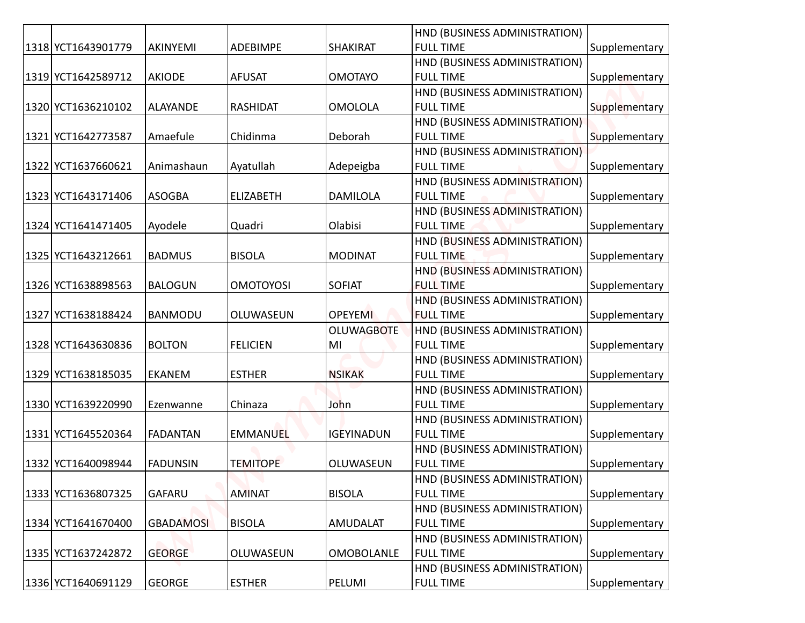|                      |                  |                  |                   | HND (BUSINESS ADMINISTRATION) |               |
|----------------------|------------------|------------------|-------------------|-------------------------------|---------------|
| 1318 YCT1643901779   | AKINYEMI         | ADEBIMPE         | <b>SHAKIRAT</b>   | <b>FULL TIME</b>              | Supplementary |
|                      |                  |                  |                   | HND (BUSINESS ADMINISTRATION) |               |
| 1319 YCT1642589712   | <b>AKIODE</b>    | <b>AFUSAT</b>    | <b>OMOTAYO</b>    | <b>FULL TIME</b>              | Supplementary |
|                      |                  |                  |                   | HND (BUSINESS ADMINISTRATION) |               |
| 1320 YCT1636210102   | <b>ALAYANDE</b>  | <b>RASHIDAT</b>  | <b>OMOLOLA</b>    | <b>FULL TIME</b>              | Supplementary |
|                      |                  |                  |                   | HND (BUSINESS ADMINISTRATION) |               |
| 1321   YCT1642773587 | Amaefule         | Chidinma         | Deborah           | <b>FULL TIME</b>              | Supplementary |
|                      |                  |                  |                   | HND (BUSINESS ADMINISTRATION) |               |
| 1322 YCT1637660621   | Animashaun       | Ayatullah        | Adepeigba         | <b>FULL TIME</b>              | Supplementary |
|                      |                  |                  |                   | HND (BUSINESS ADMINISTRATION) |               |
| 1323 YCT1643171406   | <b>ASOGBA</b>    | <b>ELIZABETH</b> | <b>DAMILOLA</b>   | <b>FULL TIME</b>              | Supplementary |
|                      |                  |                  |                   | HND (BUSINESS ADMINISTRATION) |               |
| 1324 YCT1641471405   | Ayodele          | Quadri           | Olabisi           | <b>FULL TIME</b>              | Supplementary |
|                      |                  |                  |                   | HND (BUSINESS ADMINISTRATION) |               |
| 1325 YCT1643212661   | <b>BADMUS</b>    | <b>BISOLA</b>    | <b>MODINAT</b>    | <b>FULL TIME</b>              | Supplementary |
|                      |                  |                  |                   | HND (BUSINESS ADMINISTRATION) |               |
| 1326 YCT1638898563   | <b>BALOGUN</b>   | <b>OMOTOYOSI</b> | <b>SOFIAT</b>     | <b>FULL TIME</b>              | Supplementary |
|                      |                  |                  |                   | HND (BUSINESS ADMINISTRATION) |               |
| 1327 YCT1638188424   | <b>BANMODU</b>   | OLUWASEUN        | <b>OPEYEMI</b>    | <b>FULL TIME</b>              | Supplementary |
|                      |                  |                  | <b>OLUWAGBOTE</b> | HND (BUSINESS ADMINISTRATION) |               |
| 1328 YCT1643630836   | <b>BOLTON</b>    | <b>FELICIEN</b>  | MI                | <b>FULL TIME</b>              | Supplementary |
|                      |                  |                  |                   | HND (BUSINESS ADMINISTRATION) |               |
| 1329 YCT1638185035   | <b>EKANEM</b>    | <b>ESTHER</b>    | <b>NSIKAK</b>     | <b>FULL TIME</b>              | Supplementary |
|                      |                  |                  |                   | HND (BUSINESS ADMINISTRATION) |               |
| 1330 YCT1639220990   | Ezenwanne        | Chinaza          | John              | <b>FULL TIME</b>              | Supplementary |
|                      |                  |                  |                   | HND (BUSINESS ADMINISTRATION) |               |
| 1331 YCT1645520364   | <b>FADANTAN</b>  | <b>EMMANUEL</b>  | IGEYINADUN        | <b>FULL TIME</b>              | Supplementary |
|                      |                  |                  |                   | HND (BUSINESS ADMINISTRATION) |               |
| 1332 YCT1640098944   | <b>FADUNSIN</b>  | <b>TEMITOPE</b>  | OLUWASEUN         | <b>FULL TIME</b>              | Supplementary |
|                      |                  |                  |                   | HND (BUSINESS ADMINISTRATION) |               |
| 1333 YCT1636807325   | <b>GAFARU</b>    | <b>AMINAT</b>    | <b>BISOLA</b>     | <b>FULL TIME</b>              | Supplementary |
|                      |                  |                  |                   | HND (BUSINESS ADMINISTRATION) |               |
| 1334 YCT1641670400   | <b>GBADAMOSI</b> | <b>BISOLA</b>    | AMUDALAT          | <b>FULL TIME</b>              | Supplementary |
|                      |                  |                  |                   | HND (BUSINESS ADMINISTRATION) |               |
| 1335 YCT1637242872   | <b>GEORGE</b>    | OLUWASEUN        | <b>OMOBOLANLE</b> | <b>FULL TIME</b>              | Supplementary |
|                      |                  |                  |                   | HND (BUSINESS ADMINISTRATION) |               |
| 1336 YCT1640691129   | <b>GEORGE</b>    | <b>ESTHER</b>    | PELUMI            | <b>FULL TIME</b>              | Supplementary |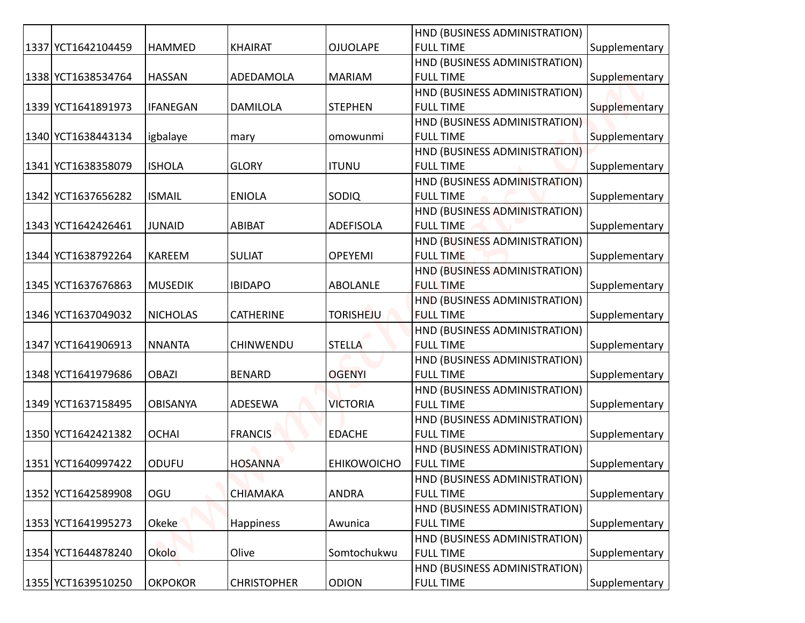|                    |                 |                    |                    | HND (BUSINESS ADMINISTRATION)                     |               |
|--------------------|-----------------|--------------------|--------------------|---------------------------------------------------|---------------|
| 1337 YCT1642104459 | <b>HAMMED</b>   | <b>KHAIRAT</b>     | <b>OJUOLAPE</b>    | <b>FULL TIME</b>                                  | Supplementary |
|                    |                 |                    |                    | HND (BUSINESS ADMINISTRATION)                     |               |
| 1338 YCT1638534764 | <b>HASSAN</b>   | ADEDAMOLA          | <b>MARIAM</b>      | <b>FULL TIME</b>                                  | Supplementary |
|                    |                 |                    |                    | HND (BUSINESS ADMINISTRATION)                     |               |
| 1339 YCT1641891973 | <b>IFANEGAN</b> | <b>DAMILOLA</b>    | <b>STEPHEN</b>     | <b>FULL TIME</b>                                  | Supplementary |
|                    |                 |                    |                    | HND (BUSINESS ADMINISTRATION)                     |               |
| 1340 YCT1638443134 | igbalaye        | mary               | omowunmi           | <b>FULL TIME</b>                                  | Supplementary |
|                    |                 |                    |                    | HND (BUSINESS ADMINISTRATION)                     |               |
| 1341 YCT1638358079 | <b>ISHOLA</b>   | <b>GLORY</b>       | <b>ITUNU</b>       | <b>FULL TIME</b>                                  | Supplementary |
|                    |                 |                    |                    | HND (BUSINESS ADMINISTRATION)                     |               |
| 1342 YCT1637656282 | <b>ISMAIL</b>   | <b>ENIOLA</b>      | <b>SODIQ</b>       | <b>FULL TIME</b>                                  | Supplementary |
|                    |                 |                    |                    | HND (BUSINESS ADMINISTRATION)                     |               |
| 1343 YCT1642426461 | JUNAID          | <b>ABIBAT</b>      | ADEFISOLA          | <b>FULL TIME</b>                                  | Supplementary |
|                    |                 |                    |                    | HND (BUSINESS ADMINISTRATION)                     |               |
| 1344 YCT1638792264 | KAREEM          | <b>SULIAT</b>      | <b>OPEYEMI</b>     | <b>FULL TIME</b>                                  | Supplementary |
|                    |                 |                    |                    | HND (BUSINESS ADMINISTRATION)                     |               |
| 1345 YCT1637676863 | <b>MUSEDIK</b>  | <b>IBIDAPO</b>     | <b>ABOLANLE</b>    | <b>FULL TIME</b>                                  | Supplementary |
|                    |                 |                    |                    | HND (BUSINESS ADMINISTRATION)                     |               |
| 1346 YCT1637049032 | <b>NICHOLAS</b> | <b>CATHERINE</b>   | <b>TORISHEJU</b>   | <b>FULL TIME</b>                                  | Supplementary |
|                    |                 |                    |                    | HND (BUSINESS ADMINISTRATION)                     |               |
| 1347 YCT1641906913 | <b>NNANTA</b>   | <b>CHINWENDU</b>   | <b>STELLA</b>      | <b>FULL TIME</b>                                  | Supplementary |
|                    |                 |                    |                    | HND (BUSINESS ADMINISTRATION)                     |               |
| 1348 YCT1641979686 | <b>OBAZI</b>    | <b>BENARD</b>      | <b>OGENYI</b>      | <b>FULL TIME</b>                                  | Supplementary |
|                    |                 |                    |                    | HND (BUSINESS ADMINISTRATION)                     |               |
| 1349 YCT1637158495 | <b>OBISANYA</b> | ADESEWA            | <b>VICTORIA</b>    | <b>FULL TIME</b>                                  | Supplementary |
|                    |                 |                    |                    | HND (BUSINESS ADMINISTRATION)                     |               |
| 1350 YCT1642421382 | <b>OCHAI</b>    | <b>FRANCIS</b>     | <b>EDACHE</b>      | <b>FULL TIME</b>                                  | Supplementary |
|                    |                 |                    |                    | HND (BUSINESS ADMINISTRATION)                     |               |
| 1351 YCT1640997422 | <b>ODUFU</b>    | <b>HOSANNA</b>     | <b>EHIKOWOICHO</b> | <b>FULL TIME</b>                                  | Supplementary |
|                    |                 |                    |                    | HND (BUSINESS ADMINISTRATION)                     |               |
| 1352 YCT1642589908 | OGU             | <b>CHIAMAKA</b>    | <b>ANDRA</b>       | <b>FULL TIME</b>                                  | Supplementary |
|                    |                 |                    |                    | HND (BUSINESS ADMINISTRATION)<br><b>FULL TIME</b> |               |
| 1353 YCT1641995273 | Okeke           | <b>Happiness</b>   | Awunica            |                                                   | Supplementary |
| 1354 YCT1644878240 | Okolo           | Olive              | Somtochukwu        | HND (BUSINESS ADMINISTRATION)<br><b>FULL TIME</b> | Supplementary |
|                    |                 |                    |                    |                                                   |               |
| 1355 YCT1639510250 | <b>OKPOKOR</b>  | <b>CHRISTOPHER</b> | <b>ODION</b>       | HND (BUSINESS ADMINISTRATION)<br><b>FULL TIME</b> |               |
|                    |                 |                    |                    |                                                   | Supplementary |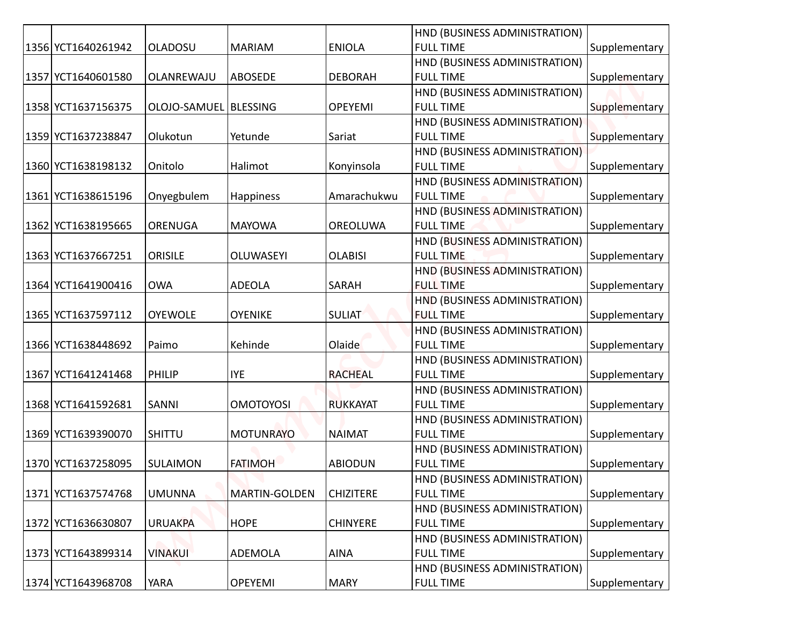|                    |                         |                      |                  | HND (BUSINESS ADMINISTRATION)                     |               |
|--------------------|-------------------------|----------------------|------------------|---------------------------------------------------|---------------|
| 1356 YCT1640261942 | <b>OLADOSU</b>          | <b>MARIAM</b>        | <b>ENIOLA</b>    | <b>FULL TIME</b>                                  | Supplementary |
|                    |                         |                      |                  | HND (BUSINESS ADMINISTRATION)                     |               |
| 1357 YCT1640601580 | OLANREWAJU              | ABOSEDE              | <b>DEBORAH</b>   | <b>FULL TIME</b>                                  | Supplementary |
|                    |                         |                      |                  | HND (BUSINESS ADMINISTRATION)                     |               |
| 1358 YCT1637156375 | OLOJO-SAMUEL   BLESSING |                      | <b>OPEYEMI</b>   | <b>FULL TIME</b>                                  | Supplementary |
|                    |                         |                      |                  | HND (BUSINESS ADMINISTRATION)                     |               |
| 1359 YCT1637238847 | Olukotun                | Yetunde              | Sariat           | <b>FULL TIME</b>                                  | Supplementary |
|                    |                         |                      |                  | HND (BUSINESS ADMINISTRATION)                     |               |
| 1360 YCT1638198132 | Onitolo                 | Halimot              | Konyinsola       | <b>FULL TIME</b>                                  | Supplementary |
|                    |                         |                      |                  | HND (BUSINESS ADMINISTRATION)                     |               |
| 1361 YCT1638615196 | Onyegbulem              | <b>Happiness</b>     | Amarachukwu      | <b>FULL TIME</b>                                  | Supplementary |
|                    |                         |                      |                  | HND (BUSINESS ADMINISTRATION)                     |               |
| 1362 YCT1638195665 | <b>ORENUGA</b>          | <b>MAYOWA</b>        | OREOLUWA         | <b>FULL TIME</b>                                  | Supplementary |
|                    |                         |                      |                  | HND (BUSINESS ADMINISTRATION)                     |               |
| 1363 YCT1637667251 | <b>ORISILE</b>          | <b>OLUWASEYI</b>     | <b>OLABISI</b>   | <b>FULL TIME</b>                                  | Supplementary |
|                    |                         |                      |                  | HND (BUSINESS ADMINISTRATION)                     |               |
| 1364 YCT1641900416 | <b>OWA</b>              | <b>ADEOLA</b>        | <b>SARAH</b>     | <b>FULL TIME</b>                                  | Supplementary |
|                    |                         |                      |                  | HND (BUSINESS ADMINISTRATION)                     |               |
| 1365 YCT1637597112 | <b>OYEWOLE</b>          | <b>OYENIKE</b>       | <b>SULIAT</b>    | <b>FULL TIME</b>                                  | Supplementary |
|                    |                         |                      |                  | HND (BUSINESS ADMINISTRATION)                     |               |
| 1366 YCT1638448692 | Paimo                   | Kehinde              | Olaide           | <b>FULL TIME</b>                                  | Supplementary |
|                    |                         |                      |                  | HND (BUSINESS ADMINISTRATION)                     |               |
| 1367 YCT1641241468 | <b>PHILIP</b>           | <b>IYE</b>           | <b>RACHEAL</b>   | <b>FULL TIME</b>                                  | Supplementary |
|                    | SANNI                   | <b>OMOTOYOSI</b>     |                  | HND (BUSINESS ADMINISTRATION)<br><b>FULL TIME</b> |               |
| 1368 YCT1641592681 |                         |                      | <b>RUKKAYAT</b>  | HND (BUSINESS ADMINISTRATION)                     | Supplementary |
| 1369 YCT1639390070 | SHITTU                  | <b>MOTUNRAYO</b>     | <b>NAIMAT</b>    | <b>FULL TIME</b>                                  | Supplementary |
|                    |                         |                      |                  | HND (BUSINESS ADMINISTRATION)                     |               |
| 1370 YCT1637258095 | SULAIMON                | <b>FATIMOH</b>       | <b>ABIODUN</b>   | <b>FULL TIME</b>                                  | Supplementary |
|                    |                         |                      |                  | HND (BUSINESS ADMINISTRATION)                     |               |
| 1371 YCT1637574768 | <b>UMUNNA</b>           | <b>MARTIN-GOLDEN</b> | <b>CHIZITERE</b> | <b>FULL TIME</b>                                  | Supplementary |
|                    |                         |                      |                  | HND (BUSINESS ADMINISTRATION)                     |               |
| 1372 YCT1636630807 | <b>URUAKPA</b>          | <b>HOPE</b>          | <b>CHINYERE</b>  | <b>FULL TIME</b>                                  | Supplementary |
|                    |                         |                      |                  | HND (BUSINESS ADMINISTRATION)                     |               |
| 1373 YCT1643899314 | <b>VINAKUI</b>          | <b>ADEMOLA</b>       | <b>AINA</b>      | <b>FULL TIME</b>                                  | Supplementary |
|                    |                         |                      |                  | HND (BUSINESS ADMINISTRATION)                     |               |
| 1374 YCT1643968708 | <b>YARA</b>             | <b>OPEYEMI</b>       | <b>MARY</b>      | <b>FULL TIME</b>                                  | Supplementary |
|                    |                         |                      |                  |                                                   |               |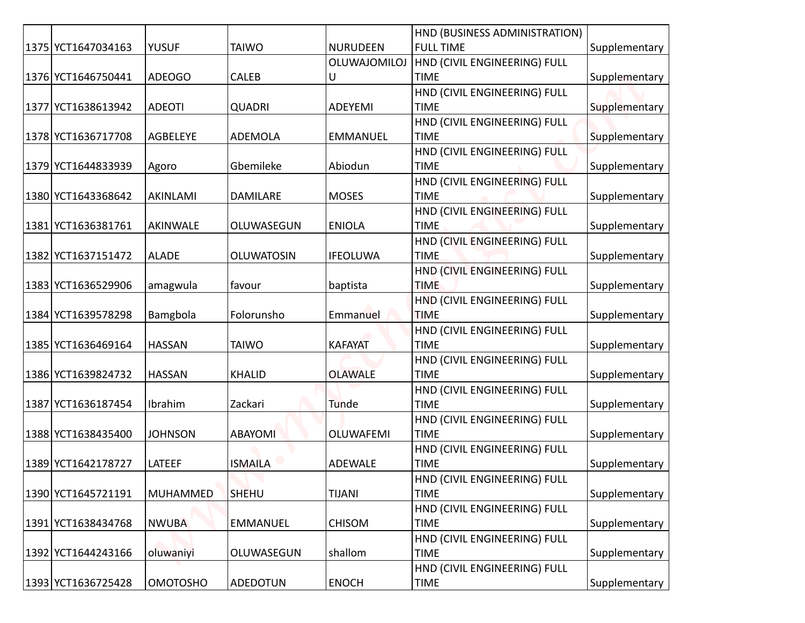|                    |                 |                 |                 | HND (BUSINESS ADMINISTRATION)               |               |
|--------------------|-----------------|-----------------|-----------------|---------------------------------------------|---------------|
| 1375 YCT1647034163 | <b>YUSUF</b>    | <b>TAIWO</b>    | <b>NURUDEEN</b> | <b>FULL TIME</b>                            | Supplementary |
|                    |                 |                 | OLUWAJOMILOJ    | HND (CIVIL ENGINEERING) FULL                |               |
| 1376 YCT1646750441 | <b>ADEOGO</b>   | <b>CALEB</b>    | U               | <b>TIME</b>                                 | Supplementary |
|                    |                 |                 |                 | HND (CIVIL ENGINEERING) FULL                |               |
| 1377 YCT1638613942 | <b>ADEOTI</b>   | <b>QUADRI</b>   | <b>ADEYEMI</b>  | <b>TIME</b>                                 | Supplementary |
|                    |                 |                 |                 | HND (CIVIL ENGINEERING) FULL                |               |
| 1378 YCT1636717708 | AGBELEYE        | <b>ADEMOLA</b>  | <b>EMMANUEL</b> | <b>TIME</b>                                 | Supplementary |
| 1379 YCT1644833939 | Agoro           | Gbemileke       | Abiodun         | HND (CIVIL ENGINEERING) FULL<br><b>TIME</b> | Supplementary |
|                    |                 |                 |                 | HND (CIVIL ENGINEERING) FULL                |               |
| 1380 YCT1643368642 | AKINLAMI        | <b>DAMILARE</b> | <b>MOSES</b>    | <b>TIME</b>                                 | Supplementary |
|                    |                 |                 |                 | HND (CIVIL ENGINEERING) FULL                |               |
| 1381 YCT1636381761 | AKINWALE        | OLUWASEGUN      | <b>ENIOLA</b>   | <b>TIME</b>                                 | Supplementary |
|                    |                 |                 |                 | HND (CIVIL ENGINEERING) FULL                |               |
| 1382 YCT1637151472 | <b>ALADE</b>    | OLUWATOSIN      | <b>IFEOLUWA</b> | <b>TIME</b>                                 | Supplementary |
|                    |                 |                 |                 | HND (CIVIL ENGINEERING) FULL                |               |
| 1383 YCT1636529906 | amagwula        | favour          | baptista        | <b>TIME</b>                                 | Supplementary |
|                    |                 |                 |                 | HND (CIVIL ENGINEERING) FULL                |               |
| 1384 YCT1639578298 | Bamgbola        | Folorunsho      | Emmanuel        | <b>TIME</b>                                 | Supplementary |
|                    |                 |                 |                 | HND (CIVIL ENGINEERING) FULL                |               |
| 1385 YCT1636469164 | <b>HASSAN</b>   | <b>TAIWO</b>    | <b>KAFAYAT</b>  | <b>TIME</b>                                 | Supplementary |
|                    |                 |                 |                 | HND (CIVIL ENGINEERING) FULL                |               |
| 1386 YCT1639824732 | <b>HASSAN</b>   | <b>KHALID</b>   | <b>OLAWALE</b>  | <b>TIME</b>                                 | Supplementary |
|                    |                 |                 |                 | HND (CIVIL ENGINEERING) FULL                |               |
| 1387 YCT1636187454 | Ibrahim         | Zackari         | Tunde           | <b>TIME</b>                                 | Supplementary |
|                    |                 |                 |                 | HND (CIVIL ENGINEERING) FULL                |               |
| 1388 YCT1638435400 | <b>JOHNSON</b>  | <b>ABAYOMI</b>  | OLUWAFEMI       | <b>TIME</b>                                 | Supplementary |
|                    |                 |                 |                 | HND (CIVIL ENGINEERING) FULL                |               |
| 1389 YCT1642178727 | LATEEF          | <b>ISMAILA</b>  | ADEWALE         | <b>TIME</b>                                 | Supplementary |
|                    |                 |                 |                 | HND (CIVIL ENGINEERING) FULL                |               |
| 1390 YCT1645721191 | <b>MUHAMMED</b> | <b>SHEHU</b>    | <b>TIJANI</b>   | <b>TIME</b>                                 | Supplementary |
|                    |                 |                 |                 | HND (CIVIL ENGINEERING) FULL                |               |
| 1391 YCT1638434768 | <b>NWUBA</b>    | <b>EMMANUEL</b> | <b>CHISOM</b>   | <b>TIME</b>                                 | Supplementary |
|                    |                 |                 |                 | HND (CIVIL ENGINEERING) FULL                |               |
| 1392 YCT1644243166 | oluwaniyi       | OLUWASEGUN      | shallom         | <b>TIME</b>                                 | Supplementary |
|                    |                 |                 |                 | HND (CIVIL ENGINEERING) FULL                |               |
| 1393 YCT1636725428 | <b>OMOTOSHO</b> | <b>ADEDOTUN</b> | <b>ENOCH</b>    | <b>TIME</b>                                 | Supplementary |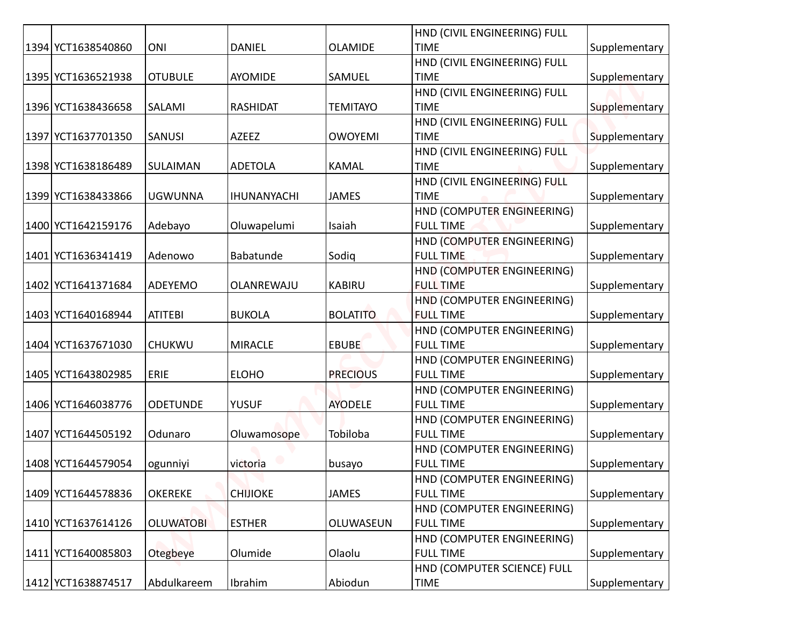|                    |                  |                    |                 | HND (CIVIL ENGINEERING) FULL                   |               |
|--------------------|------------------|--------------------|-----------------|------------------------------------------------|---------------|
| 1394 YCT1638540860 | ONI              | <b>DANIEL</b>      | <b>OLAMIDE</b>  | <b>TIME</b>                                    | Supplementary |
|                    |                  |                    |                 | HND (CIVIL ENGINEERING) FULL                   |               |
| 1395 YCT1636521938 | <b>OTUBULE</b>   | AYOMIDE            | <b>SAMUEL</b>   | <b>TIME</b>                                    | Supplementary |
|                    |                  |                    |                 | HND (CIVIL ENGINEERING) FULL                   |               |
| 1396 YCT1638436658 | SALAMI           | <b>RASHIDAT</b>    | <b>TEMITAYO</b> | <b>TIME</b>                                    | Supplementary |
|                    |                  |                    |                 | HND (CIVIL ENGINEERING) FULL                   |               |
| 1397 YCT1637701350 | <b>SANUSI</b>    | AZEEZ              | <b>OWOYEMI</b>  | <b>TIME</b>                                    | Supplementary |
|                    |                  |                    |                 | HND (CIVIL ENGINEERING) FULL                   |               |
| 1398 YCT1638186489 | SULAIMAN         | <b>ADETOLA</b>     | <b>KAMAL</b>    | <b>TIME</b>                                    | Supplementary |
|                    |                  |                    |                 | HND (CIVIL ENGINEERING) FULL                   |               |
| 1399 YCT1638433866 | <b>UGWUNNA</b>   | <b>IHUNANYACHI</b> | <b>JAMES</b>    | <b>TIME</b>                                    | Supplementary |
|                    |                  |                    |                 | HND (COMPUTER ENGINEERING)                     |               |
| 1400 YCT1642159176 | Adebayo          | Oluwapelumi        | Isaiah          | <b>FULL TIME</b>                               | Supplementary |
|                    |                  |                    |                 | HND (COMPUTER ENGINEERING)                     |               |
| 1401 YCT1636341419 | Adenowo          | Babatunde          | Sodig           | <b>FULL TIME</b>                               | Supplementary |
|                    |                  |                    |                 | HND (COMPUTER ENGINEERING)                     |               |
| 1402 YCT1641371684 | ADEYEMO          | OLANREWAJU         | <b>KABIRU</b>   | <b>FULL TIME</b>                               | Supplementary |
|                    |                  |                    |                 | HND (COMPUTER ENGINEERING)                     |               |
| 1403 YCT1640168944 | <b>ATITEBI</b>   | <b>BUKOLA</b>      | <b>BOLATITO</b> | <b>FULL TIME</b>                               | Supplementary |
|                    |                  |                    |                 | HND (COMPUTER ENGINEERING)                     |               |
| 1404 YCT1637671030 | <b>CHUKWU</b>    | <b>MIRACLE</b>     | <b>EBUBE</b>    | <b>FULL TIME</b><br>HND (COMPUTER ENGINEERING) | Supplementary |
| 1405 YCT1643802985 | ERIE             | <b>ELOHO</b>       | <b>PRECIOUS</b> | <b>FULL TIME</b>                               | Supplementary |
|                    |                  |                    |                 | HND (COMPUTER ENGINEERING)                     |               |
| 1406 YCT1646038776 | <b>ODETUNDE</b>  | <b>YUSUF</b>       | <b>AYODELE</b>  | <b>FULL TIME</b>                               | Supplementary |
|                    |                  |                    |                 | HND (COMPUTER ENGINEERING)                     |               |
| 1407 YCT1644505192 | Odunaro          | Oluwamosope        | Tobiloba        | <b>FULL TIME</b>                               | Supplementary |
|                    |                  |                    |                 | HND (COMPUTER ENGINEERING)                     |               |
| 1408 YCT1644579054 | ogunniyi         | victoria           | busayo          | <b>FULL TIME</b>                               | Supplementary |
|                    |                  |                    |                 | HND (COMPUTER ENGINEERING)                     |               |
| 1409 YCT1644578836 | <b>OKEREKE</b>   | <b>CHIJIOKE</b>    | <b>JAMES</b>    | <b>FULL TIME</b>                               | Supplementary |
|                    |                  |                    |                 | HND (COMPUTER ENGINEERING)                     |               |
| 1410 YCT1637614126 | <b>OLUWATOBI</b> | <b>ESTHER</b>      | OLUWASEUN       | <b>FULL TIME</b>                               | Supplementary |
|                    |                  |                    |                 | HND (COMPUTER ENGINEERING)                     |               |
| 1411 YCT1640085803 | Otegbeye         | Olumide            | Olaolu          | <b>FULL TIME</b>                               | Supplementary |
|                    |                  |                    |                 | HND (COMPUTER SCIENCE) FULL                    |               |
| 1412 YCT1638874517 | Abdulkareem      | Ibrahim            | Abiodun         | <b>TIME</b>                                    | Supplementary |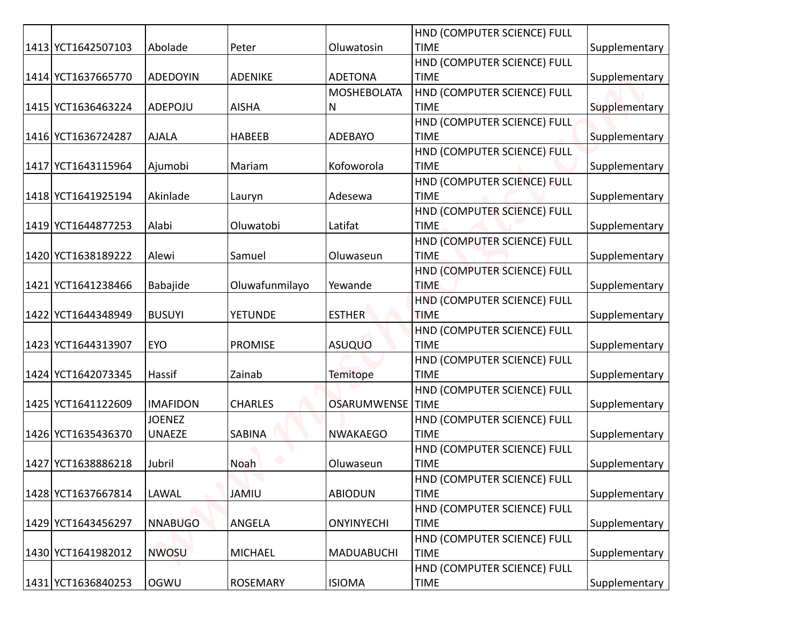|                    |                 |                 |                    | HND (COMPUTER SCIENCE) FULL                |               |
|--------------------|-----------------|-----------------|--------------------|--------------------------------------------|---------------|
| 1413 YCT1642507103 | Abolade         | Peter           | Oluwatosin         | <b>TIME</b>                                | Supplementary |
|                    |                 |                 |                    | HND (COMPUTER SCIENCE) FULL                |               |
| 1414 YCT1637665770 | <b>ADEDOYIN</b> | <b>ADENIKE</b>  | <b>ADETONA</b>     | <b>TIME</b>                                | Supplementary |
|                    |                 |                 | <b>MOSHEBOLATA</b> | HND (COMPUTER SCIENCE) FULL                |               |
| 1415 YCT1636463224 | ADEPOJU         | <b>AISHA</b>    | N                  | <b>TIME</b>                                | Supplementary |
|                    |                 |                 |                    | HND (COMPUTER SCIENCE) FULL                |               |
| 1416 YCT1636724287 | <b>AJALA</b>    | <b>HABEEB</b>   | <b>ADEBAYO</b>     | <b>TIME</b>                                | Supplementary |
| 1417 YCT1643115964 |                 | Mariam          | Kofoworola         | HND (COMPUTER SCIENCE) FULL<br><b>TIME</b> | Supplementary |
|                    | Ajumobi         |                 |                    | HND (COMPUTER SCIENCE) FULL                |               |
| 1418 YCT1641925194 | Akinlade        | Lauryn          | Adesewa            | <b>TIME</b>                                | Supplementary |
|                    |                 |                 |                    | HND (COMPUTER SCIENCE) FULL                |               |
| 1419 YCT1644877253 | Alabi           | Oluwatobi       | Latifat            | <b>TIME</b>                                | Supplementary |
|                    |                 |                 |                    | HND (COMPUTER SCIENCE) FULL                |               |
| 1420 YCT1638189222 | Alewi           | Samuel          | Oluwaseun          | <b>TIME</b>                                | Supplementary |
|                    |                 |                 |                    | HND (COMPUTER SCIENCE) FULL                |               |
| 1421 YCT1641238466 | Babajide        | Oluwafunmilayo  | Yewande            | <b>TIME</b>                                | Supplementary |
|                    |                 |                 |                    | HND (COMPUTER SCIENCE) FULL                |               |
| 1422 YCT1644348949 | <b>BUSUYI</b>   | <b>YETUNDE</b>  | <b>ESTHER</b>      | <b>TIME</b>                                | Supplementary |
|                    |                 |                 |                    | HND (COMPUTER SCIENCE) FULL                |               |
| 1423 YCT1644313907 | EYO             | <b>PROMISE</b>  | <b>ASUQUO</b>      | <b>TIME</b>                                | Supplementary |
|                    |                 |                 |                    | HND (COMPUTER SCIENCE) FULL                |               |
| 1424 YCT1642073345 | Hassif          | Zainab          | <b>Temitope</b>    | <b>TIME</b>                                | Supplementary |
|                    |                 |                 |                    | HND (COMPUTER SCIENCE) FULL                |               |
| 1425 YCT1641122609 | <b>IMAFIDON</b> | <b>CHARLES</b>  | OSARUMWENSE   TIME |                                            | Supplementary |
|                    | <b>JOENEZ</b>   |                 |                    | HND (COMPUTER SCIENCE) FULL                |               |
| 1426 YCT1635436370 | <b>UNAEZE</b>   | SABINA          | <b>NWAKAEGO</b>    | <b>TIME</b>                                | Supplementary |
|                    |                 |                 |                    | HND (COMPUTER SCIENCE) FULL                |               |
| 1427 YCT1638886218 | Jubril          | <b>Noah</b>     | Oluwaseun          | <b>TIME</b>                                | Supplementary |
|                    |                 |                 |                    | HND (COMPUTER SCIENCE) FULL                |               |
| 1428 YCT1637667814 | LAWAL           | <b>JAMIU</b>    | <b>ABIODUN</b>     | <b>TIME</b>                                | Supplementary |
| 1429 YCT1643456297 | <b>NNABUGO</b>  | ANGELA          | <b>ONYINYECHI</b>  | HND (COMPUTER SCIENCE) FULL<br><b>TIME</b> | Supplementary |
|                    |                 |                 |                    | HND (COMPUTER SCIENCE) FULL                |               |
| 1430 YCT1641982012 | <b>NWOSU</b>    | <b>MICHAEL</b>  | <b>MADUABUCHI</b>  | <b>TIME</b>                                | Supplementary |
|                    |                 |                 |                    | HND (COMPUTER SCIENCE) FULL                |               |
| 1431 YCT1636840253 | <b>OGWU</b>     | <b>ROSEMARY</b> | <b>ISIOMA</b>      | TIME                                       | Supplementary |
|                    |                 |                 |                    |                                            |               |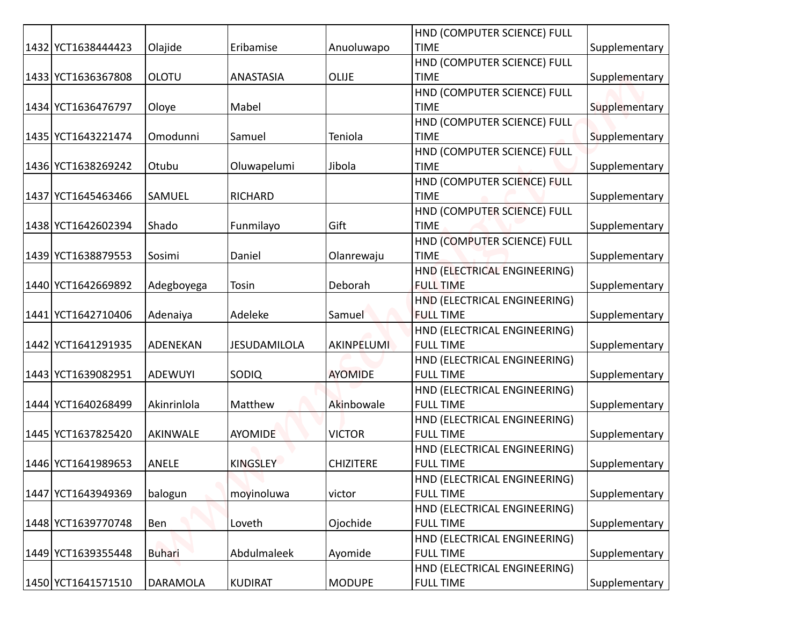|                      |                |                     |                   | HND (COMPUTER SCIENCE) FULL                      |               |
|----------------------|----------------|---------------------|-------------------|--------------------------------------------------|---------------|
| 1432 YCT1638444423   | Olajide        | Eribamise           | Anuoluwapo        | <b>TIME</b>                                      | Supplementary |
|                      | <b>OLOTU</b>   |                     |                   | HND (COMPUTER SCIENCE) FULL                      |               |
| 1433 YCT1636367808   |                | ANASTASIA           | <b>OLIJE</b>      | <b>TIME</b>                                      | Supplementary |
| 1434 YCT1636476797   | Oloye          | Mabel               |                   | HND (COMPUTER SCIENCE) FULL<br><b>TIME</b>       | Supplementary |
|                      |                |                     |                   | HND (COMPUTER SCIENCE) FULL                      |               |
| 1435   YCT1643221474 | Omodunni       | Samuel              | Teniola           | <b>TIME</b>                                      | Supplementary |
|                      |                |                     |                   | HND (COMPUTER SCIENCE) FULL                      |               |
| 1436 YCT1638269242   | Otubu          | Oluwapelumi         | Jibola            | <b>TIME</b>                                      | Supplementary |
|                      |                |                     |                   | HND (COMPUTER SCIENCE) FULL                      |               |
| 1437 YCT1645463466   | <b>SAMUEL</b>  | <b>RICHARD</b>      |                   | <b>TIME</b>                                      | Supplementary |
|                      |                |                     |                   | HND (COMPUTER SCIENCE) FULL                      |               |
| 1438 YCT1642602394   | Shado          | Funmilayo           | Gift              | <b>TIME</b>                                      | Supplementary |
|                      |                |                     |                   | HND (COMPUTER SCIENCE) FULL                      |               |
| 1439 YCT1638879553   | Sosimi         | Daniel              | Olanrewaju        | <b>TIME</b>                                      | Supplementary |
|                      |                |                     |                   | HND (ELECTRICAL ENGINEERING)                     |               |
| 1440 YCT1642669892   | Adegboyega     | Tosin               | Deborah           | <b>FULL TIME</b>                                 | Supplementary |
|                      |                |                     |                   | HND (ELECTRICAL ENGINEERING)                     |               |
| 1441 YCT1642710406   | Adenaiya       | Adeleke             | Samuel            | <b>FULL TIME</b>                                 | Supplementary |
|                      |                |                     |                   | HND (ELECTRICAL ENGINEERING)                     |               |
| 1442 YCT1641291935   | ADENEKAN       | <b>JESUDAMILOLA</b> | <b>AKINPELUMI</b> | <b>FULL TIME</b>                                 | Supplementary |
|                      |                |                     |                   | HND (ELECTRICAL ENGINEERING)                     |               |
| 1443 YCT1639082951   | <b>ADEWUYI</b> | SODIQ               | <b>AYOMIDE</b>    | <b>FULL TIME</b>                                 | Supplementary |
|                      |                |                     |                   | HND (ELECTRICAL ENGINEERING)                     |               |
| 1444 YCT1640268499   | Akinrinlola    | Matthew             | Akinbowale        | <b>FULL TIME</b>                                 | Supplementary |
|                      |                |                     |                   | HND (ELECTRICAL ENGINEERING)                     |               |
| 1445 YCT1637825420   | AKINWALE       | <b>AYOMIDE</b>      | <b>VICTOR</b>     | <b>FULL TIME</b>                                 | Supplementary |
| 1446 YCT1641989653   | ANELE          | <b>KINGSLEY</b>     | <b>CHIZITERE</b>  | HND (ELECTRICAL ENGINEERING)<br><b>FULL TIME</b> | Supplementary |
|                      |                |                     |                   | HND (ELECTRICAL ENGINEERING)                     |               |
| 1447 YCT1643949369   | balogun        | moyinoluwa          | victor            | <b>FULL TIME</b>                                 | Supplementary |
|                      |                |                     |                   | HND (ELECTRICAL ENGINEERING)                     |               |
| 1448 YCT1639770748   | Ben            | Loveth              | Ojochide          | <b>FULL TIME</b>                                 | Supplementary |
|                      |                |                     |                   | HND (ELECTRICAL ENGINEERING)                     |               |
| 1449 YCT1639355448   | <b>Buhari</b>  | Abdulmaleek         | Ayomide           | <b>FULL TIME</b>                                 | Supplementary |
|                      |                |                     |                   | HND (ELECTRICAL ENGINEERING)                     |               |
| 1450 YCT1641571510   | DARAMOLA       | <b>KUDIRAT</b>      | <b>MODUPE</b>     | <b>FULL TIME</b>                                 | Supplementary |
|                      |                |                     |                   |                                                  |               |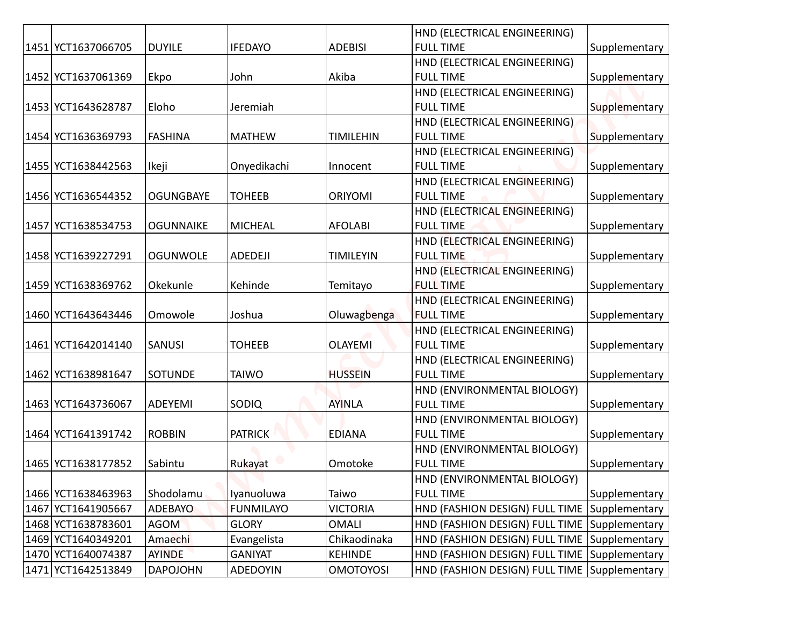|                                          |                          |                               |                                | HND (ELECTRICAL ENGINEERING)                                                   |               |
|------------------------------------------|--------------------------|-------------------------------|--------------------------------|--------------------------------------------------------------------------------|---------------|
| 1451 YCT1637066705                       | <b>DUYILE</b>            | <b>IFEDAYO</b>                | <b>ADEBISI</b>                 | <b>FULL TIME</b>                                                               | Supplementary |
|                                          |                          |                               |                                | HND (ELECTRICAL ENGINEERING)                                                   |               |
| 1452 YCT1637061369                       | Ekpo                     | John                          | Akiba                          | <b>FULL TIME</b>                                                               | Supplementary |
|                                          |                          |                               |                                | HND (ELECTRICAL ENGINEERING)                                                   |               |
| 1453 YCT1643628787                       | Eloho                    | Jeremiah                      |                                | <b>FULL TIME</b>                                                               | Supplementary |
|                                          |                          |                               |                                | HND (ELECTRICAL ENGINEERING)                                                   |               |
| 1454 YCT1636369793                       | <b>FASHINA</b>           | <b>MATHEW</b>                 | <b>TIMILEHIN</b>               | <b>FULL TIME</b>                                                               | Supplementary |
|                                          |                          |                               |                                | HND (ELECTRICAL ENGINEERING)                                                   |               |
| 1455 YCT1638442563                       | Ikeji                    | Onyedikachi                   | Innocent                       | <b>FULL TIME</b>                                                               | Supplementary |
|                                          |                          |                               |                                | HND (ELECTRICAL ENGINEERING)                                                   |               |
| 1456 YCT1636544352                       | <b>OGUNGBAYE</b>         | <b>TOHEEB</b>                 | <b>ORIYOMI</b>                 | <b>FULL TIME</b>                                                               | Supplementary |
|                                          |                          |                               |                                | HND (ELECTRICAL ENGINEERING)                                                   |               |
| 1457 YCT1638534753                       | <b>OGUNNAIKE</b>         | <b>MICHEAL</b>                | <b>AFOLABI</b>                 | <b>FULL TIME</b>                                                               | Supplementary |
|                                          |                          |                               |                                | HND (ELECTRICAL ENGINEERING)                                                   |               |
| 1458 YCT1639227291                       | <b>OGUNWOLE</b>          | ADEDEJI                       | <b>TIMILEYIN</b>               | <b>FULL TIME</b>                                                               | Supplementary |
| 1459 YCT1638369762                       | Okekunle                 | Kehinde                       |                                | HND (ELECTRICAL ENGINEERING)<br><b>FULL TIME</b>                               |               |
|                                          |                          |                               | Temitayo                       | HND (ELECTRICAL ENGINEERING)                                                   | Supplementary |
| 1460 YCT1643643446                       | Omowole                  | Joshua                        | Oluwagbenga                    | <b>FULL TIME</b>                                                               | Supplementary |
|                                          |                          |                               |                                | HND (ELECTRICAL ENGINEERING)                                                   |               |
| 1461 YCT1642014140                       | <b>SANUSI</b>            | <b>TOHEEB</b>                 | <b>OLAYEMI</b>                 | <b>FULL TIME</b>                                                               | Supplementary |
|                                          |                          |                               |                                | HND (ELECTRICAL ENGINEERING)                                                   |               |
| 1462 YCT1638981647                       | <b>SOTUNDE</b>           | <b>TAIWO</b>                  | <b>HUSSEIN</b>                 | <b>FULL TIME</b>                                                               | Supplementary |
|                                          |                          |                               |                                | HND (ENVIRONMENTAL BIOLOGY)                                                    |               |
| 1463 YCT1643736067                       | ADEYEMI                  | SODIQ                         | <b>AYINLA</b>                  | <b>FULL TIME</b>                                                               | Supplementary |
|                                          |                          |                               |                                | HND (ENVIRONMENTAL BIOLOGY)                                                    |               |
| 1464 YCT1641391742                       | <b>ROBBIN</b>            | <b>PATRICK</b>                | <b>EDIANA</b>                  | <b>FULL TIME</b>                                                               | Supplementary |
|                                          |                          |                               |                                | HND (ENVIRONMENTAL BIOLOGY)                                                    |               |
| 1465 YCT1638177852                       | Sabintu                  | Rukayat                       | Omotoke                        | <b>FULL TIME</b>                                                               | Supplementary |
|                                          |                          |                               |                                | HND (ENVIRONMENTAL BIOLOGY)                                                    |               |
| 1466 YCT1638463963                       | Shodolamu                | Iyanuoluwa                    | Taiwo                          | <b>FULL TIME</b>                                                               | Supplementary |
| 1467 YCT1641905667                       | <b>ADEBAYO</b>           | <b>FUNMILAYO</b>              | <b>VICTORIA</b>                | HND (FASHION DESIGN) FULL TIME                                                 | Supplementary |
| 1468 YCT1638783601                       | <b>AGOM</b>              | <b>GLORY</b>                  | <b>OMALI</b>                   | HND (FASHION DESIGN) FULL TIME Supplementary                                   |               |
| 1469 YCT1640349201<br>1470 YCT1640074387 | Amaechi<br><b>AYINDE</b> | Evangelista<br><b>GANIYAT</b> | Chikaodinaka<br><b>KEHINDE</b> | HND (FASHION DESIGN) FULL TIME<br>HND (FASHION DESIGN) FULL TIME Supplementary | Supplementary |
| 1471 YCT1642513849                       | <b>DAPOJOHN</b>          | <b>ADEDOYIN</b>               | <b>OMOTOYOSI</b>               | HND (FASHION DESIGN) FULL TIME Supplementary                                   |               |
|                                          |                          |                               |                                |                                                                                |               |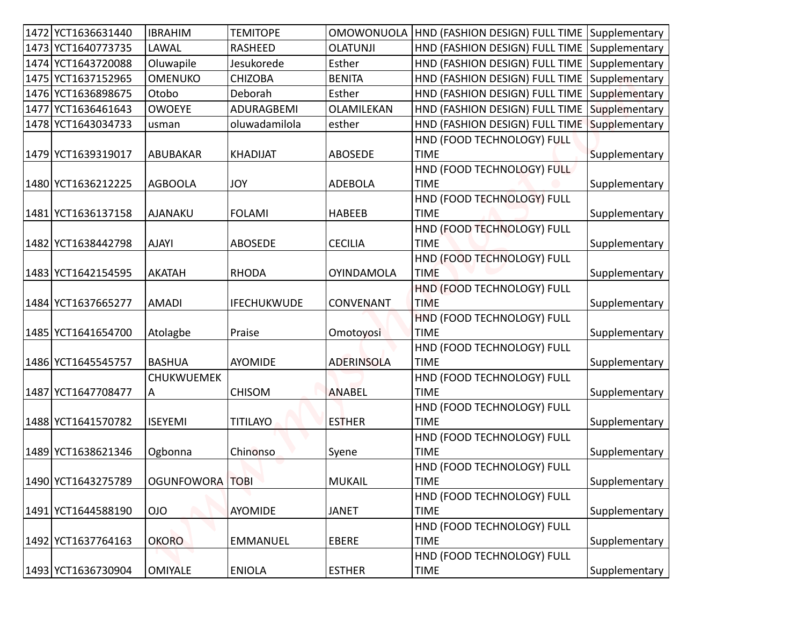| 1472 YCT1636631440 | <b>IBRAHIM</b>    | <b>TEMITOPE</b>    |                   | OMOWONUOLA   HND (FASHION DESIGN) FULL TIME Supplementary |               |
|--------------------|-------------------|--------------------|-------------------|-----------------------------------------------------------|---------------|
| 1473 YCT1640773735 | LAWAL             | RASHEED            | <b>OLATUNJI</b>   | HND (FASHION DESIGN) FULL TIME Supplementary              |               |
| 1474 YCT1643720088 | Oluwapile         | Jesukorede         | Esther            | HND (FASHION DESIGN) FULL TIME                            | Supplementary |
| 1475 YCT1637152965 | <b>OMENUKO</b>    | <b>CHIZOBA</b>     | <b>BENITA</b>     | HND (FASHION DESIGN) FULL TIME Supplementary              |               |
| 1476 YCT1636898675 | Otobo             | Deborah            | Esther            | HND (FASHION DESIGN) FULL TIME                            | Supplementary |
| 1477 YCT1636461643 | <b>OWOEYE</b>     | ADURAGBEMI         | OLAMILEKAN        | HND (FASHION DESIGN) FULL TIME                            | Supplementary |
| 1478 YCT1643034733 | usman             | oluwadamilola      | esther            | HND (FASHION DESIGN) FULL TIME                            | Supplementary |
|                    |                   |                    |                   | HND (FOOD TECHNOLOGY) FULL                                |               |
| 1479 YCT1639319017 | ABUBAKAR          | <b>KHADIJAT</b>    | <b>ABOSEDE</b>    | <b>TIME</b>                                               | Supplementary |
|                    |                   |                    |                   | HND (FOOD TECHNOLOGY) FULL                                |               |
| 1480 YCT1636212225 | <b>AGBOOLA</b>    | JOY                | <b>ADEBOLA</b>    | <b>TIME</b>                                               | Supplementary |
|                    |                   |                    |                   | HND (FOOD TECHNOLOGY) FULL                                |               |
| 1481 YCT1636137158 | AJANAKU           | <b>FOLAMI</b>      | <b>HABEEB</b>     | <b>TIME</b>                                               | Supplementary |
|                    |                   |                    |                   | HND (FOOD TECHNOLOGY) FULL                                |               |
| 1482 YCT1638442798 | <b>AJAYI</b>      | <b>ABOSEDE</b>     | <b>CECILIA</b>    | <b>TIME</b>                                               | Supplementary |
|                    |                   |                    |                   | HND (FOOD TECHNOLOGY) FULL                                |               |
| 1483 YCT1642154595 | <b>AKATAH</b>     | <b>RHODA</b>       | <b>OYINDAMOLA</b> | <b>TIME</b>                                               | Supplementary |
|                    |                   |                    |                   | HND (FOOD TECHNOLOGY) FULL                                |               |
| 1484 YCT1637665277 | <b>AMADI</b>      | <b>IFECHUKWUDE</b> | <b>CONVENANT</b>  | <b>TIME</b>                                               | Supplementary |
|                    |                   |                    |                   | HND (FOOD TECHNOLOGY) FULL                                |               |
| 1485 YCT1641654700 | Atolagbe          | Praise             | Omotoyosi         | <b>TIME</b><br>HND (FOOD TECHNOLOGY) FULL                 | Supplementary |
| 1486 YCT1645545757 | <b>BASHUA</b>     | AYOMIDE            | <b>ADERINSOLA</b> | <b>TIME</b>                                               | Supplementary |
|                    | <b>CHUKWUEMEK</b> |                    |                   | HND (FOOD TECHNOLOGY) FULL                                |               |
| 1487 YCT1647708477 | A                 | <b>CHISOM</b>      | <b>ANABEL</b>     | <b>TIME</b>                                               | Supplementary |
|                    |                   |                    |                   | HND (FOOD TECHNOLOGY) FULL                                |               |
| 1488 YCT1641570782 | <b>ISEYEMI</b>    | <b>TITILAYO</b>    | <b>ESTHER</b>     | <b>TIME</b>                                               | Supplementary |
|                    |                   |                    |                   | HND (FOOD TECHNOLOGY) FULL                                |               |
| 1489 YCT1638621346 | Ogbonna           | Chinonso           | Syene             | <b>TIME</b>                                               | Supplementary |
|                    |                   |                    |                   | HND (FOOD TECHNOLOGY) FULL                                |               |
| 1490 YCT1643275789 | <b>OGUNFOWORA</b> | <b>TOBI</b>        | <b>MUKAIL</b>     | <b>TIME</b>                                               | Supplementary |
|                    |                   |                    |                   | HND (FOOD TECHNOLOGY) FULL                                |               |
| 1491 YCT1644588190 | <b>OIO</b>        | AYOMIDE            | <b>JANET</b>      | <b>TIME</b>                                               | Supplementary |
|                    |                   |                    |                   | HND (FOOD TECHNOLOGY) FULL                                |               |
| 1492 YCT1637764163 | <b>OKORO</b>      | <b>EMMANUEL</b>    | EBERE             | <b>TIME</b>                                               | Supplementary |
|                    |                   |                    |                   | HND (FOOD TECHNOLOGY) FULL                                |               |
| 1493 YCT1636730904 | <b>OMIYALE</b>    | <b>ENIOLA</b>      | <b>ESTHER</b>     | TIME                                                      | Supplementary |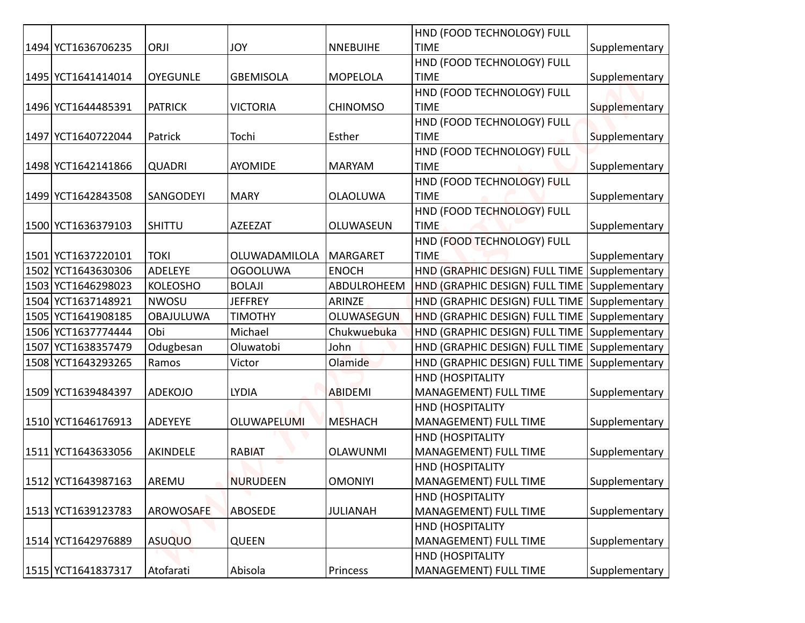|                    |                  |                    |                   | HND (FOOD TECHNOLOGY) FULL                     |               |
|--------------------|------------------|--------------------|-------------------|------------------------------------------------|---------------|
| 1494 YCT1636706235 | ORJI             | <b>JOY</b>         | <b>NNEBUIHE</b>   | <b>TIME</b>                                    | Supplementary |
|                    |                  |                    |                   | HND (FOOD TECHNOLOGY) FULL                     |               |
| 1495 YCT1641414014 | <b>OYEGUNLE</b>  | <b>GBEMISOLA</b>   | <b>MOPELOLA</b>   | <b>TIME</b>                                    | Supplementary |
|                    |                  |                    |                   | HND (FOOD TECHNOLOGY) FULL                     |               |
| 1496 YCT1644485391 | <b>PATRICK</b>   | VICTORIA           | <b>CHINOMSO</b>   | <b>TIME</b>                                    | Supplementary |
|                    |                  |                    |                   | HND (FOOD TECHNOLOGY) FULL                     |               |
| 1497 YCT1640722044 | Patrick          | Tochi              | Esther            | <b>TIME</b>                                    | Supplementary |
|                    |                  |                    |                   | HND (FOOD TECHNOLOGY) FULL                     |               |
| 1498 YCT1642141866 | <b>QUADRI</b>    | <b>AYOMIDE</b>     | <b>MARYAM</b>     | <b>TIME</b>                                    | Supplementary |
|                    |                  |                    |                   | HND (FOOD TECHNOLOGY) FULL                     |               |
| 1499 YCT1642843508 | <b>SANGODEYI</b> | <b>MARY</b>        | <b>OLAOLUWA</b>   | <b>TIME</b>                                    | Supplementary |
|                    |                  |                    |                   | HND (FOOD TECHNOLOGY) FULL                     |               |
| 1500 YCT1636379103 | <b>SHITTU</b>    | <b>AZEEZAT</b>     | OLUWASEUN         | <b>TIME</b>                                    | Supplementary |
|                    |                  |                    |                   | HND (FOOD TECHNOLOGY) FULL                     |               |
| 1501 YCT1637220101 | TOKI             | OLUWADAMILOLA      | <b>MARGARET</b>   | <b>TIME</b>                                    | Supplementary |
| 1502 YCT1643630306 | ADELEYE          | <b>OGOOLUWA</b>    | <b>ENOCH</b>      | HND (GRAPHIC DESIGN) FULL TIME                 | Supplementary |
| 1503 YCT1646298023 | <b>KOLEOSHO</b>  | <b>BOLAJI</b>      | ABDULROHEEM       | HND (GRAPHIC DESIGN) FULL TIME Supplementary   |               |
| 1504 YCT1637148921 | <b>NWOSU</b>     | <b>JEFFREY</b>     | ARINZE            | HND (GRAPHIC DESIGN) FULL TIME                 | Supplementary |
| 1505 YCT1641908185 | <b>OBAJULUWA</b> | <b>TIMOTHY</b>     | <b>OLUWASEGUN</b> | HND (GRAPHIC DESIGN) FULL TIME Supplementary   |               |
| 1506 YCT1637774444 | Obi              | Michael            | Chukwuebuka       | HND (GRAPHIC DESIGN) FULL TIME   Supplementary |               |
| 1507 YCT1638357479 | Odugbesan        | Oluwatobi          | John              | HND (GRAPHIC DESIGN) FULL TIME Supplementary   |               |
| 1508 YCT1643293265 | Ramos            | Victor             | Olamide           | HND (GRAPHIC DESIGN) FULL TIME Supplementary   |               |
|                    |                  |                    |                   | <b>HND (HOSPITALITY</b>                        |               |
| 1509 YCT1639484397 | <b>ADEKOJO</b>   | <b>LYDIA</b>       | <b>ABIDEMI</b>    | MANAGEMENT) FULL TIME                          | Supplementary |
| 1510 YCT1646176913 | ADEYEYE          | <b>OLUWAPELUMI</b> | <b>MESHACH</b>    | HND (HOSPITALITY<br>MANAGEMENT) FULL TIME      | Supplementary |
|                    |                  |                    |                   | <b>HND (HOSPITALITY</b>                        |               |
| 1511 YCT1643633056 | AKINDELE         | <b>RABIAT</b>      | <b>OLAWUNMI</b>   | MANAGEMENT) FULL TIME                          | Supplementary |
|                    |                  |                    |                   | <b>HND (HOSPITALITY</b>                        |               |
| 1512 YCT1643987163 | AREMU            | <b>NURUDEEN</b>    | <b>OMONIYI</b>    | MANAGEMENT) FULL TIME                          | Supplementary |
|                    |                  |                    |                   | HND (HOSPITALITY                               |               |
| 1513 YCT1639123783 | <b>AROWOSAFE</b> | <b>ABOSEDE</b>     | <b>JULIANAH</b>   | MANAGEMENT) FULL TIME                          | Supplementary |
|                    |                  |                    |                   | HND (HOSPITALITY                               |               |
| 1514 YCT1642976889 | <b>ASUQUO</b>    | QUEEN              |                   | MANAGEMENT) FULL TIME                          | Supplementary |
|                    |                  |                    |                   | <b>HND (HOSPITALITY</b>                        |               |
| 1515 YCT1641837317 | Atofarati        | Abisola            | Princess          | MANAGEMENT) FULL TIME                          | Supplementary |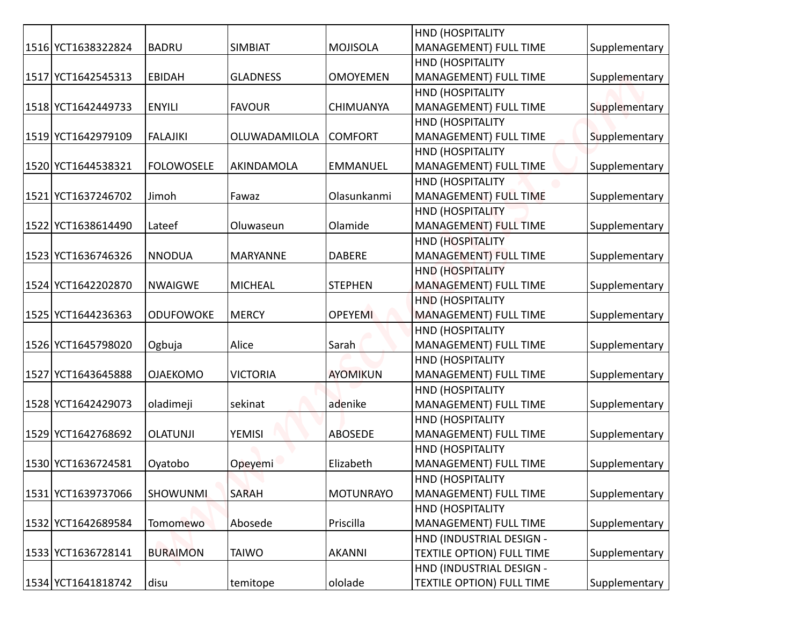|                    |                   |                      |                  | <b>HND (HOSPITALITY</b>                                 |               |
|--------------------|-------------------|----------------------|------------------|---------------------------------------------------------|---------------|
| 1516 YCT1638322824 | <b>BADRU</b>      | <b>SIMBIAT</b>       | <b>MOJISOLA</b>  | MANAGEMENT) FULL TIME                                   | Supplementary |
|                    |                   |                      |                  | HND (HOSPITALITY                                        |               |
| 1517 YCT1642545313 | <b>EBIDAH</b>     | <b>GLADNESS</b>      | <b>OMOYEMEN</b>  | MANAGEMENT) FULL TIME                                   | Supplementary |
|                    |                   |                      |                  | <b>HND (HOSPITALITY</b>                                 |               |
| 1518 YCT1642449733 | <b>ENYILI</b>     | <b>FAVOUR</b>        | <b>CHIMUANYA</b> | <b>MANAGEMENT) FULL TIME</b>                            | Supplementary |
| 1519 YCT1642979109 | <b>FALAJIKI</b>   | <b>OLUWADAMILOLA</b> | <b>COMFORT</b>   | <b>HND (HOSPITALITY</b><br><b>MANAGEMENT) FULL TIME</b> | Supplementary |
|                    |                   |                      |                  | <b>HND (HOSPITALITY</b>                                 |               |
| 1520 YCT1644538321 | <b>FOLOWOSELE</b> | AKINDAMOLA           | <b>EMMANUEL</b>  | MANAGEMENT) FULL TIME                                   | Supplementary |
|                    |                   |                      |                  | HND (HOSPITALITY                                        |               |
| 1521 YCT1637246702 | Jimoh             | Fawaz                | Olasunkanmi      | MANAGEMENT) FULL TIME                                   | Supplementary |
|                    |                   |                      |                  | <b>HND (HOSPITALITY)</b>                                |               |
| 1522 YCT1638614490 | Lateef            | Oluwaseun            | Olamide          | MANAGEMENT) FULL TIME                                   | Supplementary |
|                    |                   |                      |                  | HND (HOSPITALITY                                        |               |
| 1523 YCT1636746326 | <b>NNODUA</b>     | MARYANNE             | <b>DABERE</b>    | MANAGEMENT) FULL TIME                                   | Supplementary |
|                    |                   |                      |                  | <b>HND (HOSPITALITY</b>                                 |               |
| 1524 YCT1642202870 | <b>NWAIGWE</b>    | <b>MICHEAL</b>       | <b>STEPHEN</b>   | <b>MANAGEMENT) FULL TIME</b>                            | Supplementary |
|                    |                   |                      |                  | <b>HND (HOSPITALITY</b>                                 |               |
| 1525 YCT1644236363 | <b>ODUFOWOKE</b>  | <b>MERCY</b>         | <b>OPEYEMI</b>   | <b>MANAGEMENT) FULL TIME</b>                            | Supplementary |
|                    |                   |                      |                  | <b>HND (HOSPITALITY</b>                                 |               |
| 1526 YCT1645798020 | Ogbuja            | Alice                | Sarah            | <b>MANAGEMENT) FULL TIME</b>                            | Supplementary |
|                    |                   |                      |                  | HND (HOSPITALITY                                        |               |
| 1527 YCT1643645888 | <b>OJAEKOMO</b>   | <b>VICTORIA</b>      | <b>AYOMIKUN</b>  | MANAGEMENT) FULL TIME                                   | Supplementary |
|                    |                   |                      |                  | HND (HOSPITALITY                                        |               |
| 1528 YCT1642429073 | oladimeji         | sekinat              | adenike          | MANAGEMENT) FULL TIME                                   | Supplementary |
|                    |                   |                      |                  | HND (HOSPITALITY                                        |               |
| 1529 YCT1642768692 | <b>OLATUNJI</b>   | <b>YEMISI</b>        | <b>ABOSEDE</b>   | MANAGEMENT) FULL TIME                                   | Supplementary |
|                    |                   |                      |                  | <b>HND (HOSPITALITY</b>                                 |               |
| 1530 YCT1636724581 | Oyatobo           | Opeyemi              | Elizabeth        | MANAGEMENT) FULL TIME                                   | Supplementary |
|                    |                   |                      |                  | HND (HOSPITALITY                                        |               |
| 1531 YCT1639737066 | <b>SHOWUNMI</b>   | <b>SARAH</b>         | <b>MOTUNRAYO</b> | MANAGEMENT) FULL TIME                                   | Supplementary |
| 1532 YCT1642689584 | <b>Tomomewo</b>   | Abosede              | Priscilla        | HND (HOSPITALITY<br>MANAGEMENT) FULL TIME               | Supplementary |
|                    |                   |                      |                  | HND (INDUSTRIAL DESIGN -                                |               |
| 1533 YCT1636728141 | <b>BURAIMON</b>   | <b>TAIWO</b>         | <b>AKANNI</b>    | <b>TEXTILE OPTION) FULL TIME</b>                        | Supplementary |
|                    |                   |                      |                  | HND (INDUSTRIAL DESIGN -                                |               |
| 1534 YCT1641818742 | disu              | temitope             | ololade          | <b>TEXTILE OPTION) FULL TIME</b>                        | Supplementary |
|                    |                   |                      |                  |                                                         |               |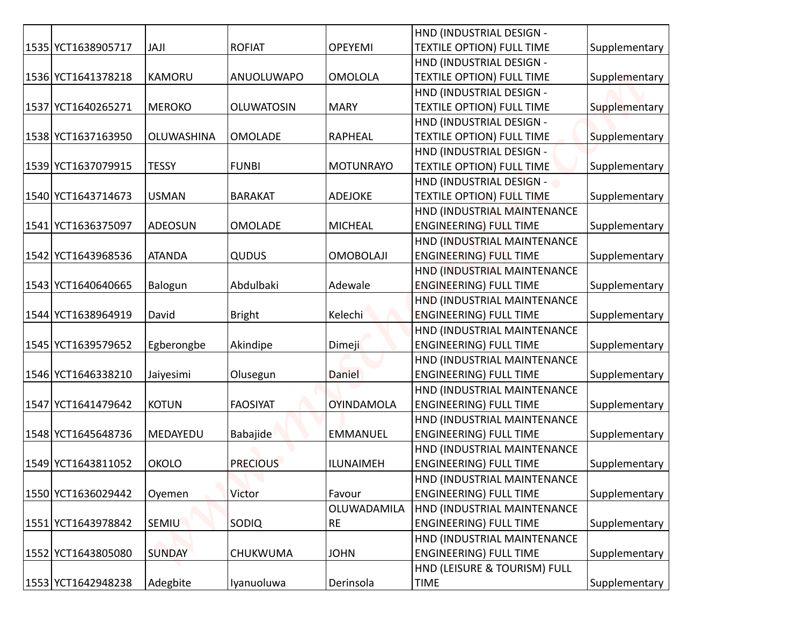|                    |                   |                   |                   | HND (INDUSTRIAL DESIGN -                                     |               |
|--------------------|-------------------|-------------------|-------------------|--------------------------------------------------------------|---------------|
| 1535 YCT1638905717 | JAJI              | <b>ROFIAT</b>     | <b>OPEYEMI</b>    | <b>TEXTILE OPTION) FULL TIME</b>                             | Supplementary |
|                    |                   |                   |                   | HND (INDUSTRIAL DESIGN -                                     |               |
| 1536 YCT1641378218 | <b>KAMORU</b>     | ANUOLUWAPO        | <b>OMOLOLA</b>    | <b>TEXTILE OPTION) FULL TIME</b>                             | Supplementary |
|                    |                   |                   |                   | HND (INDUSTRIAL DESIGN -                                     |               |
| 1537 YCT1640265271 | <b>MEROKO</b>     | <b>OLUWATOSIN</b> | <b>MARY</b>       | <b>TEXTILE OPTION) FULL TIME</b>                             | Supplementary |
|                    |                   |                   |                   | HND (INDUSTRIAL DESIGN -                                     |               |
| 1538 YCT1637163950 | <b>OLUWASHINA</b> | <b>OMOLADE</b>    | <b>RAPHEAL</b>    | <b>TEXTILE OPTION) FULL TIME</b>                             | Supplementary |
|                    |                   |                   |                   | HND (INDUSTRIAL DESIGN -                                     |               |
| 1539 YCT1637079915 | <b>TESSY</b>      | <b>FUNBI</b>      | <b>MOTUNRAYO</b>  | <b>TEXTILE OPTION) FULL TIME</b>                             | Supplementary |
|                    |                   |                   |                   | HND (INDUSTRIAL DESIGN -                                     |               |
| 1540 YCT1643714673 | <b>USMAN</b>      | <b>BARAKAT</b>    | <b>ADEJOKE</b>    | <b>TEXTILE OPTION) FULL TIME</b>                             | Supplementary |
|                    |                   |                   |                   | HND (INDUSTRIAL MAINTENANCE                                  |               |
| 1541 YCT1636375097 | <b>ADEOSUN</b>    | <b>OMOLADE</b>    | <b>MICHEAL</b>    | <b>ENGINEERING) FULL TIME</b>                                | Supplementary |
|                    |                   |                   |                   | HND (INDUSTRIAL MAINTENANCE                                  |               |
| 1542 YCT1643968536 | <b>ATANDA</b>     | QUDUS             | <b>OMOBOLAJI</b>  | <b>ENGINEERING) FULL TIME</b>                                | Supplementary |
|                    |                   |                   |                   | HND (INDUSTRIAL MAINTENANCE                                  |               |
| 1543 YCT1640640665 | Balogun           | Abdulbaki         | Adewale           | <b>ENGINEERING) FULL TIME</b>                                | Supplementary |
| 1544 YCT1638964919 | David             |                   | Kelechi           | HND (INDUSTRIAL MAINTENANCE                                  |               |
|                    |                   | <b>Bright</b>     |                   | <b>ENGINEERING) FULL TIME</b>                                | Supplementary |
| 1545 YCT1639579652 | Egberongbe        | Akindipe          | <b>Dimeji</b>     | HND (INDUSTRIAL MAINTENANCE<br><b>ENGINEERING) FULL TIME</b> | Supplementary |
|                    |                   |                   |                   | HND (INDUSTRIAL MAINTENANCE                                  |               |
| 1546 YCT1646338210 | Jaiyesimi         | Olusegun          | Daniel            | <b>ENGINEERING) FULL TIME</b>                                | Supplementary |
|                    |                   |                   |                   | HND (INDUSTRIAL MAINTENANCE                                  |               |
| 1547 YCT1641479642 | <b>KOTUN</b>      | <b>FAOSIYAT</b>   | <b>OYINDAMOLA</b> | <b>ENGINEERING) FULL TIME</b>                                | Supplementary |
|                    |                   |                   |                   | HND (INDUSTRIAL MAINTENANCE                                  |               |
| 1548 YCT1645648736 | MEDAYEDU          | Babajide          | <b>EMMANUEL</b>   | <b>ENGINEERING) FULL TIME</b>                                | Supplementary |
|                    |                   |                   |                   | HND (INDUSTRIAL MAINTENANCE                                  |               |
| 1549 YCT1643811052 | <b>OKOLO</b>      | <b>PRECIOUS</b>   | <b>ILUNAIMEH</b>  | <b>ENGINEERING) FULL TIME</b>                                | Supplementary |
|                    |                   |                   |                   | HND (INDUSTRIAL MAINTENANCE                                  |               |
| 1550 YCT1636029442 | Oyemen            | Victor            | Favour            | <b>ENGINEERING) FULL TIME</b>                                | Supplementary |
|                    |                   |                   | OLUWADAMILA       | HND (INDUSTRIAL MAINTENANCE                                  |               |
| 1551 YCT1643978842 | <b>SEMIU</b>      | SODIQ             | <b>RE</b>         | <b>ENGINEERING) FULL TIME</b>                                | Supplementary |
|                    |                   |                   |                   | HND (INDUSTRIAL MAINTENANCE                                  |               |
| 1552 YCT1643805080 | <b>SUNDAY</b>     | CHUKWUMA          | <b>JOHN</b>       | <b>ENGINEERING) FULL TIME</b>                                | Supplementary |
|                    |                   |                   |                   | HND (LEISURE & TOURISM) FULL                                 |               |
| 1553 YCT1642948238 | Adegbite          | Iyanuoluwa        | Derinsola         | <b>TIME</b>                                                  | Supplementary |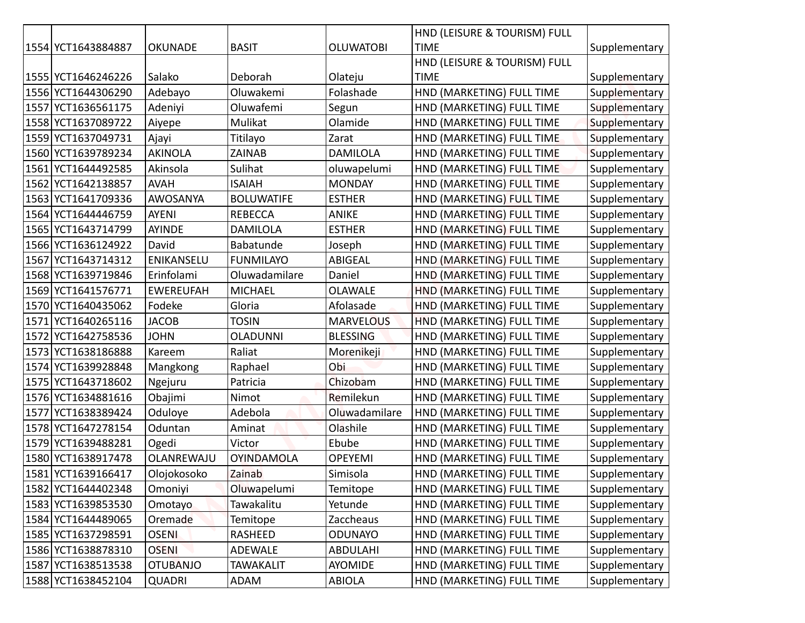|                    |                  |                   |                  | HND (LEISURE & TOURISM) FULL |               |
|--------------------|------------------|-------------------|------------------|------------------------------|---------------|
| 1554 YCT1643884887 | <b>OKUNADE</b>   | <b>BASIT</b>      | <b>OLUWATOBI</b> | <b>TIME</b>                  | Supplementary |
|                    |                  |                   |                  | HND (LEISURE & TOURISM) FULL |               |
| 1555 YCT1646246226 | Salako           | Deborah           | Olateju          | <b>TIME</b>                  | Supplementary |
| 1556 YCT1644306290 | Adebayo          | Oluwakemi         | Folashade        | HND (MARKETING) FULL TIME    | Supplementary |
| 1557 YCT1636561175 | Adeniyi          | Oluwafemi         | Segun            | HND (MARKETING) FULL TIME    | Supplementary |
| 1558 YCT1637089722 | Aiyepe           | Mulikat           | Olamide          | HND (MARKETING) FULL TIME    | Supplementary |
| 1559 YCT1637049731 | Ajayi            | Titilayo          | Zarat            | HND (MARKETING) FULL TIME    | Supplementary |
| 1560 YCT1639789234 | <b>AKINOLA</b>   | ZAINAB            | <b>DAMILOLA</b>  | HND (MARKETING) FULL TIME    | Supplementary |
| 1561 YCT1644492585 | Akinsola         | Sulihat           | oluwapelumi      | HND (MARKETING) FULL TIME    | Supplementary |
| 1562 YCT1642138857 | <b>AVAH</b>      | <b>ISAIAH</b>     | <b>MONDAY</b>    | HND (MARKETING) FULL TIME    | Supplementary |
| 1563 YCT1641709336 | AWOSANYA         | <b>BOLUWATIFE</b> | <b>ESTHER</b>    | HND (MARKETING) FULL TIME    | Supplementary |
| 1564 YCT1644446759 | <b>AYENI</b>     | <b>REBECCA</b>    | <b>ANIKE</b>     | HND (MARKETING) FULL TIME    | Supplementary |
| 1565 YCT1643714799 | <b>AYINDE</b>    | <b>DAMILOLA</b>   | <b>ESTHER</b>    | HND (MARKETING) FULL TIME    | Supplementary |
| 1566 YCT1636124922 | David            | Babatunde         | Joseph           | HND (MARKETING) FULL TIME    | Supplementary |
| 1567 YCT1643714312 | ENIKANSELU       | <b>FUNMILAYO</b>  | ABIGEAL          | HND (MARKETING) FULL TIME    | Supplementary |
| 1568 YCT1639719846 | Erinfolami       | Oluwadamilare     | Daniel           | HND (MARKETING) FULL TIME    | Supplementary |
| 1569 YCT1641576771 | <b>EWEREUFAH</b> | <b>MICHAEL</b>    | <b>OLAWALE</b>   | HND (MARKETING) FULL TIME    | Supplementary |
| 1570 YCT1640435062 | Fodeke           | Gloria            | Afolasade        | HND (MARKETING) FULL TIME    | Supplementary |
| 1571 YCT1640265116 | <b>JACOB</b>     | <b>TOSIN</b>      | <b>MARVELOUS</b> | HND (MARKETING) FULL TIME    | Supplementary |
| 1572 YCT1642758536 | <b>JOHN</b>      | <b>OLADUNNI</b>   | <b>BLESSING</b>  | HND (MARKETING) FULL TIME    | Supplementary |
| 1573 YCT1638186888 | Kareem           | Raliat            | Morenikeji       | HND (MARKETING) FULL TIME    | Supplementary |
| 1574 YCT1639928848 | Mangkong         | Raphael           | Obi              | HND (MARKETING) FULL TIME    | Supplementary |
| 1575 YCT1643718602 | Ngejuru          | Patricia          | Chizobam         | HND (MARKETING) FULL TIME    | Supplementary |
| 1576 YCT1634881616 | Obajimi          | Nimot             | Remilekun        | HND (MARKETING) FULL TIME    | Supplementary |
| 1577 YCT1638389424 | Oduloye          | Adebola           | Oluwadamilare    | HND (MARKETING) FULL TIME    | Supplementary |
| 1578 YCT1647278154 | Oduntan          | Aminat            | Olashile         | HND (MARKETING) FULL TIME    | Supplementary |
| 1579 YCT1639488281 | Ogedi            | Victor            | Ebube            | HND (MARKETING) FULL TIME    | Supplementary |
| 1580 YCT1638917478 | OLANREWAJU       | <b>OYINDAMOLA</b> | <b>OPEYEMI</b>   | HND (MARKETING) FULL TIME    | Supplementary |
| 1581 YCT1639166417 | Olojokosoko      | Zainab            | Simisola         | HND (MARKETING) FULL TIME    | Supplementary |
| 1582 YCT1644402348 | Omoniyi          | Oluwapelumi       | Temitope         | HND (MARKETING) FULL TIME    | Supplementary |
| 1583 YCT1639853530 | Omotayo          | Tawakalitu        | Yetunde          | HND (MARKETING) FULL TIME    | Supplementary |
| 1584 YCT1644489065 | Oremade          | Temitope          | Zaccheaus        | HND (MARKETING) FULL TIME    | Supplementary |
| 1585 YCT1637298591 | <b>OSENI</b>     | RASHEED           | <b>ODUNAYO</b>   | HND (MARKETING) FULL TIME    | Supplementary |
| 1586 YCT1638878310 | <b>OSENI</b>     | ADEWALE           | <b>ABDULAHI</b>  | HND (MARKETING) FULL TIME    | Supplementary |
| 1587 YCT1638513538 | <b>OTUBANJO</b>  | <b>TAWAKALIT</b>  | <b>AYOMIDE</b>   | HND (MARKETING) FULL TIME    | Supplementary |
| 1588 YCT1638452104 | <b>QUADRI</b>    | ADAM              | ABIOLA           | HND (MARKETING) FULL TIME    | Supplementary |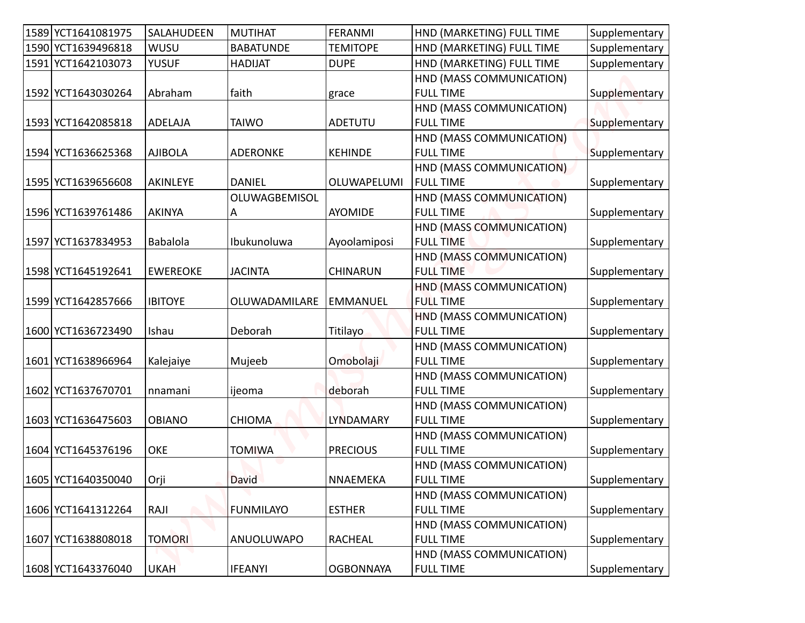| 1589 YCT1641081975 | SALAHUDEEN      | <b>MUTIHAT</b>   | <b>FERANMI</b>   | HND (MARKETING) FULL TIME                    | Supplementary |
|--------------------|-----------------|------------------|------------------|----------------------------------------------|---------------|
| 1590 YCT1639496818 | WUSU            | <b>BABATUNDE</b> | <b>TEMITOPE</b>  | HND (MARKETING) FULL TIME                    | Supplementary |
| 1591 YCT1642103073 | <b>YUSUF</b>    | <b>HADIJAT</b>   | <b>DUPE</b>      | HND (MARKETING) FULL TIME                    | Supplementary |
|                    |                 |                  |                  | HND (MASS COMMUNICATION)                     |               |
| 1592 YCT1643030264 | Abraham         | faith            | grace            | <b>FULL TIME</b>                             | Supplementary |
|                    |                 |                  |                  | HND (MASS COMMUNICATION)                     |               |
| 1593 YCT1642085818 | <b>ADELAJA</b>  | <b>TAIWO</b>     | ADETUTU          | <b>FULL TIME</b>                             | Supplementary |
|                    |                 |                  |                  | HND (MASS COMMUNICATION)                     |               |
| 1594 YCT1636625368 | <b>AJIBOLA</b>  | <b>ADERONKE</b>  | <b>KEHINDE</b>   | <b>FULL TIME</b>                             | Supplementary |
|                    |                 |                  |                  | HND (MASS COMMUNICATION)                     |               |
| 1595 YCT1639656608 | AKINLEYE        | <b>DANIEL</b>    | OLUWAPELUMI      | <b>FULL TIME</b>                             | Supplementary |
| 1596 YCT1639761486 |                 | OLUWAGBEMISOL    |                  | HND (MASS COMMUNICATION)                     |               |
|                    | <b>AKINYA</b>   | A                | <b>AYOMIDE</b>   | <b>FULL TIME</b><br>HND (MASS COMMUNICATION) | Supplementary |
| 1597 YCT1637834953 | <b>Babalola</b> | Ibukunoluwa      | Ayoolamiposi     | <b>FULL TIME</b>                             | Supplementary |
|                    |                 |                  |                  | HND (MASS COMMUNICATION)                     |               |
| 1598 YCT1645192641 | <b>EWEREOKE</b> | <b>JACINTA</b>   | <b>CHINARUN</b>  | <b>FULL TIME</b>                             | Supplementary |
|                    |                 |                  |                  | HND (MASS COMMUNICATION)                     |               |
| 1599 YCT1642857666 | <b>IBITOYE</b>  | OLUWADAMILARE    | <b>EMMANUEL</b>  | <b>FULL TIME</b>                             | Supplementary |
|                    |                 |                  |                  | HND (MASS COMMUNICATION)                     |               |
| 1600 YCT1636723490 | Ishau           | Deborah          | Titilayo         | <b>FULL TIME</b>                             | Supplementary |
|                    |                 |                  |                  | HND (MASS COMMUNICATION)                     |               |
| 1601 YCT1638966964 | Kalejaiye       | Mujeeb           | Omobolaji        | <b>FULL TIME</b>                             | Supplementary |
|                    |                 |                  |                  | HND (MASS COMMUNICATION)                     |               |
| 1602 YCT1637670701 | nnamani         | ijeoma           | deborah          | <b>FULL TIME</b><br>HND (MASS COMMUNICATION) | Supplementary |
| 1603 YCT1636475603 | <b>OBIANO</b>   | <b>CHIOMA</b>    | <b>LYNDAMARY</b> | <b>FULL TIME</b>                             | Supplementary |
|                    |                 |                  |                  | HND (MASS COMMUNICATION)                     |               |
| 1604 YCT1645376196 | OKE             | <b>TOMIWA</b>    | <b>PRECIOUS</b>  | <b>FULL TIME</b>                             | Supplementary |
|                    |                 |                  |                  | HND (MASS COMMUNICATION)                     |               |
| 1605 YCT1640350040 | Orji            | <b>David</b>     | <b>NNAEMEKA</b>  | <b>FULL TIME</b>                             | Supplementary |
|                    |                 |                  |                  | HND (MASS COMMUNICATION)                     |               |
| 1606 YCT1641312264 | RAJI            | <b>FUNMILAYO</b> | <b>ESTHER</b>    | <b>FULL TIME</b>                             | Supplementary |
|                    |                 |                  |                  | HND (MASS COMMUNICATION)                     |               |
| 1607 YCT1638808018 | <b>TOMORI</b>   | ANUOLUWAPO       | <b>RACHEAL</b>   | <b>FULL TIME</b>                             | Supplementary |
|                    |                 |                  |                  | HND (MASS COMMUNICATION)                     |               |
| 1608 YCT1643376040 | <b>UKAH</b>     | <b>IFEANYI</b>   | <b>OGBONNAYA</b> | <b>FULL TIME</b>                             | Supplementary |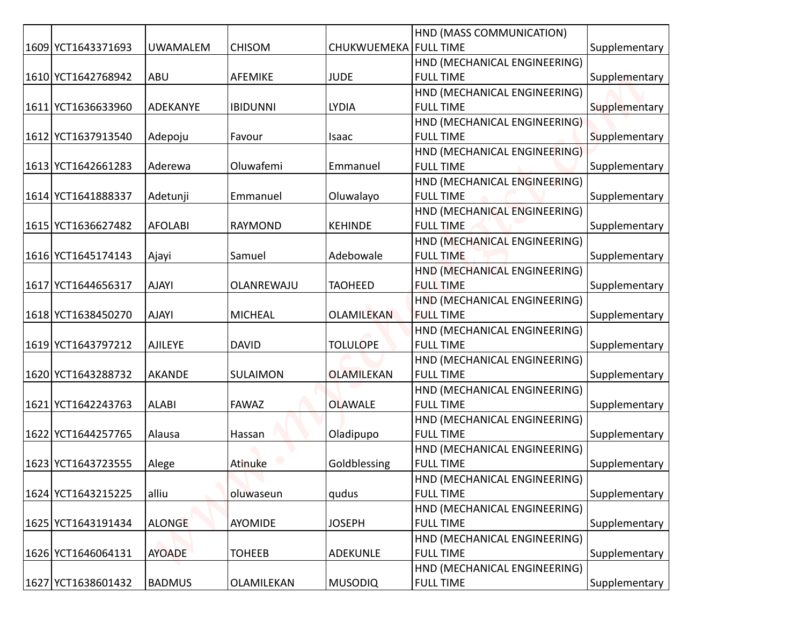|                    |                 |                 | CHUKWUEMEKA   FULL TIME | HND (MASS COMMUNICATION)                         |               |
|--------------------|-----------------|-----------------|-------------------------|--------------------------------------------------|---------------|
| 1609 YCT1643371693 | <b>UWAMALEM</b> | <b>CHISOM</b>   |                         |                                                  | Supplementary |
| 1610 YCT1642768942 | ABU             | AFEMIKE         | <b>JUDE</b>             | HND (MECHANICAL ENGINEERING)<br><b>FULL TIME</b> | Supplementary |
|                    |                 |                 |                         | HND (MECHANICAL ENGINEERING)                     |               |
| 1611 YCT1636633960 | ADEKANYE        | <b>IBIDUNNI</b> | <b>LYDIA</b>            | <b>FULL TIME</b>                                 | Supplementary |
|                    |                 |                 |                         | HND (MECHANICAL ENGINEERING)                     |               |
| 1612 YCT1637913540 | Adepoju         | Favour          | Isaac                   | <b>FULL TIME</b>                                 | Supplementary |
|                    |                 |                 |                         | HND (MECHANICAL ENGINEERING)                     |               |
| 1613 YCT1642661283 | Aderewa         | Oluwafemi       | Emmanuel                | <b>FULL TIME</b>                                 | Supplementary |
|                    |                 |                 |                         | HND (MECHANICAL ENGINEERING)                     |               |
| 1614 YCT1641888337 | Adetunji        | Emmanuel        | Oluwalayo               | <b>FULL TIME</b>                                 | Supplementary |
|                    |                 |                 |                         | HND (MECHANICAL ENGINEERING)                     |               |
| 1615 YCT1636627482 | <b>AFOLABI</b>  | <b>RAYMOND</b>  | <b>KEHINDE</b>          | <b>FULL TIME</b>                                 | Supplementary |
|                    |                 |                 |                         | HND (MECHANICAL ENGINEERING)                     |               |
| 1616 YCT1645174143 | Ajayi           | Samuel          | Adebowale               | <b>FULL TIME</b>                                 | Supplementary |
|                    |                 |                 |                         | HND (MECHANICAL ENGINEERING)                     |               |
| 1617 YCT1644656317 | <b>AJAYI</b>    | OLANREWAJU      | <b>TAOHEED</b>          | <b>FULL TIME</b>                                 | Supplementary |
|                    |                 |                 |                         | HND (MECHANICAL ENGINEERING)                     |               |
| 1618 YCT1638450270 | <b>AJAYI</b>    | <b>MICHEAL</b>  | <b>OLAMILEKAN</b>       | <b>FULL TIME</b>                                 | Supplementary |
|                    |                 |                 |                         | HND (MECHANICAL ENGINEERING)                     |               |
| 1619 YCT1643797212 | <b>AJILEYE</b>  | <b>DAVID</b>    | <b>TOLULOPE</b>         | <b>FULL TIME</b>                                 | Supplementary |
|                    |                 |                 |                         | HND (MECHANICAL ENGINEERING)                     |               |
| 1620 YCT1643288732 | <b>AKANDE</b>   | SULAIMON        | <b>OLAMILEKAN</b>       | <b>FULL TIME</b>                                 | Supplementary |
|                    |                 |                 |                         | HND (MECHANICAL ENGINEERING)                     |               |
| 1621 YCT1642243763 | <b>ALABI</b>    | <b>FAWAZ</b>    | <b>OLAWALE</b>          | <b>FULL TIME</b>                                 | Supplementary |
|                    |                 |                 |                         | HND (MECHANICAL ENGINEERING)                     |               |
| 1622 YCT1644257765 | Alausa          | Hassan          | Oladipupo               | <b>FULL TIME</b>                                 | Supplementary |
| 1623 YCT1643723555 |                 | Atinuke         | Goldblessing            | HND (MECHANICAL ENGINEERING)<br><b>FULL TIME</b> | Supplementary |
|                    | Alege           |                 |                         | HND (MECHANICAL ENGINEERING)                     |               |
| 1624 YCT1643215225 | alliu           | oluwaseun       | qudus                   | <b>FULL TIME</b>                                 | Supplementary |
|                    |                 |                 |                         | HND (MECHANICAL ENGINEERING)                     |               |
| 1625 YCT1643191434 | <b>ALONGE</b>   | AYOMIDE         | <b>JOSEPH</b>           | <b>FULL TIME</b>                                 | Supplementary |
|                    |                 |                 |                         | HND (MECHANICAL ENGINEERING)                     |               |
| 1626 YCT1646064131 | <b>AYOADE</b>   | <b>TOHEEB</b>   | <b>ADEKUNLE</b>         | <b>FULL TIME</b>                                 | Supplementary |
|                    |                 |                 |                         | HND (MECHANICAL ENGINEERING)                     |               |
| 1627 YCT1638601432 | <b>BADMUS</b>   | OLAMILEKAN      | <b>MUSODIQ</b>          | <b>FULL TIME</b>                                 | Supplementary |
|                    |                 |                 |                         |                                                  |               |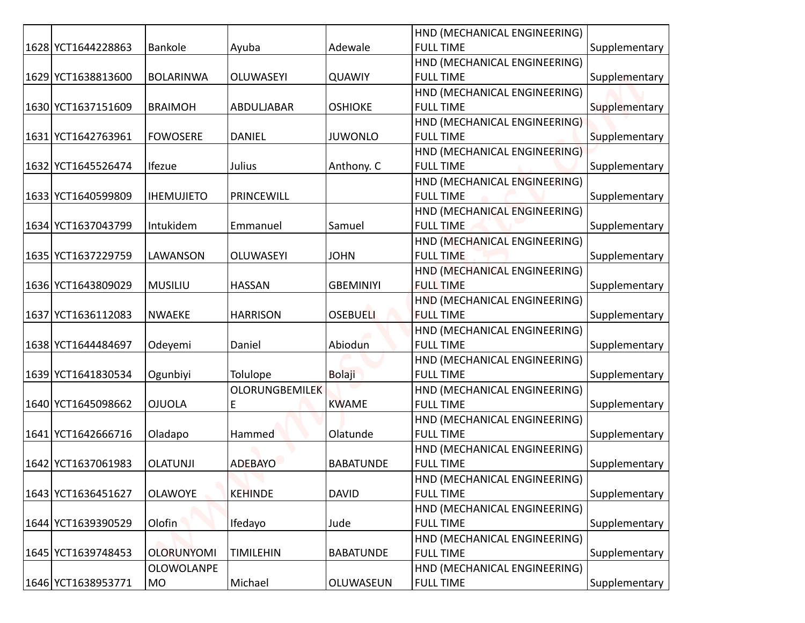|                    |                   |                       |                  | HND (MECHANICAL ENGINEERING)                     |               |
|--------------------|-------------------|-----------------------|------------------|--------------------------------------------------|---------------|
| 1628 YCT1644228863 | <b>Bankole</b>    | Ayuba                 | Adewale          | <b>FULL TIME</b>                                 | Supplementary |
|                    |                   |                       |                  | HND (MECHANICAL ENGINEERING)                     |               |
| 1629 YCT1638813600 | <b>BOLARINWA</b>  | <b>OLUWASEYI</b>      | <b>QUAWIY</b>    | <b>FULL TIME</b>                                 | Supplementary |
|                    |                   |                       |                  | HND (MECHANICAL ENGINEERING)                     |               |
| 1630 YCT1637151609 | <b>BRAIMOH</b>    | ABDULJABAR            | <b>OSHIOKE</b>   | <b>FULL TIME</b>                                 | Supplementary |
|                    |                   |                       |                  | HND (MECHANICAL ENGINEERING)                     |               |
| 1631 YCT1642763961 | <b>FOWOSERE</b>   | <b>DANIEL</b>         | <b>JUWONLO</b>   | <b>FULL TIME</b>                                 | Supplementary |
|                    |                   |                       |                  | HND (MECHANICAL ENGINEERING)                     |               |
| 1632 YCT1645526474 | Ifezue            | Julius                | Anthony. C       | <b>FULL TIME</b>                                 | Supplementary |
|                    |                   |                       |                  | HND (MECHANICAL ENGINEERING)                     |               |
| 1633 YCT1640599809 | <b>IHEMUJIETO</b> | PRINCEWILL            |                  | <b>FULL TIME</b>                                 | Supplementary |
|                    |                   |                       |                  | HND (MECHANICAL ENGINEERING)                     |               |
| 1634 YCT1637043799 | Intukidem         | Emmanuel              | Samuel           | <b>FULL TIME</b>                                 | Supplementary |
|                    |                   |                       |                  | HND (MECHANICAL ENGINEERING)                     |               |
| 1635 YCT1637229759 | LAWANSON          | <b>OLUWASEYI</b>      | <b>JOHN</b>      | <b>FULL TIME</b>                                 | Supplementary |
|                    |                   |                       |                  | HND (MECHANICAL ENGINEERING)                     |               |
| 1636 YCT1643809029 | <b>MUSILIU</b>    | <b>HASSAN</b>         | <b>GBEMINIYI</b> | <b>FULL TIME</b>                                 | Supplementary |
|                    |                   |                       |                  | HND (MECHANICAL ENGINEERING)                     |               |
| 1637 YCT1636112083 | <b>NWAEKE</b>     | <b>HARRISON</b>       | <b>OSEBUELI</b>  | <b>FULL TIME</b>                                 | Supplementary |
|                    |                   |                       |                  | HND (MECHANICAL ENGINEERING)                     |               |
| 1638 YCT1644484697 | Odeyemi           | Daniel                | Abiodun          | <b>FULL TIME</b>                                 | Supplementary |
|                    |                   |                       |                  | HND (MECHANICAL ENGINEERING)                     |               |
| 1639 YCT1641830534 | Ogunbiyi          | Tolulope              | <b>Bolaji</b>    | <b>FULL TIME</b>                                 | Supplementary |
|                    |                   | <b>OLORUNGBEMILEK</b> |                  | HND (MECHANICAL ENGINEERING)                     |               |
| 1640 YCT1645098662 | <b>OJUOLA</b>     | E                     | <b>KWAME</b>     | <b>FULL TIME</b>                                 | Supplementary |
|                    |                   |                       |                  | HND (MECHANICAL ENGINEERING)                     |               |
| 1641 YCT1642666716 | Oladapo           | Hammed                | Olatunde         | <b>FULL TIME</b>                                 | Supplementary |
| 1642 YCT1637061983 | <b>OLATUNJI</b>   | <b>ADEBAYO</b>        | <b>BABATUNDE</b> | HND (MECHANICAL ENGINEERING)<br><b>FULL TIME</b> | Supplementary |
|                    |                   |                       |                  | HND (MECHANICAL ENGINEERING)                     |               |
| 1643 YCT1636451627 | <b>OLAWOYE</b>    | <b>KEHINDE</b>        | <b>DAVID</b>     | <b>FULL TIME</b>                                 | Supplementary |
|                    |                   |                       |                  | HND (MECHANICAL ENGINEERING)                     |               |
| 1644 YCT1639390529 | Olofin            | Ifedayo               | Jude             | <b>FULL TIME</b>                                 | Supplementary |
|                    |                   |                       |                  | HND (MECHANICAL ENGINEERING)                     |               |
| 1645 YCT1639748453 | <b>OLORUNYOMI</b> | <b>TIMILEHIN</b>      | <b>BABATUNDE</b> | <b>FULL TIME</b>                                 | Supplementary |
|                    | <b>OLOWOLANPE</b> |                       |                  | HND (MECHANICAL ENGINEERING)                     |               |
| 1646 YCT1638953771 | MO                | Michael               | OLUWASEUN        | <b>FULL TIME</b>                                 | Supplementary |
|                    |                   |                       |                  |                                                  |               |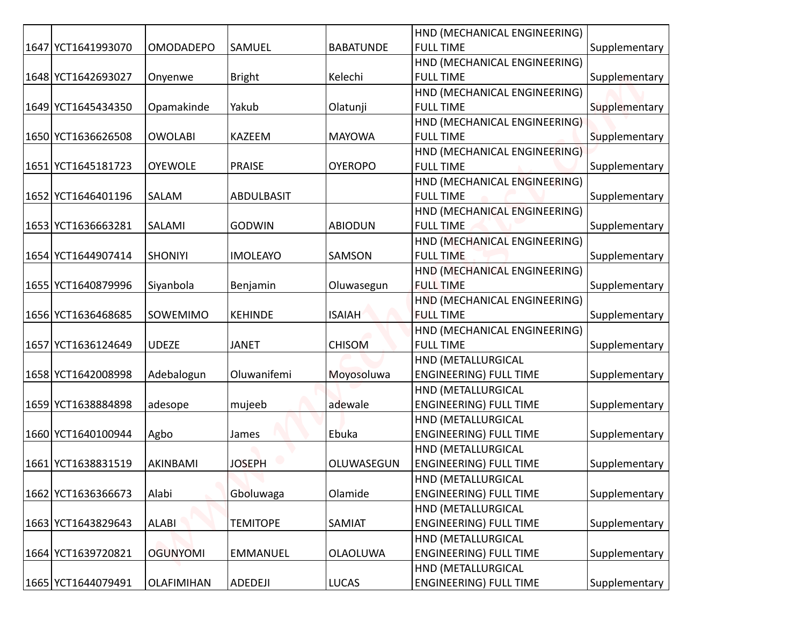|                    |                   |                   |                  | HND (MECHANICAL ENGINEERING)  |               |
|--------------------|-------------------|-------------------|------------------|-------------------------------|---------------|
| 1647 YCT1641993070 | <b>OMODADEPO</b>  | SAMUEL            | <b>BABATUNDE</b> | <b>FULL TIME</b>              | Supplementary |
|                    |                   |                   |                  | HND (MECHANICAL ENGINEERING)  |               |
| 1648 YCT1642693027 | Onyenwe           | <b>Bright</b>     | Kelechi          | <b>FULL TIME</b>              | Supplementary |
|                    |                   |                   |                  | HND (MECHANICAL ENGINEERING)  |               |
| 1649 YCT1645434350 | Opamakinde        | Yakub             | Olatunji         | <b>FULL TIME</b>              | Supplementary |
|                    |                   |                   |                  | HND (MECHANICAL ENGINEERING)  |               |
| 1650 YCT1636626508 | <b>OWOLABI</b>    | KAZEEM            | <b>MAYOWA</b>    | <b>FULL TIME</b>              | Supplementary |
|                    |                   |                   |                  | HND (MECHANICAL ENGINEERING)  |               |
| 1651 YCT1645181723 | <b>OYEWOLE</b>    | <b>PRAISE</b>     | <b>OYEROPO</b>   | <b>FULL TIME</b>              | Supplementary |
|                    |                   |                   |                  | HND (MECHANICAL ENGINEERING)  |               |
| 1652 YCT1646401196 | SALAM             | <b>ABDULBASIT</b> |                  | <b>FULL TIME</b>              | Supplementary |
|                    |                   |                   |                  | HND (MECHANICAL ENGINEERING)  |               |
| 1653 YCT1636663281 | SALAMI            | <b>GODWIN</b>     | <b>ABIODUN</b>   | <b>FULL TIME</b>              | Supplementary |
|                    |                   |                   |                  | HND (MECHANICAL ENGINEERING)  |               |
| 1654 YCT1644907414 | <b>SHONIYI</b>    | <b>IMOLEAYO</b>   | SAMSON           | <b>FULL TIME</b>              | Supplementary |
|                    |                   |                   |                  | HND (MECHANICAL ENGINEERING)  |               |
| 1655 YCT1640879996 | Siyanbola         | Benjamin          | Oluwasegun       | <b>FULL TIME</b>              | Supplementary |
|                    |                   |                   |                  | HND (MECHANICAL ENGINEERING)  |               |
| 1656 YCT1636468685 | <b>SOWEMIMO</b>   | <b>KEHINDE</b>    | <b>ISAIAH</b>    | <b>FULL TIME</b>              | Supplementary |
|                    |                   |                   |                  | HND (MECHANICAL ENGINEERING)  |               |
| 1657 YCT1636124649 | <b>UDEZE</b>      | <b>JANET</b>      | <b>CHISOM</b>    | <b>FULL TIME</b>              | Supplementary |
|                    |                   |                   |                  | HND (METALLURGICAL            |               |
| 1658 YCT1642008998 | Adebalogun        | Oluwanifemi       | Moyosoluwa       | <b>ENGINEERING) FULL TIME</b> | Supplementary |
|                    |                   |                   |                  | HND (METALLURGICAL            |               |
| 1659 YCT1638884898 | adesope           | mujeeb            | adewale          | <b>ENGINEERING) FULL TIME</b> | Supplementary |
|                    |                   |                   |                  | HND (METALLURGICAL            |               |
| 1660 YCT1640100944 | Agbo              | James             | Ebuka            | <b>ENGINEERING) FULL TIME</b> | Supplementary |
|                    |                   |                   |                  | HND (METALLURGICAL            |               |
| 1661 YCT1638831519 | AKINBAMI          | <b>JOSEPH</b>     | OLUWASEGUN       | <b>ENGINEERING) FULL TIME</b> | Supplementary |
|                    |                   |                   |                  | HND (METALLURGICAL            |               |
| 1662 YCT1636366673 | Alabi             | Gboluwaga         | Olamide          | <b>ENGINEERING) FULL TIME</b> | Supplementary |
|                    |                   |                   |                  | HND (METALLURGICAL            |               |
| 1663 YCT1643829643 | <b>ALABI</b>      | <b>TEMITOPE</b>   | SAMIAT           | <b>ENGINEERING) FULL TIME</b> | Supplementary |
|                    |                   |                   |                  | HND (METALLURGICAL            |               |
| 1664 YCT1639720821 | <b>OGUNYOMI</b>   | <b>EMMANUEL</b>   | <b>OLAOLUWA</b>  | <b>ENGINEERING) FULL TIME</b> | Supplementary |
|                    |                   |                   |                  | HND (METALLURGICAL            |               |
| 1665 YCT1644079491 | <b>OLAFIMIHAN</b> | ADEDEJI           | <b>LUCAS</b>     | <b>ENGINEERING) FULL TIME</b> | Supplementary |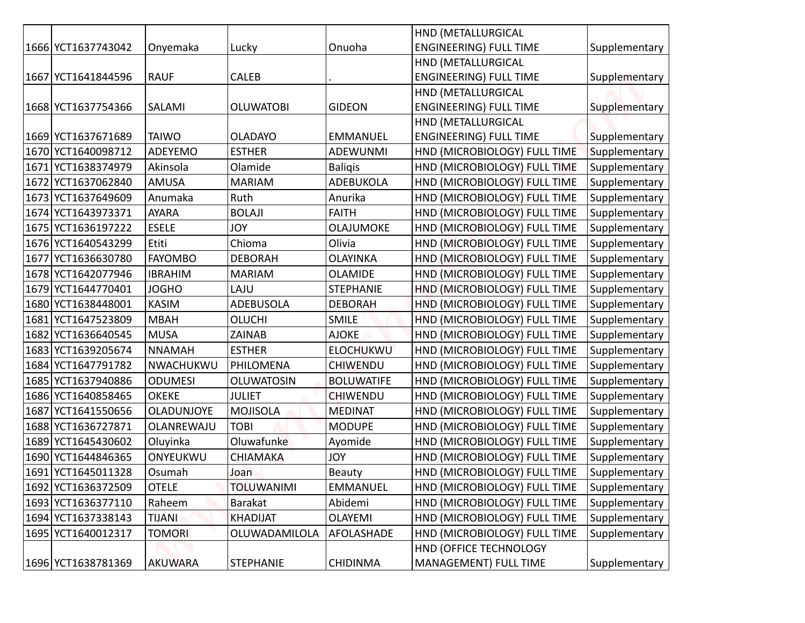|                    |                |                   |                   | HND (METALLURGICAL            |               |
|--------------------|----------------|-------------------|-------------------|-------------------------------|---------------|
| 1666 YCT1637743042 | Onyemaka       | Lucky             | Onuoha            | <b>ENGINEERING) FULL TIME</b> | Supplementary |
|                    |                |                   |                   | HND (METALLURGICAL            |               |
| 1667 YCT1641844596 | <b>RAUF</b>    | <b>CALEB</b>      |                   | <b>ENGINEERING) FULL TIME</b> | Supplementary |
|                    |                |                   |                   | HND (METALLURGICAL            |               |
| 1668 YCT1637754366 | SALAMI         | <b>OLUWATOBI</b>  | <b>GIDEON</b>     | <b>ENGINEERING) FULL TIME</b> | Supplementary |
|                    |                |                   |                   | HND (METALLURGICAL            |               |
| 1669 YCT1637671689 | <b>TAIWO</b>   | <b>OLADAYO</b>    | <b>EMMANUEL</b>   | <b>ENGINEERING) FULL TIME</b> | Supplementary |
| 1670 YCT1640098712 | ADEYEMO        | <b>ESTHER</b>     | <b>ADEWUNMI</b>   | HND (MICROBIOLOGY) FULL TIME  | Supplementary |
| 1671 YCT1638374979 | Akinsola       | Olamide           | <b>Baligis</b>    | HND (MICROBIOLOGY) FULL TIME  | Supplementary |
| 1672 YCT1637062840 | AMUSA          | <b>MARIAM</b>     | <b>ADEBUKOLA</b>  | HND (MICROBIOLOGY) FULL TIME  | Supplementary |
| 1673 YCT1637649609 | Anumaka        | Ruth              | Anurika           | HND (MICROBIOLOGY) FULL TIME  | Supplementary |
| 1674 YCT1643973371 | <b>AYARA</b>   | <b>BOLAJI</b>     | <b>FAITH</b>      | HND (MICROBIOLOGY) FULL TIME  | Supplementary |
| 1675 YCT1636197222 | <b>ESELE</b>   | <b>JOY</b>        | <b>OLAJUMOKE</b>  | HND (MICROBIOLOGY) FULL TIME  | Supplementary |
| 1676 YCT1640543299 | Etiti          | Chioma            | Olivia            | HND (MICROBIOLOGY) FULL TIME  | Supplementary |
| 1677 YCT1636630780 | <b>FAYOMBO</b> | <b>DEBORAH</b>    | <b>OLAYINKA</b>   | HND (MICROBIOLOGY) FULL TIME  | Supplementary |
| 1678 YCT1642077946 | <b>IBRAHIM</b> | <b>MARIAM</b>     | <b>OLAMIDE</b>    | HND (MICROBIOLOGY) FULL TIME  | Supplementary |
| 1679 YCT1644770401 | <b>JOGHO</b>   | LAJU              | <b>STEPHANIE</b>  | HND (MICROBIOLOGY) FULL TIME  | Supplementary |
| 1680 YCT1638448001 | <b>KASIM</b>   | <b>ADEBUSOLA</b>  | <b>DEBORAH</b>    | HND (MICROBIOLOGY) FULL TIME  | Supplementary |
| 1681 YCT1647523809 | <b>MBAH</b>    | OLUCHI            | <b>SMILE</b>      | HND (MICROBIOLOGY) FULL TIME  | Supplementary |
| 1682 YCT1636640545 | <b>MUSA</b>    | ZAINAB            | <b>AJOKE</b>      | HND (MICROBIOLOGY) FULL TIME  | Supplementary |
| 1683 YCT1639205674 | <b>NNAMAH</b>  | <b>ESTHER</b>     | <b>ELOCHUKWU</b>  | HND (MICROBIOLOGY) FULL TIME  | Supplementary |
| 1684 YCT1647791782 | NWACHUKWU      | PHILOMENA         | <b>CHIWENDU</b>   | HND (MICROBIOLOGY) FULL TIME  | Supplementary |
| 1685 YCT1637940886 | <b>ODUMESI</b> | <b>OLUWATOSIN</b> | <b>BOLUWATIFE</b> | HND (MICROBIOLOGY) FULL TIME  | Supplementary |
| 1686 YCT1640858465 | <b>OKEKE</b>   | <b>JULIET</b>     | <b>CHIWENDU</b>   | HND (MICROBIOLOGY) FULL TIME  | Supplementary |
| 1687 YCT1641550656 | OLADUNJOYE     | <b>MOJISOLA</b>   | <b>MEDINAT</b>    | HND (MICROBIOLOGY) FULL TIME  | Supplementary |
| 1688 YCT1636727871 | OLANREWAJU     | <b>TOBI</b>       | <b>MODUPE</b>     | HND (MICROBIOLOGY) FULL TIME  | Supplementary |
| 1689 YCT1645430602 | Oluyinka       | Oluwafunke        | Ayomide           | HND (MICROBIOLOGY) FULL TIME  | Supplementary |
| 1690 YCT1644846365 | ONYEUKWU       | <b>CHIAMAKA</b>   | <b>YOL</b>        | HND (MICROBIOLOGY) FULL TIME  | Supplementary |
| 1691 YCT1645011328 | Osumah         | Joan              | Beauty            | HND (MICROBIOLOGY) FULL TIME  | Supplementary |
| 1692 YCT1636372509 | <b>OTELE</b>   | <b>TOLUWANIMI</b> | <b>EMMANUEL</b>   | HND (MICROBIOLOGY) FULL TIME  | Supplementary |
| 1693 YCT1636377110 | Raheem         | Barakat           | Abidemi           | HND (MICROBIOLOGY) FULL TIME  | Supplementary |
| 1694 YCT1637338143 | <b>TIJANI</b>  | KHADIJAT          | OLAYEMI           | HND (MICROBIOLOGY) FULL TIME  | Supplementary |
| 1695 YCT1640012317 | <b>TOMORI</b>  | OLUWADAMILOLA     | AFOLASHADE        | HND (MICROBIOLOGY) FULL TIME  | Supplementary |
|                    |                |                   |                   | HND (OFFICE TECHNOLOGY        |               |
| 1696 YCT1638781369 | <b>AKUWARA</b> | <b>STEPHANIE</b>  | <b>CHIDINMA</b>   | MANAGEMENT) FULL TIME         | Supplementary |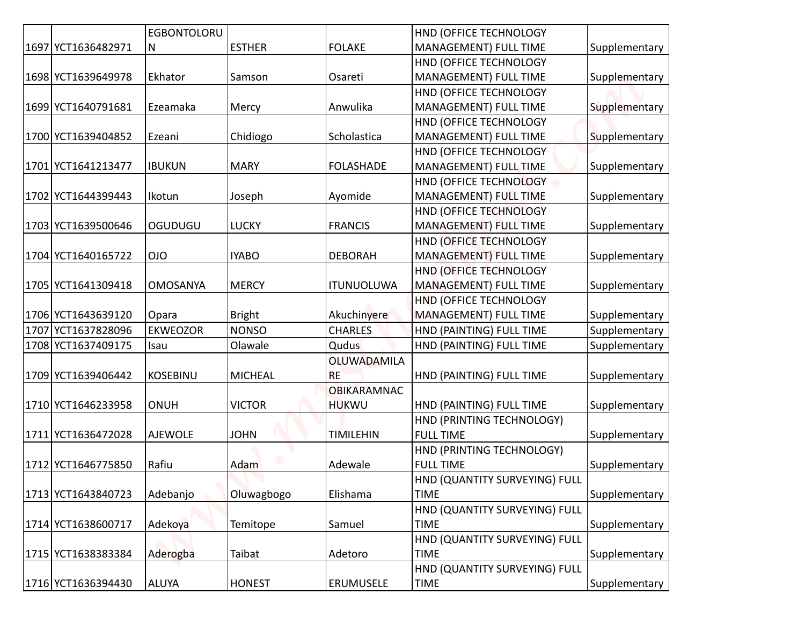| <b>EGBONTOLORU</b><br>HND (OFFICE TECHNOLOGY<br>1697 YCT1636482971<br><b>ESTHER</b><br><b>FOLAKE</b><br>MANAGEMENT) FULL TIME<br>N<br>HND (OFFICE TECHNOLOGY<br>MANAGEMENT) FULL TIME<br> 1698 YCT1639649978<br>Ekhator<br>Osareti<br>Samson<br>HND (OFFICE TECHNOLOGY<br>Anwulika<br> 1699 YCT1640791681<br>Ezeamaka<br>MANAGEMENT) FULL TIME<br>Mercy | Supplementary |
|---------------------------------------------------------------------------------------------------------------------------------------------------------------------------------------------------------------------------------------------------------------------------------------------------------------------------------------------------------|---------------|
|                                                                                                                                                                                                                                                                                                                                                         |               |
|                                                                                                                                                                                                                                                                                                                                                         |               |
|                                                                                                                                                                                                                                                                                                                                                         |               |
|                                                                                                                                                                                                                                                                                                                                                         |               |
|                                                                                                                                                                                                                                                                                                                                                         |               |
|                                                                                                                                                                                                                                                                                                                                                         |               |
|                                                                                                                                                                                                                                                                                                                                                         |               |
|                                                                                                                                                                                                                                                                                                                                                         |               |
|                                                                                                                                                                                                                                                                                                                                                         |               |
|                                                                                                                                                                                                                                                                                                                                                         |               |
|                                                                                                                                                                                                                                                                                                                                                         | Supplementary |
|                                                                                                                                                                                                                                                                                                                                                         |               |
|                                                                                                                                                                                                                                                                                                                                                         | Supplementary |
| HND (OFFICE TECHNOLOGY                                                                                                                                                                                                                                                                                                                                  |               |
| Scholastica<br>1700 YCT1639404852<br>Ezeani<br>Chidiogo<br>MANAGEMENT) FULL TIME                                                                                                                                                                                                                                                                        | Supplementary |
| HND (OFFICE TECHNOLOGY                                                                                                                                                                                                                                                                                                                                  |               |
| MANAGEMENT) FULL TIME<br>1701 YCT1641213477<br><b>IBUKUN</b><br><b>MARY</b><br><b>FOLASHADE</b>                                                                                                                                                                                                                                                         | Supplementary |
| HND (OFFICE TECHNOLOGY                                                                                                                                                                                                                                                                                                                                  |               |
| 1702 YCT1644399443<br>Joseph<br>Ayomide<br>MANAGEMENT) FULL TIME<br>Ikotun                                                                                                                                                                                                                                                                              | Supplementary |
| HND (OFFICE TECHNOLOGY                                                                                                                                                                                                                                                                                                                                  |               |
| OGUDUGU<br><b>LUCKY</b><br><b>FRANCIS</b><br>MANAGEMENT) FULL TIME<br> 1703 YCT1639500646                                                                                                                                                                                                                                                               | Supplementary |
| HND (OFFICE TECHNOLOGY                                                                                                                                                                                                                                                                                                                                  |               |
| 1704 YCT1640165722<br><b>OIO</b><br><b>IYABO</b><br><b>DEBORAH</b><br>MANAGEMENT) FULL TIME                                                                                                                                                                                                                                                             | Supplementary |
| HND (OFFICE TECHNOLOGY                                                                                                                                                                                                                                                                                                                                  |               |
| 1705 YCT1641309418<br><b>MERCY</b><br><b>ITUNUOLUWA</b><br><b>MANAGEMENT) FULL TIME</b><br><b>OMOSANYA</b>                                                                                                                                                                                                                                              | Supplementary |
| HND (OFFICE TECHNOLOGY                                                                                                                                                                                                                                                                                                                                  |               |
| 1706 YCT1643639120<br>Akuchinyere<br><b>MANAGEMENT) FULL TIME</b><br><b>Bright</b><br>Opara                                                                                                                                                                                                                                                             | Supplementary |
| <b>CHARLES</b><br> 1707 YCT1637828096<br><b>EKWEOZOR</b><br><b>NONSO</b><br><b>HND (PAINTING) FULL TIME</b>                                                                                                                                                                                                                                             | Supplementary |
| 1708 YCT1637409175<br>Olawale<br>Qudus<br>HND (PAINTING) FULL TIME<br>Isau                                                                                                                                                                                                                                                                              | Supplementary |
| OLUWADAMILA                                                                                                                                                                                                                                                                                                                                             |               |
| <b>KOSEBINU</b><br><b>MICHEAL</b><br> 1709 YCT1639406442<br><b>RE</b><br>HND (PAINTING) FULL TIME                                                                                                                                                                                                                                                       | Supplementary |
| <b>OBIKARAMNAC</b>                                                                                                                                                                                                                                                                                                                                      |               |
| <b>ONUH</b><br><b>VICTOR</b><br><b>HUKWU</b><br>1710 YCT1646233958<br>HND (PAINTING) FULL TIME                                                                                                                                                                                                                                                          | Supplementary |
| HND (PRINTING TECHNOLOGY)                                                                                                                                                                                                                                                                                                                               |               |
| 1711 YCT1636472028<br><b>AJEWOLE</b><br><b>JOHN</b><br><b>TIMILEHIN</b><br><b>FULL TIME</b>                                                                                                                                                                                                                                                             | Supplementary |
| HND (PRINTING TECHNOLOGY)                                                                                                                                                                                                                                                                                                                               |               |
| Rafiu<br>Adam<br>Adewale<br><b>FULL TIME</b><br>1712 YCT1646775850                                                                                                                                                                                                                                                                                      | Supplementary |
| HND (QUANTITY SURVEYING) FULL                                                                                                                                                                                                                                                                                                                           |               |
| Adebanjo<br>Elishama<br><b>TIME</b><br> 1713 YCT1643840723<br>Oluwagbogo                                                                                                                                                                                                                                                                                | Supplementary |
|                                                                                                                                                                                                                                                                                                                                                         |               |
| HND (QUANTITY SURVEYING) FULL                                                                                                                                                                                                                                                                                                                           | Supplementary |
| 1714 YCT1638600717<br>Adekoya<br><b>TIME</b><br>Temitope<br>Samuel                                                                                                                                                                                                                                                                                      |               |
| HND (QUANTITY SURVEYING) FULL                                                                                                                                                                                                                                                                                                                           |               |
| 1715 YCT1638383384<br>Taibat<br><b>TIME</b><br>Aderogba<br>Adetoro                                                                                                                                                                                                                                                                                      | Supplementary |
| HND (QUANTITY SURVEYING) FULL                                                                                                                                                                                                                                                                                                                           |               |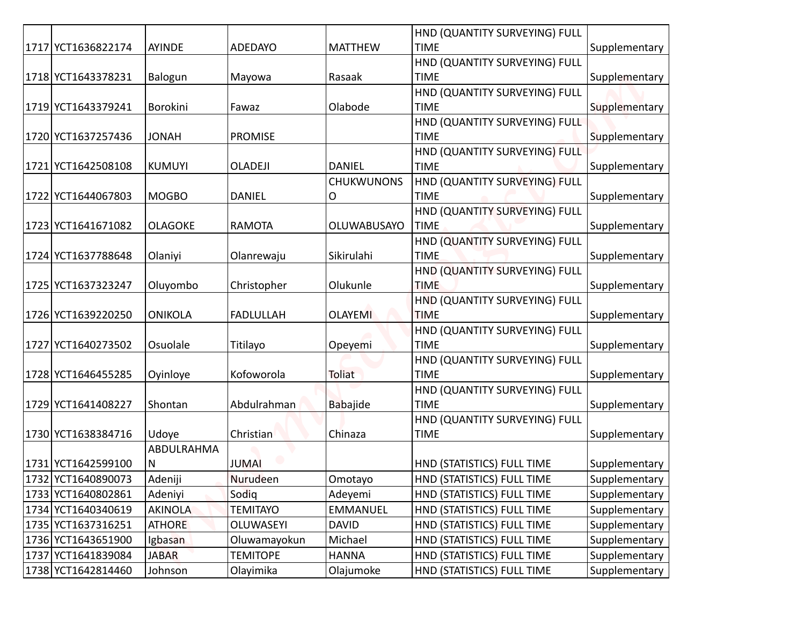|                    |                |                  |                   | HND (QUANTITY SURVEYING) FULL                |               |
|--------------------|----------------|------------------|-------------------|----------------------------------------------|---------------|
| 1717 YCT1636822174 | <b>AYINDE</b>  | <b>ADEDAYO</b>   | <b>MATTHEW</b>    | <b>TIME</b>                                  | Supplementary |
|                    |                |                  |                   | HND (QUANTITY SURVEYING) FULL                |               |
| 1718 YCT1643378231 | Balogun        | Mayowa           | Rasaak            | <b>TIME</b>                                  | Supplementary |
|                    |                |                  |                   | HND (QUANTITY SURVEYING) FULL                |               |
| 1719 YCT1643379241 | Borokini       | Fawaz            | Olabode           | <b>TIME</b>                                  | Supplementary |
|                    |                |                  |                   | HND (QUANTITY SURVEYING) FULL                |               |
| 1720 YCT1637257436 | <b>HANOL</b>   | <b>PROMISE</b>   |                   | <b>TIME</b>                                  | Supplementary |
|                    |                |                  |                   | HND (QUANTITY SURVEYING) FULL                |               |
| 1721 YCT1642508108 | <b>KUMUYI</b>  | <b>OLADEJI</b>   | <b>DANIEL</b>     | <b>TIME</b>                                  | Supplementary |
|                    |                |                  | <b>CHUKWUNONS</b> | HND (QUANTITY SURVEYING) FULL                |               |
| 1722 YCT1644067803 | <b>MOGBO</b>   | <b>DANIEL</b>    | Ο                 | <b>TIME</b>                                  | Supplementary |
|                    |                |                  |                   | HND (QUANTITY SURVEYING) FULL                |               |
| 1723 YCT1641671082 | <b>OLAGOKE</b> | <b>RAMOTA</b>    | OLUWABUSAYO       | <b>TIME</b>                                  | Supplementary |
|                    |                |                  |                   | HND (QUANTITY SURVEYING) FULL                |               |
| 1724 YCT1637788648 | Olaniyi        | Olanrewaju       | Sikirulahi        | <b>TIME</b>                                  | Supplementary |
|                    |                |                  |                   | HND (QUANTITY SURVEYING) FULL                |               |
| 1725 YCT1637323247 | Oluyombo       | Christopher      | Olukunle          | <b>TIME</b>                                  | Supplementary |
|                    |                |                  |                   | HND (QUANTITY SURVEYING) FULL                |               |
| 1726 YCT1639220250 | <b>ONIKOLA</b> | <b>FADLULLAH</b> | <b>OLAYEMI</b>    | <b>TIME</b>                                  | Supplementary |
|                    |                |                  |                   | HND (QUANTITY SURVEYING) FULL<br><b>TIME</b> |               |
| 1727 YCT1640273502 | Osuolale       | Titilayo         | Opeyemi           | HND (QUANTITY SURVEYING) FULL                | Supplementary |
| 1728 YCT1646455285 | Oyinloye       | Kofoworola       | Toliat            | <b>TIME</b>                                  | Supplementary |
|                    |                |                  |                   | HND (QUANTITY SURVEYING) FULL                |               |
| 1729 YCT1641408227 | Shontan        | Abdulrahman      | <b>Babajide</b>   | <b>TIME</b>                                  | Supplementary |
|                    |                |                  |                   | HND (QUANTITY SURVEYING) FULL                |               |
| 1730 YCT1638384716 | Udoye          | Christian        | Chinaza           | <b>TIME</b>                                  | Supplementary |
|                    | ABDULRAHMA     |                  |                   |                                              |               |
| 1731 YCT1642599100 | N              | <b>JUMAI</b>     |                   | HND (STATISTICS) FULL TIME                   | Supplementary |
| 1732 YCT1640890073 | Adeniji        | Nurudeen         | Omotayo           | HND (STATISTICS) FULL TIME                   | Supplementary |
| 1733 YCT1640802861 | Adeniyi        | Sodig            | Adeyemi           | HND (STATISTICS) FULL TIME                   | Supplementary |
| 1734 YCT1640340619 | <b>AKINOLA</b> | <b>TEMITAYO</b>  | <b>EMMANUEL</b>   | HND (STATISTICS) FULL TIME                   | Supplementary |
| 1735 YCT1637316251 | <b>ATHORE</b>  | OLUWASEYI        | <b>DAVID</b>      | HND (STATISTICS) FULL TIME                   | Supplementary |
| 1736 YCT1643651900 | Igbasan        | Oluwamayokun     | Michael           | HND (STATISTICS) FULL TIME                   | Supplementary |
| 1737 YCT1641839084 | <b>JABAR</b>   | <b>TEMITOPE</b>  | <b>HANNA</b>      | HND (STATISTICS) FULL TIME                   | Supplementary |
| 1738 YCT1642814460 | Johnson        | Olayimika        | Olajumoke         | HND (STATISTICS) FULL TIME                   | Supplementary |
|                    |                |                  |                   |                                              |               |